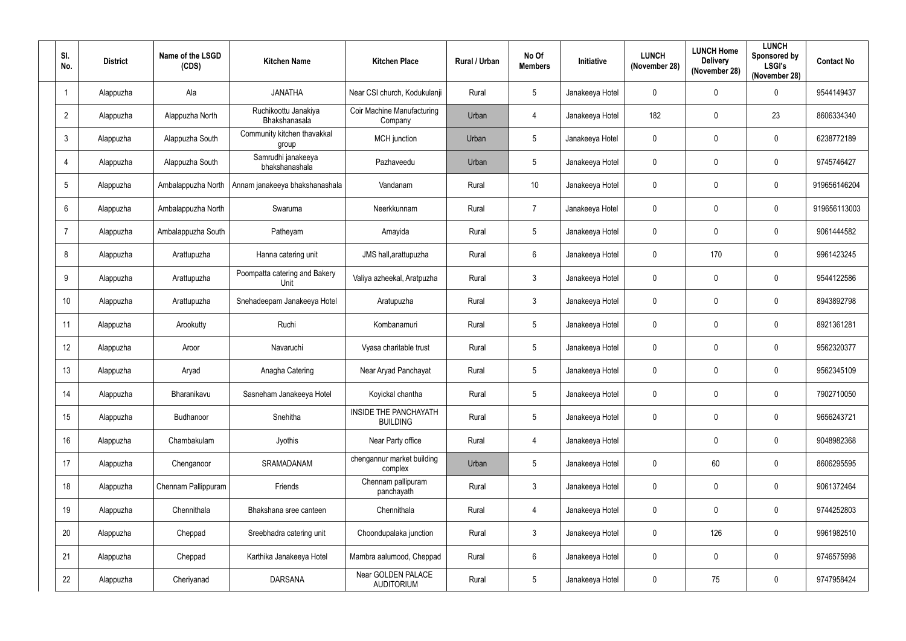| SI.<br>No.      | <b>District</b> | Name of the LSGD<br>(CDS) | <b>Kitchen Name</b>                   | <b>Kitchen Place</b>                            | Rural / Urban | No Of<br><b>Members</b> | <b>Initiative</b> | <b>LUNCH</b><br>(November 28) | <b>LUNCH Home</b><br><b>Delivery</b><br>(November 28) | <b>LUNCH</b><br>Sponsored by<br><b>LSGI's</b><br>(November 28) | <b>Contact No</b> |
|-----------------|-----------------|---------------------------|---------------------------------------|-------------------------------------------------|---------------|-------------------------|-------------------|-------------------------------|-------------------------------------------------------|----------------------------------------------------------------|-------------------|
| $\overline{1}$  | Alappuzha       | Ala                       | <b>JANATHA</b>                        | Near CSI church, Kodukulanji                    | Rural         | $5\phantom{.0}$         | Janakeeya Hotel   | $\pmb{0}$                     | $\mathbf 0$                                           | $\mathbf 0$                                                    | 9544149437        |
| $\overline{2}$  | Alappuzha       | Alappuzha North           | Ruchikoottu Janakiya<br>Bhakshanasala | Coir Machine Manufacturing<br>Company           | Urban         | $\overline{4}$          | Janakeeya Hotel   | 182                           | $\mathbf 0$                                           | 23                                                             | 8606334340        |
| $\mathfrak{Z}$  | Alappuzha       | Alappuzha South           | Community kitchen thavakkal<br>group  | MCH junction                                    | Urban         | $5\phantom{.0}$         | Janakeeya Hotel   | $\pmb{0}$                     | $\mathbf 0$                                           | $\pmb{0}$                                                      | 6238772189        |
| $\overline{4}$  | Alappuzha       | Alappuzha South           | Samrudhi janakeeya<br>bhakshanashala  | Pazhaveedu                                      | Urban         | $5\phantom{.0}$         | Janakeeya Hotel   | $\mathbf 0$                   | $\mathbf 0$                                           | $\mathbf 0$                                                    | 9745746427        |
| 5               | Alappuzha       | Ambalappuzha North        | Annam janakeeya bhakshanashala        | Vandanam                                        | Rural         | 10 <sup>°</sup>         | Janakeeya Hotel   | $\pmb{0}$                     | $\mathbf 0$                                           | $\mathbf 0$                                                    | 919656146204      |
| $6\phantom{.}6$ | Alappuzha       | Ambalappuzha North        | Swaruma                               | Neerkkunnam                                     | Rural         | $\overline{7}$          | Janakeeya Hotel   | $\mathbf 0$                   | $\mathbf 0$                                           | $\mathbf 0$                                                    | 919656113003      |
| $\overline{7}$  | Alappuzha       | Ambalappuzha South        | Patheyam                              | Amayida                                         | Rural         | $5\phantom{.0}$         | Janakeeya Hotel   | $\mathbf 0$                   | $\mathbf 0$                                           | $\mathbf 0$                                                    | 9061444582        |
| 8               | Alappuzha       | Arattupuzha               | Hanna catering unit                   | JMS hall, arattupuzha                           | Rural         | $6\phantom{.}6$         | Janakeeya Hotel   | $\mathbf 0$                   | 170                                                   | $\mathbf 0$                                                    | 9961423245        |
| 9               | Alappuzha       | Arattupuzha               | Poompatta catering and Bakery<br>Unit | Valiya azheekal, Aratpuzha                      | Rural         | $\mathbf{3}$            | Janakeeya Hotel   | $\mathbf 0$                   | $\mathbf 0$                                           | $\mathbf 0$                                                    | 9544122586        |
| 10              | Alappuzha       | Arattupuzha               | Snehadeepam Janakeeya Hotel           | Aratupuzha                                      | Rural         | $\mathbf{3}$            | Janakeeya Hotel   | $\pmb{0}$                     | $\mathbf 0$                                           | $\boldsymbol{0}$                                               | 8943892798        |
| 11              | Alappuzha       | Arookutty                 | Ruchi                                 | Kombanamuri                                     | Rural         | $5\overline{)}$         | Janakeeya Hotel   | $\mathbf 0$                   | $\mathbf 0$                                           | $\mathbf 0$                                                    | 8921361281        |
| 12              | Alappuzha       | Aroor                     | Navaruchi                             | Vyasa charitable trust                          | Rural         | $5\phantom{.0}$         | Janakeeya Hotel   | $\mathbf 0$                   | $\mathbf 0$                                           | $\mathbf 0$                                                    | 9562320377        |
| 13              | Alappuzha       | Aryad                     | Anagha Catering                       | Near Aryad Panchayat                            | Rural         | $5\phantom{.0}$         | Janakeeya Hotel   | $\mathbf 0$                   | $\mathbf 0$                                           | $\mathbf 0$                                                    | 9562345109        |
| 14              | Alappuzha       | Bharanikavu               | Sasneham Janakeeya Hotel              | Koyickal chantha                                | Rural         | $5\phantom{.0}$         | Janakeeya Hotel   | $\pmb{0}$                     | $\mathbf 0$                                           | $\mathbf 0$                                                    | 7902710050        |
| 15              | Alappuzha       | Budhanoor                 | Snehitha                              | <b>INSIDE THE PANCHAYATH</b><br><b>BUILDING</b> | Rural         | $5\phantom{.0}$         | Janakeeya Hotel   | $\pmb{0}$                     | $\mathbf 0$                                           | $\pmb{0}$                                                      | 9656243721        |
| 16              | Alappuzha       | Chambakulam               | Jyothis                               | Near Party office                               | Rural         | $\overline{4}$          | Janakeeya Hotel   |                               | $\mathbf 0$                                           | $\mathbf 0$                                                    | 9048982368        |
| 17              | Alappuzha       | Chenganoor                | SRAMADANAM                            | chengannur market building<br>complex           | Urban         | $5\phantom{.0}$         | Janakeeya Hotel   | $\pmb{0}$                     | 60                                                    | $\pmb{0}$                                                      | 8606295595        |
| 18              | Alappuzha       | Chennam Pallippuram       | Friends                               | Chennam pallipuram<br>panchayath                | Rural         | $\mathbf{3}$            | Janakeeya Hotel   | $\pmb{0}$                     | $\mathbf 0$                                           | $\mathbf 0$                                                    | 9061372464        |
| 19              | Alappuzha       | Chennithala               | Bhakshana sree canteen                | Chennithala                                     | Rural         | $\overline{4}$          | Janakeeya Hotel   | $\pmb{0}$                     | $\mathbf 0$                                           | $\pmb{0}$                                                      | 9744252803        |
| 20              | Alappuzha       | Cheppad                   | Sreebhadra catering unit              | Choondupalaka junction                          | Rural         | $\mathbf{3}$            | Janakeeya Hotel   | $\pmb{0}$                     | 126                                                   | $\mathbf 0$                                                    | 9961982510        |
| 21              | Alappuzha       | Cheppad                   | Karthika Janakeeya Hotel              | Mambra aalumood, Cheppad                        | Rural         | $6\phantom{.}6$         | Janakeeya Hotel   | $\pmb{0}$                     | $\mathbf 0$                                           | $\pmb{0}$                                                      | 9746575998        |
| 22              | Alappuzha       | Cheriyanad                | <b>DARSANA</b>                        | Near GOLDEN PALACE<br><b>AUDITORIUM</b>         | Rural         | $5\phantom{.0}$         | Janakeeya Hotel   | $\pmb{0}$                     | 75                                                    | $\pmb{0}$                                                      | 9747958424        |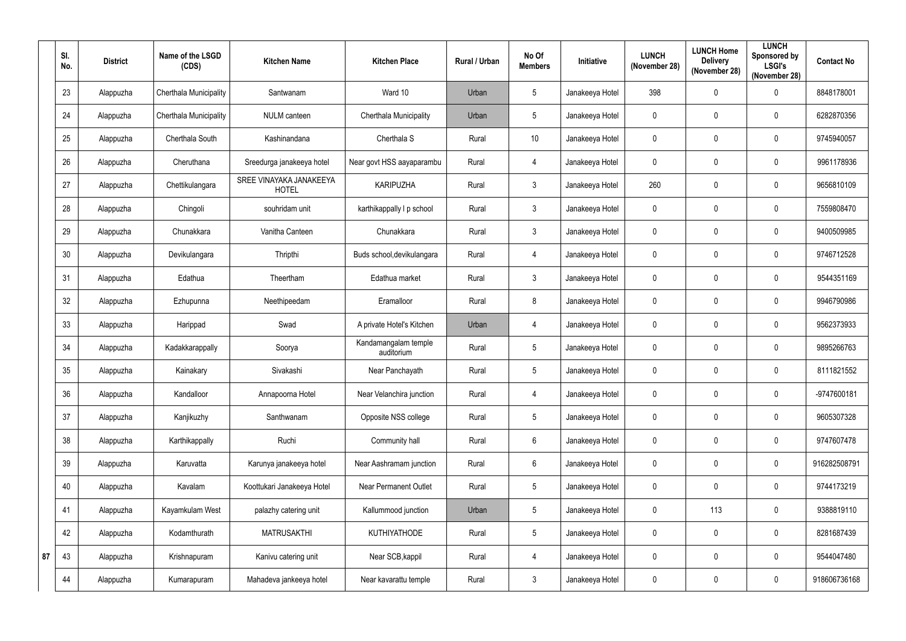|    | SI.<br>No. | <b>District</b> | Name of the LSGD<br>(CDS)     | <b>Kitchen Name</b>                     | <b>Kitchen Place</b>               | Rural / Urban | No Of<br><b>Members</b> | Initiative      | <b>LUNCH</b><br>(November 28) | <b>LUNCH Home</b><br><b>Delivery</b><br>(November 28) | <b>LUNCH</b><br>Sponsored by<br><b>LSGI's</b><br>(November 28) | <b>Contact No</b> |
|----|------------|-----------------|-------------------------------|-----------------------------------------|------------------------------------|---------------|-------------------------|-----------------|-------------------------------|-------------------------------------------------------|----------------------------------------------------------------|-------------------|
|    | 23         | Alappuzha       | Cherthala Municipality        | Santwanam                               | Ward 10                            | Urban         | $5\phantom{.0}$         | Janakeeya Hotel | 398                           | $\mathbf 0$                                           | $\mathbf 0$                                                    | 8848178001        |
|    | 24         | Alappuzha       | <b>Cherthala Municipality</b> | NULM canteen                            | Cherthala Municipality             | Urban         | $5\phantom{.0}$         | Janakeeya Hotel | $\mathbf 0$                   | $\mathbf 0$                                           | $\pmb{0}$                                                      | 6282870356        |
|    | 25         | Alappuzha       | Cherthala South               | Kashinandana                            | Cherthala S                        | Rural         | 10                      | Janakeeya Hotel | $\pmb{0}$                     | $\mathbf{0}$                                          | $\pmb{0}$                                                      | 9745940057        |
|    | 26         | Alappuzha       | Cheruthana                    | Sreedurga janakeeya hotel               | Near govt HSS aayaparambu          | Rural         | $\overline{4}$          | Janakeeya Hotel | $\mathbf 0$                   | 0                                                     | $\pmb{0}$                                                      | 9961178936        |
|    | 27         | Alappuzha       | Chettikulangara               | SREE VINAYAKA JANAKEEYA<br><b>HOTEL</b> | <b>KARIPUZHA</b>                   | Rural         | $\mathbf{3}$            | Janakeeya Hotel | 260                           | $\mathbf{0}$                                          | $\pmb{0}$                                                      | 9656810109        |
|    | 28         | Alappuzha       | Chingoli                      | souhridam unit                          | karthikappally I p school          | Rural         | $\mathbf{3}$            | Janakeeya Hotel | $\pmb{0}$                     | 0                                                     | $\pmb{0}$                                                      | 7559808470        |
|    | 29         | Alappuzha       | Chunakkara                    | Vanitha Canteen                         | Chunakkara                         | Rural         | $\mathbf{3}$            | Janakeeya Hotel | $\mathbf 0$                   | 0                                                     | $\pmb{0}$                                                      | 9400509985        |
|    | 30         | Alappuzha       | Devikulangara                 | Thripthi                                | Buds school, devikulangara         | Rural         | $\overline{4}$          | Janakeeya Hotel | $\mathbf 0$                   | $\mathbf 0$                                           | $\pmb{0}$                                                      | 9746712528        |
|    | 31         | Alappuzha       | Edathua                       | Theertham                               | Edathua market                     | Rural         | $\mathbf{3}$            | Janakeeya Hotel | $\mathbf 0$                   | $\mathbf{0}$                                          | $\pmb{0}$                                                      | 9544351169        |
|    | 32         | Alappuzha       | Ezhupunna                     | Neethipeedam                            | Eramalloor                         | Rural         | $8\phantom{1}$          | Janakeeya Hotel | $\mathbf 0$                   | 0                                                     | $\pmb{0}$                                                      | 9946790986        |
|    | 33         | Alappuzha       | Harippad                      | Swad                                    | A private Hotel's Kitchen          | Urban         | $\overline{4}$          | Janakeeya Hotel | $\mathbf 0$                   | $\mathbf 0$                                           | $\mathbf 0$                                                    | 9562373933        |
|    | 34         | Alappuzha       | Kadakkarappally               | Soorya                                  | Kandamangalam temple<br>auditorium | Rural         | $5\phantom{.0}$         | Janakeeya Hotel | $\mathbf 0$                   | $\mathbf 0$                                           | 0                                                              | 9895266763        |
|    | 35         | Alappuzha       | Kainakary                     | Sivakashi                               | Near Panchayath                    | Rural         | $5\overline{)}$         | Janakeeya Hotel | $\mathbf 0$                   | $\mathbf 0$                                           | $\mathbf 0$                                                    | 8111821552        |
|    | 36         | Alappuzha       | Kandalloor                    | Annapoorna Hotel                        | Near Velanchira junction           | Rural         | $\overline{4}$          | Janakeeya Hotel | $\mathbf 0$                   | $\mathbf 0$                                           | $\pmb{0}$                                                      | -9747600181       |
|    | 37         | Alappuzha       | Kanjikuzhy                    | Santhwanam                              | Opposite NSS college               | Rural         | $5\phantom{.0}$         | Janakeeya Hotel | $\mathbf 0$                   | $\pmb{0}$                                             | $\pmb{0}$                                                      | 9605307328        |
|    | 38         | Alappuzha       | Karthikappally                | Ruchi                                   | Community hall                     | Rural         | $6\overline{6}$         | Janakeeya Hotel | $\pmb{0}$                     | $\mathbf 0$                                           | $\pmb{0}$                                                      | 9747607478        |
|    | 39         | Alappuzha       | Karuvatta                     | Karunya janakeeya hotel                 | Near Aashramam junction            | Rural         | $6\overline{6}$         | Janakeeya Hotel | $\mathbf 0$                   | $\mathbf 0$                                           | $\pmb{0}$                                                      | 916282508791      |
|    | 40         | Alappuzha       | Kavalam                       | Koottukari Janakeeya Hotel              | <b>Near Permanent Outlet</b>       | Rural         | $5\phantom{.0}$         | Janakeeya Hotel | $\pmb{0}$                     | $\mathbf 0$                                           | $\pmb{0}$                                                      | 9744173219        |
|    | 41         | Alappuzha       | Kayamkulam West               | palazhy catering unit                   | Kallummood junction                | Urban         | $5\phantom{.0}$         | Janakeeya Hotel | $\mathbf 0$                   | 113                                                   | $\pmb{0}$                                                      | 9388819110        |
|    | 42         | Alappuzha       | Kodamthurath                  | <b>MATRUSAKTHI</b>                      | KUTHIYATHODE                       | Rural         | $5\phantom{.0}$         | Janakeeya Hotel | $\mathbf 0$                   | $\mathbf 0$                                           | $\pmb{0}$                                                      | 8281687439        |
| 87 | 43         | Alappuzha       | Krishnapuram                  | Kanivu catering unit                    | Near SCB, kappil                   | Rural         | $\overline{4}$          | Janakeeya Hotel | $\pmb{0}$                     | $\mathbf 0$                                           | $\pmb{0}$                                                      | 9544047480        |
|    | 44         | Alappuzha       | Kumarapuram                   | Mahadeva jankeeya hotel                 | Near kavarattu temple              | Rural         | $\mathfrak{Z}$          | Janakeeya Hotel | $\mathbf 0$                   | $\pmb{0}$                                             | $\pmb{0}$                                                      | 918606736168      |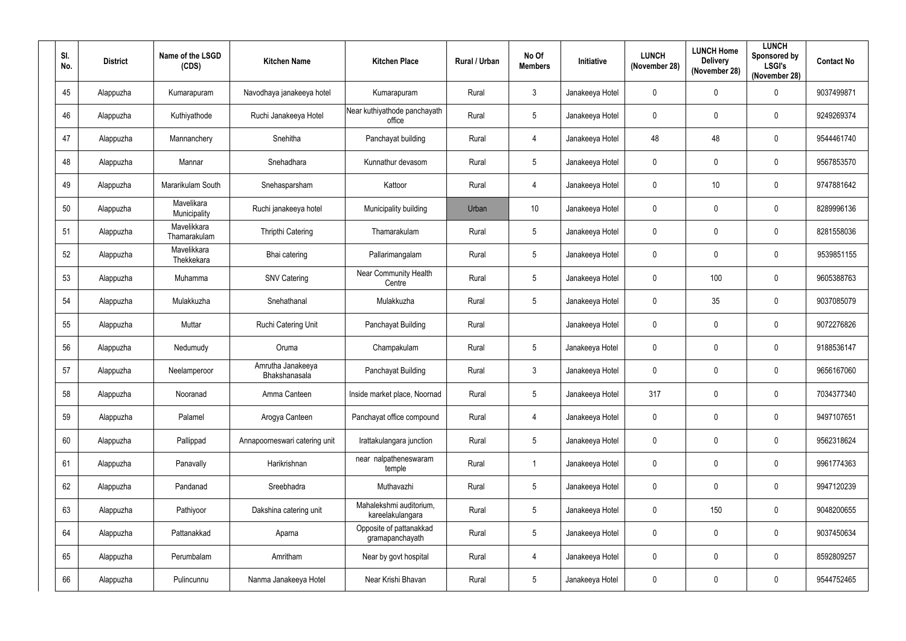| SI.<br>No. | <b>District</b> | Name of the LSGD<br>(CDS)   | <b>Kitchen Name</b>                | <b>Kitchen Place</b>                        | Rural / Urban | No Of<br><b>Members</b> | Initiative      | <b>LUNCH</b><br>(November 28) | <b>LUNCH Home</b><br><b>Delivery</b><br>(November 28) | <b>LUNCH</b><br>Sponsored by<br><b>LSGI's</b><br>(November 28) | <b>Contact No</b> |
|------------|-----------------|-----------------------------|------------------------------------|---------------------------------------------|---------------|-------------------------|-----------------|-------------------------------|-------------------------------------------------------|----------------------------------------------------------------|-------------------|
| 45         | Alappuzha       | Kumarapuram                 | Navodhaya janakeeya hotel          | Kumarapuram                                 | Rural         | $\mathbf{3}$            | Janakeeya Hotel | $\mathbf 0$                   | 0                                                     | $\mathbf 0$                                                    | 9037499871        |
| 46         | Alappuzha       | Kuthiyathode                | Ruchi Janakeeya Hotel              | Near kuthiyathode panchayath<br>office      | Rural         | $\overline{5}$          | Janakeeya Hotel | $\mathbf 0$                   | 0                                                     | $\mathbf 0$                                                    | 9249269374        |
| 47         | Alappuzha       | Mannanchery                 | Snehitha                           | Panchayat building                          | Rural         | $\overline{4}$          | Janakeeya Hotel | 48                            | 48                                                    | $\pmb{0}$                                                      | 9544461740        |
| 48         | Alappuzha       | Mannar                      | Snehadhara                         | Kunnathur devasom                           | Rural         | $5\phantom{.0}$         | Janakeeya Hotel | $\mathbf 0$                   | 0                                                     | $\mathbf 0$                                                    | 9567853570        |
| 49         | Alappuzha       | Mararikulam South           | Snehasparsham                      | Kattoor                                     | Rural         | $\overline{4}$          | Janakeeya Hotel | $\mathbf 0$                   | 10                                                    | $\mathbf 0$                                                    | 9747881642        |
| 50         | Alappuzha       | Mavelikara<br>Municipality  | Ruchi janakeeya hotel              | Municipality building                       | Urban         | 10                      | Janakeeya Hotel | $\mathbf 0$                   | 0                                                     | $\mathbf 0$                                                    | 8289996136        |
| 51         | Alappuzha       | Mavelikkara<br>Thamarakulam | <b>Thripthi Catering</b>           | Thamarakulam                                | Rural         | $\overline{5}$          | Janakeeya Hotel | $\mathbf 0$                   | 0                                                     | $\mathbf 0$                                                    | 8281558036        |
| 52         | Alappuzha       | Mavelikkara<br>Thekkekara   | Bhai catering                      | Pallarimangalam                             | Rural         | $\overline{5}$          | Janakeeya Hotel | $\mathbf 0$                   | 0                                                     | $\pmb{0}$                                                      | 9539851155        |
| 53         | Alappuzha       | Muhamma                     | <b>SNV Catering</b>                | Near Community Health<br>Centre             | Rural         | $\overline{5}$          | Janakeeya Hotel | $\mathbf 0$                   | 100                                                   | $\mathbf 0$                                                    | 9605388763        |
| 54         | Alappuzha       | Mulakkuzha                  | Snehathanal                        | Mulakkuzha                                  | Rural         | $\overline{5}$          | Janakeeya Hotel | $\mathbf 0$                   | 35                                                    | $\mathbf 0$                                                    | 9037085079        |
| 55         | Alappuzha       | Muttar                      | Ruchi Catering Unit                | Panchayat Building                          | Rural         |                         | Janakeeya Hotel | $\mathbf 0$                   | 0                                                     | $\mathbf 0$                                                    | 9072276826        |
| 56         | Alappuzha       | Nedumudy                    | Oruma                              | Champakulam                                 | Rural         | $5\phantom{.0}$         | Janakeeya Hotel | $\mathbf 0$                   | 0                                                     | $\mathbf 0$                                                    | 9188536147        |
| 57         | Alappuzha       | Neelamperoor                | Amrutha Janakeeya<br>Bhakshanasala | Panchayat Building                          | Rural         | $\mathfrak{Z}$          | Janakeeya Hotel | $\mathbf 0$                   | 0                                                     | $\mathbf 0$                                                    | 9656167060        |
| 58         | Alappuzha       | Nooranad                    | Amma Canteen                       | Inside market place, Noornad                | Rural         | $\overline{5}$          | Janakeeya Hotel | 317                           | $\mathbf 0$                                           | $\mathbf 0$                                                    | 7034377340        |
| 59         | Alappuzha       | Palamel                     | Arogya Canteen                     | Panchayat office compound                   | Rural         | $\overline{4}$          | Janakeeya Hotel | $\pmb{0}$                     | $\mathbf 0$                                           | $\pmb{0}$                                                      | 9497107651        |
| 60         | Alappuzha       | Pallippad                   | Annapoorneswari catering unit      | Irattakulangara junction                    | Rural         | $\overline{5}$          | Janakeeya Hotel | $\mathbf 0$                   | 0                                                     | $\pmb{0}$                                                      | 9562318624        |
| 61         | Alappuzha       | Panavally                   | Harikrishnan                       | near nalpatheneswaram<br>temple             | Rural         | $\overline{1}$          | Janakeeya Hotel | $\mathbf 0$                   | $\mathbf 0$                                           | $\pmb{0}$                                                      | 9961774363        |
| 62         | Alappuzha       | Pandanad                    | Sreebhadra                         | Muthavazhi                                  | Rural         | $\overline{5}$          | Janakeeya Hotel | $\mathbf 0$                   | 0                                                     | $\pmb{0}$                                                      | 9947120239        |
| 63         | Alappuzha       | Pathiyoor                   | Dakshina catering unit             | Mahalekshmi auditorium,<br>kareelakulangara | Rural         | $\sqrt{5}$              | Janakeeya Hotel | $\pmb{0}$                     | 150                                                   | $\pmb{0}$                                                      | 9048200655        |
| 64         | Alappuzha       | Pattanakkad                 | Aparna                             | Opposite of pattanakkad<br>gramapanchayath  | Rural         | $\sqrt{5}$              | Janakeeya Hotel | $\pmb{0}$                     | 0                                                     | $\pmb{0}$                                                      | 9037450634        |
| 65         | Alappuzha       | Perumbalam                  | Amritham                           | Near by govt hospital                       | Rural         | $\overline{4}$          | Janakeeya Hotel | $\pmb{0}$                     | 0                                                     | $\pmb{0}$                                                      | 8592809257        |
| 66         | Alappuzha       | Pulincunnu                  | Nanma Janakeeya Hotel              | Near Krishi Bhavan                          | Rural         | $\sqrt{5}$              | Janakeeya Hotel | $\pmb{0}$                     | 0                                                     | $\pmb{0}$                                                      | 9544752465        |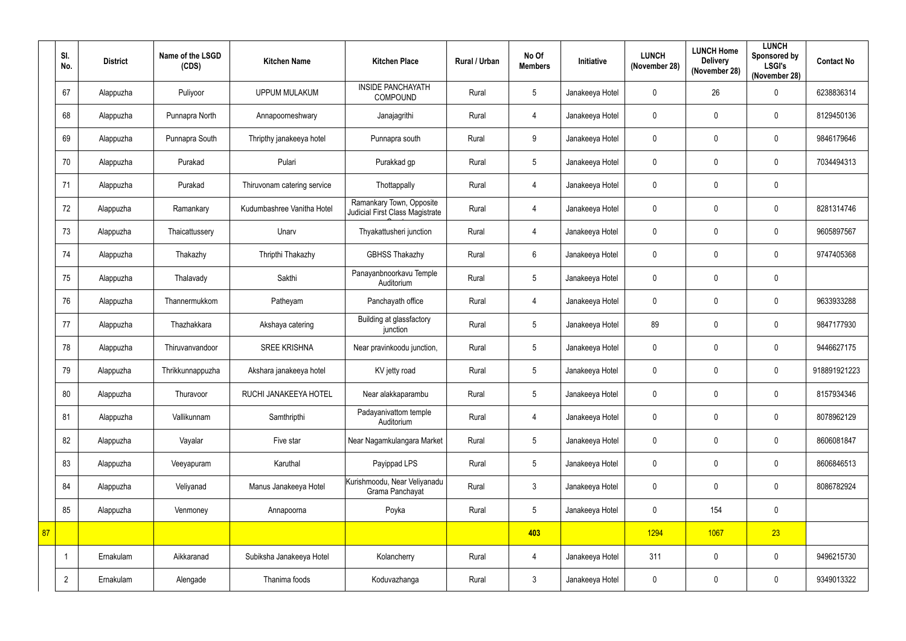|    | SI.<br>No.     | <b>District</b> | Name of the LSGD<br>(CDS) | <b>Kitchen Name</b>         | <b>Kitchen Place</b>                                        | Rural / Urban | No Of<br><b>Members</b> | Initiative      | <b>LUNCH</b><br>(November 28) | <b>LUNCH Home</b><br><b>Delivery</b><br>(November 28) | <b>LUNCH</b><br>Sponsored by<br><b>LSGI's</b><br>(November 28) | <b>Contact No</b> |
|----|----------------|-----------------|---------------------------|-----------------------------|-------------------------------------------------------------|---------------|-------------------------|-----------------|-------------------------------|-------------------------------------------------------|----------------------------------------------------------------|-------------------|
|    | 67             | Alappuzha       | Puliyoor                  | <b>UPPUM MULAKUM</b>        | <b>INSIDE PANCHAYATH</b><br><b>COMPOUND</b>                 | Rural         | $5\phantom{.0}$         | Janakeeya Hotel | $\mathbf 0$                   | 26                                                    | $\mathbf 0$                                                    | 6238836314        |
|    | 68             | Alappuzha       | Punnapra North            | Annapoorneshwary            | Janajagrithi                                                | Rural         | $\overline{4}$          | Janakeeya Hotel | $\mathbf 0$                   | 0                                                     | $\mathbf 0$                                                    | 8129450136        |
|    | 69             | Alappuzha       | Punnapra South            | Thripthy janakeeya hotel    | Punnapra south                                              | Rural         | 9                       | Janakeeya Hotel | $\mathbf 0$                   | $\mathbf{0}$                                          | $\mathbf 0$                                                    | 9846179646        |
|    | 70             | Alappuzha       | Purakad                   | Pulari                      | Purakkad gp                                                 | Rural         | $5\overline{)}$         | Janakeeya Hotel | $\mathbf 0$                   | 0                                                     | $\mathbf 0$                                                    | 7034494313        |
|    | 71             | Alappuzha       | Purakad                   | Thiruvonam catering service | Thottappally                                                | Rural         | $\overline{4}$          | Janakeeya Hotel | $\mathbf 0$                   | 0                                                     | $\mathbf 0$                                                    |                   |
|    | 72             | Alappuzha       | Ramankary                 | Kudumbashree Vanitha Hotel  | Ramankary Town, Opposite<br>Judicial First Class Magistrate | Rural         | $\overline{4}$          | Janakeeya Hotel | $\mathbf 0$                   | $\mathbf 0$                                           | $\mathbf 0$                                                    | 8281314746        |
|    | 73             | Alappuzha       | Thaicattussery            | Unarv                       | Thyakattusheri junction                                     | Rural         | $\overline{4}$          | Janakeeya Hotel | $\mathbf 0$                   | $\mathbf 0$                                           | $\mathbf 0$                                                    | 9605897567        |
|    | 74             | Alappuzha       | Thakazhy                  | Thripthi Thakazhy           | <b>GBHSS Thakazhy</b>                                       | Rural         | 6                       | Janakeeya Hotel | $\mathbf 0$                   | $\mathbf 0$                                           | $\mathbf 0$                                                    | 9747405368        |
|    | 75             | Alappuzha       | Thalavady                 | Sakthi                      | Panayanbnoorkavu Temple<br>Auditorium                       | Rural         | 5                       | Janakeeya Hotel | $\mathbf 0$                   | $\mathbf{0}$                                          | $\mathbf 0$                                                    |                   |
|    | 76             | Alappuzha       | Thannermukkom             | Patheyam                    | Panchayath office                                           | Rural         | $\overline{4}$          | Janakeeya Hotel | $\mathbf 0$                   | $\mathbf 0$                                           | $\mathbf 0$                                                    | 9633933288        |
|    | 77             | Alappuzha       | Thazhakkara               | Akshaya catering            | Building at glassfactory<br>junction                        | Rural         | $5\phantom{.0}$         | Janakeeya Hotel | 89                            | 0                                                     | $\mathbf 0$                                                    | 9847177930        |
|    | 78             | Alappuzha       | Thiruvanvandoor           | <b>SREE KRISHNA</b>         | Near pravinkoodu junction,                                  | Rural         | $5\phantom{.0}$         | Janakeeya Hotel | $\mathbf 0$                   | $\mathbf 0$                                           | $\mathbf 0$                                                    | 9446627175        |
|    | 79             | Alappuzha       | Thrikkunnappuzha          | Akshara janakeeya hotel     | KV jetty road                                               | Rural         | 5                       | Janakeeya Hotel | $\mathbf 0$                   | $\mathbf 0$                                           | $\mathbf 0$                                                    | 918891921223      |
|    | 80             | Alappuzha       | Thuravoor                 | RUCHI JANAKEEYA HOTEL       | Near alakkaparambu                                          | Rural         | $5\phantom{.0}$         | Janakeeya Hotel | $\mathbf 0$                   | $\mathbf 0$                                           | $\pmb{0}$                                                      | 8157934346        |
|    | 81             | Alappuzha       | Vallikunnam               | Samthripthi                 | Padayanivattom temple<br>Auditorium                         | Rural         | $\overline{4}$          | Janakeeya Hotel | $\mathbf 0$                   | $\pmb{0}$                                             | $\pmb{0}$                                                      | 8078962129        |
|    | 82             | Alappuzha       | Vayalar                   | Five star                   | Near Nagamkulangara Market                                  | Rural         | $5\phantom{.0}$         | Janakeeya Hotel | $\mathbf 0$                   | $\mathbf 0$                                           | $\mathbf 0$                                                    | 8606081847        |
|    | 83             | Alappuzha       | Veeyapuram                | Karuthal                    | Payippad LPS                                                | Rural         | 5 <sup>5</sup>          | Janakeeya Hotel | $\mathbf 0$                   | 0                                                     | $\pmb{0}$                                                      | 8606846513        |
|    | 84             | Alappuzha       | Veliyanad                 | Manus Janakeeya Hotel       | Kurishmoodu, Near Veliyanadu<br>Grama Panchayat             | Rural         | $\mathbf{3}$            | Janakeeya Hotel | $\mathbf 0$                   | $\mathbf 0$                                           | $\pmb{0}$                                                      | 8086782924        |
|    | 85             | Alappuzha       | Venmoney                  | Annapoorna                  | Poyka                                                       | Rural         | $5\phantom{.0}$         | Janakeeya Hotel | $\mathbf 0$                   | 154                                                   | $\pmb{0}$                                                      |                   |
| 87 |                |                 |                           |                             |                                                             |               | 403                     |                 | 1294                          | 1067                                                  | 23                                                             |                   |
|    |                | Ernakulam       | Aikkaranad                | Subiksha Janakeeya Hotel    | Kolancherry                                                 | Rural         | $\overline{4}$          | Janakeeya Hotel | 311                           | $\mathbf 0$                                           | $\pmb{0}$                                                      | 9496215730        |
|    | $\overline{2}$ | Ernakulam       | Alengade                  | Thanima foods               | Koduvazhanga                                                | Rural         | $\mathfrak{Z}$          | Janakeeya Hotel | $\mathbf 0$                   | $\mathbf 0$                                           | $\pmb{0}$                                                      | 9349013322        |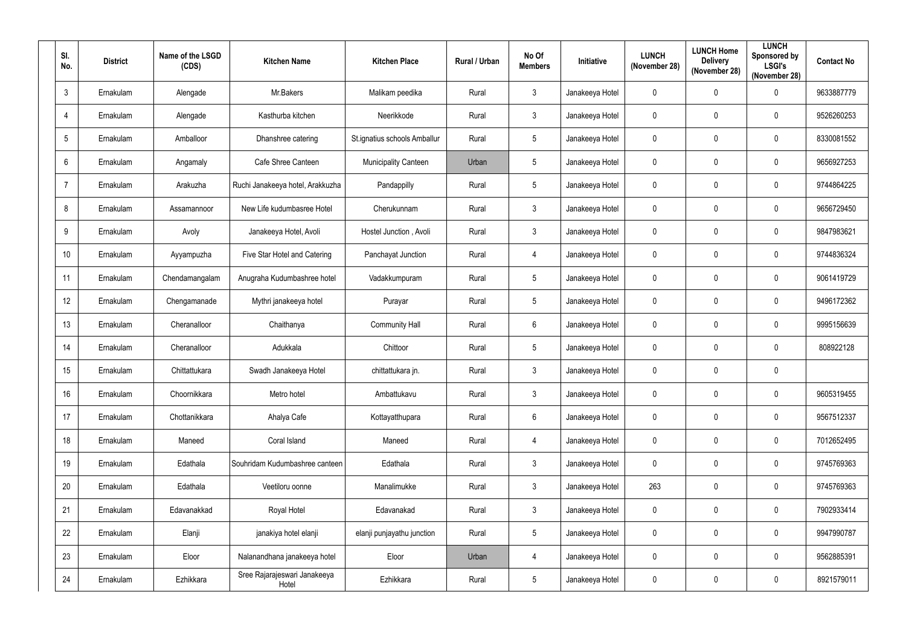| SI.<br>No.      | <b>District</b> | Name of the LSGD<br>(CDS) | <b>Kitchen Name</b>                   | <b>Kitchen Place</b>         | Rural / Urban | No Of<br><b>Members</b> | Initiative      | <b>LUNCH</b><br>(November 28) | <b>LUNCH Home</b><br><b>Delivery</b><br>(November 28) | <b>LUNCH</b><br>Sponsored by<br><b>LSGI's</b><br>(November 28) | <b>Contact No</b> |
|-----------------|-----------------|---------------------------|---------------------------------------|------------------------------|---------------|-------------------------|-----------------|-------------------------------|-------------------------------------------------------|----------------------------------------------------------------|-------------------|
| $3\phantom{.0}$ | Ernakulam       | Alengade                  | Mr.Bakers                             | Malikam peedika              | Rural         | $\mathfrak{Z}$          | Janakeeya Hotel | 0                             | 0                                                     | $\mathbf 0$                                                    | 9633887779        |
| $\overline{4}$  | Ernakulam       | Alengade                  | Kasthurba kitchen                     | Neerikkode                   | Rural         | $\mathfrak{Z}$          | Janakeeya Hotel | 0                             | $\mathbf 0$                                           | $\mathbf 0$                                                    | 9526260253        |
| $5\phantom{.0}$ | Ernakulam       | Amballoor                 | Dhanshree catering                    | St.ignatius schools Amballur | Rural         | $5\,$                   | Janakeeya Hotel | $\pmb{0}$                     | $\mathbf 0$                                           | $\pmb{0}$                                                      | 8330081552        |
| $6\overline{6}$ | Ernakulam       | Angamaly                  | Cafe Shree Canteen                    | <b>Municipality Canteen</b>  | Urban         | $5\phantom{.0}$         | Janakeeya Hotel | $\mathbf 0$                   | 0                                                     | $\mathbf 0$                                                    | 9656927253        |
| $\overline{7}$  | Ernakulam       | Arakuzha                  | Ruchi Janakeeya hotel, Arakkuzha      | Pandappilly                  | Rural         | $\sqrt{5}$              | Janakeeya Hotel | 0                             | $\mathbf 0$                                           | 0                                                              | 9744864225        |
| 8               | Ernakulam       | Assamannoor               | New Life kudumbasree Hotel            | Cherukunnam                  | Rural         | $\mathfrak{Z}$          | Janakeeya Hotel | 0                             | 0                                                     | $\mathbf 0$                                                    | 9656729450        |
| 9               | Ernakulam       | Avoly                     | Janakeeya Hotel, Avoli                | Hostel Junction, Avoli       | Rural         | $\mathfrak{Z}$          | Janakeeya Hotel | 0                             | 0                                                     | $\mathbf 0$                                                    | 9847983621        |
| 10              | Ernakulam       | Ayyampuzha                | Five Star Hotel and Catering          | Panchayat Junction           | Rural         | $\overline{4}$          | Janakeeya Hotel | 0                             | 0                                                     | 0                                                              | 9744836324        |
| 11              | Ernakulam       | Chendamangalam            | Anugraha Kudumbashree hotel           | Vadakkumpuram                | Rural         | $5\,$                   | Janakeeya Hotel | 0                             | $\mathbf 0$                                           | $\mathbf 0$                                                    | 9061419729        |
| 12              | Ernakulam       | Chengamanade              | Mythri janakeeya hotel                | Purayar                      | Rural         | $\sqrt{5}$              | Janakeeya Hotel | 0                             | $\mathbf 0$                                           | 0                                                              | 9496172362        |
| 13              | Ernakulam       | Cheranalloor              | Chaithanya                            | <b>Community Hall</b>        | Rural         | $6\phantom{.}6$         | Janakeeya Hotel | 0                             | $\mathbf 0$                                           | $\mathbf 0$                                                    | 9995156639        |
| 14              | Ernakulam       | Cheranalloor              | Adukkala                              | Chittoor                     | Rural         | $5\,$                   | Janakeeya Hotel | 0                             | 0                                                     | $\mathbf 0$                                                    | 808922128         |
| 15              | Ernakulam       | Chittattukara             | Swadh Janakeeya Hotel                 | chittattukara jn.            | Rural         | $\mathfrak{Z}$          | Janakeeya Hotel | $\mathbf 0$                   | 0                                                     | $\mathbf 0$                                                    |                   |
| 16              | Ernakulam       | Choornikkara              | Metro hotel                           | Ambattukavu                  | Rural         | $\mathfrak{Z}$          | Janakeeya Hotel | 0                             | $\mathbf 0$                                           | $\pmb{0}$                                                      | 9605319455        |
| 17              | Ernakulam       | Chottanikkara             | Ahalya Cafe                           | Kottayatthupara              | Rural         | $6\,$                   | Janakeeya Hotel | $\pmb{0}$                     | 0                                                     | $\mathbf 0$                                                    | 9567512337        |
| 18              | Ernakulam       | Maneed                    | Coral Island                          | Maneed                       | Rural         | $\overline{4}$          | Janakeeya Hotel | $\pmb{0}$                     | $\mathbf 0$                                           | $\pmb{0}$                                                      | 7012652495        |
| 19              | Ernakulam       | Edathala                  | Souhridam Kudumbashree canteen        | Edathala                     | Rural         | $\mathfrak{Z}$          | Janakeeya Hotel | $\pmb{0}$                     | 0                                                     | 0                                                              | 9745769363        |
| 20              | Ernakulam       | Edathala                  | Veetiloru oonne                       | Manalimukke                  | Rural         | $\mathfrak{Z}$          | Janakeeya Hotel | 263                           | 0                                                     | $\pmb{0}$                                                      | 9745769363        |
| 21              | Ernakulam       | Edavanakkad               | Royal Hotel                           | Edavanakad                   | Rural         | $\mathfrak{Z}$          | Janakeeya Hotel | 0                             | 0                                                     | $\mathbf 0$                                                    | 7902933414        |
| 22              | Ernakulam       | Elanji                    | janakiya hotel elanji                 | elanji punjayathu junction   | Rural         | $5\phantom{.0}$         | Janakeeya Hotel | 0                             | 0                                                     | $\mathbf 0$                                                    | 9947990787        |
| 23              | Ernakulam       | Eloor                     | Nalanandhana janakeeya hotel          | Eloor                        | Urban         | $\overline{4}$          | Janakeeya Hotel | 0                             | $\boldsymbol{0}$                                      | 0                                                              | 9562885391        |
| 24              | Ernakulam       | Ezhikkara                 | Sree Rajarajeswari Janakeeya<br>Hotel | Ezhikkara                    | Rural         | $\sqrt{5}$              | Janakeeya Hotel | 0                             | 0                                                     | 0                                                              | 8921579011        |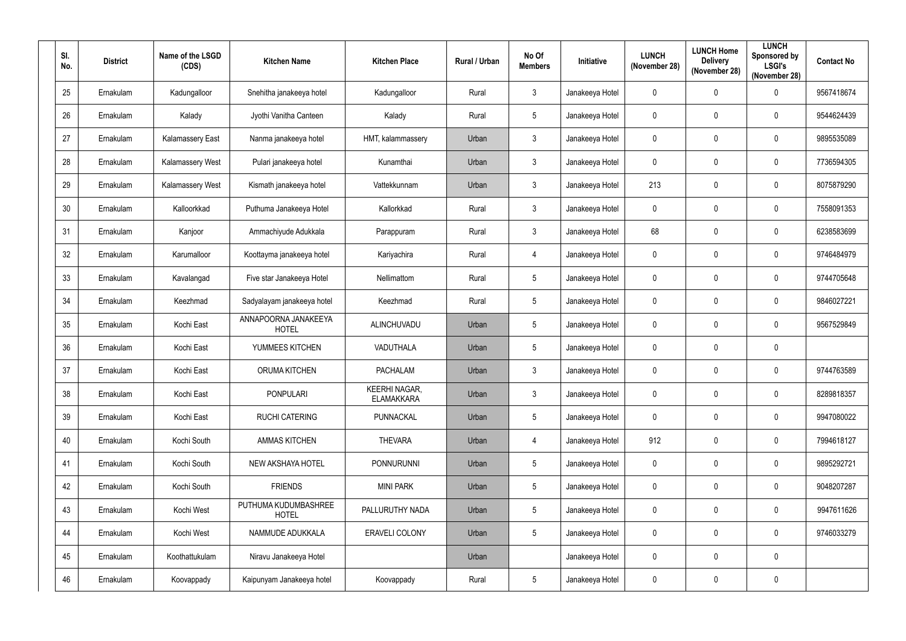| SI.<br>No. | <b>District</b> | Name of the LSGD<br>(CDS) | <b>Kitchen Name</b>                  | <b>Kitchen Place</b>                      | Rural / Urban | No Of<br><b>Members</b> | Initiative      | <b>LUNCH</b><br>(November 28) | <b>LUNCH Home</b><br><b>Delivery</b><br>(November 28) | <b>LUNCH</b><br>Sponsored by<br><b>LSGI's</b><br>(November 28) | <b>Contact No</b> |
|------------|-----------------|---------------------------|--------------------------------------|-------------------------------------------|---------------|-------------------------|-----------------|-------------------------------|-------------------------------------------------------|----------------------------------------------------------------|-------------------|
| 25         | Ernakulam       | Kadungalloor              | Snehitha janakeeya hotel             | Kadungalloor                              | Rural         | $\mathfrak{Z}$          | Janakeeya Hotel | $\mathbf 0$                   | $\mathbf 0$                                           | $\mathbf 0$                                                    | 9567418674        |
| 26         | Ernakulam       | Kalady                    | Jyothi Vanitha Canteen               | Kalady                                    | Rural         | $\sqrt{5}$              | Janakeeya Hotel | $\mathbf 0$                   | 0                                                     | $\mathbf 0$                                                    | 9544624439        |
| 27         | Ernakulam       | <b>Kalamassery East</b>   | Nanma janakeeya hotel                | HMT, kalammassery                         | Urban         | $\mathfrak{Z}$          | Janakeeya Hotel | $\mathbf 0$                   | 0                                                     | $\pmb{0}$                                                      | 9895535089        |
| 28         | Ernakulam       | <b>Kalamassery West</b>   | Pulari janakeeya hotel               | Kunamthai                                 | Urban         | $\mathbf{3}$            | Janakeeya Hotel | $\mathbf 0$                   | $\mathbf 0$                                           | $\mathbf 0$                                                    | 7736594305        |
| 29         | Ernakulam       | Kalamassery West          | Kismath janakeeya hotel              | Vattekkunnam                              | Urban         | $\mathfrak{Z}$          | Janakeeya Hotel | 213                           | 0                                                     | $\mathbf 0$                                                    | 8075879290        |
| 30         | Ernakulam       | Kalloorkkad               | Puthuma Janakeeya Hotel              | Kallorkkad                                | Rural         | $\mathfrak{Z}$          | Janakeeya Hotel | $\mathbf 0$                   | 0                                                     | $\mathbf 0$                                                    | 7558091353        |
| 31         | Ernakulam       | Kanjoor                   | Ammachiyude Adukkala                 | Parappuram                                | Rural         | $\mathfrak{Z}$          | Janakeeya Hotel | 68                            | $\mathbf 0$                                           | $\boldsymbol{0}$                                               | 6238583699        |
| 32         | Ernakulam       | Karumalloor               | Koottayma janakeeya hotel            | Kariyachira                               | Rural         | 4                       | Janakeeya Hotel | $\mathbf 0$                   | 0                                                     | $\mathbf 0$                                                    | 9746484979        |
| 33         | Ernakulam       | Kavalangad                | Five star Janakeeya Hotel            | Nellimattom                               | Rural         | $\overline{5}$          | Janakeeya Hotel | $\mathbf 0$                   | $\mathbf 0$                                           | $\pmb{0}$                                                      | 9744705648        |
| 34         | Ernakulam       | Keezhmad                  | Sadyalayam janakeeya hotel           | Keezhmad                                  | Rural         | $\sqrt{5}$              | Janakeeya Hotel | $\mathbf 0$                   | $\mathbf 0$                                           | $\boldsymbol{0}$                                               | 9846027221        |
| 35         | Ernakulam       | Kochi East                | ANNAPOORNA JANAKEEYA<br><b>HOTEL</b> | ALINCHUVADU                               | Urban         | $\overline{5}$          | Janakeeya Hotel | $\mathbf 0$                   | $\mathbf 0$                                           | $\mathbf 0$                                                    | 9567529849        |
| 36         | Ernakulam       | Kochi East                | YUMMEES KITCHEN                      | VADUTHALA                                 | Urban         | $\sqrt{5}$              | Janakeeya Hotel | $\mathbf 0$                   | 0                                                     | $\boldsymbol{0}$                                               |                   |
| 37         | Ernakulam       | Kochi East                | <b>ORUMA KITCHEN</b>                 | <b>PACHALAM</b>                           | Urban         | $\mathbf{3}$            | Janakeeya Hotel | $\mathbf 0$                   | $\mathbf 0$                                           | $\mathbf 0$                                                    | 9744763589        |
| 38         | Ernakulam       | Kochi East                | <b>PONPULARI</b>                     | <b>KEERHI NAGAR,</b><br><b>ELAMAKKARA</b> | Urban         | $\mathfrak{Z}$          | Janakeeya Hotel | $\mathbf 0$                   | $\mathbf 0$                                           | $\mathbf 0$                                                    | 8289818357        |
| 39         | Ernakulam       | Kochi East                | <b>RUCHI CATERING</b>                | PUNNACKAL                                 | Urban         | $5\phantom{.0}$         | Janakeeya Hotel | $\pmb{0}$                     | $\mathbf 0$                                           | $\pmb{0}$                                                      | 9947080022        |
| 40         | Ernakulam       | Kochi South               | <b>AMMAS KITCHEN</b>                 | <b>THEVARA</b>                            | Urban         | $\overline{4}$          | Janakeeya Hotel | 912                           | $\mathbf 0$                                           | $\pmb{0}$                                                      | 7994618127        |
| 41         | Ernakulam       | Kochi South               | <b>NEW AKSHAYA HOTEL</b>             | <b>PONNURUNNI</b>                         | Urban         | $5\phantom{.0}$         | Janakeeya Hotel | $\pmb{0}$                     | $\mathbf 0$                                           | $\pmb{0}$                                                      | 9895292721        |
| 42         | Ernakulam       | Kochi South               | <b>FRIENDS</b>                       | <b>MINI PARK</b>                          | Urban         | $5\phantom{.0}$         | Janakeeya Hotel | $\mathbf 0$                   | $\mathbf 0$                                           | $\mathbf 0$                                                    | 9048207287        |
| 43         | Ernakulam       | Kochi West                | PUTHUMA KUDUMBASHREE<br><b>HOTEL</b> | PALLURUTHY NADA                           | Urban         | $5\phantom{.0}$         | Janakeeya Hotel | $\mathbf 0$                   | $\mathbf 0$                                           | $\pmb{0}$                                                      | 9947611626        |
| 44         | Ernakulam       | Kochi West                | NAMMUDE ADUKKALA                     | ERAVELI COLONY                            | Urban         | $5\phantom{.0}$         | Janakeeya Hotel | $\pmb{0}$                     | 0                                                     | $\pmb{0}$                                                      | 9746033279        |
| 45         | Ernakulam       | Koothattukulam            | Niravu Janakeeya Hotel               |                                           | Urban         |                         | Janakeeya Hotel | $\pmb{0}$                     | $\mathbf 0$                                           | $\pmb{0}$                                                      |                   |
| 46         | Ernakulam       | Koovappady                | Kaipunyam Janakeeya hotel            | Koovappady                                | Rural         | $\sqrt{5}$              | Janakeeya Hotel | $\pmb{0}$                     | 0                                                     | $\pmb{0}$                                                      |                   |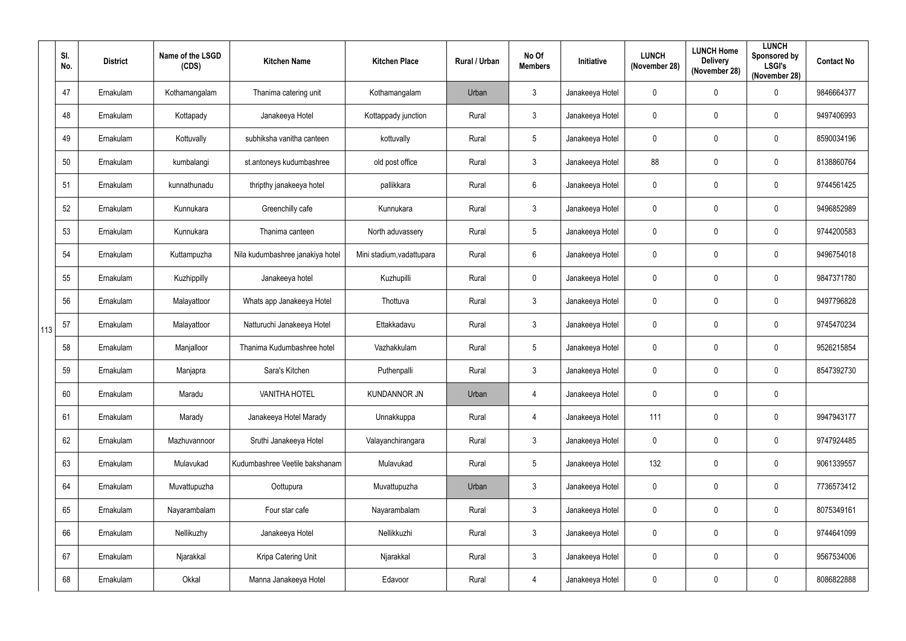|     | SI.<br>No. | <b>District</b> | Name of the LSGD<br>(CDS) | <b>Kitchen Name</b>              | <b>Kitchen Place</b>      | Rural / Urban | No Of<br><b>Members</b> | <b>Initiative</b> | <b>LUNCH</b><br>(November 28) | <b>LUNCH Home</b><br><b>Delivery</b><br>(November 28) | <b>LUNCH</b><br>Sponsored by<br><b>LSGI's</b><br>(November 28) | <b>Contact No</b> |
|-----|------------|-----------------|---------------------------|----------------------------------|---------------------------|---------------|-------------------------|-------------------|-------------------------------|-------------------------------------------------------|----------------------------------------------------------------|-------------------|
|     | 47         | Ernakulam       | Kothamangalam             | Thanima catering unit            | Kothamangalam             | Urban         | $\mathbf{3}$            | Janakeeya Hotel   | $\mathbf 0$                   | $\mathbf 0$                                           | $\mathbf 0$                                                    | 9846664377        |
|     | 48         | Ernakulam       | Kottapady                 | Janakeeya Hotel                  | Kottappady junction       | Rural         | $\mathbf{3}$            | Janakeeya Hotel   | $\mathbf 0$                   | $\mathbf 0$                                           | $\mathbf 0$                                                    | 9497406993        |
|     | 49         | Ernakulam       | Kottuvally                | subhiksha vanitha canteen        | kottuvally                | Rural         | $5\phantom{.0}$         | Janakeeya Hotel   | $\pmb{0}$                     | $\mathbf 0$                                           | $\pmb{0}$                                                      | 8590034196        |
|     | 50         | Ernakulam       | kumbalangi                | st.antoneys kudumbashree         | old post office           | Rural         | $\mathbf{3}$            | Janakeeya Hotel   | 88                            | $\mathbf 0$                                           | $\mathbf 0$                                                    | 8138860764        |
|     | 51         | Ernakulam       | kunnathunadu              | thripthy janakeeya hotel         | pallikkara                | Rural         | $6\,$                   | Janakeeya Hotel   | $\pmb{0}$                     | $\mathbf{0}$                                          | $\mathbf 0$                                                    | 9744561425        |
|     | 52         | Ernakulam       | Kunnukara                 | Greenchilly cafe                 | Kunnukara                 | Rural         | $\mathbf{3}$            | Janakeeya Hotel   | $\mathbf 0$                   | $\mathbf 0$                                           | $\mathbf 0$                                                    | 9496852989        |
|     | 53         | Ernakulam       | Kunnukara                 | Thanima canteen                  | North aduvassery          | Rural         | $5\phantom{.0}$         | Janakeeya Hotel   | $\mathbf 0$                   | $\mathbf 0$                                           | $\mathbf 0$                                                    | 9744200583        |
|     | 54         | Ernakulam       | Kuttampuzha               | Nila kudumbashree janakiya hotel | Mini stadium, vadattupara | Rural         | $6\phantom{.}6$         | Janakeeya Hotel   | $\mathbf 0$                   | $\mathbf 0$                                           | $\mathbf 0$                                                    | 9496754018        |
|     | 55         | Ernakulam       | Kuzhippilly               | Janakeeya hotel                  | Kuzhupilli                | Rural         | $\mathbf 0$             | Janakeeya Hotel   | $\pmb{0}$                     | $\mathbf 0$                                           | $\mathbf 0$                                                    | 9847371780        |
|     | 56         | Ernakulam       | Malayattoor               | Whats app Janakeeya Hotel        | Thottuva                  | Rural         | $\mathbf{3}$            | Janakeeya Hotel   | $\pmb{0}$                     | $\mathbf 0$                                           | $\boldsymbol{0}$                                               | 9497796828        |
| 113 | 57         | Ernakulam       | Malayattoor               | Natturuchi Janakeeya Hotel       | Ettakkadavu               | Rural         | $\mathbf{3}$            | Janakeeya Hotel   | $\mathbf 0$                   | $\mathbf 0$                                           | $\mathbf 0$                                                    | 9745470234        |
|     | 58         | Ernakulam       | Manjalloor                | Thanima Kudumbashree hotel       | Vazhakkulam               | Rural         | $5\phantom{.0}$         | Janakeeya Hotel   | $\mathbf 0$                   | $\mathbf 0$                                           | $\boldsymbol{0}$                                               | 9526215854        |
|     | 59         | Ernakulam       | Manjapra                  | Sara's Kitchen                   | Puthenpalli               | Rural         | $\mathbf{3}$            | Janakeeya Hotel   | $\mathbf 0$                   | $\mathbf 0$                                           | $\mathbf 0$                                                    | 8547392730        |
|     | 60         | Ernakulam       | Maradu                    | <b>VANITHA HOTEL</b>             | <b>KUNDANNOR JN</b>       | Urban         | $\overline{4}$          | Janakeeya Hotel   | $\pmb{0}$                     | $\mathbf 0$                                           | $\mathbf 0$                                                    |                   |
|     | 61         | Ernakulam       | Marady                    | Janakeeya Hotel Marady           | Unnakkuppa                | Rural         | $\overline{4}$          | Janakeeya Hotel   | 111                           | $\mathbf 0$                                           | $\pmb{0}$                                                      | 9947943177        |
|     | 62         | Ernakulam       | Mazhuvannoor              | Sruthi Janakeeya Hotel           | Valayanchirangara         | Rural         | $\mathbf{3}$            | Janakeeya Hotel   | $\pmb{0}$                     | $\mathbf 0$                                           | $\mathbf 0$                                                    | 9747924485        |
|     | 63         | Ernakulam       | Mulavukad                 | Kudumbashree Veetile bakshanam   | Mulavukad                 | Rural         | $5\phantom{.0}$         | Janakeeya Hotel   | 132                           | $\mathbf 0$                                           | $\pmb{0}$                                                      | 9061339557        |
|     | 64         | Ernakulam       | Muvattupuzha              | Oottupura                        | Muvattupuzha              | Urban         | $\mathbf{3}$            | Janakeeya Hotel   | $\pmb{0}$                     | $\mathbf 0$                                           | $\pmb{0}$                                                      | 7736573412        |
|     | 65         | Ernakulam       | Nayarambalam              | Four star cafe                   | Nayarambalam              | Rural         | $\mathbf{3}$            | Janakeeya Hotel   | $\pmb{0}$                     | $\mathbf 0$                                           | $\pmb{0}$                                                      | 8075349161        |
|     | 66         | Ernakulam       | Nellikuzhy                | Janakeeya Hotel                  | Nellikkuzhi               | Rural         | $\mathbf{3}$            | Janakeeya Hotel   | $\pmb{0}$                     | $\mathbf 0$                                           | $\pmb{0}$                                                      | 9744641099        |
|     | 67         | Ernakulam       | Njarakkal                 | Kripa Catering Unit              | Njarakkal                 | Rural         | $\mathbf{3}$            | Janakeeya Hotel   | $\pmb{0}$                     | $\mathbf 0$                                           | $\pmb{0}$                                                      | 9567534006        |
|     | 68         | Ernakulam       | Okkal                     | Manna Janakeeya Hotel            | Edavoor                   | Rural         | 4                       | Janakeeya Hotel   | $\pmb{0}$                     | $\mathbf 0$                                           | $\pmb{0}$                                                      | 8086822888        |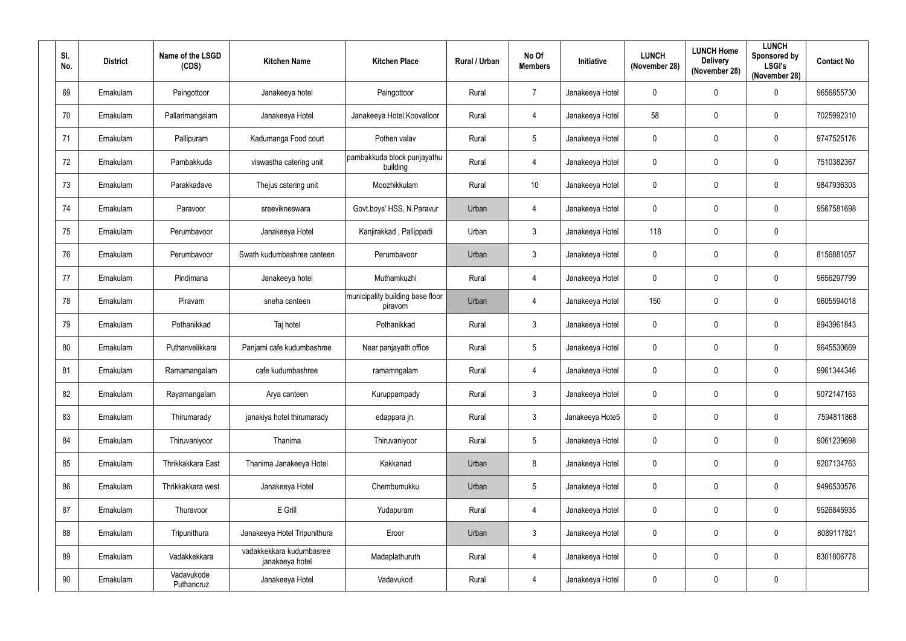| SI.<br>No. | <b>District</b> | Name of the LSGD<br>(CDS) | <b>Kitchen Name</b>                         | <b>Kitchen Place</b>                        | <b>Rural / Urban</b> | No Of<br><b>Members</b> | Initiative      | <b>LUNCH</b><br>(November 28) | <b>LUNCH Home</b><br><b>Delivery</b><br>(November 28) | <b>LUNCH</b><br>Sponsored by<br><b>LSGI's</b><br>(November 28) | <b>Contact No</b> |
|------------|-----------------|---------------------------|---------------------------------------------|---------------------------------------------|----------------------|-------------------------|-----------------|-------------------------------|-------------------------------------------------------|----------------------------------------------------------------|-------------------|
| 69         | Ernakulam       | Paingottoor               | Janakeeya hotel                             | Paingottoor                                 | Rural                | $\overline{7}$          | Janakeeya Hotel | $\mathbf 0$                   | $\mathbf 0$                                           | $\mathbf 0$                                                    | 9656855730        |
| 70         | Ernakulam       | Pallarimangalam           | Janakeeya Hotel                             | Janakeeya Hotel, Koovalloor                 | Rural                | 4                       | Janakeeya Hotel | 58                            | 0                                                     | $\mathbf 0$                                                    | 7025992310        |
| 71         | Ernakulam       | Pallipuram                | Kadumanga Food court                        | Pothen valav                                | Rural                | $\sqrt{5}$              | Janakeeya Hotel | $\mathbf 0$                   | 0                                                     | $\pmb{0}$                                                      | 9747525176        |
| 72         | Ernakulam       | Pambakkuda                | viswastha catering unit                     | pambakkuda block punjayathu<br>building     | Rural                | 4                       | Janakeeya Hotel | $\mathbf 0$                   | 0                                                     | $\mathbf 0$                                                    | 7510382367        |
| 73         | Ernakulam       | Parakkadave               | Thejus catering unit                        | Moozhikkulam                                | Rural                | 10                      | Janakeeya Hotel | $\mathbf 0$                   | $\mathbf 0$                                           | $\mathbf 0$                                                    | 9847936303        |
| 74         | Ernakulam       | Paravoor                  | sreevikneswara                              | Govt.boys' HSS, N.Paravur                   | Urban                | $\overline{4}$          | Janakeeya Hotel | $\mathbf 0$                   | $\mathbf 0$                                           | $\mathbf 0$                                                    | 9567581698        |
| 75         | Ernakulam       | Perumbavoor               | Janakeeya Hotel                             | Kanjirakkad, Pallippadi                     | Urban                | $\mathfrak{Z}$          | Janakeeya Hotel | 118                           | $\mathbf 0$                                           | $\boldsymbol{0}$                                               |                   |
| 76         | Ernakulam       | Perumbavoor               | Swath kudumbashree canteen                  | Perumbavoor                                 | Urban                | $\mathbf{3}$            | Janakeeya Hotel | $\mathbf 0$                   | $\mathbf 0$                                           | $\mathbf 0$                                                    | 8156881057        |
| 77         | Ernakulam       | Pindimana                 | Janakeeya hotel                             | Muthamkuzhi                                 | Rural                | 4                       | Janakeeya Hotel | $\mathbf 0$                   | $\mathbf 0$                                           | $\pmb{0}$                                                      | 9656297799        |
| 78         | Ernakulam       | Piravam                   | sneha canteen                               | municipality building base floor<br>piravom | Urban                | 4                       | Janakeeya Hotel | 150                           | $\mathbf 0$                                           | $\boldsymbol{0}$                                               | 9605594018        |
| 79         | Ernakulam       | Pothanikkad               | Taj hotel                                   | Pothanikkad                                 | Rural                | $\mathbf{3}$            | Janakeeya Hotel | $\mathbf 0$                   | $\mathbf 0$                                           | $\mathbf 0$                                                    | 8943961843        |
| 80         | Ernakulam       | Puthanvelikkara           | Panjami cafe kudumbashree                   | Near panjayath office                       | Rural                | $\sqrt{5}$              | Janakeeya Hotel | $\mathbf 0$                   | $\mathbf 0$                                           | $\mathbf 0$                                                    | 9645530669        |
| 81         | Ernakulam       | Ramamangalam              | cafe kudumbashree                           | ramamngalam                                 | Rural                | 4                       | Janakeeya Hotel | $\mathbf 0$                   | $\mathbf 0$                                           | $\mathbf 0$                                                    | 9961344346        |
| 82         | Ernakulam       | Rayamangalam              | Arya canteen                                | Kuruppampady                                | Rural                | $\mathfrak{Z}$          | Janakeeya Hotel | $\mathbf 0$                   | $\mathbf 0$                                           | $\mathbf 0$                                                    | 9072147163        |
| 83         | Ernakulam       | Thirumarady               | janakiya hotel thirumarady                  | edappara jn.                                | Rural                | $\mathfrak{Z}$          | Janakeeya Hote5 | $\pmb{0}$                     | $\mathbf 0$                                           | $\pmb{0}$                                                      | 7594811868        |
| 84         | Ernakulam       | Thiruvaniyoor             | Thanima                                     | Thiruvaniyoor                               | Rural                | $\overline{5}$          | Janakeeya Hotel | $\mathbf 0$                   | $\mathbf 0$                                           | $\pmb{0}$                                                      | 9061239698        |
| 85         | Ernakulam       | Thrikkakkara East         | Thanima Janakeeya Hotel                     | Kakkanad                                    | Urban                | $\bf 8$                 | Janakeeya Hotel | $\mathbf 0$                   | $\mathbf 0$                                           | $\pmb{0}$                                                      | 9207134763        |
| 86         | Ernakulam       | Thrikkakkara west         | Janakeeya Hotel                             | Chembumukku                                 | Urban                | $5\phantom{.0}$         | Janakeeya Hotel | $\mathbf 0$                   | $\mathbf 0$                                           | $\mathbf 0$                                                    | 9496530576        |
| 87         | Ernakulam       | Thuravoor                 | E Grill                                     | Yudapuram                                   | Rural                | $\overline{4}$          | Janakeeya Hotel | $\mathbf 0$                   | $\mathbf 0$                                           | $\pmb{0}$                                                      | 9526845935        |
| 88         | Ernakulam       | Tripunithura              | Janakeeya Hotel Tripunithura                | Eroor                                       | Urban                | $\mathfrak{Z}$          | Janakeeya Hotel | $\pmb{0}$                     | 0                                                     | $\pmb{0}$                                                      | 8089117821        |
| 89         | Ernakulam       | Vadakkekkara              | vadakkekkara kudumbasree<br>janakeeya hotel | Madaplathuruth                              | Rural                | $\overline{4}$          | Janakeeya Hotel | $\pmb{0}$                     | $\mathbf 0$                                           | $\mathbf 0$                                                    | 8301806778        |
| $90\,$     | Ernakulam       | Vadavukode<br>Puthancruz  | Janakeeya Hotel                             | Vadavukod                                   | Rural                | 4                       | Janakeeya Hotel | $\pmb{0}$                     | 0                                                     | $\pmb{0}$                                                      |                   |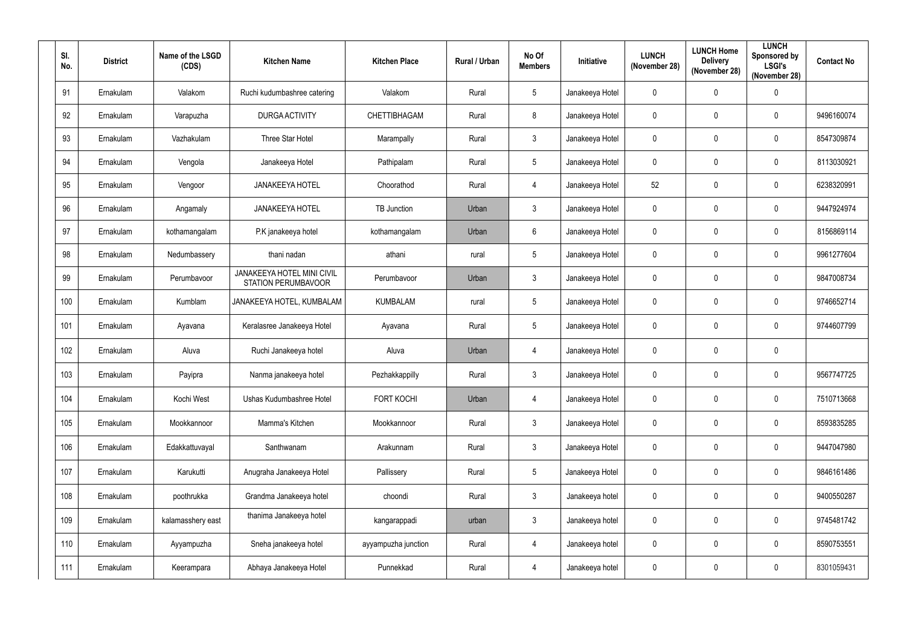| SI.<br>No. | <b>District</b> | Name of the LSGD<br>(CDS) | <b>Kitchen Name</b>                                             | <b>Kitchen Place</b> | Rural / Urban | No Of<br><b>Members</b> | Initiative      | <b>LUNCH</b><br>(November 28) | <b>LUNCH Home</b><br><b>Delivery</b><br>(November 28) | <b>LUNCH</b><br>Sponsored by<br><b>LSGI's</b><br>(November 28) | <b>Contact No</b> |
|------------|-----------------|---------------------------|-----------------------------------------------------------------|----------------------|---------------|-------------------------|-----------------|-------------------------------|-------------------------------------------------------|----------------------------------------------------------------|-------------------|
| 91         | Ernakulam       | Valakom                   | Ruchi kudumbashree catering                                     | Valakom              | Rural         | $5\phantom{.0}$         | Janakeeya Hotel | $\pmb{0}$                     | $\mathbf 0$                                           | $\pmb{0}$                                                      |                   |
| 92         | Ernakulam       | Varapuzha                 | <b>DURGA ACTIVITY</b>                                           | CHETTIBHAGAM         | Rural         | 8                       | Janakeeya Hotel | $\pmb{0}$                     | $\mathbf 0$                                           | $\pmb{0}$                                                      | 9496160074        |
| 93         | Ernakulam       | Vazhakulam                | Three Star Hotel                                                | Marampally           | Rural         | $\mathbf{3}$            | Janakeeya Hotel | $\pmb{0}$                     | $\mathbf 0$                                           | $\mathbf 0$                                                    | 8547309874        |
| 94         | Ernakulam       | Vengola                   | Janakeeya Hotel                                                 | Pathipalam           | Rural         | $5\phantom{.0}$         | Janakeeya Hotel | $\pmb{0}$                     | $\mathbf 0$                                           | $\mathbf 0$                                                    | 8113030921        |
| 95         | Ernakulam       | Vengoor                   | <b>JANAKEEYA HOTEL</b>                                          | Choorathod           | Rural         | $\overline{4}$          | Janakeeya Hotel | 52                            | $\mathbf 0$                                           | $\mathbf 0$                                                    | 6238320991        |
| 96         | Ernakulam       | Angamaly                  | <b>JANAKEEYA HOTEL</b>                                          | <b>TB Junction</b>   | Urban         | $\mathbf{3}$            | Janakeeya Hotel | $\mathbf 0$                   | $\mathbf 0$                                           | $\mathbf 0$                                                    | 9447924974        |
| 97         | Ernakulam       | kothamangalam             | P.K janakeeya hotel                                             | kothamangalam        | Urban         | 6                       | Janakeeya Hotel | $\pmb{0}$                     | $\mathbf 0$                                           | $\mathbf 0$                                                    | 8156869114        |
| 98         | Ernakulam       | Nedumbassery              | thani nadan                                                     | athani               | rural         | $5\phantom{.0}$         | Janakeeya Hotel | $\pmb{0}$                     | $\mathbf 0$                                           | $\mathbf 0$                                                    | 9961277604        |
| 99         | Ernakulam       | Perumbavoor               | <b>JANAKEEYA HOTEL MINI CIVIL</b><br><b>STATION PERUMBAVOOR</b> | Perumbavoor          | Urban         | $\mathbf{3}$            | Janakeeya Hotel | $\pmb{0}$                     | $\mathbf 0$                                           | $\mathbf 0$                                                    | 9847008734        |
| 100        | Ernakulam       | Kumblam                   | JANAKEEYA HOTEL, KUMBALAM                                       | <b>KUMBALAM</b>      | rural         | $5\phantom{.0}$         | Janakeeya Hotel | $\pmb{0}$                     | $\mathbf 0$                                           | $\mathbf 0$                                                    | 9746652714        |
| 101        | Ernakulam       | Ayavana                   | Keralasree Janakeeya Hotel                                      | Ayavana              | Rural         | $5\phantom{.0}$         | Janakeeya Hotel | $\pmb{0}$                     | $\mathbf 0$                                           | $\mathbf 0$                                                    | 9744607799        |
| 102        | Ernakulam       | Aluva                     | Ruchi Janakeeya hotel                                           | Aluva                | Urban         | $\overline{4}$          | Janakeeya Hotel | $\pmb{0}$                     | $\mathbf 0$                                           | $\mathbf 0$                                                    |                   |
| 103        | Ernakulam       | Payipra                   | Nanma janakeeya hotel                                           | Pezhakkappilly       | Rural         | $\mathbf{3}$            | Janakeeya Hotel | $\pmb{0}$                     | $\mathbf 0$                                           | $\mathbf 0$                                                    | 9567747725        |
| 104        | Ernakulam       | Kochi West                | Ushas Kudumbashree Hotel                                        | <b>FORT KOCHI</b>    | Urban         | $\overline{4}$          | Janakeeya Hotel | $\pmb{0}$                     | $\mathbf 0$                                           | $\pmb{0}$                                                      | 7510713668        |
| 105        | Ernakulam       | Mookkannoor               | Mamma's Kitchen                                                 | Mookkannoor          | Rural         | $\mathbf{3}$            | Janakeeya Hotel | $\pmb{0}$                     | $\mathbf 0$                                           | $\pmb{0}$                                                      | 8593835285        |
| 106        | Ernakulam       | Edakkattuvayal            | Santhwanam                                                      | Arakunnam            | Rural         | $\mathfrak{Z}$          | Janakeeya Hotel | $\pmb{0}$                     | $\mathbf 0$                                           | $\pmb{0}$                                                      | 9447047980        |
| 107        | Ernakulam       | Karukutti                 | Anugraha Janakeeya Hotel                                        | Pallissery           | Rural         | $5\phantom{.0}$         | Janakeeya Hotel | $\pmb{0}$                     | $\mathbf 0$                                           | $\pmb{0}$                                                      | 9846161486        |
| 108        | Ernakulam       | poothrukka                | Grandma Janakeeya hotel                                         | choondi              | Rural         | $\mathbf{3}$            | Janakeeya hotel | $\pmb{0}$                     | $\mathbf 0$                                           | $\pmb{0}$                                                      | 9400550287        |
| 109        | Ernakulam       | kalamasshery east         | thanima Janakeeya hotel                                         | kangarappadi         | urban         | $\mathbf{3}$            | Janakeeya hotel | $\pmb{0}$                     | $\mathbf 0$                                           | $\mathbf 0$                                                    | 9745481742        |
| 110        | Ernakulam       | Ayyampuzha                | Sneha janakeeya hotel                                           | ayyampuzha junction  | Rural         | $\overline{4}$          | Janakeeya hotel | $\pmb{0}$                     | $\pmb{0}$                                             | $\pmb{0}$                                                      | 8590753551        |
| 111        | Ernakulam       | Keerampara                | Abhaya Janakeeya Hotel                                          | Punnekkad            | Rural         | $\overline{4}$          | Janakeeya hotel | $\pmb{0}$                     | $\pmb{0}$                                             | $\pmb{0}$                                                      | 8301059431        |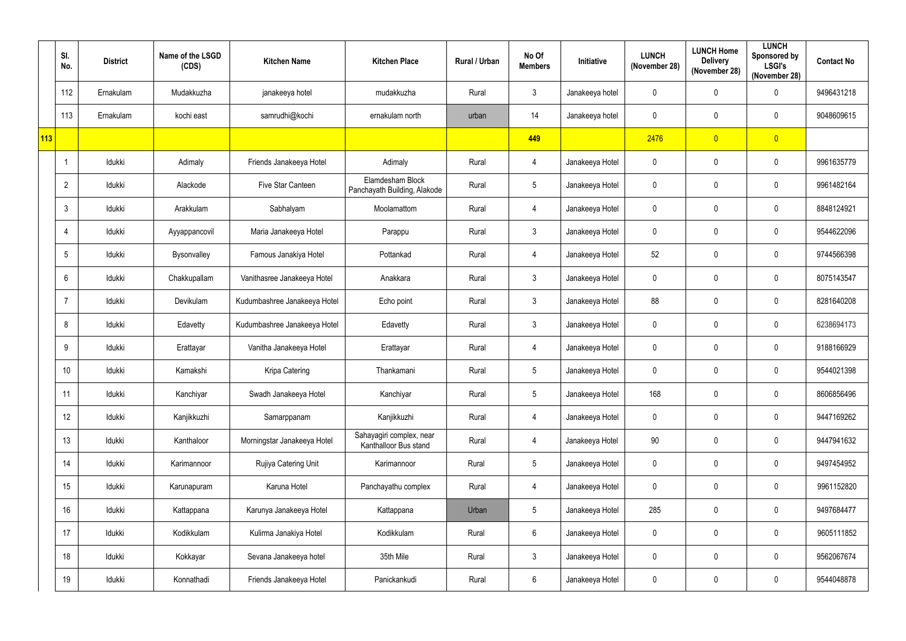|     | SI.<br>No.     | <b>District</b> | Name of the LSGD<br>(CDS) | <b>Kitchen Name</b>          | <b>Kitchen Place</b>                              | Rural / Urban | No Of<br><b>Members</b> | Initiative      | <b>LUNCH</b><br>(November 28) | <b>LUNCH Home</b><br><b>Delivery</b><br>(November 28) | <b>LUNCH</b><br>Sponsored by<br><b>LSGI's</b><br>(November 28) | <b>Contact No</b> |
|-----|----------------|-----------------|---------------------------|------------------------------|---------------------------------------------------|---------------|-------------------------|-----------------|-------------------------------|-------------------------------------------------------|----------------------------------------------------------------|-------------------|
|     | 112            | Ernakulam       | Mudakkuzha                | janakeeya hotel              | mudakkuzha                                        | Rural         | $\mathbf{3}$            | Janakeeya hotel | $\mathbf 0$                   | $\mathbf 0$                                           | $\mathbf 0$                                                    | 9496431218        |
|     | 113            | Ernakulam       | kochi east                | samrudhi@kochi               | ernakulam north                                   | urban         | 14                      | Janakeeya hotel | $\pmb{0}$                     | $\mathbf 0$                                           | $\mathbf 0$                                                    | 9048609615        |
| 113 |                |                 |                           |                              |                                                   |               | 449                     |                 | 2476                          | $\overline{0}$                                        | $\overline{0}$                                                 |                   |
|     |                | Idukki          | Adimaly                   | Friends Janakeeya Hotel      | Adimaly                                           | Rural         | $\overline{4}$          | Janakeeya Hotel | $\mathbf 0$                   | $\mathbf{0}$                                          | $\mathbf 0$                                                    | 9961635779        |
|     | $\overline{2}$ | Idukki          | Alackode                  | Five Star Canteen            | Elamdesham Block<br>Panchayath Building, Alakode  | Rural         | $5\phantom{.0}$         | Janakeeya Hotel | $\pmb{0}$                     | $\mathbf 0$                                           | $\mathbf 0$                                                    | 9961482164        |
|     | 3              | Idukki          | Arakkulam                 | Sabhalyam                    | Moolamattom                                       | Rural         | $\overline{4}$          | Janakeeya Hotel | $\mathbf 0$                   | $\mathbf 0$                                           | $\mathbf 0$                                                    | 8848124921        |
|     | 4              | Idukki          | Ayyappancovil             | Maria Janakeeya Hotel        | Parappu                                           | Rural         | $\mathbf{3}$            | Janakeeya Hotel | $\mathbf 0$                   | $\mathbf 0$                                           | $\mathbf 0$                                                    | 9544622096        |
|     | 5              | Idukki          | Bysonvalley               | Famous Janakiya Hotel        | Pottankad                                         | Rural         | $\overline{4}$          | Janakeeya Hotel | 52                            | $\mathbf 0$                                           | $\mathbf 0$                                                    | 9744566398        |
|     | 6              | Idukki          | Chakkupallam              | Vanithasree Janakeeya Hotel  | Anakkara                                          | Rural         | $\mathbf{3}$            | Janakeeya Hotel | $\mathbf 0$                   | $\mathbf{0}$                                          | $\pmb{0}$                                                      | 8075143547        |
|     |                | Idukki          | Devikulam                 | Kudumbashree Janakeeya Hotel | Echo point                                        | Rural         | $\mathbf{3}$            | Janakeeya Hotel | 88                            | $\mathbf 0$                                           | $\mathbf 0$                                                    | 8281640208        |
|     | 8              | Idukki          | Edavetty                  | Kudumbashree Janakeeya Hotel | Edavetty                                          | Rural         | $\mathbf{3}$            | Janakeeya Hotel | $\mathbf 0$                   | $\mathbf 0$                                           | $\mathbf 0$                                                    | 6238694173        |
|     | 9              | Idukki          | Erattayar                 | Vanitha Janakeeya Hotel      | Erattayar                                         | Rural         | $\overline{4}$          | Janakeeya Hotel | $\mathbf 0$                   | $\mathbf 0$                                           | $\mathbf 0$                                                    | 9188166929        |
|     | 10             | Idukki          | Kamakshi                  | Kripa Catering               | Thankamani                                        | Rural         | $5\phantom{.0}$         | Janakeeya Hotel | $\pmb{0}$                     | $\mathbf 0$                                           | $\mathbf 0$                                                    | 9544021398        |
|     | 11             | Idukki          | Kanchiyar                 | Swadh Janakeeya Hotel        | Kanchiyar                                         | Rural         | $5\phantom{.0}$         | Janakeeya Hotel | 168                           | $\mathbf 0$                                           | $\mathbf 0$                                                    | 8606856496        |
|     | 12             | Idukki          | Kanjikkuzhi               | Samarppanam                  | Kanjikkuzhi                                       | Rural         | $\overline{4}$          | Janakeeya Hotel | $\mathbf 0$                   | $\mathbf 0$                                           | $\pmb{0}$                                                      | 9447169262        |
|     | 13             | Idukki          | Kanthaloor                | Morningstar Janakeeya Hotel  | Sahayagiri complex, near<br>Kanthalloor Bus stand | Rural         | $\overline{4}$          | Janakeeya Hotel | 90                            | $\mathbf 0$                                           | $\mathbf 0$                                                    | 9447941632        |
|     | 14             | Idukki          | Karimannoor               | Rujiya Catering Unit         | Karimannoor                                       | Rural         | $5\phantom{.0}$         | Janakeeya Hotel | $\pmb{0}$                     | $\mathbf 0$                                           | $\pmb{0}$                                                      | 9497454952        |
|     | 15             | Idukki          | Karunapuram               | Karuna Hotel                 | Panchayathu complex                               | Rural         | $\overline{4}$          | Janakeeya Hotel | $\pmb{0}$                     | $\mathbf 0$                                           | $\pmb{0}$                                                      | 9961152820        |
|     | 16             | Idukki          | Kattappana                | Karunya Janakeeya Hotel      | Kattappana                                        | Urban         | $5\phantom{.0}$         | Janakeeya Hotel | 285                           | $\mathbf 0$                                           | $\pmb{0}$                                                      | 9497684477        |
|     | 17             | Idukki          | Kodikkulam                | Kulirma Janakiya Hotel       | Kodikkulam                                        | Rural         | $6\overline{6}$         | Janakeeya Hotel | $\mathbf 0$                   | $\mathbf 0$                                           | $\pmb{0}$                                                      | 9605111852        |
|     | 18             | Idukki          | Kokkayar                  | Sevana Janakeeya hotel       | 35th Mile                                         | Rural         | $\mathbf{3}$            | Janakeeya Hotel | $\pmb{0}$                     | $\mathbf 0$                                           | $\pmb{0}$                                                      | 9562067674        |
|     | 19             | Idukki          | Konnathadi                | Friends Janakeeya Hotel      | Panickankudi                                      | Rural         | $6\overline{6}$         | Janakeeya Hotel | $\pmb{0}$                     | $\mathbf 0$                                           | $\pmb{0}$                                                      | 9544048878        |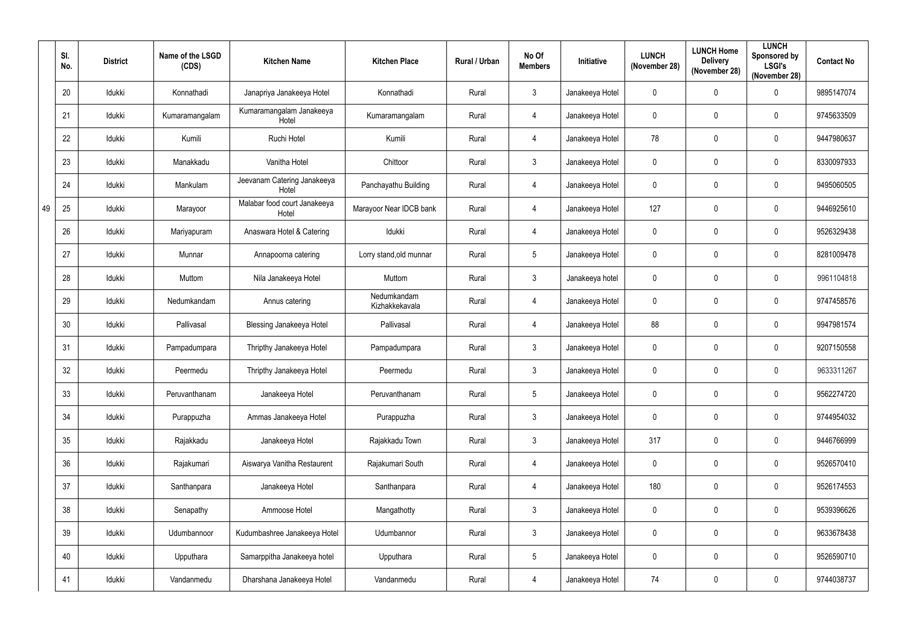|    | SI.<br>No. | <b>District</b> | Name of the LSGD<br>(CDS) | <b>Kitchen Name</b>                   | <b>Kitchen Place</b>          | Rural / Urban | No Of<br><b>Members</b> | <b>Initiative</b> | <b>LUNCH</b><br>(November 28) | <b>LUNCH Home</b><br><b>Delivery</b><br>(November 28) | <b>LUNCH</b><br>Sponsored by<br><b>LSGI's</b><br>(November 28) | <b>Contact No</b> |
|----|------------|-----------------|---------------------------|---------------------------------------|-------------------------------|---------------|-------------------------|-------------------|-------------------------------|-------------------------------------------------------|----------------------------------------------------------------|-------------------|
|    | 20         | Idukki          | Konnathadi                | Janapriya Janakeeya Hotel             | Konnathadi                    | Rural         | $\mathbf{3}$            | Janakeeya Hotel   | $\mathbf 0$                   | $\mathbf 0$                                           | 0                                                              | 9895147074        |
|    | 21         | Idukki          | Kumaramangalam            | Kumaramangalam Janakeeya<br>Hotel     | Kumaramangalam                | Rural         | $\overline{4}$          | Janakeeya Hotel   | $\pmb{0}$                     | $\mathbf 0$                                           | 0                                                              | 9745633509        |
|    | 22         | Idukki          | Kumili                    | Ruchi Hotel                           | Kumili                        | Rural         | $\overline{4}$          | Janakeeya Hotel   | 78                            | $\mathbf 0$                                           | 0                                                              | 9447980637        |
|    | 23         | Idukki          | Manakkadu                 | Vanitha Hotel                         | Chittoor                      | Rural         | $\mathbf{3}$            | Janakeeya Hotel   | $\mathbf 0$                   | $\mathbf 0$                                           | 0                                                              | 8330097933        |
|    | 24         | Idukki          | Mankulam                  | Jeevanam Catering Janakeeya<br>Hotel  | Panchayathu Building          | Rural         | $\overline{4}$          | Janakeeya Hotel   | $\mathbf 0$                   | $\mathbf 0$                                           | 0                                                              | 9495060505        |
| 49 | 25         | Idukki          | Marayoor                  | Malabar food court Janakeeya<br>Hotel | Marayoor Near IDCB bank       | Rural         | $\overline{4}$          | Janakeeya Hotel   | 127                           | $\mathbf 0$                                           | $\mathbf 0$                                                    | 9446925610        |
|    | 26         | Idukki          | Mariyapuram               | Anaswara Hotel & Catering             | Idukki                        | Rural         | $\overline{4}$          | Janakeeya Hotel   | $\mathbf 0$                   | $\mathbf 0$                                           | $\mathbf 0$                                                    | 9526329438        |
|    | 27         | Idukki          | Munnar                    | Annapoorna catering                   | Lorry stand, old munnar       | Rural         | $5\phantom{.0}$         | Janakeeya Hotel   | $\mathbf 0$                   | $\mathbf 0$                                           | 0                                                              | 8281009478        |
|    | 28         | Idukki          | Muttom                    | Nila Janakeeya Hotel                  | Muttom                        | Rural         | $\mathbf{3}$            | Janakeeya hotel   | $\mathbf 0$                   | $\mathbf 0$                                           | 0                                                              | 9961104818        |
|    | 29         | Idukki          | Nedumkandam               | Annus catering                        | Nedumkandam<br>Kizhakkekavala | Rural         | $\overline{4}$          | Janakeeya Hotel   | $\pmb{0}$                     | $\mathbf 0$                                           | $\mathbf 0$                                                    | 9747458576        |
|    | 30         | ldukki          | Pallivasal                | <b>Blessing Janakeeya Hotel</b>       | Pallivasal                    | Rural         | $\overline{4}$          | Janakeeya Hotel   | 88                            | $\mathbf 0$                                           | $\mathbf 0$                                                    | 9947981574        |
|    | 31         | Idukki          | Pampadumpara              | Thripthy Janakeeya Hotel              | Pampadumpara                  | Rural         | $\mathbf{3}$            | Janakeeya Hotel   | $\pmb{0}$                     | $\mathbf 0$                                           | 0                                                              | 9207150558        |
|    | 32         | Idukki          | Peermedu                  | Thripthy Janakeeya Hotel              | Peermedu                      | Rural         | $\mathbf{3}$            | Janakeeya Hotel   | $\mathbf 0$                   | $\mathbf 0$                                           | $\mathbf 0$                                                    | 9633311267        |
|    | 33         | Idukki          | Peruvanthanam             | Janakeeya Hotel                       | Peruvanthanam                 | Rural         | $5\phantom{.0}$         | Janakeeya Hotel   | $\pmb{0}$                     | $\mathbf 0$                                           | 0                                                              | 9562274720        |
|    | 34         | Idukki          | Purappuzha                | Ammas Janakeeya Hotel                 | Purappuzha                    | Rural         | $\mathbf{3}$            | Janakeeya Hotel   | $\pmb{0}$                     | $\mathbf 0$                                           | $\pmb{0}$                                                      | 9744954032        |
|    | 35         | Idukki          | Rajakkadu                 | Janakeeya Hotel                       | Rajakkadu Town                | Rural         | $\mathbf{3}$            | Janakeeya Hotel   | 317                           | $\mathbf 0$                                           | $\pmb{0}$                                                      | 9446766999        |
|    | 36         | Idukki          | Rajakumari                | Aiswarya Vanitha Restaurent           | Rajakumari South              | Rural         | $\overline{4}$          | Janakeeya Hotel   | $\pmb{0}$                     | $\mathbf 0$                                           | $\pmb{0}$                                                      | 9526570410        |
|    | 37         | Idukki          | Santhanpara               | Janakeeya Hotel                       | Santhanpara                   | Rural         | $\overline{4}$          | Janakeeya Hotel   | 180                           | $\mathbf 0$                                           | 0                                                              | 9526174553        |
|    | 38         | Idukki          | Senapathy                 | Ammoose Hotel                         | Mangathotty                   | Rural         | $\mathbf{3}$            | Janakeeya Hotel   | $\pmb{0}$                     | $\mathbf 0$                                           | 0                                                              | 9539396626        |
|    | 39         | Idukki          | Udumbannoor               | Kudumbashree Janakeeya Hotel          | Udumbannor                    | Rural         | $\mathbf{3}$            | Janakeeya Hotel   | $\pmb{0}$                     | $\pmb{0}$                                             | 0                                                              | 9633678438        |
|    | 40         | Idukki          | Upputhara                 | Samarppitha Janakeeya hotel           | Upputhara                     | Rural         | $5\phantom{.0}$         | Janakeeya Hotel   | $\pmb{0}$                     | $\mathbf 0$                                           | $\pmb{0}$                                                      | 9526590710        |
|    | 41         | Idukki          | Vandanmedu                | Dharshana Janakeeya Hotel             | Vandanmedu                    | Rural         | $\overline{4}$          | Janakeeya Hotel   | 74                            | $\pmb{0}$                                             | 0                                                              | 9744038737        |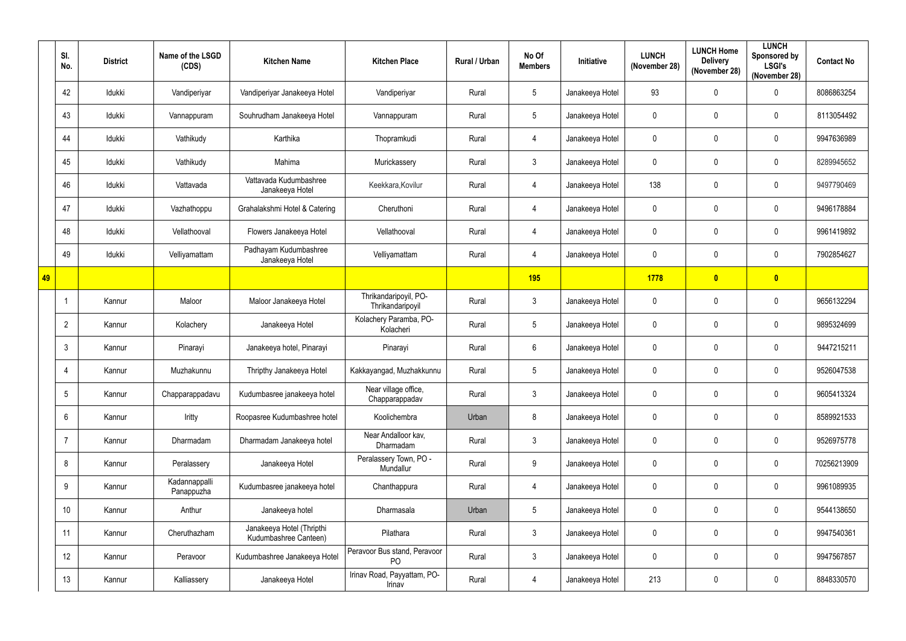|    | SI.<br>No.      | <b>District</b> | Name of the LSGD<br>(CDS)   | <b>Kitchen Name</b>                                | <b>Kitchen Place</b>                           | Rural / Urban | No Of<br><b>Members</b> | Initiative      | <b>LUNCH</b><br>(November 28) | <b>LUNCH Home</b><br><b>Delivery</b><br>(November 28) | <b>LUNCH</b><br>Sponsored by<br><b>LSGI's</b><br>(November 28) | <b>Contact No</b> |
|----|-----------------|-----------------|-----------------------------|----------------------------------------------------|------------------------------------------------|---------------|-------------------------|-----------------|-------------------------------|-------------------------------------------------------|----------------------------------------------------------------|-------------------|
|    | 42              | Idukki          | Vandiperiyar                | Vandiperiyar Janakeeya Hotel                       | Vandiperiyar                                   | Rural         | $5\overline{)}$         | Janakeeya Hotel | 93                            | $\mathbf 0$                                           | $\boldsymbol{0}$                                               | 8086863254        |
|    | 43              | Idukki          | Vannappuram                 | Souhrudham Janakeeya Hotel                         | Vannappuram                                    | Rural         | $5\phantom{.0}$         | Janakeeya Hotel | $\pmb{0}$                     | $\mathbf 0$                                           | $\mathbf 0$                                                    | 8113054492        |
|    | 44              | Idukki          | Vathikudy                   | Karthika                                           | Thopramkudi                                    | Rural         | $\overline{4}$          | Janakeeya Hotel | $\pmb{0}$                     | $\mathbf 0$                                           | $\pmb{0}$                                                      | 9947636989        |
|    | 45              | Idukki          | Vathikudy                   | Mahima                                             | Murickassery                                   | Rural         | $\mathbf{3}$            | Janakeeya Hotel | $\mathbf 0$                   | $\mathbf 0$                                           | $\mathbf 0$                                                    | 8289945652        |
|    | 46              | Idukki          | Vattavada                   | Vattavada Kudumbashree<br>Janakeeya Hotel          | Keekkara, Kovilur                              | Rural         | $\overline{4}$          | Janakeeya Hotel | 138                           | $\mathbf 0$                                           | $\mathbf 0$                                                    | 9497790469        |
|    | 47              | Idukki          | Vazhathoppu                 | Grahalakshmi Hotel & Catering                      | Cheruthoni                                     | Rural         | $\overline{4}$          | Janakeeya Hotel | $\mathbf 0$                   | $\mathbf 0$                                           | $\mathbf 0$                                                    | 9496178884        |
|    | 48              | Idukki          | Vellathooval                | Flowers Janakeeya Hotel                            | Vellathooval                                   | Rural         | $\overline{4}$          | Janakeeya Hotel | $\mathbf 0$                   | $\mathbf 0$                                           | $\mathbf 0$                                                    | 9961419892        |
|    | 49              | Idukki          | Velliyamattam               | Padhayam Kudumbashree<br>Janakeeya Hotel           | Velliyamattam                                  | Rural         | $\overline{4}$          | Janakeeya Hotel | $\mathbf 0$                   | $\mathbf 0$                                           | $\mathbf 0$                                                    | 7902854627        |
| 49 |                 |                 |                             |                                                    |                                                |               | 195                     |                 | 1778                          | $\overline{\mathbf{0}}$                               | $\bullet$                                                      |                   |
|    |                 | Kannur          | Maloor                      | Maloor Janakeeya Hotel                             | Thrikandaripoyil, PO-<br>Thrikandaripoyil      | Rural         | $\mathbf{3}$            | Janakeeya Hotel | $\pmb{0}$                     | $\mathbf 0$                                           | $\mathbf 0$                                                    | 9656132294        |
|    | $\overline{2}$  | Kannur          | Kolachery                   | Janakeeya Hotel                                    | Kolachery Paramba, PO-<br>Kolacheri            | Rural         | $5\overline{)}$         | Janakeeya Hotel | $\mathbf 0$                   | $\mathbf 0$                                           | $\mathbf 0$                                                    | 9895324699        |
|    | 3               | Kannur          | Pinarayi                    | Janakeeya hotel, Pinarayi                          | Pinarayi                                       | Rural         | $6\overline{6}$         | Janakeeya Hotel | $\pmb{0}$                     | $\mathbf 0$                                           | $\boldsymbol{0}$                                               | 9447215211        |
|    | 4               | Kannur          | Muzhakunnu                  | Thripthy Janakeeya Hotel                           | Kakkayangad, Muzhakkunnu                       | Rural         | $5\overline{)}$         | Janakeeya Hotel | $\mathbf 0$                   | $\mathbf 0$                                           | $\mathbf 0$                                                    | 9526047538        |
|    | $5\overline{)}$ | Kannur          | Chapparappadavu             | Kudumbasree janakeeya hotel                        | Near village office,<br>Chapparappadav         | Rural         | $\mathbf{3}$            | Janakeeya Hotel | $\pmb{0}$                     | $\mathbf 0$                                           | $\mathbf 0$                                                    | 9605413324        |
|    | 6               | Kannur          | Iritty                      | Roopasree Kudumbashree hotel                       | Koolichembra                                   | Urban         | $8\phantom{1}$          | Janakeeya Hotel | $\pmb{0}$                     | $\mathbf 0$                                           | $\pmb{0}$                                                      | 8589921533        |
|    | $\overline{7}$  | Kannur          | Dharmadam                   | Dharmadam Janakeeya hotel                          | Near Andalloor kav,<br>Dharmadam               | Rural         | $\mathbf{3}$            | Janakeeya Hotel | $\pmb{0}$                     | $\mathbf 0$                                           | $\pmb{0}$                                                      | 9526975778        |
|    | 8               | Kannur          | Peralassery                 | Janakeeya Hotel                                    | Peralassery Town, PO -<br>Mundallur            | Rural         | 9                       | Janakeeya Hotel | $\pmb{0}$                     | $\mathbf 0$                                           | $\pmb{0}$                                                      | 70256213909       |
|    | 9               | Kannur          | Kadannappalli<br>Panappuzha | Kudumbasree janakeeya hotel                        | Chanthappura                                   | Rural         | $\overline{4}$          | Janakeeya Hotel | $\pmb{0}$                     | $\mathbf 0$                                           | $\pmb{0}$                                                      | 9961089935        |
|    | 10              | Kannur          | Anthur                      | Janakeeya hotel                                    | Dharmasala                                     | Urban         | $5\phantom{.0}$         | Janakeeya Hotel | $\pmb{0}$                     | $\mathbf 0$                                           | $\pmb{0}$                                                      | 9544138650        |
|    | 11              | Kannur          | Cheruthazham                | Janakeeya Hotel (Thripthi<br>Kudumbashree Canteen) | Pilathara                                      | Rural         | $\mathbf{3}$            | Janakeeya Hotel | $\pmb{0}$                     | $\mathbf 0$                                           | $\pmb{0}$                                                      | 9947540361        |
|    | 12              | Kannur          | Peravoor                    | Kudumbashree Janakeeya Hotel                       | Peravoor Bus stand, Peravoor<br>P <sub>O</sub> | Rural         | $\mathbf{3}$            | Janakeeya Hotel | $\pmb{0}$                     | $\mathbf 0$                                           | $\pmb{0}$                                                      | 9947567857        |
|    | 13              | Kannur          | Kalliassery                 | Janakeeya Hotel                                    | Irinav Road, Payyattam, PO-<br>Irinav          | Rural         | $\overline{4}$          | Janakeeya Hotel | 213                           | $\pmb{0}$                                             | $\pmb{0}$                                                      | 8848330570        |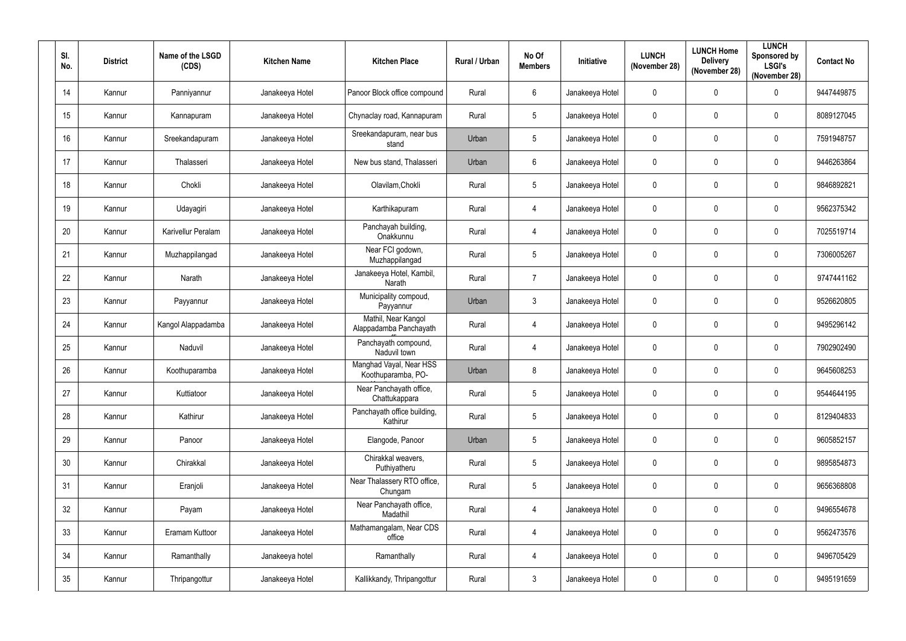| SI.<br>No.      | <b>District</b> | Name of the LSGD<br>(CDS) | <b>Kitchen Name</b> | <b>Kitchen Place</b>                          | Rural / Urban | No Of<br><b>Members</b> | <b>Initiative</b> | <b>LUNCH</b><br>(November 28) | <b>LUNCH Home</b><br><b>Delivery</b><br>(November 28) | <b>LUNCH</b><br>Sponsored by<br><b>LSGI's</b><br>(November 28) | <b>Contact No</b> |
|-----------------|-----------------|---------------------------|---------------------|-----------------------------------------------|---------------|-------------------------|-------------------|-------------------------------|-------------------------------------------------------|----------------------------------------------------------------|-------------------|
| 14              | Kannur          | Panniyannur               | Janakeeya Hotel     | Panoor Block office compound                  | Rural         | $6\,$                   | Janakeeya Hotel   | 0                             | 0                                                     | $\mathbf 0$                                                    | 9447449875        |
| 15              | Kannur          | Kannapuram                | Janakeeya Hotel     | Chynaclay road, Kannapuram                    | Rural         | $\overline{5}$          | Janakeeya Hotel   | 0                             | $\mathbf 0$                                           | $\mathbf 0$                                                    | 8089127045        |
| 16 <sup>°</sup> | Kannur          | Sreekandapuram            | Janakeeya Hotel     | Sreekandapuram, near bus<br>stand             | Urban         | $\overline{5}$          | Janakeeya Hotel   | $\mathbf 0$                   | $\mathbf 0$                                           | $\pmb{0}$                                                      | 7591948757        |
| 17              | Kannur          | Thalasseri                | Janakeeya Hotel     | New bus stand, Thalasseri                     | Urban         | $6\phantom{.}6$         | Janakeeya Hotel   | $\mathbf 0$                   | 0                                                     | $\mathbf 0$                                                    | 9446263864        |
| 18              | Kannur          | Chokli                    | Janakeeya Hotel     | Olavilam, Chokli                              | Rural         | $\overline{5}$          | Janakeeya Hotel   | 0                             | $\mathbf 0$                                           | $\mathbf 0$                                                    | 9846892821        |
| 19              | Kannur          | Udayagiri                 | Janakeeya Hotel     | Karthikapuram                                 | Rural         | $\overline{4}$          | Janakeeya Hotel   | 0                             | 0                                                     | $\mathbf 0$                                                    | 9562375342        |
| 20              | Kannur          | Karivellur Peralam        | Janakeeya Hotel     | Panchayah building,<br>Onakkunnu              | Rural         | $\overline{4}$          | Janakeeya Hotel   | 0                             | 0                                                     | $\mathbf 0$                                                    | 7025519714        |
| 21              | Kannur          | Muzhappilangad            | Janakeeya Hotel     | Near FCI godown,<br>Muzhappilangad            | Rural         | $\overline{5}$          | Janakeeya Hotel   | 0                             | 0                                                     | 0                                                              | 7306005267        |
| 22              | Kannur          | Narath                    | Janakeeya Hotel     | Janakeeya Hotel, Kambil,<br>Narath            | Rural         | $\overline{7}$          | Janakeeya Hotel   | 0                             | $\mathbf 0$                                           | $\mathbf 0$                                                    | 9747441162        |
| 23              | Kannur          | Payyannur                 | Janakeeya Hotel     | Municipality compoud,<br>Payyannur            | Urban         | $\mathbf{3}$            | Janakeeya Hotel   | 0                             | 0                                                     | 0                                                              | 9526620805        |
| 24              | Kannur          | Kangol Alappadamba        | Janakeeya Hotel     | Mathil, Near Kangol<br>Alappadamba Panchayath | Rural         | $\overline{4}$          | Janakeeya Hotel   | $\mathbf 0$                   | 0                                                     | $\mathbf 0$                                                    | 9495296142        |
| 25              | Kannur          | Naduvil                   | Janakeeya Hotel     | Panchayath compound,<br>Naduvil town          | Rural         | $\overline{4}$          | Janakeeya Hotel   | 0                             | 0                                                     | $\mathbf 0$                                                    | 7902902490        |
| 26              | Kannur          | Koothuparamba             | Janakeeya Hotel     | Manghad Vayal, Near HSS<br>Koothuparamba, PO- | Urban         | 8                       | Janakeeya Hotel   | $\mathbf 0$                   | 0                                                     | $\mathbf 0$                                                    | 9645608253        |
| 27              | Kannur          | Kuttiatoor                | Janakeeya Hotel     | Near Panchayath office,<br>Chattukappara      | Rural         | $5\phantom{.0}$         | Janakeeya Hotel   | $\mathbf 0$                   | $\mathbf 0$                                           | $\mathbf 0$                                                    | 9544644195        |
| 28              | Kannur          | Kathirur                  | Janakeeya Hotel     | Panchayath office building,<br>Kathirur       | Rural         | $5\,$                   | Janakeeya Hotel   | 0                             | $\mathbf 0$                                           | 0                                                              | 8129404833        |
| 29              | Kannur          | Panoor                    | Janakeeya Hotel     | Elangode, Panoor                              | Urban         | $5\phantom{.0}$         | Janakeeya Hotel   | $\mathbf 0$                   | $\mathbf 0$                                           | $\pmb{0}$                                                      | 9605852157        |
| 30              | Kannur          | Chirakkal                 | Janakeeya Hotel     | Chirakkal weavers,<br>Puthiyatheru            | Rural         | $\overline{5}$          | Janakeeya Hotel   | $\pmb{0}$                     | $\pmb{0}$                                             | $\pmb{0}$                                                      | 9895854873        |
| 31              | Kannur          | Eranjoli                  | Janakeeya Hotel     | Near Thalassery RTO office,<br>Chungam        | Rural         | $\overline{5}$          | Janakeeya Hotel   | $\mathbf 0$                   | $\mathbf 0$                                           | $\pmb{0}$                                                      | 9656368808        |
| 32              | Kannur          | Payam                     | Janakeeya Hotel     | Near Panchayath office,<br>Madathil           | Rural         | $\overline{4}$          | Janakeeya Hotel   | $\mathbf 0$                   | $\mathbf 0$                                           | $\pmb{0}$                                                      | 9496554678        |
| 33              | Kannur          | Eramam Kuttoor            | Janakeeya Hotel     | Mathamangalam, Near CDS<br>office             | Rural         | $\overline{4}$          | Janakeeya Hotel   | $\mathbf 0$                   | $\mathbf 0$                                           | 0                                                              | 9562473576        |
| 34              | Kannur          | Ramanthally               | Janakeeya hotel     | Ramanthally                                   | Rural         | $\overline{4}$          | Janakeeya Hotel   | 0                             | $\mathbf 0$                                           | 0                                                              | 9496705429        |
| $35\,$          | Kannur          | Thripangottur             | Janakeeya Hotel     | Kallikkandy, Thripangottur                    | Rural         | $\mathfrak{Z}$          | Janakeeya Hotel   | 0                             | 0                                                     | 0                                                              | 9495191659        |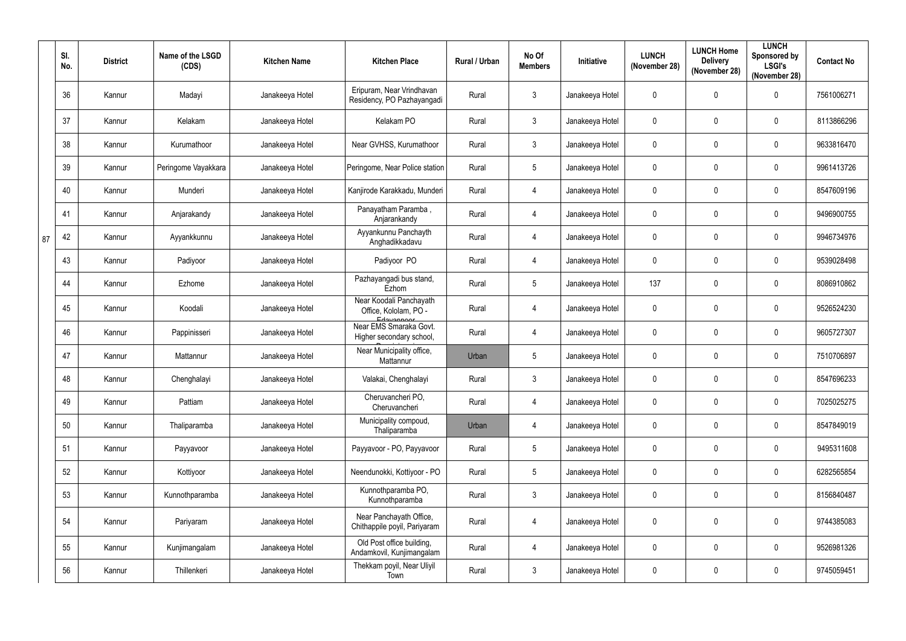|    | SI.<br>No. | <b>District</b> | Name of the LSGD<br>(CDS) | <b>Kitchen Name</b> | <b>Kitchen Place</b>                                             | Rural / Urban | No Of<br><b>Members</b> | Initiative      | <b>LUNCH</b><br>(November 28) | <b>LUNCH Home</b><br><b>Delivery</b><br>(November 28) | <b>LUNCH</b><br>Sponsored by<br><b>LSGI's</b><br>(November 28) | <b>Contact No</b> |
|----|------------|-----------------|---------------------------|---------------------|------------------------------------------------------------------|---------------|-------------------------|-----------------|-------------------------------|-------------------------------------------------------|----------------------------------------------------------------|-------------------|
|    | 36         | Kannur          | Madayi                    | Janakeeya Hotel     | Eripuram, Near Vrindhavan<br>Residency, PO Pazhayangadi          | Rural         | $\mathbf{3}$            | Janakeeya Hotel | $\mathbf 0$                   | $\Omega$                                              | $\pmb{0}$                                                      | 7561006271        |
|    | 37         | Kannur          | Kelakam                   | Janakeeya Hotel     | Kelakam PO                                                       | Rural         | $\mathbf{3}$            | Janakeeya Hotel | $\pmb{0}$                     | $\mathbf{0}$                                          | $\pmb{0}$                                                      | 8113866296        |
|    | 38         | Kannur          | Kurumathoor               | Janakeeya Hotel     | Near GVHSS, Kurumathoor                                          | Rural         | $\mathbf{3}$            | Janakeeya Hotel | $\mathbf 0$                   | 0                                                     | $\pmb{0}$                                                      | 9633816470        |
|    | 39         | Kannur          | Peringome Vayakkara       | Janakeeya Hotel     | Peringome, Near Police station                                   | Rural         | $5\phantom{.0}$         | Janakeeya Hotel | $\pmb{0}$                     | 0                                                     | $\pmb{0}$                                                      | 9961413726        |
|    | 40         | Kannur          | Munderi                   | Janakeeya Hotel     | Kanjirode Karakkadu, Munderi                                     | Rural         | $\overline{4}$          | Janakeeya Hotel | $\mathbf 0$                   | $\mathbf 0$                                           | $\pmb{0}$                                                      | 8547609196        |
|    | 41         | Kannur          | Anjarakandy               | Janakeeya Hotel     | Panayatham Paramba,<br>Anjarankandy                              | Rural         | $\overline{4}$          | Janakeeya Hotel | $\mathbf 0$                   | $\mathbf{0}$                                          | $\pmb{0}$                                                      | 9496900755        |
| 87 | 42         | Kannur          | Ayyankkunnu               | Janakeeya Hotel     | Ayyankunnu Panchayth<br>Anghadikkadavu                           | Rural         | $\overline{4}$          | Janakeeya Hotel | $\mathbf 0$                   | $\mathbf 0$                                           | $\mathbf 0$                                                    | 9946734976        |
|    | 43         | Kannur          | Padiyoor                  | Janakeeya Hotel     | Padiyoor PO                                                      | Rural         | $\overline{4}$          | Janakeeya Hotel | $\mathbf 0$                   | $\mathbf 0$                                           | $\mathbf 0$                                                    | 9539028498        |
|    | 44         | Kannur          | Ezhome                    | Janakeeya Hotel     | Pazhayangadi bus stand,<br>Ezhom                                 | Rural         | $5\phantom{.0}$         | Janakeeya Hotel | 137                           | $\mathbf 0$                                           | 0                                                              | 8086910862        |
|    | 45         | Kannur          | Koodali                   | Janakeeya Hotel     | Near Koodali Panchayath<br>Office, Kololam, PO -                 | Rural         | $\overline{4}$          | Janakeeya Hotel | $\pmb{0}$                     | 0                                                     | $\pmb{0}$                                                      | 9526524230        |
|    | 46         | Kannur          | Pappinisseri              | Janakeeya Hotel     | Edavannoor<br>Near EMS Smaraka Govt.<br>Higher secondary school, | Rural         | $\overline{4}$          | Janakeeya Hotel | $\mathbf 0$                   | 0                                                     | $\pmb{0}$                                                      | 9605727307        |
|    | 47         | Kannur          | Mattannur                 | Janakeeya Hotel     | Near Municipality office,<br>Mattannur                           | Urban         | $5\phantom{.0}$         | Janakeeya Hotel | $\pmb{0}$                     | $\mathbf 0$                                           | $\pmb{0}$                                                      | 7510706897        |
|    | 48         | Kannur          | Chenghalayi               | Janakeeya Hotel     | Valakai, Chenghalayi                                             | Rural         | $\mathbf{3}$            | Janakeeya Hotel | 0                             | $\mathbf 0$                                           | $\mathbf 0$                                                    | 8547696233        |
|    | 49         | Kannur          | Pattiam                   | Janakeeya Hotel     | Cheruvancheri PO,<br>Cheruvancheri                               | Rural         | $\overline{4}$          | Janakeeya Hotel | $\mathbf 0$                   | $\mathbf 0$                                           | $\mathbf 0$                                                    | 7025025275        |
|    | $50\,$     | Kannur          | Thaliparamba              | Janakeeya Hotel     | Municipality compoud,<br>Thaliparamba                            | Urban         | $\overline{4}$          | Janakeeya Hotel | $\mathbf 0$                   | $\pmb{0}$                                             | $\pmb{0}$                                                      | 8547849019        |
|    | 51         | Kannur          | Payyavoor                 | Janakeeya Hotel     | Payyavoor - PO, Payyavoor                                        | Rural         | $5\phantom{.0}$         | Janakeeya Hotel | $\mathbf 0$                   | $\pmb{0}$                                             | $\pmb{0}$                                                      | 9495311608        |
|    | 52         | Kannur          | Kottiyoor                 | Janakeeya Hotel     | Neendunokki, Kottiyoor - PO                                      | Rural         | $5\phantom{.0}$         | Janakeeya Hotel | $\pmb{0}$                     | $\pmb{0}$                                             | $\pmb{0}$                                                      | 6282565854        |
|    | 53         | Kannur          | Kunnothparamba            | Janakeeya Hotel     | Kunnothparamba PO,<br>Kunnothparamba                             | Rural         | $\mathbf{3}$            | Janakeeya Hotel | $\pmb{0}$                     | $\mathbf 0$                                           | $\pmb{0}$                                                      | 8156840487        |
|    | 54         | Kannur          | Pariyaram                 | Janakeeya Hotel     | Near Panchayath Office,<br>Chithappile poyil, Pariyaram          | Rural         | $\overline{4}$          | Janakeeya Hotel | $\pmb{0}$                     | $\pmb{0}$                                             | $\pmb{0}$                                                      | 9744385083        |
|    | 55         | Kannur          | Kunjimangalam             | Janakeeya Hotel     | Old Post office building,<br>Andamkovil, Kunjimangalam           | Rural         | $\overline{4}$          | Janakeeya Hotel | $\pmb{0}$                     | $\pmb{0}$                                             | $\mathbf 0$                                                    | 9526981326        |
|    | 56         | Kannur          | Thillenkeri               | Janakeeya Hotel     | Thekkam poyil, Near Uliyil<br>Town                               | Rural         | $\mathbf{3}$            | Janakeeya Hotel | $\mathbf 0$                   | $\pmb{0}$                                             | $\pmb{0}$                                                      | 9745059451        |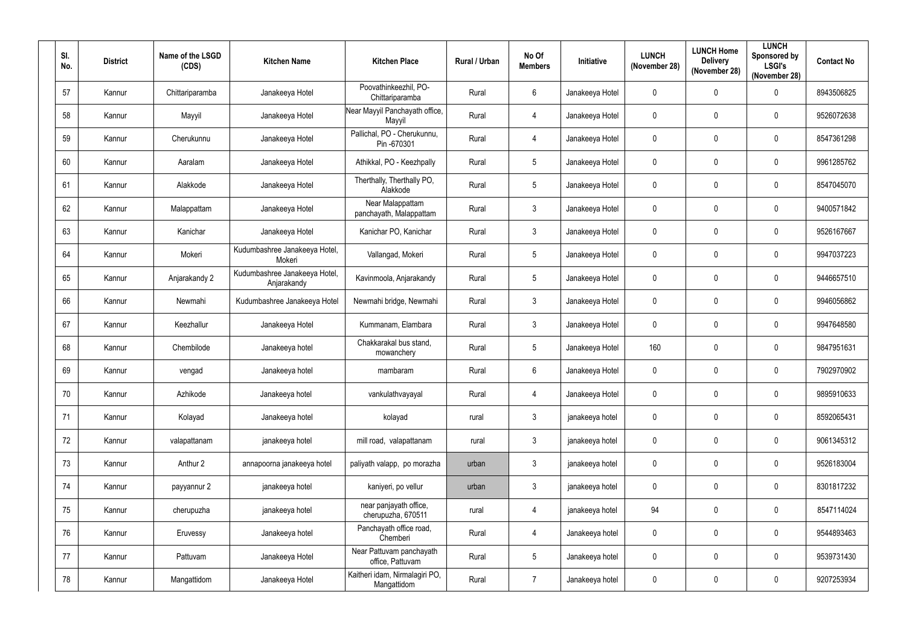| SI.<br>No. | <b>District</b> | Name of the LSGD<br>(CDS) | <b>Kitchen Name</b>                          | <b>Kitchen Place</b>                          | Rural / Urban | No Of<br><b>Members</b> | <b>Initiative</b> | <b>LUNCH</b><br>(November 28) | <b>LUNCH Home</b><br><b>Delivery</b><br>(November 28) | <b>LUNCH</b><br>Sponsored by<br><b>LSGI's</b><br>(November 28) | <b>Contact No</b> |
|------------|-----------------|---------------------------|----------------------------------------------|-----------------------------------------------|---------------|-------------------------|-------------------|-------------------------------|-------------------------------------------------------|----------------------------------------------------------------|-------------------|
| 57         | Kannur          | Chittariparamba           | Janakeeya Hotel                              | Poovathinkeezhil, PO-<br>Chittariparamba      | Rural         | $6\,$                   | Janakeeya Hotel   | $\mathbf 0$                   | $\mathbf 0$                                           | $\mathbf 0$                                                    | 8943506825        |
| 58         | Kannur          | Mayyil                    | Janakeeya Hotel                              | Near Mayyil Panchayath office,<br>Mayyil      | Rural         | $\overline{4}$          | Janakeeya Hotel   | $\mathbf 0$                   | $\mathbf 0$                                           | 0                                                              | 9526072638        |
| 59         | Kannur          | Cherukunnu                | Janakeeya Hotel                              | Pallichal, PO - Cherukunnu,<br>Pin -670301    | Rural         | $\overline{4}$          | Janakeeya Hotel   | $\mathbf 0$                   | 0                                                     | $\mathbf 0$                                                    | 8547361298        |
| 60         | Kannur          | Aaralam                   | Janakeeya Hotel                              | Athikkal, PO - Keezhpally                     | Rural         | $5\phantom{.0}$         | Janakeeya Hotel   | $\mathbf 0$                   | 0                                                     | $\mathbf 0$                                                    | 9961285762        |
| 61         | Kannur          | Alakkode                  | Janakeeya Hotel                              | Therthally, Therthally PO,<br>Alakkode        | Rural         | $5\phantom{.0}$         | Janakeeya Hotel   | $\mathbf 0$                   | $\mathbf 0$                                           | $\mathbf 0$                                                    | 8547045070        |
| 62         | Kannur          | Malappattam               | Janakeeya Hotel                              | Near Malappattam<br>panchayath, Malappattam   | Rural         | $\mathbf{3}$            | Janakeeya Hotel   | $\mathbf 0$                   | 0                                                     | $\mathbf 0$                                                    | 9400571842        |
| 63         | Kannur          | Kanichar                  | Janakeeya Hotel                              | Kanichar PO, Kanichar                         | Rural         | $\mathbf{3}$            | Janakeeya Hotel   | $\mathbf 0$                   | 0                                                     | $\mathbf 0$                                                    | 9526167667        |
| 64         | Kannur          | Mokeri                    | Kudumbashree Janakeeya Hotel,<br>Mokeri      | Vallangad, Mokeri                             | Rural         | $5\phantom{.0}$         | Janakeeya Hotel   | $\mathbf 0$                   | $\mathbf 0$                                           | $\mathbf 0$                                                    | 9947037223        |
| 65         | Kannur          | Anjarakandy 2             | Kudumbashree Janakeeya Hotel,<br>Anjarakandy | Kavinmoola, Anjarakandy                       | Rural         | $\overline{5}$          | Janakeeya Hotel   | $\mathbf 0$                   | 0                                                     | $\mathbf 0$                                                    | 9446657510        |
| 66         | Kannur          | Newmahi                   | Kudumbashree Janakeeya Hotel                 | Newmahi bridge, Newmahi                       | Rural         | $\mathfrak{Z}$          | Janakeeya Hotel   | $\mathbf 0$                   | $\mathbf 0$                                           | $\mathbf 0$                                                    | 9946056862        |
| 67         | Kannur          | Keezhallur                | Janakeeya Hotel                              | Kummanam, Elambara                            | Rural         | $\mathbf{3}$            | Janakeeya Hotel   | $\mathbf 0$                   | 0                                                     | $\mathbf 0$                                                    | 9947648580        |
| 68         | Kannur          | Chembilode                | Janakeeya hotel                              | Chakkarakal bus stand,<br>mowanchery          | Rural         | $5\phantom{.0}$         | Janakeeya Hotel   | 160                           | 0                                                     | $\mathbf 0$                                                    | 9847951631        |
| 69         | Kannur          | vengad                    | Janakeeya hotel                              | mambaram                                      | Rural         | $6\phantom{.}6$         | Janakeeya Hotel   | $\mathbf 0$                   | 0                                                     | $\mathbf 0$                                                    | 7902970902        |
| 70         | Kannur          | Azhikode                  | Janakeeya hotel                              | vankulathvayayal                              | Rural         | $\overline{4}$          | Janakeeya Hotel   | $\mathbf 0$                   | $\mathbf 0$                                           | $\mathbf 0$                                                    | 9895910633        |
| 71         | Kannur          | Kolayad                   | Janakeeya hotel                              | kolayad                                       | rural         | $\mathfrak{Z}$          | janakeeya hotel   | $\pmb{0}$                     | $\mathbf 0$                                           | $\pmb{0}$                                                      | 8592065431        |
| 72         | Kannur          | valapattanam              | janakeeya hotel                              | mill road, valapattanam                       | rural         | $\mathbf{3}$            | janakeeya hotel   | $\mathbf 0$                   | $\mathbf 0$                                           | 0                                                              | 9061345312        |
| 73         | Kannur          | Anthur 2                  | annapoorna janakeeya hotel                   | paliyath valapp, po morazha                   | urban         | $\mathfrak{Z}$          | janakeeya hotel   | $\pmb{0}$                     | $\mathbf 0$                                           | $\pmb{0}$                                                      | 9526183004        |
| 74         | Kannur          | payyannur 2               | janakeeya hotel                              | kaniyeri, po vellur                           | urban         | $\mathfrak{Z}$          | janakeeya hotel   | $\mathbf 0$                   | $\mathbf 0$                                           | 0                                                              | 8301817232        |
| 75         | Kannur          | cherupuzha                | janakeeya hotel                              | near panjayath office,<br>cherupuzha, 670511  | rural         | $\overline{4}$          | janakeeya hotel   | 94                            | $\mathbf 0$                                           | $\pmb{0}$                                                      | 8547114024        |
| 76         | Kannur          | Eruvessy                  | Janakeeya hotel                              | Panchayath office road,<br>Chemberi           | Rural         | $\overline{4}$          | Janakeeya hotel   | $\pmb{0}$                     | 0                                                     | $\pmb{0}$                                                      | 9544893463        |
| 77         | Kannur          | Pattuvam                  | Janakeeya Hotel                              | Near Pattuvam panchayath<br>office, Pattuvam  | Rural         | $5\phantom{.0}$         | Janakeeya hotel   | $\pmb{0}$                     | $\mathbf 0$                                           | $\pmb{0}$                                                      | 9539731430        |
| 78         | Kannur          | Mangattidom               | Janakeeya Hotel                              | Kaitheri idam, Nirmalagiri PO,<br>Mangattidom | Rural         | $\overline{7}$          | Janakeeya hotel   | $\pmb{0}$                     | 0                                                     | 0                                                              | 9207253934        |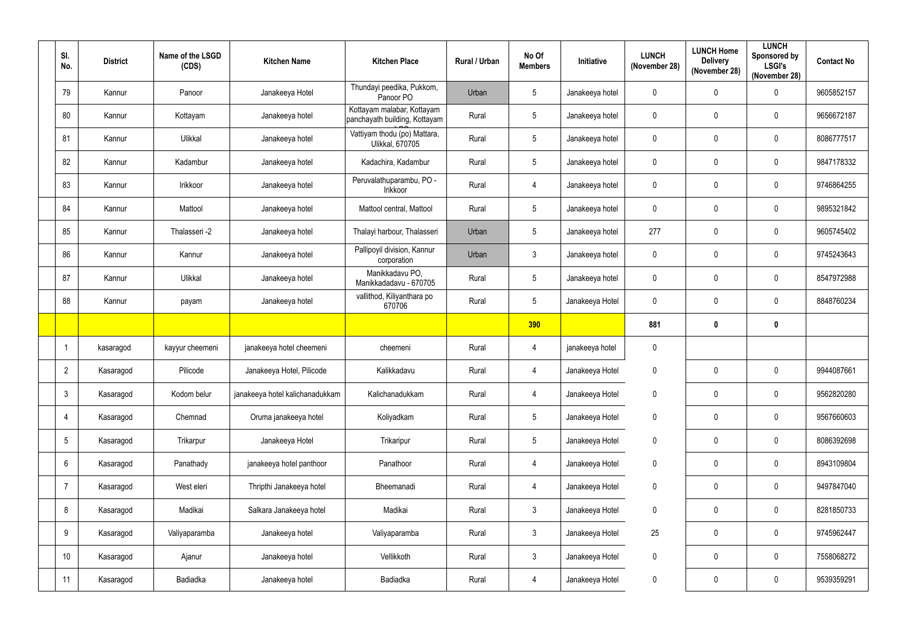| SI.<br>No.      | <b>District</b> | Name of the LSGD<br>(CDS) | <b>Kitchen Name</b>             | <b>Kitchen Place</b>                                        | Rural / Urban | No Of<br><b>Members</b> | Initiative      | <b>LUNCH</b><br>(November 28) | <b>LUNCH Home</b><br><b>Delivery</b><br>(November 28) | <b>LUNCH</b><br>Sponsored by<br><b>LSGI's</b><br>(November 28) | <b>Contact No</b> |
|-----------------|-----------------|---------------------------|---------------------------------|-------------------------------------------------------------|---------------|-------------------------|-----------------|-------------------------------|-------------------------------------------------------|----------------------------------------------------------------|-------------------|
| 79              | Kannur          | Panoor                    | Janakeeya Hotel                 | Thundayi peedika, Pukkom,<br>Panoor PO                      | Urban         | $5\phantom{.0}$         | Janakeeya hotel | $\mathbf 0$                   | $\mathbf 0$                                           | $\pmb{0}$                                                      | 9605852157        |
| 80              | Kannur          | Kottayam                  | Janakeeya hotel                 | Kottayam malabar, Kottayam<br>panchayath building, Kottayam | Rural         | $5\phantom{.0}$         | Janakeeya hotel | $\mathbf 0$                   | $\mathbf 0$                                           | $\mathbf 0$                                                    | 9656672187        |
| 81              | Kannur          | Ulikkal                   | Janakeeya hotel                 | Vattiyam thodu (po) Mattara,<br><b>Ulikkal, 670705</b>      | Rural         | $5\phantom{.0}$         | Janakeeya hotel | $\mathbf 0$                   | $\mathbf{0}$                                          | $\pmb{0}$                                                      | 8086777517        |
| 82              | Kannur          | Kadambur                  | Janakeeya hotel                 | Kadachira, Kadambur                                         | Rural         | $5\phantom{.0}$         | Janakeeya hotel | $\mathbf 0$                   | 0                                                     | $\mathbf 0$                                                    | 9847178332        |
| 83              | Kannur          | Irikkoor                  | Janakeeya hotel                 | Peruvalathuparambu, PO -<br>Irikkoor                        | Rural         | $\overline{4}$          | Janakeeya hotel | $\mathbf 0$                   | 0                                                     | $\mathbf 0$                                                    | 9746864255        |
| 84              | Kannur          | Mattool                   | Janakeeya hotel                 | Mattool central, Mattool                                    | Rural         | $5\overline{)}$         | Janakeeya hotel | $\mathbf 0$                   | $\mathbf 0$                                           | $\mathbf 0$                                                    | 9895321842        |
| 85              | Kannur          | Thalasseri -2             | Janakeeya hotel                 | Thalayi harbour, Thalasseri                                 | Urban         | $5\phantom{.0}$         | Janakeeya hotel | 277                           | $\mathbf 0$                                           | $\mathbf 0$                                                    | 9605745402        |
| 86              | Kannur          | Kannur                    | Janakeeya hotel                 | Pallipoyil division, Kannur<br>corporation                  | Urban         | $\mathbf{3}$            | Janakeeya hotel | $\mathbf 0$                   | $\mathbf 0$                                           | $\pmb{0}$                                                      | 9745243643        |
| 87              | Kannur          | Ulikkal                   | Janakeeya hotel                 | Manikkadavu PO,<br>Manikkadadavu - 670705                   | Rural         | $5\phantom{.0}$         | Janakeeya hotel | $\mathbf 0$                   | $\mathbf 0$                                           | $\mathbf 0$                                                    | 8547972988        |
| 88              | Kannur          | payam                     | Janakeeya hotel                 | vallithod, Kiliyanthara po<br>670706                        | Rural         | $5\phantom{.0}$         | Janakeeya Hotel | $\mathbf 0$                   | 0                                                     | $\mathbf 0$                                                    | 8848760234        |
|                 |                 |                           |                                 |                                                             |               | 390                     |                 | 881                           | $\mathbf 0$                                           | $\mathbf 0$                                                    |                   |
|                 | kasaragod       | kayyur cheemeni           | janakeeya hotel cheemeni        | cheemeni                                                    | Rural         | $\overline{4}$          | janakeeya hotel | $\mathbf 0$                   |                                                       |                                                                |                   |
| $\overline{2}$  | Kasaragod       | Pilicode                  | Janakeeya Hotel, Pilicode       | Kalikkadavu                                                 | Rural         | 4                       | Janakeeya Hotel | $\mathbf 0$                   | $\mathbf 0$                                           | $\mathbf 0$                                                    | 9944087661        |
| $\mathbf{3}$    | Kasaragod       | Kodom belur               | janakeeya hotel kalichanadukkam | Kalichanadukkam                                             | Rural         | $\overline{4}$          | Janakeeya Hotel | $\mathbf 0$                   | $\mathbf 0$                                           | $\pmb{0}$                                                      | 9562820280        |
| $\overline{4}$  | Kasaragod       | Chemnad                   | Oruma janakeeya hotel           | Koliyadkam                                                  | Rural         | $5\phantom{.0}$         | Janakeeya Hotel | $\pmb{0}$                     | $\pmb{0}$                                             | $\pmb{0}$                                                      | 9567660603        |
| $5\phantom{.0}$ | Kasaragod       | Trikarpur                 | Janakeeya Hotel                 | Trikaripur                                                  | Rural         | $5\phantom{.0}$         | Janakeeya Hotel | $\pmb{0}$                     | $\mathbf 0$                                           | $\pmb{0}$                                                      | 8086392698        |
| $6\phantom{.}6$ | Kasaragod       | Panathady                 | janakeeya hotel panthoor        | Panathoor                                                   | Rural         | $\overline{4}$          | Janakeeya Hotel | $\pmb{0}$                     | $\mathbf 0$                                           | $\mathbf 0$                                                    | 8943109804        |
| $\overline{7}$  | Kasaragod       | West eleri                | Thripthi Janakeeya hotel        | Bheemanadi                                                  | Rural         | $\overline{4}$          | Janakeeya Hotel | $\mathbf 0$                   | $\mathbf 0$                                           | $\pmb{0}$                                                      | 9497847040        |
| 8               | Kasaragod       | Madikai                   | Salkara Janakeeya hotel         | Madikai                                                     | Rural         | $\mathbf{3}$            | Janakeeya Hotel | $\overline{0}$                | $\mathbf 0$                                           | $\mathbf 0$                                                    | 8281850733        |
| 9               | Kasaragod       | Valiyaparamba             | Janakeeya hotel                 | Valiyaparamba                                               | Rural         | 3 <sup>1</sup>          | Janakeeya Hotel | 25                            | $\mathbf 0$                                           | $\pmb{0}$                                                      | 9745962447        |
| 10 <sup>°</sup> | Kasaragod       | Ajanur                    | Janakeeya hotel                 | Vellikkoth                                                  | Rural         | $\mathfrak{Z}$          | Janakeeya Hotel | $\mathbf 0$                   | $\pmb{0}$                                             | $\pmb{0}$                                                      | 7558068272        |
| 11              | Kasaragod       | Badiadka                  | Janakeeya hotel                 | Badiadka                                                    | Rural         | $\overline{4}$          | Janakeeya Hotel | $\mathbf 0$                   | $\pmb{0}$                                             | $\pmb{0}$                                                      | 9539359291        |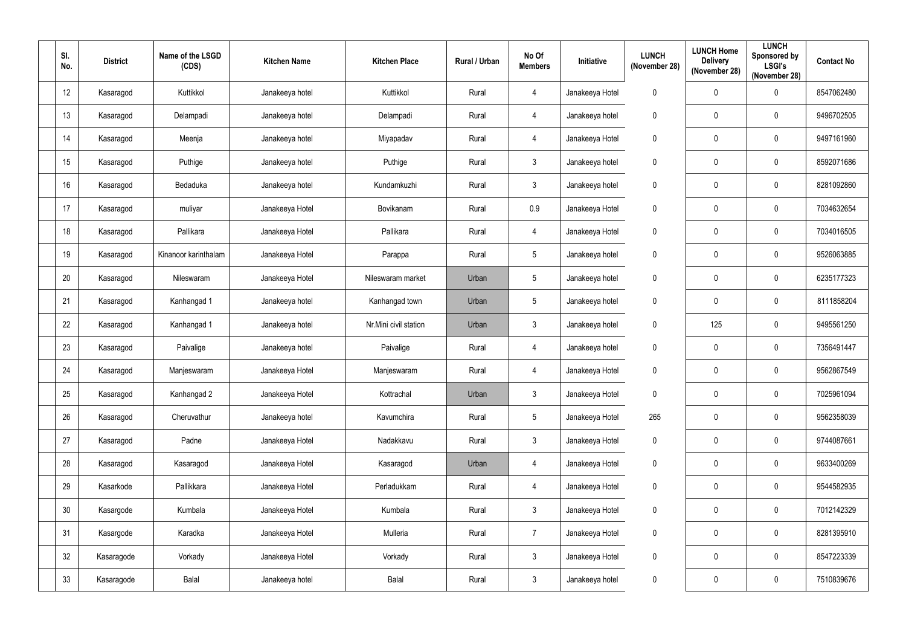| SI.<br>No.      | <b>District</b> | Name of the LSGD<br>(CDS) | <b>Kitchen Name</b> | <b>Kitchen Place</b>  | Rural / Urban | No Of<br><b>Members</b> | Initiative      | <b>LUNCH</b><br>(November 28) | <b>LUNCH Home</b><br><b>Delivery</b><br>(November 28) | <b>LUNCH</b><br>Sponsored by<br><b>LSGI's</b><br>(November 28) | <b>Contact No</b> |
|-----------------|-----------------|---------------------------|---------------------|-----------------------|---------------|-------------------------|-----------------|-------------------------------|-------------------------------------------------------|----------------------------------------------------------------|-------------------|
| 12 <sup>°</sup> | Kasaragod       | Kuttikkol                 | Janakeeya hotel     | Kuttikkol             | Rural         | 4                       | Janakeeya Hotel | $\boldsymbol{0}$              | $\mathbf 0$                                           | $\mathbf 0$                                                    | 8547062480        |
| 13              | Kasaragod       | Delampadi                 | Janakeeya hotel     | Delampadi             | Rural         | 4                       | Janakeeya hotel | $\boldsymbol{0}$              | $\mathbf 0$                                           | $\pmb{0}$                                                      | 9496702505        |
| 14              | Kasaragod       | Meenja                    | Janakeeya hotel     | Miyapadav             | Rural         | 4                       | Janakeeya Hotel | $\boldsymbol{0}$              | $\boldsymbol{0}$                                      | $\pmb{0}$                                                      | 9497161960        |
| 15              | Kasaragod       | Puthige                   | Janakeeya hotel     | Puthige               | Rural         | $\mathbf{3}$            | Janakeeya hotel | $\mathbf 0$                   | $\mathbf 0$                                           | $\mathbf 0$                                                    | 8592071686        |
| 16              | Kasaragod       | Bedaduka                  | Janakeeya hotel     | Kundamkuzhi           | Rural         | $\mathbf{3}$            | Janakeeya hotel | $\boldsymbol{0}$              | 0                                                     | $\mathbf 0$                                                    | 8281092860        |
| 17              | Kasaragod       | muliyar                   | Janakeeya Hotel     | Bovikanam             | Rural         | 0.9                     | Janakeeya Hotel | $\mathbf 0$                   | 0                                                     | $\mathbf 0$                                                    | 7034632654        |
| 18              | Kasaragod       | Pallikara                 | Janakeeya Hotel     | Pallikara             | Rural         | 4                       | Janakeeya Hotel | $\mathbf 0$                   | $\mathbf 0$                                           | $\mathbf 0$                                                    | 7034016505        |
| 19              | Kasaragod       | Kinanoor karinthalam      | Janakeeya Hotel     | Parappa               | Rural         | $5\phantom{.0}$         | Janakeeya hotel | $\mathbf 0$                   | $\mathbf 0$                                           | $\mathbf 0$                                                    | 9526063885        |
| 20              | Kasaragod       | Nileswaram                | Janakeeya Hotel     | Nileswaram market     | Urban         | 5                       | Janakeeya hotel | $\mathbf 0$                   | $\mathbf 0$                                           | $\pmb{0}$                                                      | 6235177323        |
| 21              | Kasaragod       | Kanhangad 1               | Janakeeya hotel     | Kanhangad town        | Urban         | $5\phantom{.0}$         | Janakeeya hotel | $\boldsymbol{0}$              | $\boldsymbol{0}$                                      | $\mathbf 0$                                                    | 8111858204        |
| 22              | Kasaragod       | Kanhangad 1               | Janakeeya hotel     | Nr.Mini civil station | Urban         | $\mathbf{3}$            | Janakeeya hotel | $\mathbf 0$                   | 125                                                   | $\mathbf 0$                                                    | 9495561250        |
| 23              | Kasaragod       | Paivalige                 | Janakeeya hotel     | Paivalige             | Rural         | 4                       | Janakeeya hotel | $\boldsymbol{0}$              | 0                                                     | $\pmb{0}$                                                      | 7356491447        |
| 24              | Kasaragod       | Manjeswaram               | Janakeeya Hotel     | Manjeswaram           | Rural         | 4                       | Janakeeya Hotel | $\boldsymbol{0}$              | $\mathbf 0$                                           | $\mathbf 0$                                                    | 9562867549        |
| 25              | Kasaragod       | Kanhangad 2               | Janakeeya Hotel     | Kottrachal            | Urban         | $\mathfrak{Z}$          | Janakeeya Hotel | $\pmb{0}$                     | $\mathbf 0$                                           | $\pmb{0}$                                                      | 7025961094        |
| 26              | Kasaragod       | Cheruvathur               | Janakeeya hotel     | Kavumchira            | Rural         | $5\phantom{.0}$         | Janakeeya Hotel | 265                           | $\pmb{0}$                                             | $\pmb{0}$                                                      | 9562358039        |
| 27              | Kasaragod       | Padne                     | Janakeeya Hotel     | Nadakkavu             | Rural         | $\mathfrak{Z}$          | Janakeeya Hotel | $\boldsymbol{0}$              | $\mathbf 0$                                           | $\pmb{0}$                                                      | 9744087661        |
| 28              | Kasaragod       | Kasaragod                 | Janakeeya Hotel     | Kasaragod             | Urban         | $\overline{4}$          | Janakeeya Hotel | $\pmb{0}$                     | $\mathbf 0$                                           | $\pmb{0}$                                                      | 9633400269        |
| 29              | Kasarkode       | Pallikkara                | Janakeeya Hotel     | Perladukkam           | Rural         | $\overline{4}$          | Janakeeya Hotel | $\boldsymbol{0}$              | $\mathbf 0$                                           | $\pmb{0}$                                                      | 9544582935        |
| $30\,$          | Kasargode       | Kumbala                   | Janakeeya Hotel     | Kumbala               | Rural         | 3 <sup>1</sup>          | Janakeeya Hotel | $\pmb{0}$                     | $\mathbf 0$                                           | $\mathbf 0$                                                    | 7012142329        |
| 31              | Kasargode       | Karadka                   | Janakeeya Hotel     | Mulleria              | Rural         | $\overline{7}$          | Janakeeya Hotel | $\pmb{0}$                     | $\mathbf 0$                                           | $\pmb{0}$                                                      | 8281395910        |
| 32              | Kasaragode      | Vorkady                   | Janakeeya Hotel     | Vorkady               | Rural         | $\mathfrak{Z}$          | Janakeeya Hotel | $\pmb{0}$                     | $\mathbf 0$                                           | $\pmb{0}$                                                      | 8547223339        |
| 33              | Kasaragode      | Balal                     | Janakeeya hotel     | Balal                 | Rural         | 3 <sup>1</sup>          | Janakeeya hotel | $\boldsymbol{0}$              | $\boldsymbol{0}$                                      | $\pmb{0}$                                                      | 7510839676        |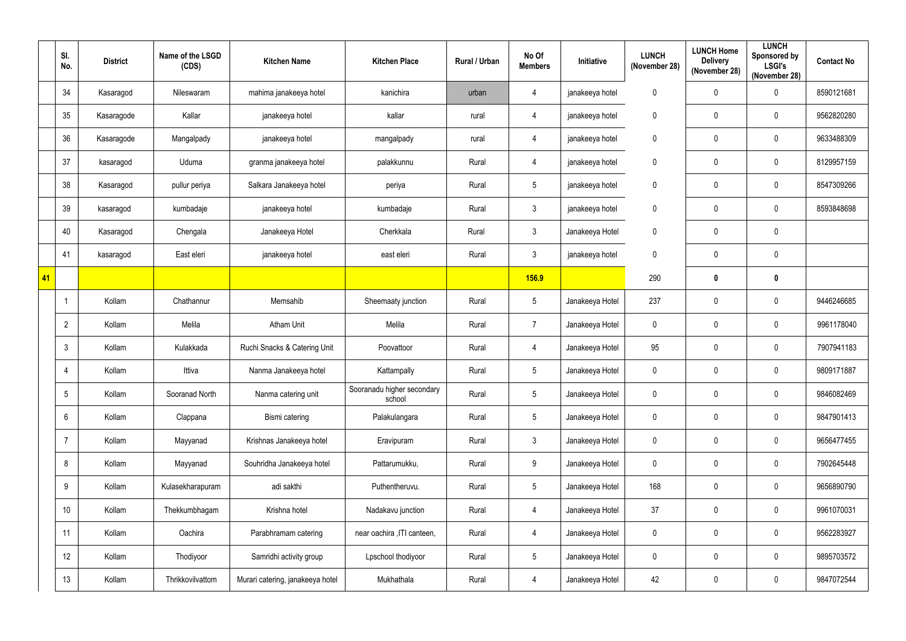|    | SI.<br>No.     | <b>District</b> | Name of the LSGD<br>(CDS) | <b>Kitchen Name</b>              | <b>Kitchen Place</b>                 | Rural / Urban | No Of<br><b>Members</b> | Initiative      | <b>LUNCH</b><br>(November 28) | <b>LUNCH Home</b><br><b>Delivery</b><br>(November 28) | <b>LUNCH</b><br>Sponsored by<br><b>LSGI's</b><br>(November 28) | <b>Contact No</b> |
|----|----------------|-----------------|---------------------------|----------------------------------|--------------------------------------|---------------|-------------------------|-----------------|-------------------------------|-------------------------------------------------------|----------------------------------------------------------------|-------------------|
|    | 34             | Kasaragod       | Nileswaram                | mahima janakeeya hotel           | kanichira                            | urban         | $\overline{4}$          | janakeeya hotel | $\pmb{0}$                     | $\mathbf 0$                                           | $\pmb{0}$                                                      | 8590121681        |
|    | 35             | Kasaragode      | Kallar                    | janakeeya hotel                  | kallar                               | rural         | $\overline{4}$          | janakeeya hotel | $\pmb{0}$                     | $\mathbf 0$                                           | $\pmb{0}$                                                      | 9562820280        |
|    | 36             | Kasaragode      | Mangalpady                | janakeeya hotel                  | mangalpady                           | rural         | $\overline{4}$          | janakeeya hotel | $\pmb{0}$                     | $\mathbf 0$                                           | $\pmb{0}$                                                      | 9633488309        |
|    | 37             | kasaragod       | Uduma                     | granma janakeeya hotel           | palakkunnu                           | Rural         | $\overline{4}$          | janakeeya hotel | $\pmb{0}$                     | $\mathbf 0$                                           | $\pmb{0}$                                                      | 8129957159        |
|    | 38             | Kasaragod       | pullur periya             | Salkara Janakeeya hotel          | periya                               | Rural         | $5\phantom{.0}$         | janakeeya hotel | $\pmb{0}$                     | $\mathbf 0$                                           | $\pmb{0}$                                                      | 8547309266        |
|    | 39             | kasaragod       | kumbadaje                 | janakeeya hotel                  | kumbadaje                            | Rural         | $\mathbf{3}$            | janakeeya hotel | $\pmb{0}$                     | $\mathbf 0$                                           | $\mathbf 0$                                                    | 8593848698        |
|    | 40             | Kasaragod       | Chengala                  | Janakeeya Hotel                  | Cherkkala                            | Rural         | $\mathbf{3}$            | Janakeeya Hotel | $\mathbf 0$                   | $\mathbf 0$                                           | $\pmb{0}$                                                      |                   |
|    | 41             | kasaragod       | East eleri                | janakeeya hotel                  | east eleri                           | Rural         | $\mathbf{3}$            | janakeeya hotel | $\mathbf 0$                   | $\mathbf 0$                                           | $\pmb{0}$                                                      |                   |
| 41 |                |                 |                           |                                  |                                      |               | <b>156.9</b>            |                 | 290                           | $\mathbf 0$                                           | $\pmb{0}$                                                      |                   |
|    |                | Kollam          | Chathannur                | Memsahib                         | Sheemaaty junction                   | Rural         | $5\phantom{.0}$         | Janakeeya Hotel | 237                           | $\mathbf 0$                                           | $\pmb{0}$                                                      | 9446246685        |
|    | $\overline{2}$ | Kollam          | Melila                    | <b>Atham Unit</b>                | Melila                               | Rural         | $\overline{7}$          | Janakeeya Hotel | $\mathbf 0$                   | $\mathbf 0$                                           | $\mathbf 0$                                                    | 9961178040        |
|    | $\mathbf{3}$   | Kollam          | Kulakkada                 | Ruchi Snacks & Catering Unit     | Poovattoor                           | Rural         | $\overline{4}$          | Janakeeya Hotel | 95                            | $\mathbf 0$                                           | $\pmb{0}$                                                      | 7907941183        |
|    | -4             | Kollam          | Ittiva                    | Nanma Janakeeya hotel            | Kattampally                          | Rural         | $5\overline{)}$         | Janakeeya Hotel | $\pmb{0}$                     | $\mathbf 0$                                           | $\mathbf 0$                                                    | 9809171887        |
|    | 5              | Kollam          | Sooranad North            | Nanma catering unit              | Sooranadu higher secondary<br>school | Rural         | $5\phantom{.0}$         | Janakeeya Hotel | $\mathbf 0$                   | $\mathbf 0$                                           | $\mathbf 0$                                                    | 9846082469        |
|    | 6              | Kollam          | Clappana                  | Bismi catering                   | Palakulangara                        | Rural         | $5\overline{)}$         | Janakeeya Hotel | $\pmb{0}$                     | $\mathbf 0$                                           | $\pmb{0}$                                                      | 9847901413        |
|    | $\overline{7}$ | Kollam          | Mayyanad                  | Krishnas Janakeeya hotel         | Eravipuram                           | Rural         | $\mathbf{3}$            | Janakeeya Hotel | $\pmb{0}$                     | $\mathbf 0$                                           | $\pmb{0}$                                                      | 9656477455        |
|    | 8              | Kollam          | Mayyanad                  | Souhridha Janakeeya hotel        | Pattarumukku,                        | Rural         | 9                       | Janakeeya Hotel | $\mathbf 0$                   | $\mathbf 0$                                           | $\pmb{0}$                                                      | 7902645448        |
|    | 9              | Kollam          | Kulasekharapuram          | adi sakthi                       | Puthentheruvu.                       | Rural         | $5\overline{)}$         | Janakeeya Hotel | 168                           | $\mathbf 0$                                           | $\pmb{0}$                                                      | 9656890790        |
|    | 10             | Kollam          | Thekkumbhagam             | Krishna hotel                    | Nadakavu junction                    | Rural         | $\overline{4}$          | Janakeeya Hotel | 37                            | $\mathbf 0$                                           | $\mathbf 0$                                                    | 9961070031        |
|    | 11             | Kollam          | Oachira                   | Parabhramam catering             | near oachira , ITI canteen,          | Rural         | $\overline{4}$          | Janakeeya Hotel | $\pmb{0}$                     | $\mathbf 0$                                           | $\pmb{0}$                                                      | 9562283927        |
|    | 12             | Kollam          | Thodiyoor                 | Samridhi activity group          | Lpschool thodiyoor                   | Rural         | $5\phantom{.0}$         | Janakeeya Hotel | $\pmb{0}$                     | $\mathbf 0$                                           | $\mathbf 0$                                                    | 9895703572        |
|    | 13             | Kollam          | Thrikkovilvattom          | Murari catering, janakeeya hotel | Mukhathala                           | Rural         | $\overline{4}$          | Janakeeya Hotel | 42                            | $\pmb{0}$                                             | $\pmb{0}$                                                      | 9847072544        |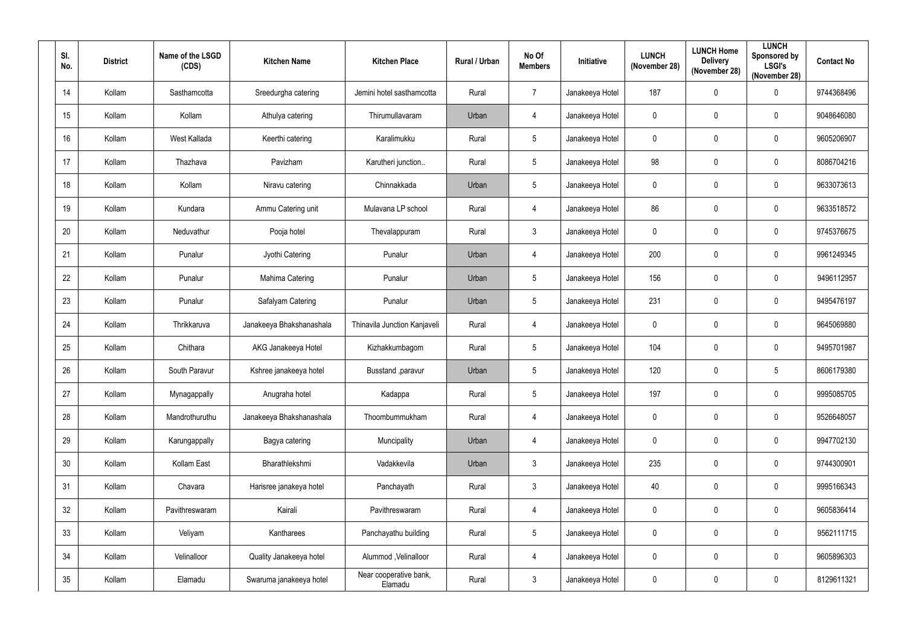| SI.<br>No. | <b>District</b> | Name of the LSGD<br>(CDS) | <b>Kitchen Name</b>      | <b>Kitchen Place</b>              | Rural / Urban | No Of<br><b>Members</b> | Initiative      | <b>LUNCH</b><br>(November 28) | <b>LUNCH Home</b><br><b>Delivery</b><br>(November 28) | <b>LUNCH</b><br><b>Sponsored by</b><br><b>LSGI's</b><br>(November 28) | <b>Contact No</b> |
|------------|-----------------|---------------------------|--------------------------|-----------------------------------|---------------|-------------------------|-----------------|-------------------------------|-------------------------------------------------------|-----------------------------------------------------------------------|-------------------|
| 14         | Kollam          | Sasthamcotta              | Sreedurgha catering      | Jemini hotel sasthamcotta         | Rural         | $\overline{7}$          | Janakeeya Hotel | 187                           | $\mathbf 0$                                           | $\mathbf 0$                                                           | 9744368496        |
| 15         | Kollam          | Kollam                    | Athulya catering         | Thirumullavaram                   | Urban         | 4                       | Janakeeya Hotel | 0                             | $\mathbf 0$                                           | 0                                                                     | 9048646080        |
| 16         | Kollam          | West Kallada              | Keerthi catering         | Karalimukku                       | Rural         | $5\,$                   | Janakeeya Hotel | 0                             | 0                                                     | 0                                                                     | 9605206907        |
| 17         | Kollam          | Thazhava                  | Pavizham                 | Karutheri junction                | Rural         | $5\phantom{.0}$         | Janakeeya Hotel | 98                            | 0                                                     | $\mathbf 0$                                                           | 8086704216        |
| 18         | Kollam          | Kollam                    | Niravu catering          | Chinnakkada                       | Urban         | $5\phantom{.0}$         | Janakeeya Hotel | 0                             | $\mathbf 0$                                           | $\mathbf 0$                                                           | 9633073613        |
| 19         | Kollam          | Kundara                   | Ammu Catering unit       | Mulavana LP school                | Rural         | 4                       | Janakeeya Hotel | 86                            | 0                                                     | $\mathbf 0$                                                           | 9633518572        |
| 20         | Kollam          | Neduvathur                | Pooja hotel              | Thevalappuram                     | Rural         | $\mathfrak{Z}$          | Janakeeya Hotel | 0                             | 0                                                     | 0                                                                     | 9745376675        |
| 21         | Kollam          | Punalur                   | Jyothi Catering          | Punalur                           | Urban         | 4                       | Janakeeya Hotel | 200                           | $\mathbf 0$                                           | $\mathbf 0$                                                           | 9961249345        |
| 22         | Kollam          | Punalur                   | Mahima Catering          | Punalur                           | Urban         | $5\phantom{.0}$         | Janakeeya Hotel | 156                           | 0                                                     | $\mathbf 0$                                                           | 9496112957        |
| 23         | Kollam          | Punalur                   | Safalyam Catering        | Punalur                           | Urban         | $5\phantom{.0}$         | Janakeeya Hotel | 231                           | $\mathbf 0$                                           | $\mathbf 0$                                                           | 9495476197        |
| 24         | Kollam          | Thrikkaruva               | Janakeeya Bhakshanashala | Thinavila Junction Kanjaveli      | Rural         | $\overline{4}$          | Janakeeya Hotel | $\mathbf 0$                   | 0                                                     | $\mathbf 0$                                                           | 9645069880        |
| 25         | Kollam          | Chithara                  | AKG Janakeeya Hotel      | Kizhakkumbagom                    | Rural         | $\sqrt{5}$              | Janakeeya Hotel | 104                           | 0                                                     | $\mathbf 0$                                                           | 9495701987        |
| 26         | Kollam          | South Paravur             | Kshree janakeeya hotel   | Busstand , paravur                | Urban         | $5\phantom{.0}$         | Janakeeya Hotel | 120                           | 0                                                     | $5\phantom{.0}$                                                       | 8606179380        |
| 27         | Kollam          | Mynagappally              | Anugraha hotel           | Kadappa                           | Rural         | $\sqrt{5}$              | Janakeeya Hotel | 197                           | $\mathbf 0$                                           | $\pmb{0}$                                                             | 9995085705        |
| 28         | Kollam          | Mandrothuruthu            | Janakeeya Bhakshanashala | Thoombummukham                    | Rural         | $\overline{4}$          | Janakeeya Hotel | $\pmb{0}$                     | $\pmb{0}$                                             | $\pmb{0}$                                                             | 9526648057        |
| 29         | Kollam          | Karungappally             | Bagya catering           | Muncipality                       | Urban         | $\overline{4}$          | Janakeeya Hotel | 0                             | $\mathbf 0$                                           | 0                                                                     | 9947702130        |
| 30         | Kollam          | Kollam East               | Bharathlekshmi           | Vadakkevila                       | Urban         | $\mathfrak{Z}$          | Janakeeya Hotel | 235                           | 0                                                     | $\pmb{0}$                                                             | 9744300901        |
| 31         | Kollam          | Chavara                   | Harisree janakeya hotel  | Panchayath                        | Rural         | $\mathfrak{Z}$          | Janakeeya Hotel | 40                            | $\mathbf 0$                                           | 0                                                                     | 9995166343        |
| 32         | Kollam          | Pavithreswaram            | Kairali                  | Pavithreswaram                    | Rural         | $\overline{4}$          | Janakeeya Hotel | $\mathbf 0$                   | $\mathbf 0$                                           | $\mathbf 0$                                                           | 9605836414        |
| 33         | Kollam          | Veliyam                   | Kantharees               | Panchayathu building              | Rural         | $\sqrt{5}$              | Janakeeya Hotel | $\pmb{0}$                     | 0                                                     | $\pmb{0}$                                                             | 9562111715        |
| 34         | Kollam          | Velinalloor               | Quality Janakeeya hotel  | Alummod, Velinalloor              | Rural         | $\overline{4}$          | Janakeeya Hotel | $\pmb{0}$                     | 0                                                     | $\pmb{0}$                                                             | 9605896303        |
| 35         | Kollam          | Elamadu                   | Swaruma janakeeya hotel  | Near cooperative bank,<br>Elamadu | Rural         | $\mathfrak{Z}$          | Janakeeya Hotel | 0                             | 0                                                     | 0                                                                     | 8129611321        |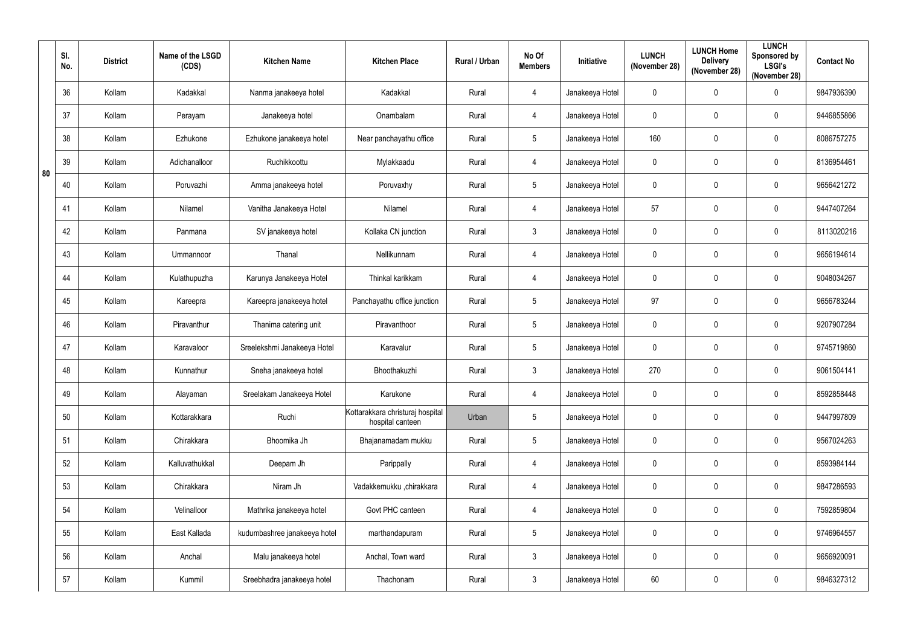|    | SI.<br>No. | <b>District</b> | Name of the LSGD<br>(CDS) | <b>Kitchen Name</b>          | <b>Kitchen Place</b>                                   | Rural / Urban | No Of<br><b>Members</b> | <b>Initiative</b> | <b>LUNCH</b><br>(November 28) | <b>LUNCH Home</b><br><b>Delivery</b><br>(November 28) | <b>LUNCH</b><br>Sponsored by<br><b>LSGI's</b><br>(November 28) | <b>Contact No</b> |
|----|------------|-----------------|---------------------------|------------------------------|--------------------------------------------------------|---------------|-------------------------|-------------------|-------------------------------|-------------------------------------------------------|----------------------------------------------------------------|-------------------|
|    | 36         | Kollam          | Kadakkal                  | Nanma janakeeya hotel        | Kadakkal                                               | Rural         | $\overline{4}$          | Janakeeya Hotel   | $\mathbf 0$                   | $\mathbf 0$                                           | 0                                                              | 9847936390        |
|    | 37         | Kollam          | Perayam                   | Janakeeya hotel              | Onambalam                                              | Rural         | $\overline{4}$          | Janakeeya Hotel   | $\pmb{0}$                     | $\mathbf 0$                                           | 0                                                              | 9446855866        |
|    | 38         | Kollam          | Ezhukone                  | Ezhukone janakeeya hotel     | Near panchayathu office                                | Rural         | $5\phantom{.0}$         | Janakeeya Hotel   | 160                           | $\mathbf 0$                                           | 0                                                              | 8086757275        |
| 80 | 39         | Kollam          | Adichanalloor             | Ruchikkoottu                 | Mylakkaadu                                             | Rural         | $\overline{4}$          | Janakeeya Hotel   | $\pmb{0}$                     | $\mathbf 0$                                           | 0                                                              | 8136954461        |
|    | 40         | Kollam          | Poruvazhi                 | Amma janakeeya hotel         | Poruvaxhy                                              | Rural         | $5\phantom{.0}$         | Janakeeya Hotel   | $\pmb{0}$                     | $\mathbf 0$                                           | 0                                                              | 9656421272        |
|    | 41         | Kollam          | Nilamel                   | Vanitha Janakeeya Hotel      | Nilamel                                                | Rural         | $\overline{4}$          | Janakeeya Hotel   | 57                            | $\mathbf 0$                                           | $\mathbf 0$                                                    | 9447407264        |
|    | 42         | Kollam          | Panmana                   | SV janakeeya hotel           | Kollaka CN junction                                    | Rural         | $\mathbf{3}$            | Janakeeya Hotel   | $\mathbf 0$                   | $\mathbf 0$                                           | $\mathbf 0$                                                    | 8113020216        |
|    | 43         | Kollam          | Ummannoor                 | Thanal                       | Nellikunnam                                            | Rural         | $\overline{4}$          | Janakeeya Hotel   | $\mathbf 0$                   | $\mathbf 0$                                           | 0                                                              | 9656194614        |
|    | 44         | Kollam          | Kulathupuzha              | Karunya Janakeeya Hotel      | Thinkal karikkam                                       | Rural         | $\overline{4}$          | Janakeeya Hotel   | $\mathbf 0$                   | $\mathbf 0$                                           | 0                                                              | 9048034267        |
|    | 45         | Kollam          | Kareepra                  | Kareepra janakeeya hotel     | Panchayathu office junction                            | Rural         | $5\phantom{.0}$         | Janakeeya Hotel   | 97                            | $\mathbf 0$                                           | $\mathbf 0$                                                    | 9656783244        |
|    | 46         | Kollam          | Piravanthur               | Thanima catering unit        | Piravanthoor                                           | Rural         | $5\phantom{.0}$         | Janakeeya Hotel   | $\mathbf 0$                   | $\mathbf 0$                                           | $\mathbf 0$                                                    | 9207907284        |
|    | 47         | Kollam          | Karavaloor                | Sreelekshmi Janakeeya Hotel  | Karavalur                                              | Rural         | $5\phantom{.0}$         | Janakeeya Hotel   | $\mathbf 0$                   | $\mathbf 0$                                           | 0                                                              | 9745719860        |
|    | 48         | Kollam          | Kunnathur                 | Sneha janakeeya hotel        | Bhoothakuzhi                                           | Rural         | $\mathbf{3}$            | Janakeeya Hotel   | 270                           | $\mathbf 0$                                           | $\mathbf 0$                                                    | 9061504141        |
|    | 49         | Kollam          | Alayaman                  | Sreelakam Janakeeya Hotel    | Karukone                                               | Rural         | $\overline{4}$          | Janakeeya Hotel   | $\pmb{0}$                     | $\mathbf 0$                                           | 0                                                              | 8592858448        |
|    | 50         | Kollam          | Kottarakkara              | Ruchi                        | Kottarakkara christuraj hospital  <br>hospital canteen | Urban         | $5\phantom{.0}$         | Janakeeya Hotel   | $\pmb{0}$                     | $\mathbf 0$                                           | $\pmb{0}$                                                      | 9447997809        |
|    | 51         | Kollam          | Chirakkara                | Bhoomika Jh                  | Bhajanamadam mukku                                     | Rural         | $5\phantom{.0}$         | Janakeeya Hotel   | $\pmb{0}$                     | $\mathbf 0$                                           | 0                                                              | 9567024263        |
|    | 52         | Kollam          | Kalluvathukkal            | Deepam Jh                    | Parippally                                             | Rural         | $\overline{4}$          | Janakeeya Hotel   | $\pmb{0}$                     | $\mathbf 0$                                           | $\pmb{0}$                                                      | 8593984144        |
|    | 53         | Kollam          | Chirakkara                | Niram Jh                     | Vadakkemukku ,chirakkara                               | Rural         | $\overline{4}$          | Janakeeya Hotel   | $\pmb{0}$                     | $\mathbf 0$                                           | 0                                                              | 9847286593        |
|    | 54         | Kollam          | Velinalloor               | Mathrika janakeeya hotel     | Govt PHC canteen                                       | Rural         | $\overline{4}$          | Janakeeya Hotel   | $\pmb{0}$                     | $\mathbf 0$                                           | 0                                                              | 7592859804        |
|    | 55         | Kollam          | East Kallada              | kudumbashree janakeeya hotel | marthandapuram                                         | Rural         | $5\phantom{.0}$         | Janakeeya Hotel   | $\pmb{0}$                     | $\mathbf 0$                                           | 0                                                              | 9746964557        |
|    | 56         | Kollam          | Anchal                    | Malu janakeeya hotel         | Anchal, Town ward                                      | Rural         | $\mathbf{3}$            | Janakeeya Hotel   | $\pmb{0}$                     | $\mathbf 0$                                           | $\pmb{0}$                                                      | 9656920091        |
|    | 57         | Kollam          | Kummil                    | Sreebhadra janakeeya hotel   | Thachonam                                              | Rural         | $\mathbf{3}$            | Janakeeya Hotel   | 60                            | $\pmb{0}$                                             | 0                                                              | 9846327312        |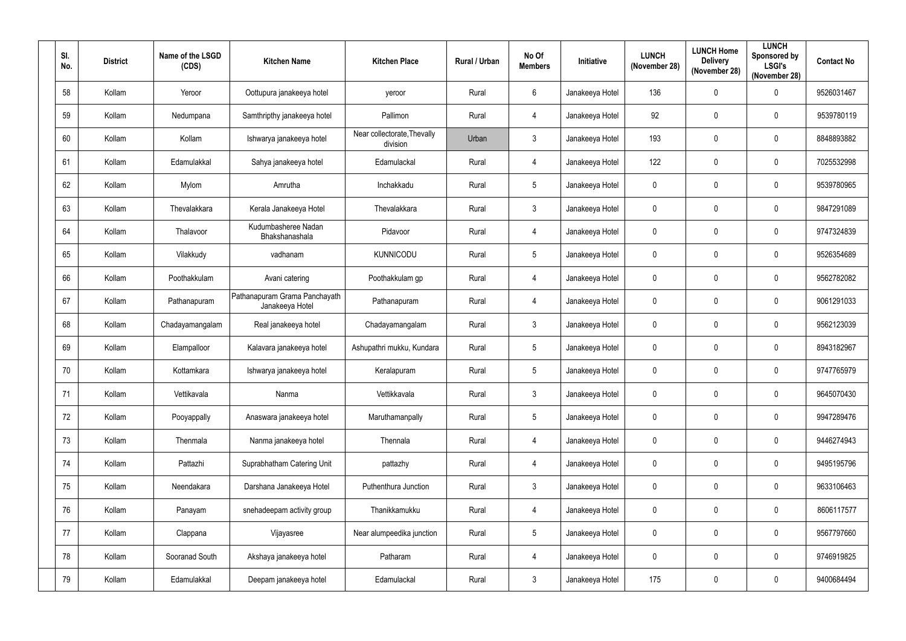| SI.<br>No. | <b>District</b> | Name of the LSGD<br>(CDS) | <b>Kitchen Name</b>                              | <b>Kitchen Place</b>                    | Rural / Urban | No Of<br><b>Members</b> | Initiative      | <b>LUNCH</b><br>(November 28) | <b>LUNCH Home</b><br><b>Delivery</b><br>(November 28) | <b>LUNCH</b><br>Sponsored by<br><b>LSGI's</b><br>(November 28) | <b>Contact No</b> |
|------------|-----------------|---------------------------|--------------------------------------------------|-----------------------------------------|---------------|-------------------------|-----------------|-------------------------------|-------------------------------------------------------|----------------------------------------------------------------|-------------------|
| 58         | Kollam          | Yeroor                    | Oottupura janakeeya hotel                        | yeroor                                  | Rural         | 6                       | Janakeeya Hotel | 136                           | 0                                                     | $\mathbf 0$                                                    | 9526031467        |
| 59         | Kollam          | Nedumpana                 | Samthripthy janakeeya hotel                      | Pallimon                                | Rural         | $\overline{4}$          | Janakeeya Hotel | 92                            | 0                                                     | $\mathbf 0$                                                    | 9539780119        |
| 60         | Kollam          | Kollam                    | Ishwarya janakeeya hotel                         | Near collectorate, Thevally<br>division | Urban         | $\mathfrak{Z}$          | Janakeeya Hotel | 193                           | $\mathbf 0$                                           | $\mathbf 0$                                                    | 8848893882        |
| 61         | Kollam          | Edamulakkal               | Sahya janakeeya hotel                            | Edamulackal                             | Rural         | $\overline{4}$          | Janakeeya Hotel | 122                           | 0                                                     | $\mathbf 0$                                                    | 7025532998        |
| 62         | Kollam          | Mylom                     | Amrutha                                          | Inchakkadu                              | Rural         | $5\phantom{.0}$         | Janakeeya Hotel | $\mathbf 0$                   | 0                                                     | $\mathbf 0$                                                    | 9539780965        |
| 63         | Kollam          | Thevalakkara              | Kerala Janakeeya Hotel                           | Thevalakkara                            | Rural         | $\mathbf{3}$            | Janakeeya Hotel | $\mathbf 0$                   | $\mathbf 0$                                           | $\mathbf 0$                                                    | 9847291089        |
| 64         | Kollam          | Thalavoor                 | Kudumbasheree Nadan<br>Bhakshanashala            | Pidavoor                                | Rural         | $\overline{4}$          | Janakeeya Hotel | $\mathbf 0$                   | $\mathbf 0$                                           | $\mathbf 0$                                                    | 9747324839        |
| 65         | Kollam          | Vilakkudy                 | vadhanam                                         | <b>KUNNICODU</b>                        | Rural         | $5\phantom{.0}$         | Janakeeya Hotel | $\mathbf 0$                   | $\mathbf 0$                                           | $\mathbf 0$                                                    | 9526354689        |
| 66         | Kollam          | Poothakkulam              | Avani catering                                   | Poothakkulam gp                         | Rural         | $\overline{4}$          | Janakeeya Hotel | $\mathbf 0$                   | 0                                                     | $\mathbf 0$                                                    | 9562782082        |
| 67         | Kollam          | Pathanapuram              | Pathanapuram Grama Panchayath<br>Janakeeya Hotel | Pathanapuram                            | Rural         | $\overline{4}$          | Janakeeya Hotel | $\mathbf 0$                   | $\mathbf 0$                                           | $\mathbf 0$                                                    | 9061291033        |
| 68         | Kollam          | Chadayamangalam           | Real janakeeya hotel                             | Chadayamangalam                         | Rural         | $\mathbf{3}$            | Janakeeya Hotel | $\mathbf 0$                   | 0                                                     | $\mathbf 0$                                                    | 9562123039        |
| 69         | Kollam          | Elampalloor               | Kalavara janakeeya hotel                         | Ashupathri mukku, Kundara               | Rural         | $5\phantom{.0}$         | Janakeeya Hotel | $\mathbf 0$                   | $\mathbf 0$                                           | $\mathbf 0$                                                    | 8943182967        |
| 70         | Kollam          | Kottamkara                | Ishwarya janakeeya hotel                         | Keralapuram                             | Rural         | 5                       | Janakeeya Hotel | $\mathbf 0$                   | $\mathbf 0$                                           | $\mathbf 0$                                                    | 9747765979        |
| 71         | Kollam          | Vettikavala               | Nanma                                            | Vettikkavala                            | Rural         | $\mathbf{3}$            | Janakeeya Hotel | $\mathbf 0$                   | $\mathbf 0$                                           | $\pmb{0}$                                                      | 9645070430        |
| 72         | Kollam          | Pooyappally               | Anaswara janakeeya hotel                         | Maruthamanpally                         | Rural         | $5\phantom{.0}$         | Janakeeya Hotel | $\mathbf 0$                   | $\pmb{0}$                                             | $\pmb{0}$                                                      | 9947289476        |
| 73         | Kollam          | Thenmala                  | Nanma janakeeya hotel                            | Thennala                                | Rural         | $\overline{4}$          | Janakeeya Hotel | $\mathbf 0$                   | $\mathbf 0$                                           | $\mathbf 0$                                                    | 9446274943        |
| 74         | Kollam          | Pattazhi                  | Suprabhatham Catering Unit                       | pattazhy                                | Rural         | $\overline{4}$          | Janakeeya Hotel | $\mathbf 0$                   | $\mathbf 0$                                           | $\pmb{0}$                                                      | 9495195796        |
| 75         | Kollam          | Neendakara                | Darshana Janakeeya Hotel                         | Puthenthura Junction                    | Rural         | $\mathbf{3}$            | Janakeeya Hotel | $\mathbf 0$                   | $\mathbf 0$                                           | $\pmb{0}$                                                      | 9633106463        |
| 76         | Kollam          | Panayam                   | snehadeepam activity group                       | Thanikkamukku                           | Rural         | $\overline{4}$          | Janakeeya Hotel | $\mathbf 0$                   | $\mathbf 0$                                           | $\mathbf 0$                                                    | 8606117577        |
| 77         | Kollam          | Clappana                  | Vijayasree                                       | Near alumpeedika junction               | Rural         | 5 <sup>5</sup>          | Janakeeya Hotel | $\mathbf 0$                   | $\mathbf 0$                                           | $\mathbf 0$                                                    | 9567797660        |
| 78         | Kollam          | Sooranad South            | Akshaya janakeeya hotel                          | Patharam                                | Rural         | $\overline{4}$          | Janakeeya Hotel | $\mathbf 0$                   | $\mathbf 0$                                           | $\pmb{0}$                                                      | 9746919825        |
| 79         | Kollam          | Edamulakkal               | Deepam janakeeya hotel                           | Edamulackal                             | Rural         | $\mathfrak{Z}$          | Janakeeya Hotel | 175                           | $\pmb{0}$                                             | $\pmb{0}$                                                      | 9400684494        |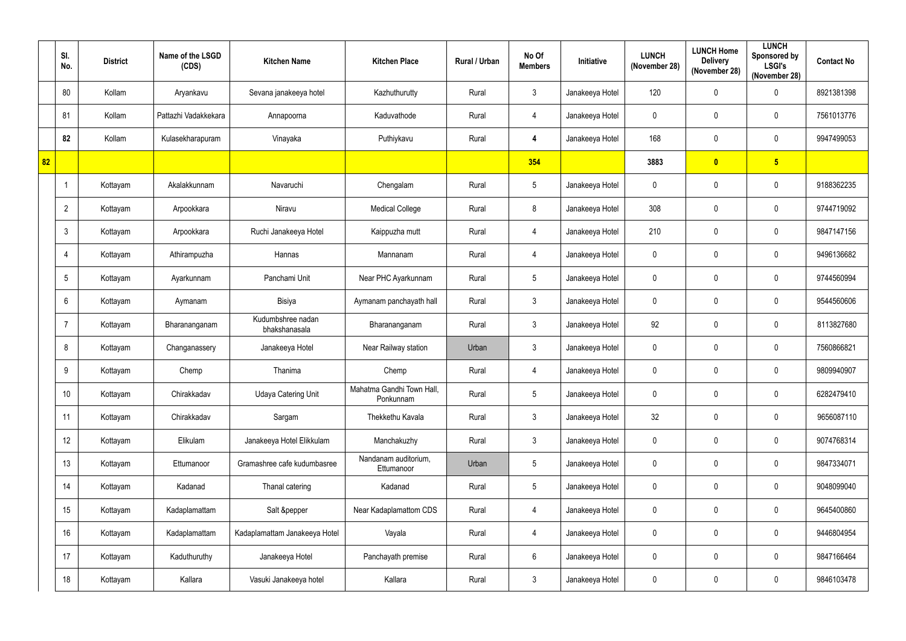|    | SI.<br>No.      | <b>District</b> | Name of the LSGD<br>(CDS) | <b>Kitchen Name</b>                | <b>Kitchen Place</b>                   | Rural / Urban | No Of<br><b>Members</b> | Initiative      | <b>LUNCH</b><br>(November 28) | <b>LUNCH Home</b><br><b>Delivery</b><br>(November 28) | <b>LUNCH</b><br>Sponsored by<br><b>LSGI's</b><br>(November 28) | <b>Contact No</b> |
|----|-----------------|-----------------|---------------------------|------------------------------------|----------------------------------------|---------------|-------------------------|-----------------|-------------------------------|-------------------------------------------------------|----------------------------------------------------------------|-------------------|
|    | 80              | Kollam          | Aryankavu                 | Sevana janakeeya hotel             | Kazhuthurutty                          | Rural         | $\mathbf{3}$            | Janakeeya Hotel | 120                           | $\mathbf 0$                                           | $\mathbf 0$                                                    | 8921381398        |
|    | 81              | Kollam          | Pattazhi Vadakkekara      | Annapoorna                         | Kaduvathode                            | Rural         | $\overline{4}$          | Janakeeya Hotel | $\mathbf 0$                   | $\mathbf 0$                                           | $\mathbf 0$                                                    | 7561013776        |
|    | 82              | Kollam          | Kulasekharapuram          | Vinayaka                           | Puthiykavu                             | Rural         | 4                       | Janakeeya Hotel | 168                           | $\mathbf 0$                                           | $\mathbf 0$                                                    | 9947499053        |
| 82 |                 |                 |                           |                                    |                                        |               | 354                     |                 | 3883                          | $\mathbf{0}$                                          | $5\phantom{a}$                                                 |                   |
|    | -1              | Kottayam        | Akalakkunnam              | Navaruchi                          | Chengalam                              | Rural         | $5\phantom{.0}$         | Janakeeya Hotel | $\mathbf 0$                   | 0                                                     | $\pmb{0}$                                                      | 9188362235        |
|    | $\overline{2}$  | Kottayam        | Arpookkara                | Niravu                             | <b>Medical College</b>                 | Rural         | 8                       | Janakeeya Hotel | 308                           | $\mathbf 0$                                           | $\mathbf 0$                                                    | 9744719092        |
|    | 3               | Kottayam        | Arpookkara                | Ruchi Janakeeya Hotel              | Kaippuzha mutt                         | Rural         | $\overline{4}$          | Janakeeya Hotel | 210                           | 0                                                     | $\mathbf 0$                                                    | 9847147156        |
|    | 4               | Kottayam        | Athirampuzha              | Hannas                             | Mannanam                               | Rural         | 4                       | Janakeeya Hotel | $\mathbf 0$                   | $\mathbf 0$                                           | $\mathbf 0$                                                    | 9496136682        |
|    | 5               | Kottayam        | Ayarkunnam                | Panchami Unit                      | Near PHC Ayarkunnam                    | Rural         | $5\phantom{.0}$         | Janakeeya Hotel | $\mathbf 0$                   | $\mathbf 0$                                           | $\mathbf 0$                                                    | 9744560994        |
|    | 6               | Kottayam        | Aymanam                   | Bisiya                             | Aymanam panchayath hall                | Rural         | $\mathbf{3}$            | Janakeeya Hotel | $\mathbf 0$                   | 0                                                     | $\mathbf 0$                                                    | 9544560606        |
|    |                 | Kottayam        | Bharananganam             | Kudumbshree nadan<br>bhakshanasala | Bharananganam                          | Rural         | $\mathbf{3}$            | Janakeeya Hotel | 92                            | 0                                                     | $\mathbf 0$                                                    | 8113827680        |
|    | 8               | Kottayam        | Changanassery             | Janakeeya Hotel                    | Near Railway station                   | Urban         | $\mathbf{3}$            | Janakeeya Hotel | $\mathbf 0$                   | $\boldsymbol{0}$                                      | $\mathbf 0$                                                    | 7560866821        |
|    | 9               | Kottayam        | Chemp                     | Thanima                            | Chemp                                  | Rural         | $\overline{4}$          | Janakeeya Hotel | $\mathbf 0$                   | $\mathbf 0$                                           | $\mathbf 0$                                                    | 9809940907        |
|    | 10 <sup>°</sup> | Kottayam        | Chirakkadav               | <b>Udaya Catering Unit</b>         | Mahatma Gandhi Town Hall,<br>Ponkunnam | Rural         | $5\phantom{.0}$         | Janakeeya Hotel | $\mathbf 0$                   | $\mathbf 0$                                           | $\pmb{0}$                                                      | 6282479410        |
|    | 11              | Kottayam        | Chirakkadav               | Sargam                             | Thekkethu Kavala                       | Rural         | $\mathbf{3}$            | Janakeeya Hotel | 32                            | $\pmb{0}$                                             | $\pmb{0}$                                                      | 9656087110        |
|    | 12              | Kottayam        | Elikulam                  | Janakeeya Hotel Elikkulam          | Manchakuzhy                            | Rural         | $\mathbf{3}$            | Janakeeya Hotel | $\mathbf 0$                   | $\mathbf 0$                                           | $\pmb{0}$                                                      | 9074768314        |
|    | 13              | Kottayam        | Ettumanoor                | Gramashree cafe kudumbasree        | Nandanam auditorium,<br>Ettumanoor     | Urban         | $5\overline{)}$         | Janakeeya Hotel | $\mathbf 0$                   | $\mathbf 0$                                           | $\pmb{0}$                                                      | 9847334071        |
|    | 14              | Kottayam        | Kadanad                   | Thanal catering                    | Kadanad                                | Rural         | $5\overline{)}$         | Janakeeya Hotel | $\mathbf 0$                   | $\mathbf 0$                                           | $\pmb{0}$                                                      | 9048099040        |
|    | 15              | Kottayam        | Kadaplamattam             | Salt &pepper                       | Near Kadaplamattom CDS                 | Rural         | $\overline{4}$          | Janakeeya Hotel | $\mathbf 0$                   | $\mathbf 0$                                           | $\pmb{0}$                                                      | 9645400860        |
|    | 16              | Kottayam        | Kadaplamattam             | Kadaplamattam Janakeeya Hotel      | Vayala                                 | Rural         | $\overline{4}$          | Janakeeya Hotel | $\mathbf 0$                   | $\mathbf 0$                                           | $\pmb{0}$                                                      | 9446804954        |
|    | 17              | Kottayam        | Kaduthuruthy              | Janakeeya Hotel                    | Panchayath premise                     | Rural         | $6\overline{6}$         | Janakeeya Hotel | $\mathbf 0$                   | $\mathbf 0$                                           | $\pmb{0}$                                                      | 9847166464        |
|    | 18              | Kottayam        | Kallara                   | Vasuki Janakeeya hotel             | Kallara                                | Rural         | $\mathbf{3}$            | Janakeeya Hotel | $\mathbf 0$                   | $\boldsymbol{0}$                                      | $\pmb{0}$                                                      | 9846103478        |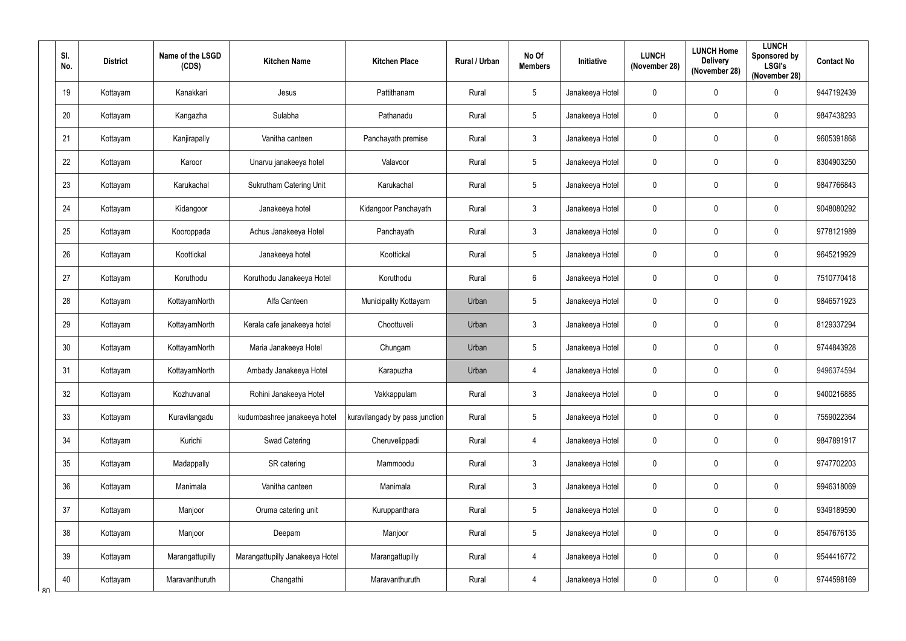|    | SI.<br>No. | <b>District</b> | Name of the LSGD<br>(CDS) | <b>Kitchen Name</b>             | <b>Kitchen Place</b>           | Rural / Urban | No Of<br><b>Members</b> | Initiative      | <b>LUNCH</b><br>(November 28) | <b>LUNCH Home</b><br><b>Delivery</b><br>(November 28) | <b>LUNCH</b><br><b>Sponsored by</b><br><b>LSGI's</b><br>(November 28) | <b>Contact No</b> |
|----|------------|-----------------|---------------------------|---------------------------------|--------------------------------|---------------|-------------------------|-----------------|-------------------------------|-------------------------------------------------------|-----------------------------------------------------------------------|-------------------|
|    | 19         | Kottayam        | Kanakkari                 | Jesus                           | Pattithanam                    | Rural         | $5\phantom{.0}$         | Janakeeya Hotel | $\mathbf 0$                   | $\mathbf 0$                                           | $\mathbf 0$                                                           | 9447192439        |
|    | 20         | Kottayam        | Kangazha                  | Sulabha                         | Pathanadu                      | Rural         | $5\phantom{.0}$         | Janakeeya Hotel | $\mathbf 0$                   | $\mathbf 0$                                           | $\mathbf 0$                                                           | 9847438293        |
|    | 21         | Kottayam        | Kanjirapally              | Vanitha canteen                 | Panchayath premise             | Rural         | $\mathfrak{Z}$          | Janakeeya Hotel | $\mathbf 0$                   | $\mathbf 0$                                           | $\pmb{0}$                                                             | 9605391868        |
|    | 22         | Kottayam        | Karoor                    | Unarvu janakeeya hotel          | Valavoor                       | Rural         | $5\phantom{.0}$         | Janakeeya Hotel | $\mathbf 0$                   | 0                                                     | $\mathbf 0$                                                           | 8304903250        |
|    | 23         | Kottayam        | Karukachal                | <b>Sukrutham Catering Unit</b>  | Karukachal                     | Rural         | $5\phantom{.0}$         | Janakeeya Hotel | $\mathbf 0$                   | $\mathbf 0$                                           | 0                                                                     | 9847766843        |
|    | 24         | Kottayam        | Kidangoor                 | Janakeeya hotel                 | Kidangoor Panchayath           | Rural         | $\mathbf{3}$            | Janakeeya Hotel | $\mathbf 0$                   | $\mathbf 0$                                           | $\mathbf 0$                                                           | 9048080292        |
|    | 25         | Kottayam        | Kooroppada                | Achus Janakeeya Hotel           | Panchayath                     | Rural         | $\mathbf{3}$            | Janakeeya Hotel | $\mathbf 0$                   | 0                                                     | $\mathbf 0$                                                           | 9778121989        |
|    | 26         | Kottayam        | Koottickal                | Janakeeya hotel                 | Koottickal                     | Rural         | $5\phantom{.0}$         | Janakeeya Hotel | $\mathbf 0$                   | $\mathbf 0$                                           | 0                                                                     | 9645219929        |
|    | 27         | Kottayam        | Koruthodu                 | Koruthodu Janakeeya Hotel       | Koruthodu                      | Rural         | $6\phantom{.}6$         | Janakeeya Hotel | $\mathbf 0$                   | $\mathbf 0$                                           | 0                                                                     | 7510770418        |
|    | 28         | Kottayam        | KottayamNorth             | Alfa Canteen                    | Municipality Kottayam          | Urban         | $\sqrt{5}$              | Janakeeya Hotel | $\mathbf 0$                   | 0                                                     | 0                                                                     | 9846571923        |
|    | 29         | Kottayam        | KottayamNorth             | Kerala cafe janakeeya hotel     | Choottuveli                    | Urban         | $\mathfrak{3}$          | Janakeeya Hotel | $\mathbf 0$                   | $\mathbf 0$                                           | $\mathbf 0$                                                           | 8129337294        |
|    | 30         | Kottayam        | KottayamNorth             | Maria Janakeeya Hotel           | Chungam                        | Urban         | $5\phantom{.0}$         | Janakeeya Hotel | $\mathbf 0$                   | $\mathbf 0$                                           | $\mathbf 0$                                                           | 9744843928        |
|    | 31         | Kottayam        | KottayamNorth             | Ambady Janakeeya Hotel          | Karapuzha                      | Urban         | $\overline{4}$          | Janakeeya Hotel | $\mathbf 0$                   | $\mathbf 0$                                           | $\mathbf 0$                                                           | 9496374594        |
|    | 32         | Kottayam        | Kozhuvanal                | Rohini Janakeeya Hotel          | Vakkappulam                    | Rural         | $\mathfrak{Z}$          | Janakeeya Hotel | $\pmb{0}$                     | $\mathbf 0$                                           | $\pmb{0}$                                                             | 9400216885        |
|    | 33         | Kottayam        | Kuravilangadu             | kudumbashree janakeeya hotel    | kuravilangady by pass junction | Rural         | $5\phantom{.0}$         | Janakeeya Hotel | $\pmb{0}$                     | $\mathbf 0$                                           | $\pmb{0}$                                                             | 7559022364        |
|    | 34         | Kottayam        | Kurichi                   | Swad Catering                   | Cheruvelippadi                 | Rural         | $\overline{4}$          | Janakeeya Hotel | $\mathbf 0$                   | $\mathbf 0$                                           | $\pmb{0}$                                                             | 9847891917        |
|    | 35         | Kottayam        | Madappally                | SR catering                     | Mammoodu                       | Rural         | $\mathfrak{Z}$          | Janakeeya Hotel | $\mathbf 0$                   | $\mathbf 0$                                           | 0                                                                     | 9747702203        |
|    | 36         | Kottayam        | Manimala                  | Vanitha canteen                 | Manimala                       | Rural         | $\mathfrak{Z}$          | Janakeeya Hotel | $\pmb{0}$                     | $\mathbf 0$                                           | $\pmb{0}$                                                             | 9946318069        |
|    | 37         | Kottayam        | Manjoor                   | Oruma catering unit             | Kuruppanthara                  | Rural         | $5\phantom{.0}$         | Janakeeya Hotel | $\mathbf 0$                   | $\mathbf 0$                                           | 0                                                                     | 9349189590        |
|    | 38         | Kottayam        | Manjoor                   | Deepam                          | Manjoor                        | Rural         | $5\phantom{.0}$         | Janakeeya Hotel | $\pmb{0}$                     | $\mathbf 0$                                           | $\pmb{0}$                                                             | 8547676135        |
|    | 39         | Kottayam        | Marangattupilly           | Marangattupilly Janakeeya Hotel | Marangattupilly                | Rural         | $\overline{4}$          | Janakeeya Hotel | $\pmb{0}$                     | $\mathbf 0$                                           | 0                                                                     | 9544416772        |
| R۷ | 40         | Kottayam        | Maravanthuruth            | Changathi                       | Maravanthuruth                 | Rural         | $\overline{4}$          | Janakeeya Hotel | $\pmb{0}$                     | 0                                                     | 0                                                                     | 9744598169        |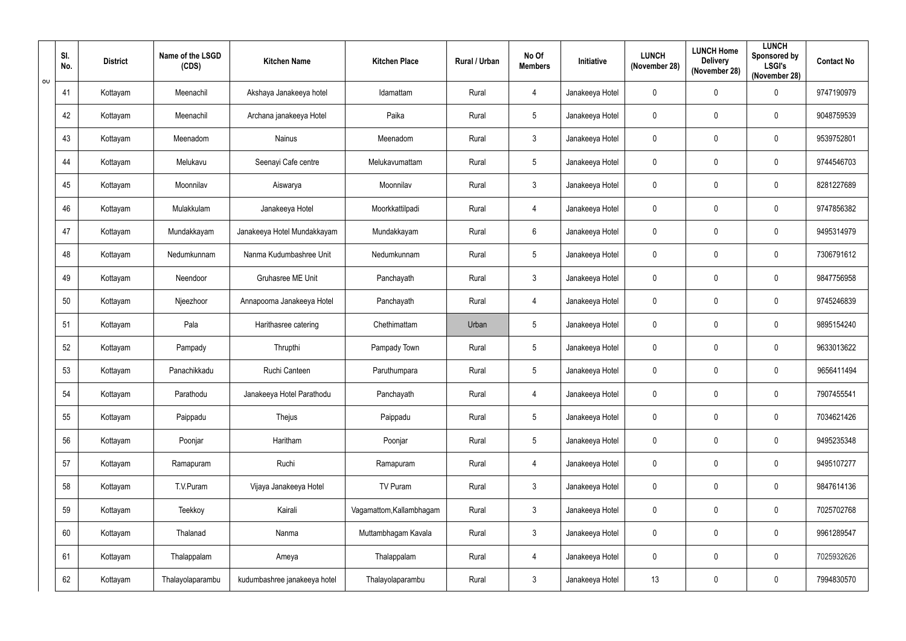| $\sigma$ | SI.<br>No. | <b>District</b> | Name of the LSGD<br>(CDS) | <b>Kitchen Name</b>          | <b>Kitchen Place</b>     | Rural / Urban | No Of<br><b>Members</b> | <b>Initiative</b> | <b>LUNCH</b><br>(November 28) | <b>LUNCH Home</b><br><b>Delivery</b><br>(November 28) | <b>LUNCH</b><br>Sponsored by<br><b>LSGI's</b><br>(November 28) | <b>Contact No</b> |
|----------|------------|-----------------|---------------------------|------------------------------|--------------------------|---------------|-------------------------|-------------------|-------------------------------|-------------------------------------------------------|----------------------------------------------------------------|-------------------|
|          | 41         | Kottayam        | Meenachil                 | Akshaya Janakeeya hotel      | Idamattam                | Rural         | $\overline{4}$          | Janakeeya Hotel   | $\mathbf 0$                   | $\mathbf 0$                                           | $\mathbf 0$                                                    | 9747190979        |
|          | 42         | Kottayam        | Meenachil                 | Archana janakeeya Hotel      | Paika                    | Rural         | $5\phantom{.0}$         | Janakeeya Hotel   | $\mathbf 0$                   | $\mathbf 0$                                           | $\pmb{0}$                                                      | 9048759539        |
|          | 43         | Kottayam        | Meenadom                  | Nainus                       | Meenadom                 | Rural         | $\mathbf{3}$            | Janakeeya Hotel   | $\pmb{0}$                     | $\mathbf 0$                                           | $\pmb{0}$                                                      | 9539752801        |
|          | 44         | Kottayam        | Melukavu                  | Seenayi Cafe centre          | Melukavumattam           | Rural         | $5\phantom{.0}$         | Janakeeya Hotel   | $\mathbf 0$                   | $\mathbf{0}$                                          | $\mathbf 0$                                                    | 9744546703        |
|          | 45         | Kottayam        | Moonnilav                 | Aiswarya                     | Moonnilav                | Rural         | $\mathbf{3}$            | Janakeeya Hotel   | $\pmb{0}$                     | $\mathbf{0}$                                          | $\pmb{0}$                                                      | 8281227689        |
|          | 46         | Kottayam        | Mulakkulam                | Janakeeya Hotel              | Moorkkattilpadi          | Rural         | $\overline{4}$          | Janakeeya Hotel   | $\pmb{0}$                     | $\mathbf 0$                                           | $\pmb{0}$                                                      | 9747856382        |
|          | 47         | Kottayam        | Mundakkayam               | Janakeeya Hotel Mundakkayam  | Mundakkayam              | Rural         | $6\overline{6}$         | Janakeeya Hotel   | $\mathbf 0$                   | $\mathbf 0$                                           | $\mathbf 0$                                                    | 9495314979        |
|          | 48         | Kottayam        | Nedumkunnam               | Nanma Kudumbashree Unit      | Nedumkunnam              | Rural         | $5\overline{)}$         | Janakeeya Hotel   | $\mathbf 0$                   | $\mathbf 0$                                           | 0                                                              | 7306791612        |
|          | 49         | Kottayam        | Neendoor                  | Gruhasree ME Unit            | Panchayath               | Rural         | $\mathbf{3}$            | Janakeeya Hotel   | $\pmb{0}$                     | $\mathbf 0$                                           | $\pmb{0}$                                                      | 9847756958        |
|          | 50         | Kottayam        | Njeezhoor                 | Annapoorna Janakeeya Hotel   | Panchayath               | Rural         | $\overline{4}$          | Janakeeya Hotel   | $\mathbf 0$                   | $\mathbf 0$                                           | $\pmb{0}$                                                      | 9745246839        |
|          | 51         | Kottayam        | Pala                      | Harithasree catering         | Chethimattam             | Urban         | $5\overline{)}$         | Janakeeya Hotel   | $\mathbf 0$                   | $\mathbf 0$                                           | $\mathbf 0$                                                    | 9895154240        |
|          | 52         | Kottayam        | Pampady                   | Thrupthi                     | Pampady Town             | Rural         | $5\phantom{.0}$         | Janakeeya Hotel   | $\mathbf 0$                   | $\mathbf 0$                                           | 0                                                              | 9633013622        |
|          | 53         | Kottayam        | Panachikkadu              | Ruchi Canteen                | Paruthumpara             | Rural         | $5\phantom{.0}$         | Janakeeya Hotel   | $\mathbf 0$                   | $\mathbf{0}$                                          | $\mathbf 0$                                                    | 9656411494        |
|          | 54         | Kottayam        | Parathodu                 | Janakeeya Hotel Parathodu    | Panchayath               | Rural         | $\overline{4}$          | Janakeeya Hotel   | $\pmb{0}$                     | $\pmb{0}$                                             | $\pmb{0}$                                                      | 7907455541        |
|          | 55         | Kottayam        | Paippadu                  | Thejus                       | Paippadu                 | Rural         | $5\phantom{.0}$         | Janakeeya Hotel   | $\pmb{0}$                     | $\pmb{0}$                                             | $\pmb{0}$                                                      | 7034621426        |
|          | 56         | Kottayam        | Poonjar                   | Haritham                     | Poonjar                  | Rural         | $5\phantom{.0}$         | Janakeeya Hotel   | $\pmb{0}$                     | $\mathbf 0$                                           | $\pmb{0}$                                                      | 9495235348        |
|          | 57         | Kottayam        | Ramapuram                 | Ruchi                        | Ramapuram                | Rural         | $\overline{4}$          | Janakeeya Hotel   | $\pmb{0}$                     | $\mathbf 0$                                           | $\pmb{0}$                                                      | 9495107277        |
|          | 58         | Kottayam        | T.V.Puram                 | Vijaya Janakeeya Hotel       | TV Puram                 | Rural         | $\mathbf{3}$            | Janakeeya Hotel   | $\pmb{0}$                     | $\mathbf 0$                                           | $\pmb{0}$                                                      | 9847614136        |
|          | 59         | Kottayam        | Teekkoy                   | Kairali                      | Vagamattom, Kallambhagam | Rural         | $\mathbf{3}$            | Janakeeya Hotel   | $\pmb{0}$                     | $\pmb{0}$                                             | $\pmb{0}$                                                      | 7025702768        |
|          | 60         | Kottayam        | Thalanad                  | Nanma                        | Muttambhagam Kavala      | Rural         | $\mathbf{3}$            | Janakeeya Hotel   | $\pmb{0}$                     | $\pmb{0}$                                             | $\mathbf 0$                                                    | 9961289547        |
|          | 61         | Kottayam        | Thalappalam               | Ameya                        | Thalappalam              | Rural         | $\overline{4}$          | Janakeeya Hotel   | $\pmb{0}$                     | $\pmb{0}$                                             | $\mathbf 0$                                                    | 7025932626        |
|          | 62         | Kottayam        | Thalayolaparambu          | kudumbashree janakeeya hotel | Thalayolaparambu         | Rural         | $\mathbf{3}$            | Janakeeya Hotel   | 13                            | $\pmb{0}$                                             | $\mathbf 0$                                                    | 7994830570        |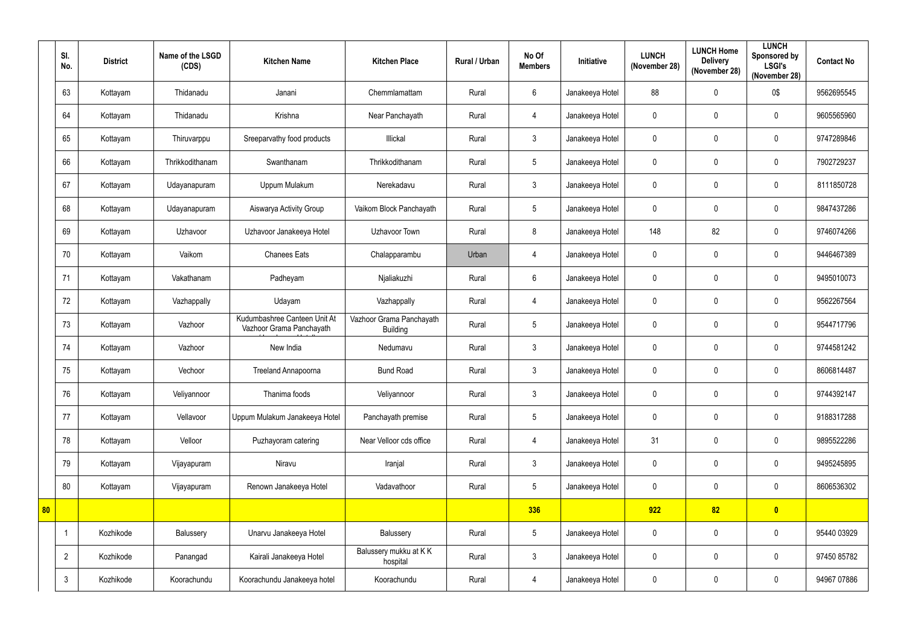|    | SI.<br>No.     | <b>District</b> | Name of the LSGD<br>(CDS) | <b>Kitchen Name</b>                                      | <b>Kitchen Place</b>                        | Rural / Urban | No Of<br><b>Members</b> | Initiative      | <b>LUNCH</b><br>(November 28) | <b>LUNCH Home</b><br><b>Delivery</b><br>(November 28) | <b>LUNCH</b><br>Sponsored by<br><b>LSGI's</b><br>(November 28) | <b>Contact No</b> |
|----|----------------|-----------------|---------------------------|----------------------------------------------------------|---------------------------------------------|---------------|-------------------------|-----------------|-------------------------------|-------------------------------------------------------|----------------------------------------------------------------|-------------------|
|    | 63             | Kottayam        | Thidanadu                 | Janani                                                   | Chemmlamattam                               | Rural         | 6                       | Janakeeya Hotel | 88                            | $\mathbf 0$                                           | 0\$                                                            | 9562695545        |
|    | 64             | Kottayam        | Thidanadu                 | Krishna                                                  | Near Panchayath                             | Rural         | $\overline{4}$          | Janakeeya Hotel | $\mathbf 0$                   | $\mathbf 0$                                           | $\mathbf 0$                                                    | 9605565960        |
|    | 65             | Kottayam        | Thiruvarppu               | Sreeparvathy food products                               | Illickal                                    | Rural         | $\mathbf{3}$            | Janakeeya Hotel | $\mathbf 0$                   | $\mathbf 0$                                           | $\mathbf 0$                                                    | 9747289846        |
|    | 66             | Kottayam        | Thrikkodithanam           | Swanthanam                                               | Thrikkodithanam                             | Rural         | $5\overline{)}$         | Janakeeya Hotel | $\mathbf 0$                   | 0                                                     | $\mathbf 0$                                                    | 7902729237        |
|    | 67             | Kottayam        | Udayanapuram              | Uppum Mulakum                                            | Nerekadavu                                  | Rural         | $\mathbf{3}$            | Janakeeya Hotel | $\mathbf 0$                   | 0                                                     | $\mathbf 0$                                                    | 8111850728        |
|    | 68             | Kottayam        | Udayanapuram              | Aiswarya Activity Group                                  | Vaikom Block Panchayath                     | Rural         | $5\overline{)}$         | Janakeeya Hotel | $\mathbf 0$                   | $\mathbf 0$                                           | $\mathbf 0$                                                    | 9847437286        |
|    | 69             | Kottayam        | Uzhavoor                  | Uzhavoor Janakeeya Hotel                                 | Uzhavoor Town                               | Rural         | 8                       | Janakeeya Hotel | 148                           | 82                                                    | $\mathbf 0$                                                    | 9746074266        |
|    | 70             | Kottayam        | Vaikom                    | <b>Chanees Eats</b>                                      | Chalapparambu                               | Urban         | $\overline{4}$          | Janakeeya Hotel | $\mathbf 0$                   | $\mathbf 0$                                           | $\mathbf 0$                                                    | 9446467389        |
|    | 71             | Kottayam        | Vakathanam                | Padheyam                                                 | Njaliakuzhi                                 | Rural         | 6                       | Janakeeya Hotel | $\mathbf 0$                   | $\mathbf 0$                                           | $\mathbf 0$                                                    | 9495010073        |
|    | 72             | Kottayam        | Vazhappally               | Udayam                                                   | Vazhappally                                 | Rural         | $\overline{4}$          | Janakeeya Hotel | $\mathbf 0$                   | $\mathbf 0$                                           | $\mathbf 0$                                                    | 9562267564        |
|    | 73             | Kottayam        | Vazhoor                   | Kudumbashree Canteen Unit At<br>Vazhoor Grama Panchayath | Vazhoor Grama Panchayath<br><b>Building</b> | Rural         | $5\phantom{.0}$         | Janakeeya Hotel | $\mathbf 0$                   | 0                                                     | $\mathbf 0$                                                    | 9544717796        |
|    | 74             | Kottayam        | Vazhoor                   | New India                                                | Nedumavu                                    | Rural         | $\mathbf{3}$            | Janakeeya Hotel | $\mathbf 0$                   | $\mathbf 0$                                           | $\mathbf 0$                                                    | 9744581242        |
|    | 75             | Kottayam        | Vechoor                   | <b>Treeland Annapoorna</b>                               | <b>Bund Road</b>                            | Rural         | $\mathfrak{Z}$          | Janakeeya Hotel | $\mathbf 0$                   | $\mathbf 0$                                           | $\mathbf 0$                                                    | 8606814487        |
|    | 76             | Kottayam        | Veliyannoor               | Thanima foods                                            | Veliyannoor                                 | Rural         | $\mathbf{3}$            | Janakeeya Hotel | $\mathbf 0$                   | $\mathbf 0$                                           | $\pmb{0}$                                                      | 9744392147        |
|    | 77             | Kottayam        | Vellavoor                 | Uppum Mulakum Janakeeya Hotel                            | Panchayath premise                          | Rural         | $5\phantom{.0}$         | Janakeeya Hotel | $\mathbf 0$                   | $\pmb{0}$                                             | $\pmb{0}$                                                      | 9188317288        |
|    | 78             | Kottayam        | Velloor                   | Puzhayoram catering                                      | Near Velloor cds office                     | Rural         | $\overline{4}$          | Janakeeya Hotel | 31                            | $\mathbf 0$                                           | $\mathbf 0$                                                    | 9895522286        |
|    | 79             | Kottayam        | Vijayapuram               | Niravu                                                   | Iranjal                                     | Rural         | $\mathbf{3}$            | Janakeeya Hotel | $\mathbf 0$                   | $\mathbf 0$                                           | $\pmb{0}$                                                      | 9495245895        |
|    | 80             | Kottayam        | Vijayapuram               | Renown Janakeeya Hotel                                   | Vadavathoor                                 | Rural         | 5 <sup>5</sup>          | Janakeeya Hotel | $\mathbf 0$                   | $\mathbf 0$                                           | $\pmb{0}$                                                      | 8606536302        |
| 80 |                |                 |                           |                                                          |                                             |               | 336                     |                 | 922                           | 82                                                    | $\bullet$                                                      |                   |
|    |                | Kozhikode       | Balussery                 | Unarvu Janakeeya Hotel                                   | Balussery                                   | Rural         | $5\phantom{.0}$         | Janakeeya Hotel | $\mathbf 0$                   | $\mathbf 0$                                           | $\pmb{0}$                                                      | 95440 03929       |
|    | $\overline{2}$ | Kozhikode       | Panangad                  | Kairali Janakeeya Hotel                                  | Balussery mukku at KK<br>hospital           | Rural         | $\mathbf{3}$            | Janakeeya Hotel | $\mathbf 0$                   | $\mathbf 0$                                           | $\mathbf 0$                                                    | 97450 85782       |
|    | $\mathbf{3}$   | Kozhikode       | Koorachundu               | Koorachundu Janakeeya hotel                              | Koorachundu                                 | Rural         | $\overline{4}$          | Janakeeya Hotel | $\mathbf 0$                   | $\pmb{0}$                                             | $\pmb{0}$                                                      | 94967 07886       |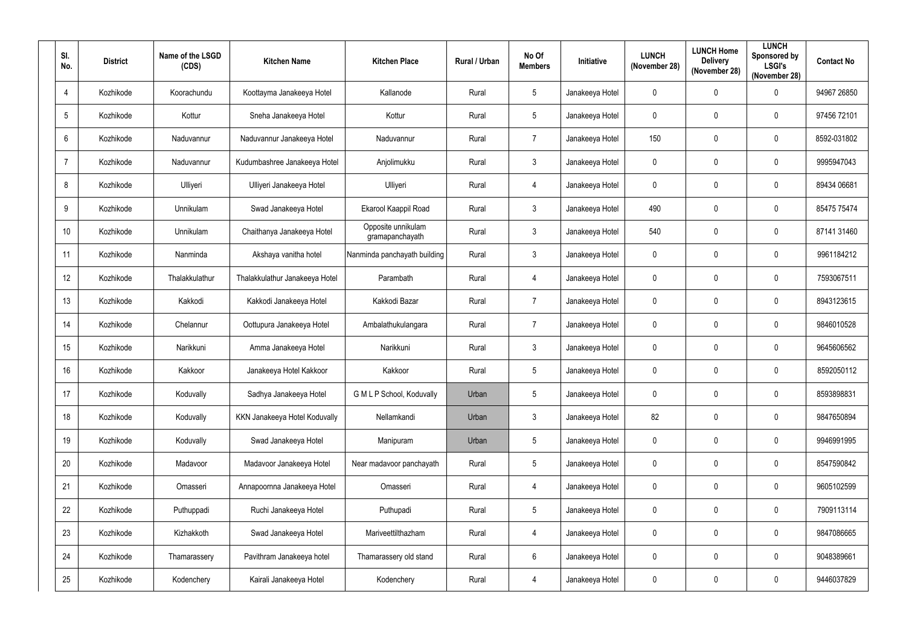| SI.<br>No.      | <b>District</b> | Name of the LSGD<br>(CDS) | <b>Kitchen Name</b>            | <b>Kitchen Place</b>                  | Rural / Urban | No Of<br><b>Members</b> | Initiative      | <b>LUNCH</b><br>(November 28) | <b>LUNCH Home</b><br><b>Delivery</b><br>(November 28) | <b>LUNCH</b><br>Sponsored by<br><b>LSGI's</b><br>(November 28) | <b>Contact No</b> |
|-----------------|-----------------|---------------------------|--------------------------------|---------------------------------------|---------------|-------------------------|-----------------|-------------------------------|-------------------------------------------------------|----------------------------------------------------------------|-------------------|
| $\overline{4}$  | Kozhikode       | Koorachundu               | Koottayma Janakeeya Hotel      | Kallanode                             | Rural         | $\sqrt{5}$              | Janakeeya Hotel | $\pmb{0}$                     | $\mathbf 0$                                           | $\mathbf 0$                                                    | 94967 26850       |
| 5               | Kozhikode       | Kottur                    | Sneha Janakeeya Hotel          | Kottur                                | Rural         | $5\phantom{.0}$         | Janakeeya Hotel | $\pmb{0}$                     | $\mathbf 0$                                           | $\mathbf 0$                                                    | 97456 72101       |
| $6\phantom{1}$  | Kozhikode       | Naduvannur                | Naduvannur Janakeeya Hotel     | Naduvannur                            | Rural         | $\overline{7}$          | Janakeeya Hotel | 150                           | $\mathbf 0$                                           | $\pmb{0}$                                                      | 8592-031802       |
| $\overline{7}$  | Kozhikode       | Naduvannur                | Kudumbashree Janakeeya Hotel   | Anjolimukku                           | Rural         | $\mathbf{3}$            | Janakeeya Hotel | $\pmb{0}$                     | $\mathbf 0$                                           | $\mathbf 0$                                                    | 9995947043        |
| 8               | Kozhikode       | Ulliyeri                  | Ulliyeri Janakeeya Hotel       | Ulliyeri                              | Rural         | $\overline{4}$          | Janakeeya Hotel | $\pmb{0}$                     | $\mathbf 0$                                           | $\mathbf 0$                                                    | 89434 06681       |
| 9               | Kozhikode       | Unnikulam                 | Swad Janakeeya Hotel           | Ekarool Kaappil Road                  | Rural         | $\mathbf{3}$            | Janakeeya Hotel | 490                           | $\mathbf 0$                                           | $\mathbf 0$                                                    | 85475 75474       |
| 10              | Kozhikode       | Unnikulam                 | Chaithanya Janakeeya Hotel     | Opposite unnikulam<br>gramapanchayath | Rural         | $\mathbf{3}$            | Janakeeya Hotel | 540                           | $\mathbf 0$                                           | $\mathbf 0$                                                    | 87141 31460       |
| 11              | Kozhikode       | Nanminda                  | Akshaya vanitha hotel          | Nanminda panchayath building          | Rural         | $\mathbf{3}$            | Janakeeya Hotel | $\pmb{0}$                     | $\mathbf 0$                                           | $\mathbf 0$                                                    | 9961184212        |
| 12 <sup>°</sup> | Kozhikode       | Thalakkulathur            | Thalakkulathur Janakeeya Hotel | Parambath                             | Rural         | $\overline{4}$          | Janakeeya Hotel | $\pmb{0}$                     | $\mathbf 0$                                           | $\mathbf 0$                                                    | 7593067511        |
| 13              | Kozhikode       | Kakkodi                   | Kakkodi Janakeeya Hotel        | Kakkodi Bazar                         | Rural         | $\overline{7}$          | Janakeeya Hotel | $\pmb{0}$                     | $\mathbf 0$                                           | $\boldsymbol{0}$                                               | 8943123615        |
| 14              | Kozhikode       | Chelannur                 | Oottupura Janakeeya Hotel      | Ambalathukulangara                    | Rural         | $\overline{7}$          | Janakeeya Hotel | $\mathbf 0$                   | $\mathbf 0$                                           | $\mathbf 0$                                                    | 9846010528        |
| 15              | Kozhikode       | Narikkuni                 | Amma Janakeeya Hotel           | Narikkuni                             | Rural         | $\mathbf{3}$            | Janakeeya Hotel | $\pmb{0}$                     | $\mathbf 0$                                           | $\mathbf 0$                                                    | 9645606562        |
| 16              | Kozhikode       | Kakkoor                   | Janakeeya Hotel Kakkoor        | Kakkoor                               | Rural         | $5\phantom{.0}$         | Janakeeya Hotel | $\mathbf 0$                   | $\mathbf 0$                                           | $\mathbf 0$                                                    | 8592050112        |
| 17              | Kozhikode       | Koduvally                 | Sadhya Janakeeya Hotel         | G M L P School, Koduvally             | Urban         | $5\phantom{.0}$         | Janakeeya Hotel | $\pmb{0}$                     | $\mathbf 0$                                           | $\mathbf 0$                                                    | 8593898831        |
| 18              | Kozhikode       | Koduvally                 | KKN Janakeeya Hotel Koduvally  | Nellamkandi                           | Urban         | $\mathbf{3}$            | Janakeeya Hotel | 82                            | $\mathbf 0$                                           | $\pmb{0}$                                                      | 9847650894        |
| 19              | Kozhikode       | Koduvally                 | Swad Janakeeya Hotel           | Manipuram                             | Urban         | $5\phantom{.0}$         | Janakeeya Hotel | $\pmb{0}$                     | $\mathbf 0$                                           | $\mathbf 0$                                                    | 9946991995        |
| 20              | Kozhikode       | Madavoor                  | Madavoor Janakeeya Hotel       | Near madavoor panchayath              | Rural         | $5\phantom{.0}$         | Janakeeya Hotel | $\pmb{0}$                     | $\mathbf 0$                                           | $\pmb{0}$                                                      | 8547590842        |
| 21              | Kozhikode       | Omasseri                  | Annapoornna Janakeeya Hotel    | Omasseri                              | Rural         | $\overline{4}$          | Janakeeya Hotel | $\pmb{0}$                     | $\mathbf 0$                                           | $\pmb{0}$                                                      | 9605102599        |
| 22              | Kozhikode       | Puthuppadi                | Ruchi Janakeeya Hotel          | Puthupadi                             | Rural         | $5\phantom{.0}$         | Janakeeya Hotel | $\pmb{0}$                     | $\mathbf 0$                                           | $\pmb{0}$                                                      | 7909113114        |
| 23              | Kozhikode       | Kizhakkoth                | Swad Janakeeya Hotel           | Mariveettilthazham                    | Rural         | $\overline{4}$          | Janakeeya Hotel | $\pmb{0}$                     | $\mathbf 0$                                           | $\pmb{0}$                                                      | 9847086665        |
| 24              | Kozhikode       | Thamarassery              | Pavithram Janakeeya hotel      | Thamarassery old stand                | Rural         | $6\,$                   | Janakeeya Hotel | $\pmb{0}$                     | $\mathbf 0$                                           | $\pmb{0}$                                                      | 9048389661        |
| 25              | Kozhikode       | Kodenchery                | Kairali Janakeeya Hotel        | Kodenchery                            | Rural         | $\overline{4}$          | Janakeeya Hotel | $\pmb{0}$                     | $\pmb{0}$                                             | $\pmb{0}$                                                      | 9446037829        |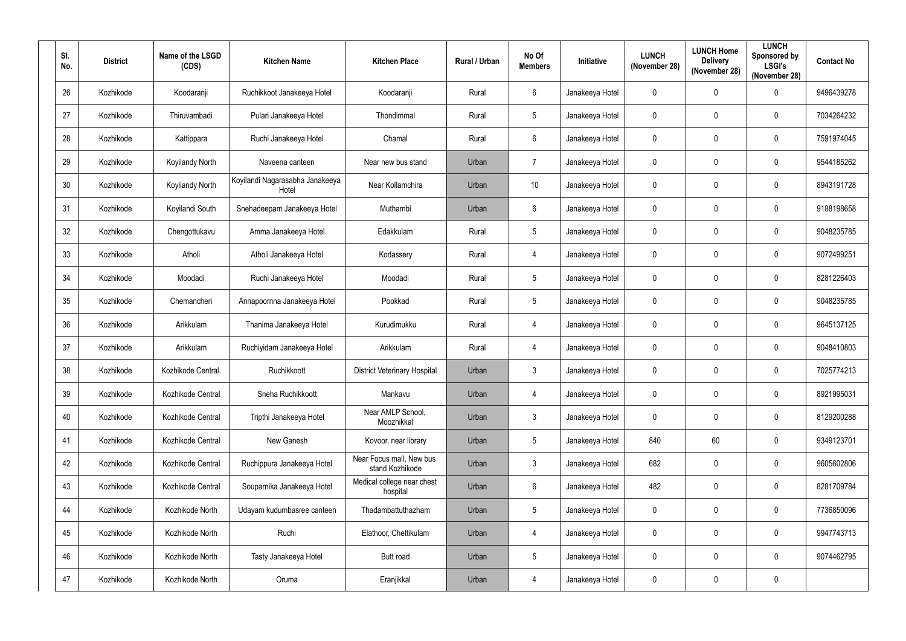| SI.<br>No. | <b>District</b> | Name of the LSGD<br>(CDS) | <b>Kitchen Name</b>                      | <b>Kitchen Place</b>                        | Rural / Urban | No Of<br><b>Members</b> | Initiative      | <b>LUNCH</b><br>(November 28) | <b>LUNCH Home</b><br><b>Delivery</b><br>(November 28) | <b>LUNCH</b><br>Sponsored by<br><b>LSGI's</b><br>(November 28) | <b>Contact No</b> |
|------------|-----------------|---------------------------|------------------------------------------|---------------------------------------------|---------------|-------------------------|-----------------|-------------------------------|-------------------------------------------------------|----------------------------------------------------------------|-------------------|
| 26         | Kozhikode       | Koodaranji                | Ruchikkoot Janakeeya Hotel               | Koodaranji                                  | Rural         | $6\,$                   | Janakeeya Hotel | $\mathbf 0$                   | 0                                                     | $\mathbf 0$                                                    | 9496439278        |
| 27         | Kozhikode       | Thiruvambadi              | Pulari Janakeeya Hotel                   | Thondimmal                                  | Rural         | $\overline{5}$          | Janakeeya Hotel | $\mathbf 0$                   | $\mathbf 0$                                           | $\mathbf 0$                                                    | 7034264232        |
| 28         | Kozhikode       | Kattippara                | Ruchi Janakeeya Hotel                    | Chamal                                      | Rural         | $\boldsymbol{6}$        | Janakeeya Hotel | $\mathbf 0$                   | $\mathbf 0$                                           | $\boldsymbol{0}$                                               | 7591974045        |
| 29         | Kozhikode       | <b>Koyilandy North</b>    | Naveena canteen                          | Near new bus stand                          | Urban         | $\overline{7}$          | Janakeeya Hotel | $\mathbf 0$                   | $\mathbf 0$                                           | $\mathbf 0$                                                    | 9544185262        |
| 30         | Kozhikode       | <b>Koyilandy North</b>    | Koyilandi Nagarasabha Janakeeya<br>Hotel | Near Kollamchira                            | Urban         | 10                      | Janakeeya Hotel | $\mathbf 0$                   | 0                                                     | $\mathbf 0$                                                    | 8943191728        |
| 31         | Kozhikode       | Koyilandi South           | Snehadeepam Janakeeya Hotel              | Muthambi                                    | Urban         | $6\phantom{.}6$         | Janakeeya Hotel | $\mathbf 0$                   | $\mathbf 0$                                           | $\mathbf 0$                                                    | 9188198658        |
| 32         | Kozhikode       | Chengottukavu             | Amma Janakeeya Hotel                     | Edakkulam                                   | Rural         | $\overline{5}$          | Janakeeya Hotel | $\mathbf 0$                   | $\mathbf 0$                                           | $\mathbf 0$                                                    | 9048235785        |
| 33         | Kozhikode       | Atholi                    | Atholi Janakeeya Hotel                   | Kodassery                                   | Rural         | $\overline{4}$          | Janakeeya Hotel | $\mathbf 0$                   | 0                                                     | $\pmb{0}$                                                      | 9072499251        |
| 34         | Kozhikode       | Moodadi                   | Ruchi Janakeeya Hotel                    | Moodadi                                     | Rural         | $\overline{5}$          | Janakeeya Hotel | $\mathbf 0$                   | $\mathbf 0$                                           | $\mathbf 0$                                                    | 8281226403        |
| 35         | Kozhikode       | Chemancheri               | Annapoornna Janakeeya Hotel              | Pookkad                                     | Rural         | $\overline{5}$          | Janakeeya Hotel | $\mathbf 0$                   | 0                                                     | $\mathbf 0$                                                    | 9048235785        |
| 36         | Kozhikode       | Arikkulam                 | Thanima Janakeeya Hotel                  | Kurudimukku                                 | Rural         | $\overline{4}$          | Janakeeya Hotel | $\mathbf 0$                   | $\mathbf 0$                                           | $\mathbf 0$                                                    | 9645137125        |
| 37         | Kozhikode       | Arikkulam                 | Ruchiyidam Janakeeya Hotel               | Arikkulam                                   | Rural         | 4                       | Janakeeya Hotel | $\mathbf 0$                   | 0                                                     | $\mathbf 0$                                                    | 9048410803        |
| 38         | Kozhikode       | Kozhikode Central.        | Ruchikkoott                              | <b>District Veterinary Hospital</b>         | Urban         | $\mathfrak{Z}$          | Janakeeya Hotel | $\mathbf 0$                   | $\mathbf 0$                                           | $\mathbf 0$                                                    | 7025774213        |
| 39         | Kozhikode       | Kozhikode Central         | Sneha Ruchikkoott                        | Mankavu                                     | Urban         | $\overline{4}$          | Janakeeya Hotel | $\mathbf 0$                   | $\mathbf 0$                                           | $\mathbf 0$                                                    | 8921995031        |
| 40         | Kozhikode       | Kozhikode Central         | Tripthi Janakeeya Hotel                  | Near AMLP School,<br>Moozhikkal             | Urban         | $\mathfrak{Z}$          | Janakeeya Hotel | $\pmb{0}$                     | $\mathbf 0$                                           | $\pmb{0}$                                                      | 8129200288        |
| 41         | Kozhikode       | Kozhikode Central         | New Ganesh                               | Kovoor, near library                        | Urban         | $5\phantom{.0}$         | Janakeeya Hotel | 840                           | 60                                                    | $\pmb{0}$                                                      | 9349123701        |
| 42         | Kozhikode       | Kozhikode Central         | Ruchippura Janakeeya Hotel               | Near Focus mall, New bus<br>stand Kozhikode | Urban         | $\mathfrak{Z}$          | Janakeeya Hotel | 682                           | $\mathbf 0$                                           | $\pmb{0}$                                                      | 9605602806        |
| 43         | Kozhikode       | Kozhikode Central         | Souparnika Janakeeya Hotel               | Medical college near chest<br>hospital      | Urban         | $6\,$                   | Janakeeya Hotel | 482                           | 0                                                     | $\pmb{0}$                                                      | 8281709784        |
| 44         | Kozhikode       | Kozhikode North           | Udayam kudumbasree canteen               | Thadambattuthazham                          | Urban         | $\sqrt{5}$              | Janakeeya Hotel | $\pmb{0}$                     | 0                                                     | $\pmb{0}$                                                      | 7736850096        |
| 45         | Kozhikode       | Kozhikode North           | Ruchi                                    | Elathoor, Chettikulam                       | Urban         | $\overline{4}$          | Janakeeya Hotel | $\pmb{0}$                     | 0                                                     | $\pmb{0}$                                                      | 9947743713        |
| 46         | Kozhikode       | Kozhikode North           | Tasty Janakeeya Hotel                    | <b>Butt road</b>                            | Urban         | $\overline{5}$          | Janakeeya Hotel | $\pmb{0}$                     | 0                                                     | $\pmb{0}$                                                      | 9074462795        |
| 47         | Kozhikode       | Kozhikode North           | Oruma                                    | Eranjikkal                                  | Urban         | $\overline{4}$          | Janakeeya Hotel | $\pmb{0}$                     | 0                                                     | $\pmb{0}$                                                      |                   |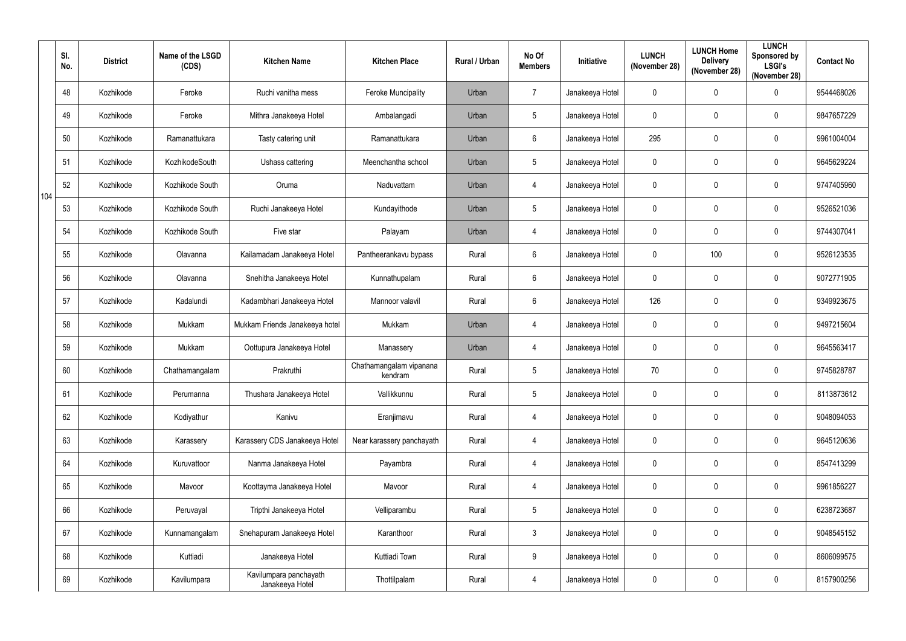|     | SI.<br>No. | <b>District</b> | Name of the LSGD<br>(CDS) | <b>Kitchen Name</b>                       | <b>Kitchen Place</b>               | Rural / Urban | No Of<br><b>Members</b> | Initiative      | <b>LUNCH</b><br>(November 28) | <b>LUNCH Home</b><br><b>Delivery</b><br>(November 28) | <b>LUNCH</b><br>Sponsored by<br><b>LSGI's</b><br>(November 28) | <b>Contact No</b> |
|-----|------------|-----------------|---------------------------|-------------------------------------------|------------------------------------|---------------|-------------------------|-----------------|-------------------------------|-------------------------------------------------------|----------------------------------------------------------------|-------------------|
|     | 48         | Kozhikode       | Feroke                    | Ruchi vanitha mess                        | <b>Feroke Muncipality</b>          | Urban         | $\overline{7}$          | Janakeeya Hotel | $\mathbf 0$                   | $\mathbf 0$                                           | $\mathbf 0$                                                    | 9544468026        |
|     | 49         | Kozhikode       | Feroke                    | Mithra Janakeeya Hotel                    | Ambalangadi                        | Urban         | $5\phantom{.0}$         | Janakeeya Hotel | $\mathbf 0$                   | $\mathbf 0$                                           | $\mathbf 0$                                                    | 9847657229        |
|     | 50         | Kozhikode       | Ramanattukara             | Tasty catering unit                       | Ramanattukara                      | Urban         | $6\phantom{.}6$         | Janakeeya Hotel | 295                           | $\mathbf 0$                                           | $\pmb{0}$                                                      | 9961004004        |
|     | 51         | Kozhikode       | KozhikodeSouth            | Ushass cattering                          | Meenchantha school                 | Urban         | $\overline{5}$          | Janakeeya Hotel | $\mathbf 0$                   | $\mathbf{0}$                                          | $\mathbf 0$                                                    | 9645629224        |
|     | 52         | Kozhikode       | Kozhikode South           | Oruma                                     | Naduvattam                         | Urban         | $\overline{4}$          | Janakeeya Hotel | $\pmb{0}$                     | $\mathbf{0}$                                          | $\pmb{0}$                                                      | 9747405960        |
| 104 | 53         | Kozhikode       | Kozhikode South           | Ruchi Janakeeya Hotel                     | Kundayithode                       | Urban         | $5\phantom{.0}$         | Janakeeya Hotel | $\mathbf 0$                   | $\mathbf{0}$                                          | $\pmb{0}$                                                      | 9526521036        |
|     | 54         | Kozhikode       | Kozhikode South           | Five star                                 | Palayam                            | Urban         | $\overline{4}$          | Janakeeya Hotel | $\mathbf 0$                   | $\mathbf{0}$                                          | $\mathbf 0$                                                    | 9744307041        |
|     | 55         | Kozhikode       | Olavanna                  | Kailamadam Janakeeya Hotel                | Pantheerankavu bypass              | Rural         | $6\phantom{.}6$         | Janakeeya Hotel | $\mathbf 0$                   | 100                                                   | $\mathbf 0$                                                    | 9526123535        |
|     | 56         | Kozhikode       | Olavanna                  | Snehitha Janakeeya Hotel                  | Kunnathupalam                      | Rural         | $6\phantom{.}6$         | Janakeeya Hotel | $\mathbf 0$                   | $\mathbf{0}$                                          | $\pmb{0}$                                                      | 9072771905        |
|     | 57         | Kozhikode       | Kadalundi                 | Kadambhari Janakeeya Hotel                | Mannoor valavil                    | Rural         | $6\phantom{.}6$         | Janakeeya Hotel | 126                           | $\mathbf 0$                                           | $\mathbf 0$                                                    | 9349923675        |
|     | 58         | Kozhikode       | Mukkam                    | Mukkam Friends Janakeeya hotel            | Mukkam                             | Urban         | $\overline{4}$          | Janakeeya Hotel | $\mathbf 0$                   | $\mathbf{0}$                                          | $\mathbf 0$                                                    | 9497215604        |
|     | 59         | Kozhikode       | Mukkam                    | Oottupura Janakeeya Hotel                 | Manassery                          | Urban         | 4                       | Janakeeya Hotel | $\mathbf 0$                   | $\mathbf 0$                                           | $\mathbf 0$                                                    | 9645563417        |
|     | 60         | Kozhikode       | Chathamangalam            | Prakruthi                                 | Chathamangalam vipanana<br>kendram | Rural         | $5\phantom{.0}$         | Janakeeya Hotel | 70                            | $\mathbf{0}$                                          | $\mathbf 0$                                                    | 9745828787        |
|     | 61         | Kozhikode       | Perumanna                 | Thushara Janakeeya Hotel                  | Vallikkunnu                        | Rural         | $5\phantom{.0}$         | Janakeeya Hotel | $\pmb{0}$                     | $\mathbf 0$                                           | $\pmb{0}$                                                      | 8113873612        |
|     | 62         | Kozhikode       | Kodiyathur                | Kanivu                                    | Eranjimavu                         | Rural         | $\overline{4}$          | Janakeeya Hotel | $\pmb{0}$                     | $\mathbf 0$                                           | $\pmb{0}$                                                      | 9048094053        |
|     | 63         | Kozhikode       | Karassery                 | Karassery CDS Janakeeya Hotel             | Near karassery panchayath          | Rural         | $\overline{4}$          | Janakeeya Hotel | $\pmb{0}$                     | $\mathbf 0$                                           | $\pmb{0}$                                                      | 9645120636        |
|     | 64         | Kozhikode       | Kuruvattoor               | Nanma Janakeeya Hotel                     | Payambra                           | Rural         | $\overline{4}$          | Janakeeya Hotel | $\pmb{0}$                     | $\mathbf 0$                                           | $\pmb{0}$                                                      | 8547413299        |
|     | 65         | Kozhikode       | Mavoor                    | Koottayma Janakeeya Hotel                 | Mavoor                             | Rural         | $\overline{4}$          | Janakeeya Hotel | $\pmb{0}$                     | $\mathbf 0$                                           | $\pmb{0}$                                                      | 9961856227        |
|     | 66         | Kozhikode       | Peruvayal                 | Tripthi Janakeeya Hotel                   | Velliparambu                       | Rural         | $5\phantom{.0}$         | Janakeeya Hotel | $\pmb{0}$                     | $\mathbf 0$                                           | $\pmb{0}$                                                      | 6238723687        |
|     | 67         | Kozhikode       | Kunnamangalam             | Snehapuram Janakeeya Hotel                | Karanthoor                         | Rural         | $\mathbf{3}$            | Janakeeya Hotel | $\pmb{0}$                     | $\mathbf 0$                                           | $\pmb{0}$                                                      | 9048545152        |
|     | 68         | Kozhikode       | Kuttiadi                  | Janakeeya Hotel                           | Kuttiadi Town                      | Rural         | 9                       | Janakeeya Hotel | $\pmb{0}$                     | $\mathbf 0$                                           | $\pmb{0}$                                                      | 8606099575        |
|     | 69         | Kozhikode       | Kavilumpara               | Kavilumpara panchayath<br>Janakeeya Hotel | Thottilpalam                       | Rural         | $\overline{4}$          | Janakeeya Hotel | $\pmb{0}$                     | $\mathbf 0$                                           | $\pmb{0}$                                                      | 8157900256        |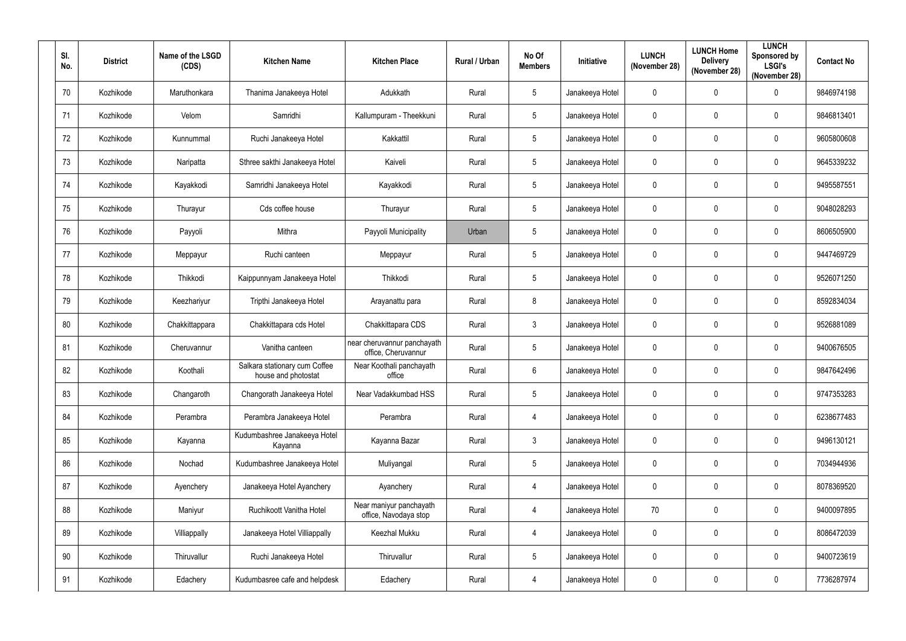| SI.<br>No. | <b>District</b> | Name of the LSGD<br>(CDS) | <b>Kitchen Name</b>                                  | <b>Kitchen Place</b>                               | Rural / Urban | No Of<br><b>Members</b> | Initiative      | <b>LUNCH</b><br>(November 28) | <b>LUNCH Home</b><br><b>Delivery</b><br>(November 28) | <b>LUNCH</b><br>Sponsored by<br><b>LSGI's</b><br>(November 28) | <b>Contact No</b> |
|------------|-----------------|---------------------------|------------------------------------------------------|----------------------------------------------------|---------------|-------------------------|-----------------|-------------------------------|-------------------------------------------------------|----------------------------------------------------------------|-------------------|
| 70         | Kozhikode       | Maruthonkara              | Thanima Janakeeya Hotel                              | Adukkath                                           | Rural         | $5\phantom{.0}$         | Janakeeya Hotel | $\mathbf 0$                   | 0                                                     | $\mathbf 0$                                                    | 9846974198        |
| 71         | Kozhikode       | Velom                     | Samridhi                                             | Kallumpuram - Theekkuni                            | Rural         | $\overline{5}$          | Janakeeya Hotel | $\mathbf 0$                   | 0                                                     | $\mathbf 0$                                                    | 9846813401        |
| 72         | Kozhikode       | Kunnummal                 | Ruchi Janakeeya Hotel                                | Kakkattil                                          | Rural         | $\overline{5}$          | Janakeeya Hotel | $\mathbf 0$                   | 0                                                     | $\pmb{0}$                                                      | 9605800608        |
| 73         | Kozhikode       | Naripatta                 | Sthree sakthi Janakeeya Hotel                        | Kaiveli                                            | Rural         | $\overline{5}$          | Janakeeya Hotel | $\mathbf 0$                   | $\mathbf 0$                                           | $\mathbf 0$                                                    | 9645339232        |
| 74         | Kozhikode       | Kayakkodi                 | Samridhi Janakeeya Hotel                             | Kayakkodi                                          | Rural         | $\overline{5}$          | Janakeeya Hotel | $\mathbf 0$                   | 0                                                     | $\mathbf 0$                                                    | 9495587551        |
| 75         | Kozhikode       | Thurayur                  | Cds coffee house                                     | Thurayur                                           | Rural         | $5\phantom{.0}$         | Janakeeya Hotel | $\mathbf 0$                   | 0                                                     | $\mathbf 0$                                                    | 9048028293        |
| 76         | Kozhikode       | Payyoli                   | Mithra                                               | Payyoli Municipality                               | Urban         | $\overline{5}$          | Janakeeya Hotel | $\mathbf 0$                   | 0                                                     | $\boldsymbol{0}$                                               | 8606505900        |
| 77         | Kozhikode       | Meppayur                  | Ruchi canteen                                        | Meppayur                                           | Rural         | $5\phantom{.0}$         | Janakeeya Hotel | $\mathbf 0$                   | 0                                                     | $\mathbf 0$                                                    | 9447469729        |
| 78         | Kozhikode       | Thikkodi                  | Kaippunnyam Janakeeya Hotel                          | Thikkodi                                           | Rural         | $\overline{5}$          | Janakeeya Hotel | $\mathbf 0$                   | 0                                                     | $\pmb{0}$                                                      | 9526071250        |
| 79         | Kozhikode       | Keezhariyur               | Tripthi Janakeeya Hotel                              | Arayanattu para                                    | Rural         | $8\,$                   | Janakeeya Hotel | $\mathbf 0$                   | $\mathbf 0$                                           | $\boldsymbol{0}$                                               | 8592834034        |
| 80         | Kozhikode       | Chakkittappara            | Chakkittapara cds Hotel                              | Chakkittapara CDS                                  | Rural         | $\mathfrak{Z}$          | Janakeeya Hotel | $\mathbf 0$                   | $\mathbf 0$                                           | $\mathbf 0$                                                    | 9526881089        |
| 81         | Kozhikode       | Cheruvannur               | Vanitha canteen                                      | near cheruvannur panchayath<br>office, Cheruvannur | Rural         | $5\phantom{.0}$         | Janakeeya Hotel | $\mathbf 0$                   | 0                                                     | $\boldsymbol{0}$                                               | 9400676505        |
| 82         | Kozhikode       | Koothali                  | Salkara stationary cum Coffee<br>house and photostat | Near Koothali panchayath<br>office                 | Rural         | $6\phantom{.}6$         | Janakeeya Hotel | $\mathbf 0$                   | $\mathbf 0$                                           | $\mathbf 0$                                                    | 9847642496        |
| 83         | Kozhikode       | Changaroth                | Changorath Janakeeya Hotel                           | Near Vadakkumbad HSS                               | Rural         | $\overline{5}$          | Janakeeya Hotel | $\mathbf 0$                   | $\mathbf 0$                                           | $\mathbf 0$                                                    | 9747353283        |
| 84         | Kozhikode       | Perambra                  | Perambra Janakeeya Hotel                             | Perambra                                           | Rural         | $\overline{4}$          | Janakeeya Hotel | $\pmb{0}$                     | $\mathbf 0$                                           | $\pmb{0}$                                                      | 6238677483        |
| 85         | Kozhikode       | Kayanna                   | Kudumbashree Janakeeya Hotel<br>Kayanna              | Kayanna Bazar                                      | Rural         | $\mathfrak{Z}$          | Janakeeya Hotel | $\mathbf 0$                   | $\mathbf 0$                                           | $\mathbf 0$                                                    | 9496130121        |
| 86         | Kozhikode       | Nochad                    | Kudumbashree Janakeeya Hotel                         | Muliyangal                                         | Rural         | $5\phantom{.0}$         | Janakeeya Hotel | $\mathbf 0$                   | $\mathbf 0$                                           | $\pmb{0}$                                                      | 7034944936        |
| 87         | Kozhikode       | Ayenchery                 | Janakeeya Hotel Ayanchery                            | Ayanchery                                          | Rural         | $\overline{4}$          | Janakeeya Hotel | $\mathbf 0$                   | 0                                                     | $\mathbf 0$                                                    | 8078369520        |
| 88         | Kozhikode       | Maniyur                   | Ruchikoott Vanitha Hotel                             | Near maniyur panchayath<br>office, Navodaya stop   | Rural         | $\overline{4}$          | Janakeeya Hotel | 70                            | $\mathbf 0$                                           | $\pmb{0}$                                                      | 9400097895        |
| 89         | Kozhikode       | Villiappally              | Janakeeya Hotel Villiappally                         | Keezhal Mukku                                      | Rural         | $\overline{4}$          | Janakeeya Hotel | $\pmb{0}$                     | 0                                                     | $\pmb{0}$                                                      | 8086472039        |
| $90\,$     | Kozhikode       | Thiruvallur               | Ruchi Janakeeya Hotel                                | Thiruvallur                                        | Rural         | $\overline{5}$          | Janakeeya Hotel | $\pmb{0}$                     | $\mathbf 0$                                           | $\pmb{0}$                                                      | 9400723619        |
| 91         | Kozhikode       | Edachery                  | Kudumbasree cafe and helpdesk                        | Edachery                                           | Rural         | $\overline{4}$          | Janakeeya Hotel | $\pmb{0}$                     | 0                                                     | $\pmb{0}$                                                      | 7736287974        |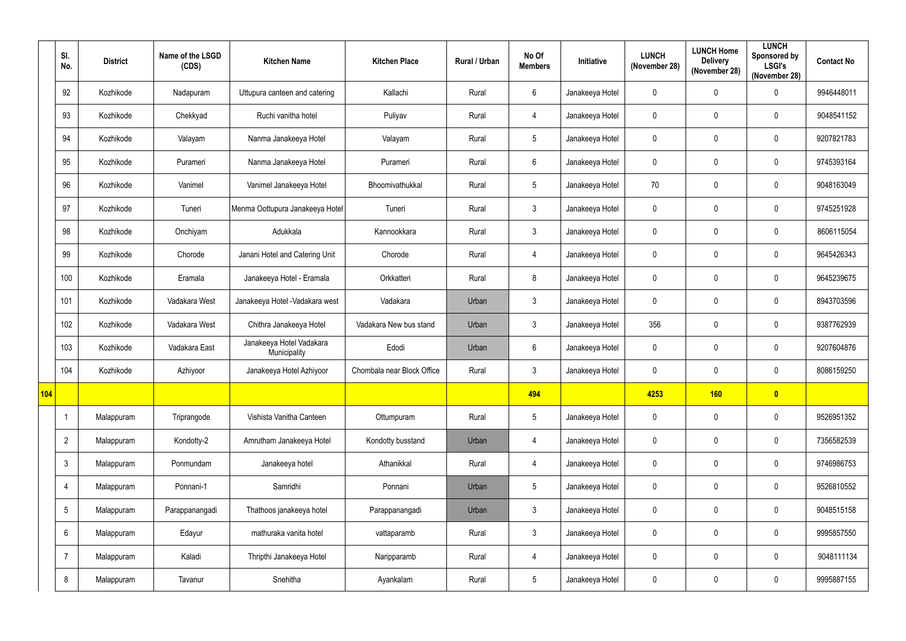|            | SI.<br>No.     | <b>District</b> | Name of the LSGD<br>(CDS) | <b>Kitchen Name</b>                      | <b>Kitchen Place</b>       | Rural / Urban | No Of<br><b>Members</b> | Initiative      | <b>LUNCH</b><br>(November 28) | <b>LUNCH Home</b><br><b>Delivery</b><br>(November 28) | <b>LUNCH</b><br>Sponsored by<br><b>LSGI's</b><br>(November 28) | <b>Contact No</b> |
|------------|----------------|-----------------|---------------------------|------------------------------------------|----------------------------|---------------|-------------------------|-----------------|-------------------------------|-------------------------------------------------------|----------------------------------------------------------------|-------------------|
|            | 92             | Kozhikode       | Nadapuram                 | Uttupura canteen and catering            | Kallachi                   | Rural         | 6                       | Janakeeya Hotel | $\mathbf 0$                   | $\mathbf 0$                                           | $\mathbf 0$                                                    | 9946448011        |
|            | 93             | Kozhikode       | Chekkyad                  | Ruchi vanitha hotel                      | Puliyav                    | Rural         | $\overline{4}$          | Janakeeya Hotel | $\mathbf 0$                   | $\mathbf 0$                                           | $\mathbf 0$                                                    | 9048541152        |
|            | 94             | Kozhikode       | Valayam                   | Nanma Janakeeya Hotel                    | Valayam                    | Rural         | $5\phantom{.0}$         | Janakeeya Hotel | $\mathbf 0$                   | $\mathbf 0$                                           | $\mathbf 0$                                                    | 9207821783        |
|            | 95             | Kozhikode       | Purameri                  | Nanma Janakeeya Hotel                    | Purameri                   | Rural         | 6                       | Janakeeya Hotel | $\mathbf 0$                   | 0                                                     | $\mathbf 0$                                                    | 9745393164        |
|            | 96             | Kozhikode       | Vanimel                   | Vanimel Janakeeya Hotel                  | Bhoomivathukkal            | Rural         | $5\phantom{.0}$         | Janakeeya Hotel | 70                            | 0                                                     | $\mathbf 0$                                                    | 9048163049        |
|            | 97             | Kozhikode       | Tuneri                    | Menma Oottupura Janakeeya Hotel          | Tuneri                     | Rural         | $\mathbf{3}$            | Janakeeya Hotel | $\mathbf 0$                   | 0                                                     | $\mathbf 0$                                                    | 9745251928        |
|            | 98             | Kozhikode       | Onchiyam                  | Adukkala                                 | Kannookkara                | Rural         | $\mathbf{3}$            | Janakeeya Hotel | $\mathbf 0$                   | 0                                                     | $\mathbf 0$                                                    | 8606115054        |
|            | 99             | Kozhikode       | Chorode                   | Janani Hotel and Catering Unit           | Chorode                    | Rural         | $\overline{4}$          | Janakeeya Hotel | $\mathbf 0$                   | $\mathbf 0$                                           | $\mathbf 0$                                                    | 9645426343        |
|            | 100            | Kozhikode       | Eramala                   | Janakeeya Hotel - Eramala                | Orkkatteri                 | Rural         | 8                       | Janakeeya Hotel | $\mathbf 0$                   | $\mathbf 0$                                           | $\mathbf 0$                                                    | 9645239675        |
|            | 101            | Kozhikode       | Vadakara West             | Janakeeya Hotel - Vadakara west          | Vadakara                   | Urban         | $\mathbf{3}$            | Janakeeya Hotel | $\mathbf 0$                   | 0                                                     | $\mathbf 0$                                                    | 8943703596        |
|            | 102            | Kozhikode       | Vadakara West             | Chithra Janakeeya Hotel                  | Vadakara New bus stand     | Urban         | $\mathbf{3}$            | Janakeeya Hotel | 356                           | 0                                                     | $\mathbf 0$                                                    | 9387762939        |
|            | 103            | Kozhikode       | Vadakara East             | Janakeeya Hotel Vadakara<br>Municipality | Edodi                      | Urban         | 6                       | Janakeeya Hotel | $\mathbf 0$                   | $\mathbf 0$                                           | $\mathbf 0$                                                    | 9207604876        |
|            | 104            | Kozhikode       | Azhiyoor                  | Janakeeya Hotel Azhiyoor                 | Chombala near Block Office | Rural         | $\mathfrak{Z}$          | Janakeeya Hotel | $\mathbf 0$                   | $\mathbf 0$                                           | $\mathbf 0$                                                    | 8086159250        |
| <b>104</b> |                |                 |                           |                                          |                            |               | 494                     |                 | 4253                          | 160                                                   | $\bullet$                                                      |                   |
|            | $\overline{1}$ | Malappuram      | Triprangode               | Vishista Vanitha Canteen                 | Ottumpuram                 | Rural         | $5\phantom{.0}$         | Janakeeya Hotel | $\mathbf 0$                   | $\pmb{0}$                                             | $\pmb{0}$                                                      | 9526951352        |
|            | $\overline{2}$ | Malappuram      | Kondotty-2                | Amrutham Janakeeya Hotel                 | Kondotty busstand          | Urban         | $\overline{4}$          | Janakeeya Hotel | $\mathbf 0$                   | $\mathbf 0$                                           | $\pmb{0}$                                                      | 7356582539        |
|            | $\mathfrak{Z}$ | Malappuram      | Ponmundam                 | Janakeeya hotel                          | Athanikkal                 | Rural         | $\overline{4}$          | Janakeeya Hotel | $\mathbf 0$                   | $\mathbf 0$                                           | $\mathbf 0$                                                    | 9746986753        |
|            | $\overline{4}$ | Malappuram      | Ponnani-1                 | Samridhi                                 | Ponnani                    | Urban         | $5\phantom{.0}$         | Janakeeya Hotel | $\mathbf 0$                   | $\mathbf 0$                                           | $\pmb{0}$                                                      | 9526810552        |
|            | 5              | Malappuram      | Parappanangadi            | Thathoos janakeeya hotel                 | Parappanangadi             | Urban         | $\mathbf{3}$            | Janakeeya Hotel | $\mathbf 0$                   | $\mathbf 0$                                           | $\mathbf 0$                                                    | 9048515158        |
|            | 6              | Malappuram      | Edayur                    | mathuraka vanita hotel                   | vattaparamb                | Rural         | 3 <sup>1</sup>          | Janakeeya Hotel | $\mathbf 0$                   | $\mathbf 0$                                           | $\mathbf 0$                                                    | 9995857550        |
|            | $\overline{7}$ | Malappuram      | Kaladi                    | Thripthi Janakeeya Hotel                 | Naripparamb                | Rural         | $\overline{4}$          | Janakeeya Hotel | $\mathbf 0$                   | $\mathbf 0$                                           | $\pmb{0}$                                                      | 9048111134        |
|            | 8              | Malappuram      | Tavanur                   | Snehitha                                 | Ayankalam                  | Rural         | 5 <sub>5</sub>          | Janakeeya Hotel | $\mathbf 0$                   | $\mathbf 0$                                           | $\pmb{0}$                                                      | 9995887155        |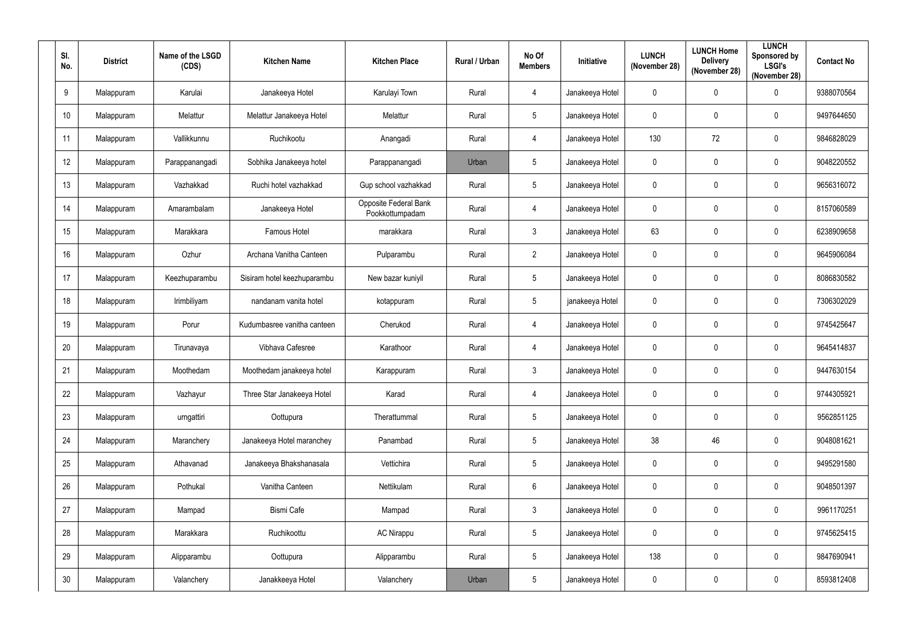| SI.<br>No. | <b>District</b> | Name of the LSGD<br>(CDS) | <b>Kitchen Name</b>         | <b>Kitchen Place</b>                     | Rural / Urban | No Of<br><b>Members</b> | Initiative      | <b>LUNCH</b><br>(November 28) | <b>LUNCH Home</b><br><b>Delivery</b><br>(November 28) | <b>LUNCH</b><br>Sponsored by<br><b>LSGI's</b><br>(November 28) | <b>Contact No</b> |
|------------|-----------------|---------------------------|-----------------------------|------------------------------------------|---------------|-------------------------|-----------------|-------------------------------|-------------------------------------------------------|----------------------------------------------------------------|-------------------|
| 9          | Malappuram      | Karulai                   | Janakeeya Hotel             | Karulayi Town                            | Rural         | 4                       | Janakeeya Hotel | $\mathbf 0$                   | $\mathbf 0$                                           | $\mathbf 0$                                                    | 9388070564        |
| 10         | Malappuram      | Melattur                  | Melattur Janakeeya Hotel    | Melattur                                 | Rural         | $\overline{5}$          | Janakeeya Hotel | $\mathbf 0$                   | 0                                                     | $\mathbf 0$                                                    | 9497644650        |
| 11         | Malappuram      | Vallikkunnu               | Ruchikootu                  | Anangadi                                 | Rural         | $\overline{4}$          | Janakeeya Hotel | 130                           | 72                                                    | $\pmb{0}$                                                      | 9846828029        |
| 12         | Malappuram      | Parappanangadi            | Sobhika Janakeeya hotel     | Parappanangadi                           | Urban         | $\overline{5}$          | Janakeeya Hotel | $\mathbf 0$                   | 0                                                     | $\mathbf 0$                                                    | 9048220552        |
| 13         | Malappuram      | Vazhakkad                 | Ruchi hotel vazhakkad       | Gup school vazhakkad                     | Rural         | $5\phantom{.0}$         | Janakeeya Hotel | $\mathbf 0$                   | $\mathbf 0$                                           | $\mathbf 0$                                                    | 9656316072        |
| 14         | Malappuram      | Amarambalam               | Janakeeya Hotel             | Opposite Federal Bank<br>Pookkottumpadam | Rural         | $\overline{4}$          | Janakeeya Hotel | $\mathbf 0$                   | 0                                                     | $\mathbf 0$                                                    | 8157060589        |
| 15         | Malappuram      | Marakkara                 | Famous Hotel                | marakkara                                | Rural         | $\mathfrak{Z}$          | Janakeeya Hotel | 63                            | 0                                                     | $\mathbf 0$                                                    | 6238909658        |
| 16         | Malappuram      | Ozhur                     | Archana Vanitha Canteen     | Pulparambu                               | Rural         | $\overline{2}$          | Janakeeya Hotel | $\mathbf 0$                   | 0                                                     | $\mathbf 0$                                                    | 9645906084        |
| 17         | Malappuram      | Keezhuparambu             | Sisiram hotel keezhuparambu | New bazar kuniyil                        | Rural         | $\overline{5}$          | Janakeeya Hotel | $\mathbf 0$                   | $\mathbf 0$                                           | $\pmb{0}$                                                      | 8086830582        |
| 18         | Malappuram      | Irimbiliyam               | nandanam vanita hotel       | kotappuram                               | Rural         | $\sqrt{5}$              | janakeeya Hotel | $\mathbf 0$                   | $\mathbf 0$                                           | $\boldsymbol{0}$                                               | 7306302029        |
| 19         | Malappuram      | Porur                     | Kudumbasree vanitha canteen | Cherukod                                 | Rural         | 4                       | Janakeeya Hotel | $\mathbf 0$                   | $\mathbf 0$                                           | $\mathbf 0$                                                    | 9745425647        |
| 20         | Malappuram      | Tirunavaya                | Vibhava Cafesree            | Karathoor                                | Rural         | $\overline{4}$          | Janakeeya Hotel | $\mathbf 0$                   | 0                                                     | $\mathbf 0$                                                    | 9645414837        |
| 21         | Malappuram      | Moothedam                 | Moothedam janakeeya hotel   | Karappuram                               | Rural         | $\mathfrak{Z}$          | Janakeeya Hotel | $\mathbf 0$                   | $\mathbf 0$                                           | $\mathbf 0$                                                    | 9447630154        |
| 22         | Malappuram      | Vazhayur                  | Three Star Janakeeya Hotel  | Karad                                    | Rural         | $\overline{4}$          | Janakeeya Hotel | $\pmb{0}$                     | $\mathbf 0$                                           | $\mathbf 0$                                                    | 9744305921        |
| 23         | Malappuram      | urngattiri                | Oottupura                   | Therattummal                             | Rural         | $5\phantom{.0}$         | Janakeeya Hotel | $\pmb{0}$                     | $\pmb{0}$                                             | $\pmb{0}$                                                      | 9562851125        |
| 24         | Malappuram      | Maranchery                | Janakeeya Hotel maranchey   | Panambad                                 | Rural         | $\overline{5}$          | Janakeeya Hotel | 38                            | 46                                                    | $\pmb{0}$                                                      | 9048081621        |
| 25         | Malappuram      | Athavanad                 | Janakeeya Bhakshanasala     | Vettichira                               | Rural         | $\overline{5}$          | Janakeeya Hotel | $\pmb{0}$                     | $\mathbf 0$                                           | $\pmb{0}$                                                      | 9495291580        |
| 26         | Malappuram      | Pothukal                  | Vanitha Canteen             | Nettikulam                               | Rural         | $\,6\,$                 | Janakeeya Hotel | $\mathbf 0$                   | $\mathbf 0$                                           | $\pmb{0}$                                                      | 9048501397        |
| 27         | Malappuram      | Mampad                    | <b>Bismi Cafe</b>           | Mampad                                   | Rural         | $\mathfrak{Z}$          | Janakeeya Hotel | $\mathbf 0$                   | $\mathbf 0$                                           | $\pmb{0}$                                                      | 9961170251        |
| 28         | Malappuram      | Marakkara                 | Ruchikoottu                 | <b>AC Nirappu</b>                        | Rural         | $5\phantom{.0}$         | Janakeeya Hotel | $\pmb{0}$                     | 0                                                     | $\pmb{0}$                                                      | 9745625415        |
| 29         | Malappuram      | Alipparambu               | Oottupura                   | Alipparambu                              | Rural         | $5\phantom{.0}$         | Janakeeya Hotel | 138                           | $\mathbf 0$                                           | $\pmb{0}$                                                      | 9847690941        |
| $30\,$     | Malappuram      | Valanchery                | Janakkeeya Hotel            | Valanchery                               | Urban         | $\sqrt{5}$              | Janakeeya Hotel | $\pmb{0}$                     | 0                                                     | $\pmb{0}$                                                      | 8593812408        |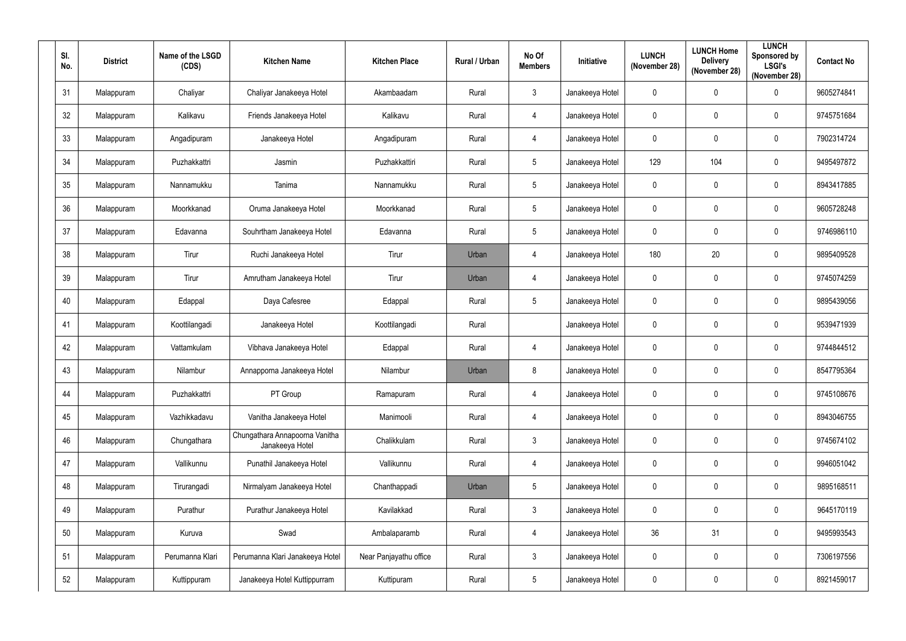| SI.<br>No. | <b>District</b> | Name of the LSGD<br>(CDS) | <b>Kitchen Name</b>                               | <b>Kitchen Place</b>   | <b>Rural / Urban</b> | No Of<br><b>Members</b> | <b>Initiative</b> | <b>LUNCH</b><br>(November 28) | <b>LUNCH Home</b><br><b>Delivery</b><br>(November 28) | <b>LUNCH</b><br>Sponsored by<br><b>LSGI's</b><br>(November 28) | <b>Contact No</b> |
|------------|-----------------|---------------------------|---------------------------------------------------|------------------------|----------------------|-------------------------|-------------------|-------------------------------|-------------------------------------------------------|----------------------------------------------------------------|-------------------|
| 31         | Malappuram      | Chaliyar                  | Chaliyar Janakeeya Hotel                          | Akambaadam             | Rural                | $\mathfrak{Z}$          | Janakeeya Hotel   | $\mathbf 0$                   | 0                                                     | $\mathbf 0$                                                    | 9605274841        |
| 32         | Malappuram      | Kalikavu                  | Friends Janakeeya Hotel                           | Kalikavu               | Rural                | 4                       | Janakeeya Hotel   | 0                             | 0                                                     | 0                                                              | 9745751684        |
| 33         | Malappuram      | Angadipuram               | Janakeeya Hotel                                   | Angadipuram            | Rural                | $\overline{4}$          | Janakeeya Hotel   | $\pmb{0}$                     | 0                                                     | 0                                                              | 7902314724        |
| 34         | Malappuram      | Puzhakkattri              | Jasmin                                            | Puzhakkattiri          | Rural                | $5\,$                   | Janakeeya Hotel   | 129                           | 104                                                   | 0                                                              | 9495497872        |
| 35         | Malappuram      | Nannamukku                | Tanima                                            | Nannamukku             | Rural                | $5\,$                   | Janakeeya Hotel   | $\mathbf 0$                   | 0                                                     | $\mathbf 0$                                                    | 8943417885        |
| 36         | Malappuram      | Moorkkanad                | Oruma Janakeeya Hotel                             | Moorkkanad             | Rural                | $5\phantom{.0}$         | Janakeeya Hotel   | $\mathbf 0$                   | 0                                                     | $\mathbf 0$                                                    | 9605728248        |
| 37         | Malappuram      | Edavanna                  | Souhrtham Janakeeya Hotel                         | Edavanna               | Rural                | $\sqrt{5}$              | Janakeeya Hotel   | $\mathbf 0$                   | 0                                                     | $\mathbf 0$                                                    | 9746986110        |
| 38         | Malappuram      | Tirur                     | Ruchi Janakeeya Hotel                             | Tirur                  | Urban                | 4                       | Janakeeya Hotel   | 180                           | 20                                                    | $\mathbf 0$                                                    | 9895409528        |
| 39         | Malappuram      | Tirur                     | Amrutham Janakeeya Hotel                          | Tirur                  | Urban                | 4                       | Janakeeya Hotel   | $\mathbf 0$                   | 0                                                     | 0                                                              | 9745074259        |
| 40         | Malappuram      | Edappal                   | Daya Cafesree                                     | Edappal                | Rural                | $\sqrt{5}$              | Janakeeya Hotel   | 0                             | 0                                                     | 0                                                              | 9895439056        |
| 41         | Malappuram      | Koottilangadi             | Janakeeya Hotel                                   | Koottilangadi          | Rural                |                         | Janakeeya Hotel   | $\mathbf 0$                   | 0                                                     | $\mathbf 0$                                                    | 9539471939        |
| 42         | Malappuram      | Vattamkulam               | Vibhava Janakeeya Hotel                           | Edappal                | Rural                | $\overline{4}$          | Janakeeya Hotel   | $\mathbf 0$                   | 0                                                     | $\mathbf 0$                                                    | 9744844512        |
| 43         | Malappuram      | Nilambur                  | Annapporna Janakeeya Hotel                        | Nilambur               | Urban                | 8                       | Janakeeya Hotel   | $\mathbf 0$                   | 0                                                     | $\mathbf 0$                                                    | 8547795364        |
| 44         | Malappuram      | Puzhakkattri              | PT Group                                          | Ramapuram              | Rural                | $\overline{4}$          | Janakeeya Hotel   | $\pmb{0}$                     | 0                                                     | $\pmb{0}$                                                      | 9745108676        |
| 45         | Malappuram      | Vazhikkadavu              | Vanitha Janakeeya Hotel                           | Manimooli              | Rural                | $\overline{4}$          | Janakeeya Hotel   | $\pmb{0}$                     | 0                                                     | $\pmb{0}$                                                      | 8943046755        |
| 46         | Malappuram      | Chungathara               | Chungathara Annapoorna Vanitha<br>Janakeeya Hotel | Chalikkulam            | Rural                | $\mathfrak{Z}$          | Janakeeya Hotel   | $\mathbf 0$                   | 0                                                     | $\pmb{0}$                                                      | 9745674102        |
| 47         | Malappuram      | Vallikunnu                | Punathil Janakeeya Hotel                          | Vallikunnu             | Rural                | $\overline{4}$          | Janakeeya Hotel   | $\pmb{0}$                     | 0                                                     | $\pmb{0}$                                                      | 9946051042        |
| 48         | Malappuram      | Tirurangadi               | Nirmalyam Janakeeya Hotel                         | Chanthappadi           | Urban                | $\sqrt{5}$              | Janakeeya Hotel   | $\mathbf 0$                   | 0                                                     | 0                                                              | 9895168511        |
| 49         | Malappuram      | Purathur                  | Purathur Janakeeya Hotel                          | Kavilakkad             | Rural                | $\mathfrak{Z}$          | Janakeeya Hotel   | $\mathbf 0$                   | 0                                                     | 0                                                              | 9645170119        |
| $50\,$     | Malappuram      | Kuruva                    | Swad                                              | Ambalaparamb           | Rural                | $\overline{4}$          | Janakeeya Hotel   | 36                            | 31                                                    | 0                                                              | 9495993543        |
| 51         | Malappuram      | Perumanna Klari           | Perumanna Klari Janakeeya Hotel                   | Near Panjayathu office | Rural                | $\mathfrak{Z}$          | Janakeeya Hotel   | $\pmb{0}$                     | 0                                                     | $\pmb{0}$                                                      | 7306197556        |
| 52         | Malappuram      | Kuttippuram               | Janakeeya Hotel Kuttippurram                      | Kuttipuram             | Rural                | $\sqrt{5}$              | Janakeeya Hotel   | 0                             | 0                                                     | 0                                                              | 8921459017        |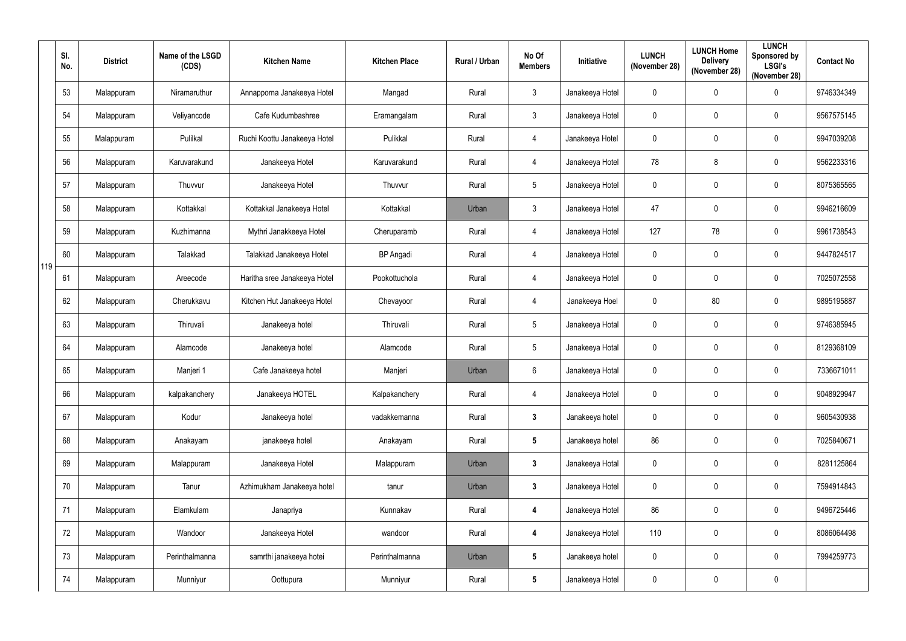|     | SI.<br>No. | <b>District</b> | Name of the LSGD<br>(CDS) | <b>Kitchen Name</b>          | <b>Kitchen Place</b> | Rural / Urban | No Of<br><b>Members</b> | <b>Initiative</b> | <b>LUNCH</b><br>(November 28) | <b>LUNCH Home</b><br><b>Delivery</b><br>(November 28) | <b>LUNCH</b><br>Sponsored by<br><b>LSGI's</b><br>(November 28) | <b>Contact No</b> |
|-----|------------|-----------------|---------------------------|------------------------------|----------------------|---------------|-------------------------|-------------------|-------------------------------|-------------------------------------------------------|----------------------------------------------------------------|-------------------|
|     | 53         | Malappuram      | Niramaruthur              | Annapporna Janakeeya Hotel   | Mangad               | Rural         | $\mathbf{3}$            | Janakeeya Hotel   | $\mathbf 0$                   | $\mathbf 0$                                           | $\mathbf 0$                                                    | 9746334349        |
|     | 54         | Malappuram      | Veliyancode               | Cafe Kudumbashree            | Eramangalam          | Rural         | $\mathbf{3}$            | Janakeeya Hotel   | $\mathbf 0$                   | $\mathbf 0$                                           | $\mathbf 0$                                                    | 9567575145        |
|     | 55         | Malappuram      | Pulilkal                  | Ruchi Koottu Janakeeya Hotel | Pulikkal             | Rural         | $\overline{4}$          | Janakeeya Hotel   | $\pmb{0}$                     | $\mathbf 0$                                           | $\pmb{0}$                                                      | 9947039208        |
|     | 56         | Malappuram      | Karuvarakund              | Janakeeya Hotel              | Karuvarakund         | Rural         | $\overline{4}$          | Janakeeya Hotel   | 78                            | 8                                                     | $\mathbf 0$                                                    | 9562233316        |
|     | 57         | Malappuram      | Thuvvur                   | Janakeeya Hotel              | Thuvvur              | Rural         | $5\phantom{.0}$         | Janakeeya Hotel   | $\pmb{0}$                     | $\mathbf{0}$                                          | $\mathbf 0$                                                    | 8075365565        |
|     | 58         | Malappuram      | Kottakkal                 | Kottakkal Janakeeya Hotel    | Kottakkal            | Urban         | $\mathbf{3}$            | Janakeeya Hotel   | 47                            | $\mathbf 0$                                           | $\mathbf 0$                                                    | 9946216609        |
|     | 59         | Malappuram      | Kuzhimanna                | Mythri Janakkeeya Hotel      | Cheruparamb          | Rural         | $\overline{4}$          | Janakeeya Hotel   | 127                           | 78                                                    | $\mathbf 0$                                                    | 9961738543        |
| 119 | 60         | Malappuram      | Talakkad                  | Talakkad Janakeeya Hotel     | <b>BP</b> Angadi     | Rural         | $\overline{4}$          | Janakeeya Hotel   | $\mathbf 0$                   | $\mathbf 0$                                           | $\mathbf 0$                                                    | 9447824517        |
|     | 61         | Malappuram      | Areecode                  | Haritha sree Janakeeya Hotel | Pookottuchola        | Rural         | $\overline{4}$          | Janakeeya Hotel   | $\pmb{0}$                     | $\mathbf 0$                                           | $\mathbf 0$                                                    | 7025072558        |
|     | 62         | Malappuram      | Cherukkavu                | Kitchen Hut Janakeeya Hotel  | Chevayoor            | Rural         | $\overline{4}$          | Janakeeya Hoel    | $\pmb{0}$                     | $80\,$                                                | $\boldsymbol{0}$                                               | 9895195887        |
|     | 63         | Malappuram      | Thiruvali                 | Janakeeya hotel              | Thiruvali            | Rural         | $5\overline{)}$         | Janakeeya Hotal   | $\mathbf 0$                   | $\mathbf 0$                                           | $\mathbf 0$                                                    | 9746385945        |
|     | 64         | Malappuram      | Alamcode                  | Janakeeya hotel              | Alamcode             | Rural         | $5\phantom{.0}$         | Janakeeya Hotal   | $\mathbf 0$                   | $\mathbf 0$                                           | $\boldsymbol{0}$                                               | 8129368109        |
|     | 65         | Malappuram      | Manjeri 1                 | Cafe Janakeeya hotel         | Manjeri              | Urban         | $6\phantom{.}6$         | Janakeeya Hotal   | $\mathbf 0$                   | $\mathbf 0$                                           | $\mathbf 0$                                                    | 7336671011        |
|     | 66         | Malappuram      | kalpakanchery             | Janakeeya HOTEL              | Kalpakanchery        | Rural         | $\overline{4}$          | Janakeeya Hotel   | $\pmb{0}$                     | $\mathbf 0$                                           | $\mathbf 0$                                                    | 9048929947        |
|     | 67         | Malappuram      | Kodur                     | Janakeeya hotel              | vadakkemanna         | Rural         | $\mathbf{3}$            | Janakeeya hotel   | $\pmb{0}$                     | $\mathbf 0$                                           | $\pmb{0}$                                                      | 9605430938        |
|     | 68         | Malappuram      | Anakayam                  | janakeeya hotel              | Anakayam             | Rural         | $5\phantom{.0}$         | Janakeeya hotel   | 86                            | $\mathbf 0$                                           | $\mathbf 0$                                                    | 7025840671        |
|     | 69         | Malappuram      | Malappuram                | Janakeeya Hotel              | Malappuram           | Urban         | $\mathbf{3}$            | Janakeeya Hotal   | $\pmb{0}$                     | $\mathbf 0$                                           | $\pmb{0}$                                                      | 8281125864        |
|     | 70         | Malappuram      | Tanur                     | Azhimukham Janakeeya hotel   | tanur                | Urban         | $\mathbf{3}$            | Janakeeya Hotel   | $\pmb{0}$                     | $\mathbf 0$                                           | $\pmb{0}$                                                      | 7594914843        |
|     | 71         | Malappuram      | Elamkulam                 | Janapriya                    | Kunnakav             | Rural         | $\boldsymbol{4}$        | Janakeeya Hotel   | 86                            | $\mathbf 0$                                           | $\mathbf 0$                                                    | 9496725446        |
|     | 72         | Malappuram      | Wandoor                   | Janakeeya Hotel              | wandoor              | Rural         | $\boldsymbol{4}$        | Janakeeya Hotel   | 110                           | $\mathbf 0$                                           | $\mathbf 0$                                                    | 8086064498        |
|     | 73         | Malappuram      | Perinthalmanna            | samrthi janakeeya hotei      | Perinthalmanna       | Urban         | $5\phantom{.0}$         | Janakeeya hotel   | $\pmb{0}$                     | $\mathbf 0$                                           | $\mathbf 0$                                                    | 7994259773        |
|     | 74         | Malappuram      | Munniyur                  | Oottupura                    | Munniyur             | Rural         | $5\phantom{.0}$         | Janakeeya Hotel   | $\pmb{0}$                     | $\mathbf 0$                                           | $\pmb{0}$                                                      |                   |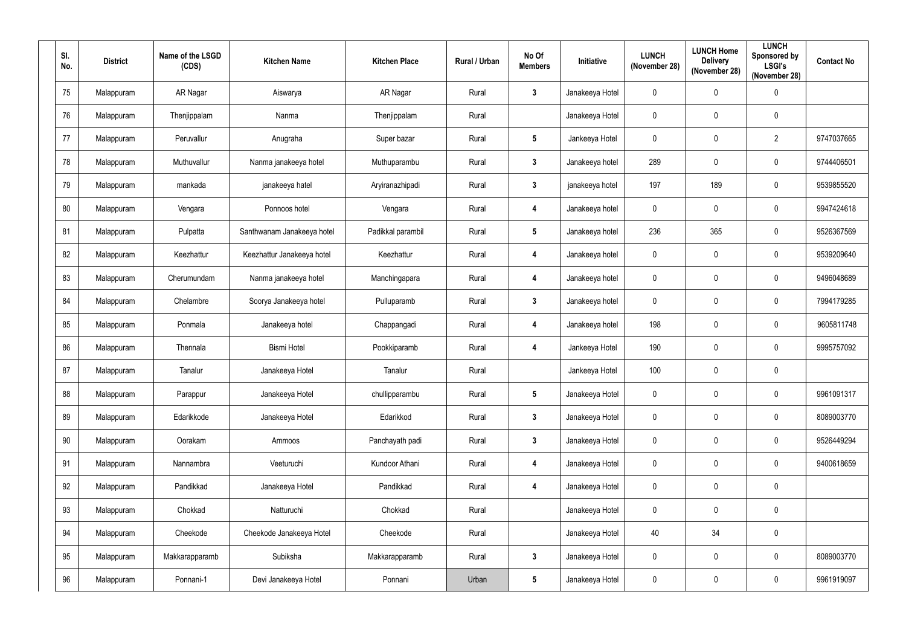| SI.<br>No. | <b>District</b> | Name of the LSGD<br>(CDS) | <b>Kitchen Name</b>        | <b>Kitchen Place</b> | Rural / Urban | No Of<br><b>Members</b> | Initiative      | <b>LUNCH</b><br>(November 28) | <b>LUNCH Home</b><br><b>Delivery</b><br>(November 28) | <b>LUNCH</b><br>Sponsored by<br><b>LSGI's</b><br>(November 28) | <b>Contact No</b> |
|------------|-----------------|---------------------------|----------------------------|----------------------|---------------|-------------------------|-----------------|-------------------------------|-------------------------------------------------------|----------------------------------------------------------------|-------------------|
| 75         | Malappuram      | AR Nagar                  | Aiswarya                   | AR Nagar             | Rural         | $\mathbf{3}$            | Janakeeya Hotel | $\mathbf 0$                   | $\mathbf 0$                                           | $\boldsymbol{0}$                                               |                   |
| 76         | Malappuram      | Thenjippalam              | Nanma                      | Thenjippalam         | Rural         |                         | Janakeeya Hotel | $\mathbf 0$                   | 0                                                     | $\pmb{0}$                                                      |                   |
| 77         | Malappuram      | Peruvallur                | Anugraha                   | Super bazar          | Rural         | $5\phantom{.0}$         | Jankeeya Hotel  | $\mathbf 0$                   | 0                                                     | $\overline{2}$                                                 | 9747037665        |
| 78         | Malappuram      | Muthuvallur               | Nanma janakeeya hotel      | Muthuparambu         | Rural         | $\mathbf{3}$            | Janakeeya hotel | 289                           | 0                                                     | $\mathbf 0$                                                    | 9744406501        |
| 79         | Malappuram      | mankada                   | janakeeya hatel            | Aryiranazhipadi      | Rural         | $\mathbf{3}$            | janakeeya hotel | 197                           | 189                                                   | $\pmb{0}$                                                      | 9539855520        |
| 80         | Malappuram      | Vengara                   | Ponnoos hotel              | Vengara              | Rural         | $\boldsymbol{4}$        | Janakeeya hotel | $\mathbf 0$                   | $\mathbf 0$                                           | $\mathbf 0$                                                    | 9947424618        |
| 81         | Malappuram      | Pulpatta                  | Santhwanam Janakeeya hotel | Padikkal parambil    | Rural         | $\sqrt{5}$              | Janakeeya hotel | 236                           | 365                                                   | $\mathbf 0$                                                    | 9526367569        |
| 82         | Malappuram      | Keezhattur                | Keezhattur Janakeeya hotel | Keezhattur           | Rural         | $\boldsymbol{4}$        | Janakeeya hotel | $\pmb{0}$                     | 0                                                     | $\pmb{0}$                                                      | 9539209640        |
| 83         | Malappuram      | Cherumundam               | Nanma janakeeya hotel      | Manchingapara        | Rural         | $\boldsymbol{4}$        | Janakeeya hotel | $\mathbf 0$                   | 0                                                     | $\mathbf 0$                                                    | 9496048689        |
| 84         | Malappuram      | Chelambre                 | Soorya Janakeeya hotel     | Pulluparamb          | Rural         | $\mathbf{3}$            | Janakeeya hotel | $\mathbf 0$                   | 0                                                     | $\mathbf 0$                                                    | 7994179285        |
| 85         | Malappuram      | Ponmala                   | Janakeeya hotel            | Chappangadi          | Rural         | $\boldsymbol{4}$        | Janakeeya hotel | 198                           | 0                                                     | $\mathbf 0$                                                    | 9605811748        |
| 86         | Malappuram      | Thennala                  | <b>Bismi Hotel</b>         | Pookkiparamb         | Rural         | $\boldsymbol{4}$        | Jankeeya Hotel  | 190                           | 0                                                     | $\mathbf 0$                                                    | 9995757092        |
| 87         | Malappuram      | Tanalur                   | Janakeeya Hotel            | Tanalur              | Rural         |                         | Jankeeya Hotel  | 100                           | 0                                                     | $\pmb{0}$                                                      |                   |
| 88         | Malappuram      | Parappur                  | Janakeeya Hotel            | chullipparambu       | Rural         | $5\phantom{.0}$         | Janakeeya Hotel | $\mathbf 0$                   | $\mathbf 0$                                           | $\mathbf 0$                                                    | 9961091317        |
| 89         | Malappuram      | Edarikkode                | Janakeeya Hotel            | Edarikkod            | Rural         | $\mathbf{3}$            | Janakeeya Hotel | $\pmb{0}$                     | $\mathbf 0$                                           | $\pmb{0}$                                                      | 8089003770        |
| $90\,$     | Malappuram      | Oorakam                   | Ammoos                     | Panchayath padi      | Rural         | $\mathbf{3}$            | Janakeeya Hotel | $\mathbf 0$                   | $\mathbf 0$                                           | $\pmb{0}$                                                      | 9526449294        |
| 91         | Malappuram      | Nannambra                 | Veeturuchi                 | Kundoor Athani       | Rural         | $\overline{\mathbf{4}}$ | Janakeeya Hotel | $\mathbf 0$                   | $\mathbf 0$                                           | $\pmb{0}$                                                      | 9400618659        |
| 92         | Malappuram      | Pandikkad                 | Janakeeya Hotel            | Pandikkad            | Rural         | $\overline{\mathbf{4}}$ | Janakeeya Hotel | $\pmb{0}$                     | $\mathbf 0$                                           | $\pmb{0}$                                                      |                   |
| 93         | Malappuram      | Chokkad                   | Natturuchi                 | Chokkad              | Rural         |                         | Janakeeya Hotel | $\pmb{0}$                     | $\mathbf 0$                                           | $\pmb{0}$                                                      |                   |
| 94         | Malappuram      | Cheekode                  | Cheekode Janakeeya Hotel   | Cheekode             | Rural         |                         | Janakeeya Hotel | 40                            | 34                                                    | $\pmb{0}$                                                      |                   |
| 95         | Malappuram      | Makkarapparamb            | Subiksha                   | Makkarapparamb       | Rural         | $\mathbf{3}$            | Janakeeya Hotel | $\pmb{0}$                     | 0                                                     | $\pmb{0}$                                                      | 8089003770        |
| 96         | Malappuram      | Ponnani-1                 | Devi Janakeeya Hotel       | Ponnani              | Urban         | $5\phantom{.0}$         | Janakeeya Hotel | $\pmb{0}$                     | 0                                                     | $\pmb{0}$                                                      | 9961919097        |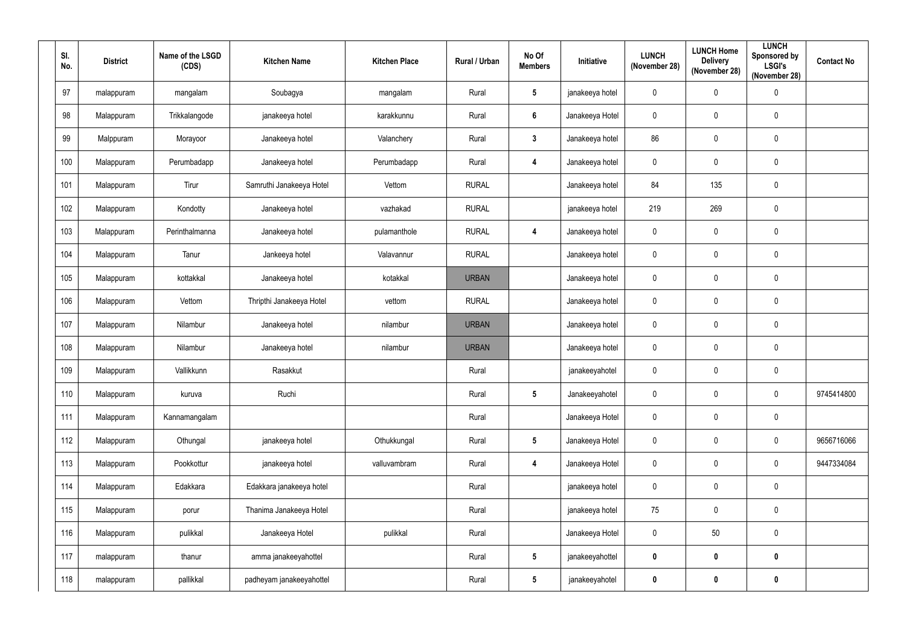| SI.<br>No. | <b>District</b> | Name of the LSGD<br>(CDS) | <b>Kitchen Name</b>      | <b>Kitchen Place</b> | Rural / Urban | No Of<br><b>Members</b> | Initiative      | <b>LUNCH</b><br>(November 28) | <b>LUNCH Home</b><br><b>Delivery</b><br>(November 28) | <b>LUNCH</b><br><b>Sponsored by</b><br><b>LSGI's</b><br>(November 28) | <b>Contact No</b> |
|------------|-----------------|---------------------------|--------------------------|----------------------|---------------|-------------------------|-----------------|-------------------------------|-------------------------------------------------------|-----------------------------------------------------------------------|-------------------|
| 97         | malappuram      | mangalam                  | Soubagya                 | mangalam             | Rural         | $5\phantom{.0}$         | janakeeya hotel | 0                             | $\mathbf 0$                                           | 0                                                                     |                   |
| 98         | Malappuram      | Trikkalangode             | janakeeya hotel          | karakkunnu           | Rural         | $6\phantom{1}$          | Janakeeya Hotel | 0                             | $\mathbf 0$                                           | 0                                                                     |                   |
| 99         | Malppuram       | Morayoor                  | Janakeeya hotel          | Valanchery           | Rural         | $\mathbf{3}$            | Janakeeya hotel | 86                            | $\mathbf 0$                                           | $\pmb{0}$                                                             |                   |
| 100        | Malappuram      | Perumbadapp               | Janakeeya hotel          | Perumbadapp          | Rural         | 4                       | Janakeeya hotel | 0                             | 0                                                     | 0                                                                     |                   |
| 101        | Malappuram      | Tirur                     | Samruthi Janakeeya Hotel | Vettom               | <b>RURAL</b>  |                         | Janakeeya hotel | 84                            | 135                                                   | 0                                                                     |                   |
| 102        | Malappuram      | Kondotty                  | Janakeeya hotel          | vazhakad             | <b>RURAL</b>  |                         | janakeeya hotel | 219                           | 269                                                   | $\mathbf 0$                                                           |                   |
| 103        | Malappuram      | Perinthalmanna            | Janakeeya hotel          | pulamanthole         | <b>RURAL</b>  | $\boldsymbol{4}$        | Janakeeya hotel | 0                             | 0                                                     | 0                                                                     |                   |
| 104        | Malappuram      | Tanur                     | Jankeeya hotel           | Valavannur           | <b>RURAL</b>  |                         | Janakeeya hotel | $\mathbf 0$                   | $\mathbf 0$                                           | 0                                                                     |                   |
| 105        | Malappuram      | kottakkal                 | Janakeeya hotel          | kotakkal             | <b>URBAN</b>  |                         | Janakeeya hotel | 0                             | 0                                                     | 0                                                                     |                   |
| 106        | Malappuram      | Vettom                    | Thripthi Janakeeya Hotel | vettom               | <b>RURAL</b>  |                         | Janakeeya hotel | 0                             | $\pmb{0}$                                             | 0                                                                     |                   |
| 107        | Malappuram      | Nilambur                  | Janakeeya hotel          | nilambur             | <b>URBAN</b>  |                         | Janakeeya hotel | $\mathbf 0$                   | 0                                                     | $\mathbf 0$                                                           |                   |
| 108        | Malappuram      | Nilambur                  | Janakeeya hotel          | nilambur             | <b>URBAN</b>  |                         | Janakeeya hotel | 0                             | 0                                                     | 0                                                                     |                   |
| 109        | Malappuram      | Vallikkunn                | Rasakkut                 |                      | Rural         |                         | janakeeyahotel  | 0                             | $\mathbf 0$                                           | $\mathbf 0$                                                           |                   |
| 110        | Malappuram      | kuruva                    | Ruchi                    |                      | Rural         | $5\phantom{.0}$         | Janakeeyahotel  | $\pmb{0}$                     | $\mathbf 0$                                           | $\mathbf 0$                                                           | 9745414800        |
| 111        | Malappuram      | Kannamangalam             |                          |                      | Rural         |                         | Janakeeya Hotel | $\pmb{0}$                     | $\mathbf 0$                                           | $\mathbf 0$                                                           |                   |
| 112        | Malappuram      | Othungal                  | janakeeya hotel          | Othukkungal          | Rural         | $5\phantom{.0}$         | Janakeeya Hotel | $\pmb{0}$                     | $\mathbf 0$                                           | $\pmb{0}$                                                             | 9656716066        |
| 113        | Malappuram      | Pookkottur                | janakeeya hotel          | valluvambram         | Rural         | $\overline{\mathbf{4}}$ | Janakeeya Hotel | $\pmb{0}$                     | 0                                                     | $\pmb{0}$                                                             | 9447334084        |
| 114        | Malappuram      | Edakkara                  | Edakkara janakeeya hotel |                      | Rural         |                         | janakeeya hotel | $\pmb{0}$                     | 0                                                     | $\pmb{0}$                                                             |                   |
| 115        | Malappuram      | porur                     | Thanima Janakeeya Hotel  |                      | Rural         |                         | janakeeya hotel | 75                            | $\mathbf 0$                                           | $\pmb{0}$                                                             |                   |
| 116        | Malappuram      | pulikkal                  | Janakeeya Hotel          | pulikkal             | Rural         |                         | Janakeeya Hotel | $\pmb{0}$                     | 50                                                    | $\pmb{0}$                                                             |                   |
| 117        | malappuram      | thanur                    | amma janakeeyahottel     |                      | Rural         | $5\phantom{.0}$         | janakeeyahottel | $\pmb{0}$                     | $\mathbf 0$                                           | $\pmb{0}$                                                             |                   |
| 118        | malappuram      | pallikkal                 | padheyam janakeeyahottel |                      | Rural         | $\sqrt{5}$              | janakeeyahotel  | $\boldsymbol{0}$              | 0                                                     | $\pmb{0}$                                                             |                   |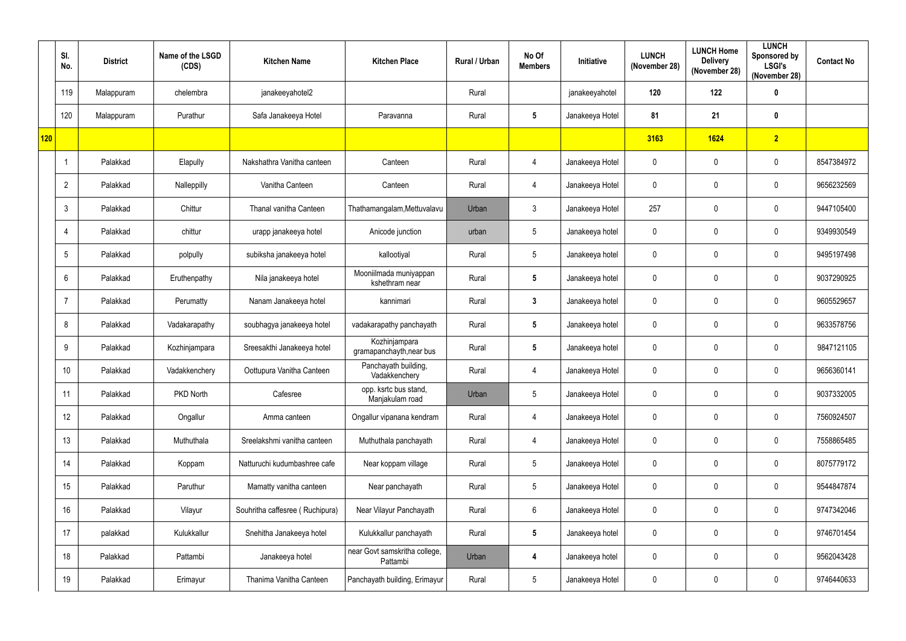|     | SI.<br>No.     | <b>District</b> | Name of the LSGD<br>(CDS) | <b>Kitchen Name</b>             | <b>Kitchen Place</b>                      | Rural / Urban | No Of<br><b>Members</b> | Initiative      | <b>LUNCH</b><br>(November 28) | <b>LUNCH Home</b><br><b>Delivery</b><br>(November 28) | <b>LUNCH</b><br>Sponsored by<br><b>LSGI's</b><br>(November 28) | <b>Contact No</b> |
|-----|----------------|-----------------|---------------------------|---------------------------------|-------------------------------------------|---------------|-------------------------|-----------------|-------------------------------|-------------------------------------------------------|----------------------------------------------------------------|-------------------|
|     | 119            | Malappuram      | chelembra                 | janakeeyahotel2                 |                                           | Rural         |                         | janakeeyahotel  | 120                           | 122                                                   | $\mathbf 0$                                                    |                   |
|     | 120            | Malappuram      | Purathur                  | Safa Janakeeya Hotel            | Paravanna                                 | Rural         | $5\phantom{.0}$         | Janakeeya Hotel | 81                            | 21                                                    | $\pmb{0}$                                                      |                   |
| 120 |                |                 |                           |                                 |                                           |               |                         |                 | 3163                          | 1624                                                  | $\overline{2}$                                                 |                   |
|     |                | Palakkad        | Elapully                  | Nakshathra Vanitha canteen      | Canteen                                   | Rural         | $\overline{4}$          | Janakeeya Hotel | $\mathbf 0$                   | 0                                                     | $\mathbf 0$                                                    | 8547384972        |
|     | $\overline{2}$ | Palakkad        | Nalleppilly               | Vanitha Canteen                 | Canteen                                   | Rural         | $\overline{4}$          | Janakeeya Hotel | $\mathbf 0$                   | 0                                                     | $\mathbf 0$                                                    | 9656232569        |
|     | $\mathfrak{Z}$ | Palakkad        | Chittur                   | Thanal vanitha Canteen          | Thathamangalam, Mettuvalavu               | Urban         | $\mathbf{3}$            | Janakeeya Hotel | 257                           | $\mathbf 0$                                           | $\mathbf 0$                                                    | 9447105400        |
|     | $\overline{4}$ | Palakkad        | chittur                   | urapp janakeeya hotel           | Anicode junction                          | urban         | $5\phantom{.0}$         | Janakeeya hotel | $\mathbf 0$                   | $\mathbf 0$                                           | $\mathbf 0$                                                    | 9349930549        |
|     | 5              | Palakkad        | polpully                  | subiksha janakeeya hotel        | kallootiyal                               | Rural         | $5\phantom{.0}$         | Janakeeya hotel | $\mathbf 0$                   | $\mathbf 0$                                           | $\mathbf 0$                                                    | 9495197498        |
|     | 6              | Palakkad        | Eruthenpathy              | Nila janakeeya hotel            | Mooniilmada muniyappan<br>kshethram near  | Rural         | $5\phantom{.0}$         | Janakeeya hotel | $\mathbf 0$                   | $\mathbf 0$                                           | $\mathbf 0$                                                    | 9037290925        |
|     |                | Palakkad        | Perumatty                 | Nanam Janakeeya hotel           | kannimari                                 | Rural         | $\mathbf{3}$            | Janakeeya hotel | $\mathbf 0$                   | $\mathbf 0$                                           | $\mathbf 0$                                                    | 9605529657        |
|     | 8              | Palakkad        | Vadakarapathy             | soubhagya janakeeya hotel       | vadakarapathy panchayath                  | Rural         | $5\phantom{.0}$         | Janakeeya hotel | $\mathbf 0$                   | $\mathbf 0$                                           | $\mathbf 0$                                                    | 9633578756        |
|     | 9              | Palakkad        | Kozhinjampara             | Sreesakthi Janakeeya hotel      | Kozhinjampara<br>gramapanchayth, near bus | Rural         | $5\phantom{.0}$         | Janakeeya hotel | $\mathbf 0$                   | 0                                                     | $\pmb{0}$                                                      | 9847121105        |
|     | 10             | Palakkad        | Vadakkenchery             | Oottupura Vanitha Canteen       | Panchayath building,<br>Vadakkenchery     | Rural         | $\overline{4}$          | Janakeeya Hotel | $\mathbf 0$                   | $\mathbf 0$                                           | $\mathbf 0$                                                    | 9656360141        |
|     | 11             | Palakkad        | PKD North                 | Cafesree                        | opp. ksrtc bus stand,<br>Manjakulam road  | Urban         | $5\overline{)}$         | Janakeeya Hotel | $\mathbf 0$                   | $\mathbf 0$                                           | $\mathbf 0$                                                    | 9037332005        |
|     | 12             | Palakkad        | Ongallur                  | Amma canteen                    | Ongallur vipanana kendram                 | Rural         | $\overline{4}$          | Janakeeya Hotel | $\mathbf 0$                   | $\mathbf 0$                                           | $\pmb{0}$                                                      | 7560924507        |
|     | 13             | Palakkad        | Muthuthala                | Sreelakshmi vanitha canteen     | Muthuthala panchayath                     | Rural         | $\overline{4}$          | Janakeeya Hotel | $\mathbf 0$                   | $\mathbf 0$                                           | $\pmb{0}$                                                      | 7558865485        |
|     | 14             | Palakkad        | Koppam                    | Natturuchi kudumbashree cafe    | Near koppam village                       | Rural         | $5\phantom{.0}$         | Janakeeya Hotel | $\mathbf 0$                   | $\mathbf 0$                                           | $\pmb{0}$                                                      | 8075779172        |
|     | 15             | Palakkad        | Paruthur                  | Mamatty vanitha canteen         | Near panchayath                           | Rural         | $5\phantom{.0}$         | Janakeeya Hotel | $\mathbf 0$                   | 0                                                     | $\pmb{0}$                                                      | 9544847874        |
|     | 16             | Palakkad        | Vilayur                   | Souhritha caffesree (Ruchipura) | Near Vilayur Panchayath                   | Rural         | $6\overline{6}$         | Janakeeya Hotel | $\mathbf 0$                   | $\mathbf 0$                                           | $\mathbf 0$                                                    | 9747342046        |
|     | 17             | palakkad        | Kulukkallur               | Snehitha Janakeeya hotel        | Kulukkallur panchayath                    | Rural         | $5\phantom{.0}$         | Janakeeya hotel | $\mathbf 0$                   | $\mathbf 0$                                           | $\pmb{0}$                                                      | 9746701454        |
|     | 18             | Palakkad        | Pattambi                  | Janakeeya hotel                 | near Govt samskritha college,<br>Pattambi | Urban         | $\overline{4}$          | Janakeeya hotel | $\mathbf 0$                   | $\mathbf 0$                                           | $\mathbf 0$                                                    | 9562043428        |
|     | 19             | Palakkad        | Erimayur                  | Thanima Vanitha Canteen         | Panchayath building, Erimayur             | Rural         | $5\phantom{.0}$         | Janakeeya Hotel | $\mathbf 0$                   | $\mathbf 0$                                           | $\pmb{0}$                                                      | 9746440633        |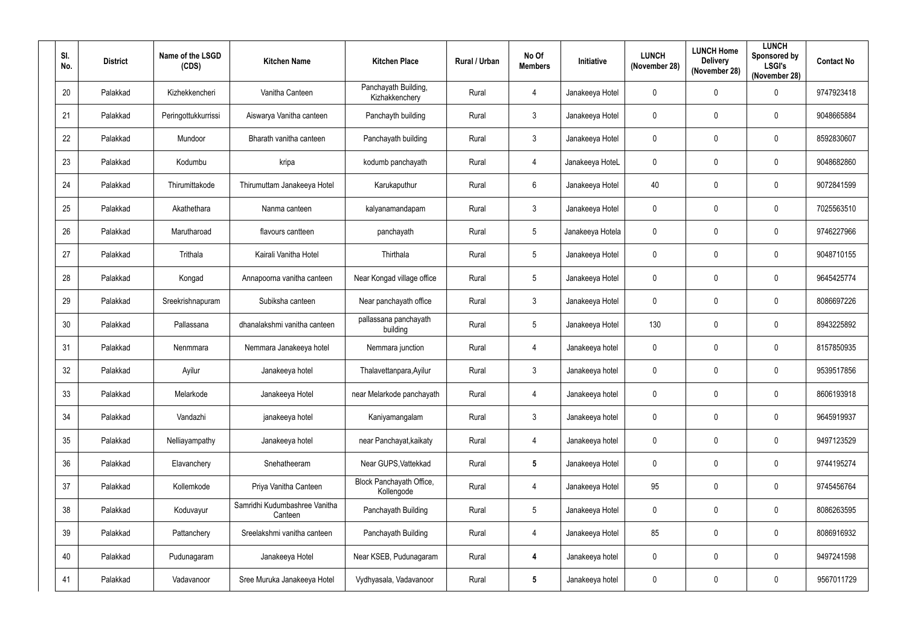| SI.<br>No. | <b>District</b> | Name of the LSGD<br>(CDS) | <b>Kitchen Name</b>                      | <b>Kitchen Place</b>                   | Rural / Urban | No Of<br><b>Members</b> | Initiative       | <b>LUNCH</b><br>(November 28) | <b>LUNCH Home</b><br><b>Delivery</b><br>(November 28) | <b>LUNCH</b><br>Sponsored by<br><b>LSGI's</b><br>(November 28) | <b>Contact No</b> |
|------------|-----------------|---------------------------|------------------------------------------|----------------------------------------|---------------|-------------------------|------------------|-------------------------------|-------------------------------------------------------|----------------------------------------------------------------|-------------------|
| 20         | Palakkad        | Kizhekkencheri            | Vanitha Canteen                          | Panchayath Building,<br>Kizhakkenchery | Rural         | 4                       | Janakeeya Hotel  | 0                             | $\mathbf 0$                                           | $\mathbf 0$                                                    | 9747923418        |
| 21         | Palakkad        | Peringottukkurrissi       | Aiswarya Vanitha canteen                 | Panchayth building                     | Rural         | $\mathfrak{Z}$          | Janakeeya Hotel  | 0                             | $\mathbf 0$                                           | 0                                                              | 9048665884        |
| 22         | Palakkad        | Mundoor                   | Bharath vanitha canteen                  | Panchayath building                    | Rural         | $\mathfrak{Z}$          | Janakeeya Hotel  | 0                             | 0                                                     | $\mathbf 0$                                                    | 8592830607        |
| 23         | Palakkad        | Kodumbu                   | kripa                                    | kodumb panchayath                      | Rural         | $\overline{4}$          | Janakeeya HoteL  | 0                             | 0                                                     | $\mathbf 0$                                                    | 9048682860        |
| 24         | Palakkad        | Thirumittakode            | Thirumuttam Janakeeya Hotel              | Karukaputhur                           | Rural         | $6\phantom{.}6$         | Janakeeya Hotel  | 40                            | $\mathbf 0$                                           | $\mathbf 0$                                                    | 9072841599        |
| 25         | Palakkad        | Akathethara               | Nanma canteen                            | kalyanamandapam                        | Rural         | $\mathfrak{Z}$          | Janakeeya Hotel  | $\mathbf 0$                   | 0                                                     | $\mathbf 0$                                                    | 7025563510        |
| 26         | Palakkad        | Marutharoad               | flavours cantteen                        | panchayath                             | Rural         | $5\phantom{.0}$         | Janakeeya Hotela | 0                             | 0                                                     | 0                                                              | 9746227966        |
| 27         | Palakkad        | Trithala                  | Kairali Vanitha Hotel                    | Thirthala                              | Rural         | $5\phantom{.0}$         | Janakeeya Hotel  | 0                             | $\mathbf 0$                                           | $\mathbf 0$                                                    | 9048710155        |
| 28         | Palakkad        | Kongad                    | Annapoorna vanitha canteen               | Near Kongad village office             | Rural         | $5\phantom{.0}$         | Janakeeya Hotel  | 0                             | 0                                                     | $\mathbf 0$                                                    | 9645425774        |
| 29         | Palakkad        | Sreekrishnapuram          | Subiksha canteen                         | Near panchayath office                 | Rural         | $\mathfrak{Z}$          | Janakeeya Hotel  | 0                             | $\mathbf 0$                                           | $\mathbf 0$                                                    | 8086697226        |
| 30         | Palakkad        | Pallassana                | dhanalakshmi vanitha canteen             | pallassana panchayath<br>building      | Rural         | $5\phantom{.0}$         | Janakeeya Hotel  | 130                           | 0                                                     | $\mathbf 0$                                                    | 8943225892        |
| 31         | Palakkad        | Nenmmara                  | Nemmara Janakeeya hotel                  | Nemmara junction                       | Rural         | 4                       | Janakeeya hotel  | 0                             | 0                                                     | $\mathbf 0$                                                    | 8157850935        |
| 32         | Palakkad        | Ayilur                    | Janakeeya hotel                          | Thalavettanpara, Ayilur                | Rural         | $\mathfrak{Z}$          | Janakeeya hotel  | 0                             | 0                                                     | 0                                                              | 9539517856        |
| 33         | Palakkad        | Melarkode                 | Janakeeya Hotel                          | near Melarkode panchayath              | Rural         | $\overline{4}$          | Janakeeya hotel  | $\mathbf 0$                   | $\mathbf 0$                                           | $\mathbf 0$                                                    | 8606193918        |
| 34         | Palakkad        | Vandazhi                  | janakeeya hotel                          | Kaniyamangalam                         | Rural         | $\mathfrak{Z}$          | Janakeeya hotel  | $\pmb{0}$                     | $\boldsymbol{0}$                                      | $\pmb{0}$                                                      | 9645919937        |
| 35         | Palakkad        | Nelliayampathy            | Janakeeya hotel                          | near Panchayat, kaikaty                | Rural         | $\overline{4}$          | Janakeeya hotel  | 0                             | $\mathbf 0$                                           | 0                                                              | 9497123529        |
| 36         | Palakkad        | Elavanchery               | Snehatheeram                             | Near GUPS, Vattekkad                   | Rural         | $5\phantom{.0}$         | Janakeeya Hotel  | $\pmb{0}$                     | 0                                                     | $\pmb{0}$                                                      | 9744195274        |
| 37         | Palakkad        | Kollemkode                | Priya Vanitha Canteen                    | Block Panchayath Office,<br>Kollengode | Rural         | $\overline{4}$          | Janakeeya Hotel  | 95                            | $\mathbf 0$                                           | 0                                                              | 9745456764        |
| 38         | Palakkad        | Koduvayur                 | Samridhi Kudumbashree Vanitha<br>Canteen | Panchayath Building                    | Rural         | $5\phantom{.0}$         | Janakeeya Hotel  | $\mathbf 0$                   | $\mathbf 0$                                           | $\pmb{0}$                                                      | 8086263595        |
| 39         | Palakkad        | Pattanchery               | Sreelakshmi vanitha canteen              | Panchayath Building                    | Rural         | $\overline{4}$          | Janakeeya Hotel  | 85                            | 0                                                     | $\pmb{0}$                                                      | 8086916932        |
| 40         | Palakkad        | Pudunagaram               | Janakeeya Hotel                          | Near KSEB, Pudunagaram                 | Rural         | $\boldsymbol{4}$        | Janakeeya hotel  | $\pmb{0}$                     | 0                                                     | $\pmb{0}$                                                      | 9497241598        |
| 41         | Palakkad        | Vadavanoor                | Sree Muruka Janakeeya Hotel              | Vydhyasala, Vadavanoor                 | Rural         | $5\phantom{.0}$         | Janakeeya hotel  | 0                             | $\boldsymbol{0}$                                      | 0                                                              | 9567011729        |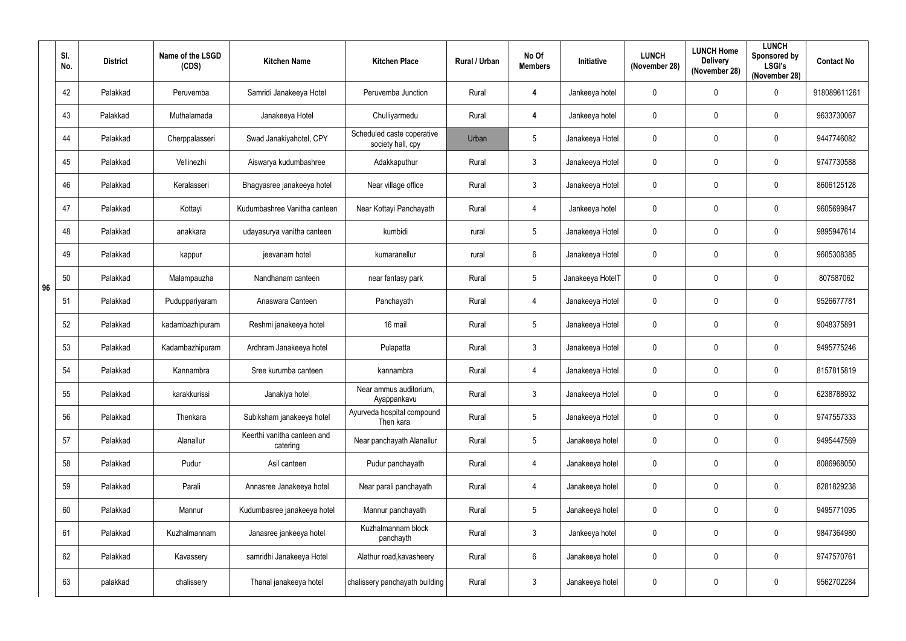|    | SI.<br>No. | <b>District</b> | Name of the LSGD<br>(CDS) | <b>Kitchen Name</b>                     | <b>Kitchen Place</b>                            | Rural / Urban | No Of<br><b>Members</b> | Initiative       | <b>LUNCH</b><br>(November 28) | <b>LUNCH Home</b><br><b>Delivery</b><br>(November 28) | <b>LUNCH</b><br>Sponsored by<br><b>LSGI's</b><br>(November 28) | <b>Contact No</b> |
|----|------------|-----------------|---------------------------|-----------------------------------------|-------------------------------------------------|---------------|-------------------------|------------------|-------------------------------|-------------------------------------------------------|----------------------------------------------------------------|-------------------|
|    | 42         | Palakkad        | Peruvemba                 | Samridi Janakeeya Hotel                 | Peruvemba Junction                              | Rural         | $\overline{4}$          | Jankeeya hotel   | $\mathbf 0$                   | $\mathbf 0$                                           | $\mathbf 0$                                                    | 918089611261      |
|    | 43         | Palakkad        | Muthalamada               | Janakeeya Hotel                         | Chulliyarmedu                                   | Rural         | $\overline{\mathbf{4}}$ | Jankeeya hotel   | $\mathbf 0$                   | $\mathbf{0}$                                          | $\pmb{0}$                                                      | 9633730067        |
|    | 44         | Palakkad        | Cherppalasseri            | Swad Janakiyahotel, CPY                 | Scheduled caste coperative<br>society hall, cpy | Urban         | $\sqrt{5}$              | Janakeeya Hotel  | $\pmb{0}$                     | $\mathbf{0}$                                          | $\mathbf 0$                                                    | 9447746082        |
|    | 45         | Palakkad        | Vellinezhi                | Aiswarya kudumbashree                   | Adakkaputhur                                    | Rural         | $\mathbf{3}$            | Janakeeya Hotel  | $\mathbf 0$                   | $\mathbf{0}$                                          | $\mathbf 0$                                                    | 9747730588        |
|    | 46         | Palakkad        | Keralasseri               | Bhagyasree janakeeya hotel              | Near village office                             | Rural         | $\mathbf{3}$            | Janakeeya Hotel  | $\mathbf 0$                   | $\mathbf{0}$                                          | $\pmb{0}$                                                      | 8606125128        |
|    | 47         | Palakkad        | Kottayi                   | Kudumbashree Vanitha canteen            | Near Kottayi Panchayath                         | Rural         | $\overline{4}$          | Jankeeya hotel   | $\mathbf 0$                   | $\mathbf{0}$                                          | $\mathbf 0$                                                    | 9605699847        |
|    | 48         | Palakkad        | anakkara                  | udayasurya vanitha canteen              | kumbidi                                         | rural         | $5\phantom{.0}$         | Janakeeya Hotel  | $\mathbf 0$                   | $\mathbf{0}$                                          | $\mathbf 0$                                                    | 9895947614        |
|    | 49         | Palakkad        | kappur                    | jeevanam hotel                          | kumaranellur                                    | rural         | $6\phantom{.}6$         | Janakeeya Hotel  | $\pmb{0}$                     | $\mathbf 0$                                           | $\pmb{0}$                                                      | 9605308385        |
| 96 | 50         | Palakkad        | Malampauzha               | Nandhanam canteen                       | near fantasy park                               | Rural         | $5\phantom{.0}$         | Janakeeya HotelT | $\mathbf 0$                   | $\mathbf{0}$                                          | $\mathbf 0$                                                    | 807587062         |
|    | 51         | Palakkad        | Puduppariyaram            | Anaswara Canteen                        | Panchayath                                      | Rural         | $\overline{4}$          | Janakeeya Hotel  | $\mathbf 0$                   | $\mathbf 0$                                           | $\mathbf 0$                                                    | 9526677781        |
|    | 52         | Palakkad        | kadambazhipuram           | Reshmi janakeeya hotel                  | 16 mail                                         | Rural         | $5\phantom{.0}$         | Janakeeya Hotel  | $\mathbf 0$                   | $\mathbf{0}$                                          | $\mathbf 0$                                                    | 9048375891        |
|    | 53         | Palakkad        | Kadambazhipuram           | Ardhram Janakeeya hotel                 | Pulapatta                                       | Rural         | $\mathbf{3}$            | Janakeeya Hotel  | $\mathbf 0$                   | $\mathbf 0$                                           | $\mathbf 0$                                                    | 9495775246        |
|    | 54         | Palakkad        | Kannambra                 | Sree kurumba canteen                    | kannambra                                       | Rural         | $\overline{4}$          | Janakeeya Hotel  | $\mathbf 0$                   | $\mathbf 0$                                           | $\mathbf 0$                                                    | 8157815819        |
|    | 55         | Palakkad        | karakkurissi              | Janakiya hotel                          | Near ammus auditorium,<br>Ayappankavu           | Rural         | $\mathbf{3}$            | Janakeeya Hotel  | $\pmb{0}$                     | $\mathbf 0$                                           | $\pmb{0}$                                                      | 6238788932        |
|    | 56         | Palakkad        | Thenkara                  | Subiksham janakeeya hotel               | Ayurveda hospital compound<br>Then kara         | Rural         | $5\phantom{.0}$         | Janakeeya Hotel  | $\pmb{0}$                     | $\mathbf 0$                                           | $\pmb{0}$                                                      | 9747557333        |
|    | 57         | Palakkad        | Alanallur                 | Keerthi vanitha canteen and<br>catering | Near panchayath Alanallur                       | Rural         | $5\phantom{.0}$         | Janakeeya hotel  | $\pmb{0}$                     | $\mathbf 0$                                           | $\pmb{0}$                                                      | 9495447569        |
|    | 58         | Palakkad        | Pudur                     | Asil canteen                            | Pudur panchayath                                | Rural         | $\overline{4}$          | Janakeeya hotel  | $\pmb{0}$                     | $\mathbf 0$                                           | $\pmb{0}$                                                      | 8086968050        |
|    | 59         | Palakkad        | Parali                    | Annasree Janakeeya hotel                | Near parali panchayath                          | Rural         | $\overline{4}$          | Janakeeya hotel  | $\pmb{0}$                     | $\mathbf 0$                                           | $\pmb{0}$                                                      | 8281829238        |
|    | 60         | Palakkad        | Mannur                    | Kudumbasree janakeeya hotel             | Mannur panchayath                               | Rural         | $5\phantom{.0}$         | Janakeeya hotel  | $\pmb{0}$                     | $\mathbf 0$                                           | $\mathbf 0$                                                    | 9495771095        |
|    | 61         | Palakkad        | Kuzhalmannam              | Janasree jankeeya hotel                 | Kuzhalmannam block<br>panchayth                 | Rural         | $\mathbf{3}$            | Jankeeya hotel   | $\pmb{0}$                     | $\mathbf 0$                                           | $\pmb{0}$                                                      | 9847364980        |
|    | 62         | Palakkad        | Kavassery                 | samridhi Janakeeya Hotel                | Alathur road, kavasheery                        | Rural         | $6\phantom{.}6$         | Janakeeya hotel  | $\pmb{0}$                     | $\mathbf 0$                                           | $\pmb{0}$                                                      | 9747570761        |
|    | 63         | palakkad        | chalissery                | Thanal janakeeya hotel                  | chalissery panchayath building                  | Rural         | $\mathbf{3}$            | Janakeeya hotel  | $\pmb{0}$                     | $\pmb{0}$                                             | $\pmb{0}$                                                      | 9562702284        |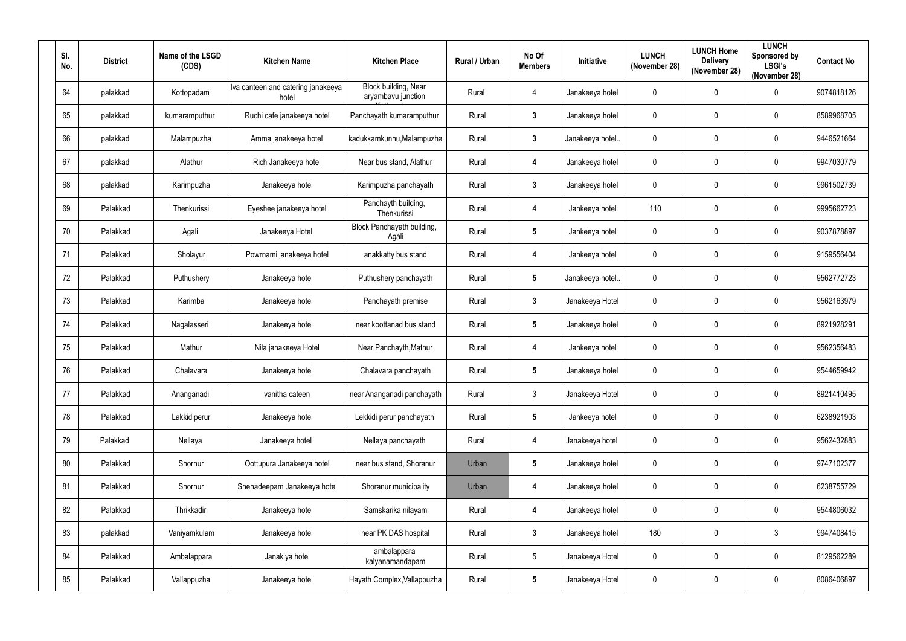| SI.<br>No. | <b>District</b> | Name of the LSGD<br>(CDS) | <b>Kitchen Name</b>                         | <b>Kitchen Place</b>                       | Rural / Urban | No Of<br><b>Members</b> | Initiative       | <b>LUNCH</b><br>(November 28) | <b>LUNCH Home</b><br><b>Delivery</b><br>(November 28) | <b>LUNCH</b><br>Sponsored by<br><b>LSGI's</b><br>(November 28) | <b>Contact No</b> |
|------------|-----------------|---------------------------|---------------------------------------------|--------------------------------------------|---------------|-------------------------|------------------|-------------------------------|-------------------------------------------------------|----------------------------------------------------------------|-------------------|
| 64         | palakkad        | Kottopadam                | Iva canteen and catering janakeeya<br>hotel | Block building, Near<br>aryambavu junction | Rural         | 4                       | Janakeeya hotel  | $\mathbf 0$                   | 0                                                     | $\mathbf 0$                                                    | 9074818126        |
| 65         | palakkad        | kumaramputhur             | Ruchi cafe janakeeya hotel                  | Panchayath kumaramputhur                   | Rural         | $\mathbf{3}$            | Janakeeya hotel  | 0                             | $\mathbf 0$                                           | $\mathbf 0$                                                    | 8589968705        |
| 66         | palakkad        | Malampuzha                | Amma janakeeya hotel                        | kadukkamkunnu, Malampuzha                  | Rural         | $\mathbf{3}$            | Janakeeya hotel. | $\mathbf 0$                   | $\mathbf 0$                                           | $\pmb{0}$                                                      | 9446521664        |
| 67         | palakkad        | Alathur                   | Rich Janakeeya hotel                        | Near bus stand, Alathur                    | Rural         | $\overline{\mathbf{4}}$ | Janakeeya hotel  | $\mathbf 0$                   | 0                                                     | $\mathbf 0$                                                    | 9947030779        |
| 68         | palakkad        | Karimpuzha                | Janakeeya hotel                             | Karimpuzha panchayath                      | Rural         | $\mathbf{3}$            | Janakeeya hotel  | 0                             | $\mathbf 0$                                           | $\mathbf 0$                                                    | 9961502739        |
| 69         | Palakkad        | Thenkurissi               | Eyeshee janakeeya hotel                     | Panchayth building,<br>Thenkurissi         | Rural         | $\overline{\mathbf{4}}$ | Jankeeya hotel   | 110                           | 0                                                     | $\mathbf 0$                                                    | 9995662723        |
| 70         | Palakkad        | Agali                     | Janakeeya Hotel                             | Block Panchayath building,<br>Agali        | Rural         | $5\phantom{.0}$         | Jankeeya hotel   | 0                             | 0                                                     | $\mathbf 0$                                                    | 9037878897        |
| 71         | Palakkad        | Sholayur                  | Powrnami janakeeya hotel                    | anakkatty bus stand                        | Rural         | 4                       | Jankeeya hotel   | 0                             | 0                                                     | 0                                                              | 9159556404        |
| 72         | Palakkad        | Puthushery                | Janakeeya hotel                             | Puthushery panchayath                      | Rural         | $5\phantom{.0}$         | Janakeeya hotel. | 0                             | $\mathbf 0$                                           | $\mathbf 0$                                                    | 9562772723        |
| 73         | Palakkad        | Karimba                   | Janakeeya hotel                             | Panchayath premise                         | Rural         | $\mathbf{3}$            | Janakeeya Hotel  | 0                             | 0                                                     | 0                                                              | 9562163979        |
| 74         | Palakkad        | Nagalasseri               | Janakeeya hotel                             | near koottanad bus stand                   | Rural         | $5\phantom{.0}$         | Janakeeya hotel  | $\mathbf 0$                   | 0                                                     | $\mathbf 0$                                                    | 8921928291        |
| 75         | Palakkad        | Mathur                    | Nila janakeeya Hotel                        | Near Panchayth, Mathur                     | Rural         | $\boldsymbol{4}$        | Jankeeya hotel   | 0                             | 0                                                     | $\mathbf 0$                                                    | 9562356483        |
| 76         | Palakkad        | Chalavara                 | Janakeeya hotel                             | Chalavara panchayath                       | Rural         | $5\phantom{.0}$         | Janakeeya hotel  | $\mathbf 0$                   | 0                                                     | $\mathbf 0$                                                    | 9544659942        |
| 77         | Palakkad        | Ananganadi                | vanitha cateen                              | near Ananganadi panchayath                 | Rural         | $\mathbf{3}$            | Janakeeya Hotel  | 0                             | $\mathbf 0$                                           | $\pmb{0}$                                                      | 8921410495        |
| 78         | Palakkad        | Lakkidiperur              | Janakeeya hotel                             | Lekkidi perur panchayath                   | Rural         | $5\phantom{.0}$         | Jankeeya hotel   | $\pmb{0}$                     | $\mathbf 0$                                           | $\pmb{0}$                                                      | 6238921903        |
| 79         | Palakkad        | Nellaya                   | Janakeeya hotel                             | Nellaya panchayath                         | Rural         | $\boldsymbol{4}$        | Janakeeya hotel  | 0                             | $\mathbf 0$                                           | $\pmb{0}$                                                      | 9562432883        |
| 80         | Palakkad        | Shornur                   | Oottupura Janakeeya hotel                   | near bus stand, Shoranur                   | Urban         | $5\phantom{.0}$         | Janakeeya hotel  | $\mathbf 0$                   | $\mathbf 0$                                           | 0                                                              | 9747102377        |
| 81         | Palakkad        | Shornur                   | Snehadeepam Janakeeya hotel                 | Shoranur municipality                      | Urban         | $\boldsymbol{4}$        | Janakeeya hotel  | $\mathbf 0$                   | $\mathbf 0$                                           | 0                                                              | 6238755729        |
| 82         | Palakkad        | Thrikkadiri               | Janakeeya hotel                             | Samskarika nilayam                         | Rural         | $\boldsymbol{4}$        | Janakeeya hotel  | 0                             | 0                                                     | 0                                                              | 9544806032        |
| 83         | palakkad        | Vaniyamkulam              | Janakeeya hotel                             | near PK DAS hospital                       | Rural         | $\mathbf{3}$            | Janakeeya hotel  | 180                           | $\mathbf 0$                                           | $\mathfrak{Z}$                                                 | 9947408415        |
| 84         | Palakkad        | Ambalappara               | Janakiya hotel                              | ambalappara<br>kalyanamandapam             | Rural         | $\overline{5}$          | Janakeeya Hotel  | 0                             | $\boldsymbol{0}$                                      | 0                                                              | 8129562289        |
| 85         | Palakkad        | Vallappuzha               | Janakeeya hotel                             | Hayath Complex, Vallappuzha                | Rural         | $\sqrt{5}$              | Janakeeya Hotel  | 0                             | 0                                                     | 0                                                              | 8086406897        |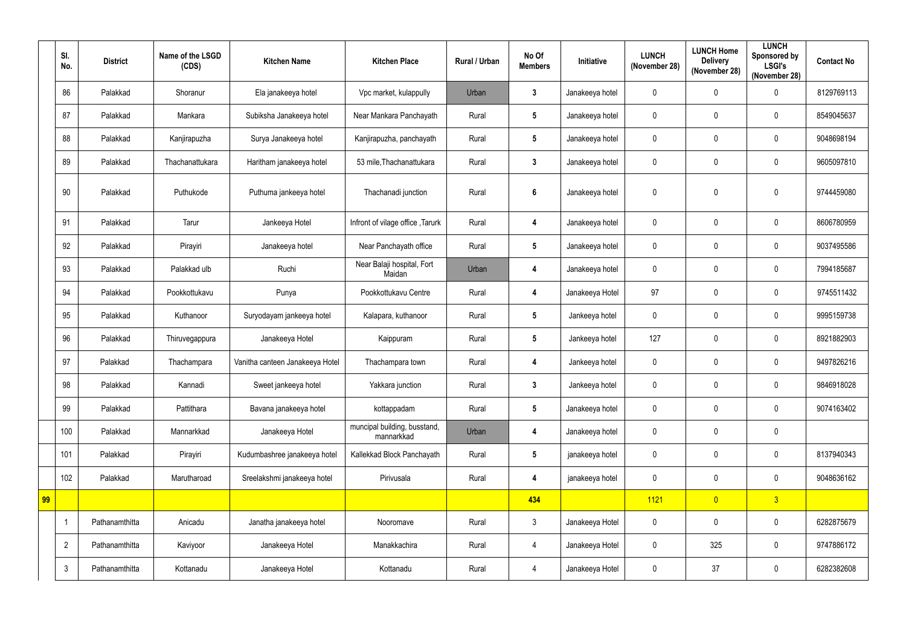|    | SI.<br>No.     | <b>District</b> | Name of the LSGD<br>(CDS) | <b>Kitchen Name</b>             | <b>Kitchen Place</b>                       | Rural / Urban | No Of<br><b>Members</b> | Initiative      | <b>LUNCH</b><br>(November 28) | <b>LUNCH Home</b><br><b>Delivery</b><br>(November 28) | <b>LUNCH</b><br>Sponsored by<br><b>LSGI's</b><br>(November 28) | <b>Contact No</b> |
|----|----------------|-----------------|---------------------------|---------------------------------|--------------------------------------------|---------------|-------------------------|-----------------|-------------------------------|-------------------------------------------------------|----------------------------------------------------------------|-------------------|
|    | 86             | Palakkad        | Shoranur                  | Ela janakeeya hotel             | Vpc market, kulappully                     | Urban         | $\mathbf{3}$            | Janakeeya hotel | $\mathbf 0$                   | $\mathbf 0$                                           | $\mathbf 0$                                                    | 8129769113        |
|    | 87             | Palakkad        | Mankara                   | Subiksha Janakeeya hotel        | Near Mankara Panchayath                    | Rural         | $5\phantom{.0}$         | Janakeeya hotel | $\mathbf{0}$                  | $\mathbf 0$                                           | $\mathbf 0$                                                    | 8549045637        |
|    | 88             | Palakkad        | Kanjirapuzha              | Surya Janakeeya hotel           | Kanjirapuzha, panchayath                   | Rural         | $5\phantom{.0}$         | Janakeeya hotel | $\mathbf 0$                   | $\mathbf 0$                                           | $\mathbf 0$                                                    | 9048698194        |
|    | 89             | Palakkad        | Thachanattukara           | Haritham janakeeya hotel        | 53 mile, Thachanattukara                   | Rural         | $\mathbf{3}$            | Janakeeya hotel | $\mathbf{0}$                  | $\mathbf 0$                                           | 0                                                              | 9605097810        |
|    | 90             | Palakkad        | Puthukode                 | Puthuma jankeeya hotel          | Thachanadi junction                        | Rural         | 6                       | Janakeeya hotel | $\mathbf 0$                   | $\Omega$                                              | 0                                                              | 9744459080        |
|    | 91             | Palakkad        | Tarur                     | Jankeeya Hotel                  | Infront of vilage office, Tarurk           | Rural         | 4                       | Janakeeya hotel | $\mathbf{0}$                  | $\mathbf 0$                                           | $\mathbf 0$                                                    | 8606780959        |
|    | 92             | Palakkad        | Pirayiri                  | Janakeeya hotel                 | Near Panchayath office                     | Rural         | $5\phantom{.0}$         | Janakeeya hotel | $\mathbf 0$                   | $\mathbf 0$                                           | 0                                                              | 9037495586        |
|    | 93             | Palakkad        | Palakkad ulb              | Ruchi                           | Near Balaji hospital, Fort<br>Maidan       | Urban         | 4                       | Janakeeya hotel | $\mathbf{0}$                  | $\mathbf{0}$                                          | $\mathbf 0$                                                    | 7994185687        |
|    | 94             | Palakkad        | Pookkottukavu             | Punya                           | Pookkottukavu Centre                       | Rural         | 4                       | Janakeeya Hotel | 97                            | 0                                                     | 0                                                              | 9745511432        |
|    | 95             | Palakkad        | Kuthanoor                 | Suryodayam jankeeya hotel       | Kalapara, kuthanoor                        | Rural         | 5 <sup>5</sup>          | Jankeeya hotel  | $\mathbf{0}$                  | 0                                                     | $\mathbf 0$                                                    | 9995159738        |
|    | 96             | Palakkad        | Thiruvegappura            | Janakeeya Hotel                 | Kaippuram                                  | Rural         | $5\phantom{.0}$         | Jankeeya hotel  | 127                           | $\boldsymbol{0}$                                      | $\mathbf 0$                                                    | 8921882903        |
|    | 97             | Palakkad        | Thachampara               | Vanitha canteen Janakeeya Hotel | Thachampara town                           | Rural         | 4                       | Jankeeya hotel  | $\mathbf 0$                   | $\mathbf 0$                                           | $\mathbf 0$                                                    | 9497826216        |
|    | 98             | Palakkad        | Kannadi                   | Sweet jankeeya hotel            | Yakkara junction                           | Rural         | $\mathbf{3}$            | Jankeeya hotel  | $\mathbf 0$                   | $\mathbf 0$                                           | $\pmb{0}$                                                      | 9846918028        |
|    | 99             | Palakkad        | Pattithara                | Bavana janakeeya hotel          | kottappadam                                | Rural         | $5\phantom{.0}$         | Janakeeya hotel | $\mathbf 0$                   | $\mathbf 0$                                           | $\pmb{0}$                                                      | 9074163402        |
|    | 100            | Palakkad        | Mannarkkad                | Janakeeya Hotel                 | muncipal building, busstand,<br>mannarkkad | Urban         | 4                       | Janakeeya hotel | $\mathbf 0$                   | $\mathbf 0$                                           | $\pmb{0}$                                                      |                   |
|    | 101            | Palakkad        | Pirayiri                  | Kudumbashree janakeeya hotel    | Kallekkad Block Panchayath                 | Rural         | $5\overline{)}$         | janakeeya hotel | $\mathbf 0$                   | $\mathbf 0$                                           | $\pmb{0}$                                                      | 8137940343        |
|    | 102            | Palakkad        | Marutharoad               | Sreelakshmi janakeeya hotel     | Pirivusala                                 | Rural         | 4                       | janakeeya hotel | $\mathbf 0$                   | $\mathbf 0$                                           | $\pmb{0}$                                                      | 9048636162        |
| 99 |                |                 |                           |                                 |                                            |               | 434                     |                 | 1121                          | $\overline{0}$                                        | 3                                                              |                   |
|    | $\mathbf 1$    | Pathanamthitta  | Anicadu                   | Janatha janakeeya hotel         | Nooromave                                  | Rural         | $\mathbf{3}$            | Janakeeya Hotel | $\mathbf 0$                   | $\pmb{0}$                                             | $\pmb{0}$                                                      | 6282875679        |
|    | $\overline{2}$ | Pathanamthitta  | Kaviyoor                  | Janakeeya Hotel                 | Manakkachira                               | Rural         | $\overline{4}$          | Janakeeya Hotel | $\mathbf 0$                   | 325                                                   | $\pmb{0}$                                                      | 9747886172        |
|    | $\mathfrak{Z}$ | Pathanamthitta  | Kottanadu                 | Janakeeya Hotel                 | Kottanadu                                  | Rural         | $\overline{4}$          | Janakeeya Hotel | $\pmb{0}$                     | 37                                                    | $\pmb{0}$                                                      | 6282382608        |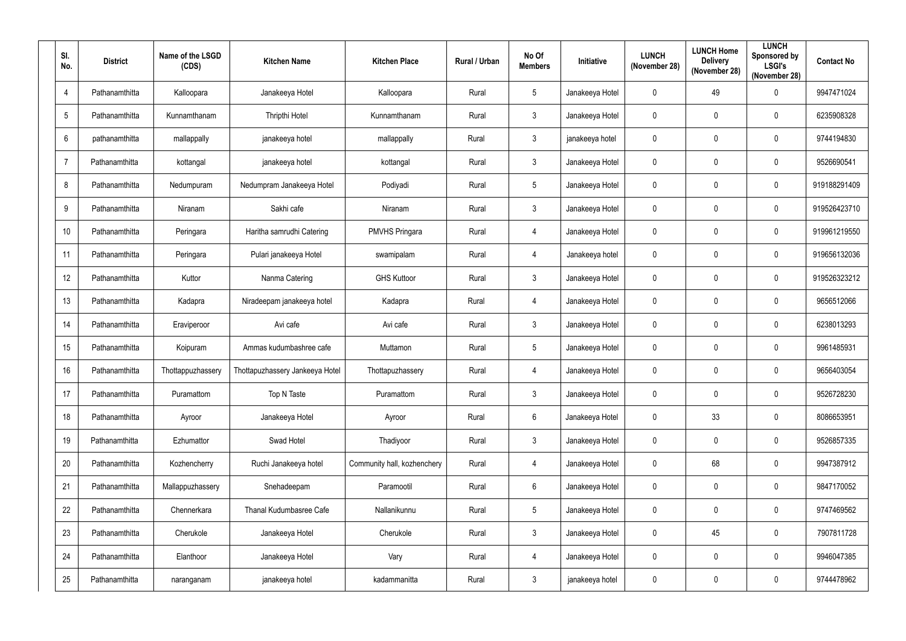| SI.<br>No.      |    | <b>District</b> | Name of the LSGD<br>(CDS) | <b>Kitchen Name</b>             | <b>Kitchen Place</b>        | Rural / Urban | No Of<br><b>Members</b> | Initiative      | <b>LUNCH</b><br>(November 28) | <b>LUNCH Home</b><br><b>Delivery</b><br>(November 28) | <b>LUNCH</b><br>Sponsored by<br><b>LSGI's</b><br>(November 28) | <b>Contact No</b> |
|-----------------|----|-----------------|---------------------------|---------------------------------|-----------------------------|---------------|-------------------------|-----------------|-------------------------------|-------------------------------------------------------|----------------------------------------------------------------|-------------------|
| $\overline{4}$  |    | Pathanamthitta  | Kalloopara                | Janakeeya Hotel                 | Kalloopara                  | Rural         | $\sqrt{5}$              | Janakeeya Hotel | $\mathbf 0$                   | 49                                                    | $\mathbf 0$                                                    | 9947471024        |
| $5\phantom{.0}$ |    | Pathanamthitta  | Kunnamthanam              | Thripthi Hotel                  | Kunnamthanam                | Rural         | $\mathfrak{Z}$          | Janakeeya Hotel | $\mathbf 0$                   | $\mathbf 0$                                           | $\pmb{0}$                                                      | 6235908328        |
| $6\phantom{.}6$ |    | pathanamthitta  | mallappally               | janakeeya hotel                 | mallappally                 | Rural         | $\mathfrak{Z}$          | janakeeya hotel | $\mathbf 0$                   | 0                                                     | $\boldsymbol{0}$                                               | 9744194830        |
| $\overline{7}$  |    | Pathanamthitta  | kottangal                 | janakeeya hotel                 | kottangal                   | Rural         | $\mathfrak{Z}$          | Janakeeya Hotel | $\mathbf 0$                   | $\mathbf 0$                                           | $\mathbf 0$                                                    | 9526690541        |
| 8               |    | Pathanamthitta  | Nedumpuram                | Nedumpram Janakeeya Hotel       | Podiyadi                    | Rural         | $\sqrt{5}$              | Janakeeya Hotel | $\mathbf 0$                   | $\mathbf 0$                                           | $\pmb{0}$                                                      | 919188291409      |
| 9               |    | Pathanamthitta  | Niranam                   | Sakhi cafe                      | Niranam                     | Rural         | $\mathfrak{Z}$          | Janakeeya Hotel | $\mathbf 0$                   | $\mathbf 0$                                           | $\mathbf 0$                                                    | 919526423710      |
| 10              |    | Pathanamthitta  | Peringara                 | Haritha samrudhi Catering       | <b>PMVHS Pringara</b>       | Rural         | 4                       | Janakeeya Hotel | $\mathbf 0$                   | $\mathbf 0$                                           | $\mathbf 0$                                                    | 919961219550      |
| 11              |    | Pathanamthitta  | Peringara                 | Pulari janakeeya Hotel          | swamipalam                  | Rural         | 4                       | Janakeeya hotel | $\pmb{0}$                     | $\mathbf 0$                                           | $\pmb{0}$                                                      | 919656132036      |
| 12              |    | Pathanamthitta  | Kuttor                    | Nanma Catering                  | <b>GHS Kuttoor</b>          | Rural         | $\mathfrak{Z}$          | Janakeeya Hotel | $\mathbf 0$                   | $\mathbf 0$                                           | $\mathbf 0$                                                    | 919526323212      |
| 13              |    | Pathanamthitta  | Kadapra                   | Niradeepam janakeeya hotel      | Kadapra                     | Rural         | $\overline{4}$          | Janakeeya Hotel | $\mathbf 0$                   | $\mathbf 0$                                           | $\mathbf 0$                                                    | 9656512066        |
| 14              |    | Pathanamthitta  | Eraviperoor               | Avi cafe                        | Avi cafe                    | Rural         | $\mathfrak{Z}$          | Janakeeya Hotel | $\mathbf 0$                   | 0                                                     | $\mathbf 0$                                                    | 6238013293        |
| 15              |    | Pathanamthitta  | Koipuram                  | Ammas kudumbashree cafe         | Muttamon                    | Rural         | $\sqrt{5}$              | Janakeeya Hotel | $\mathbf 0$                   | 0                                                     | $\mathbf 0$                                                    | 9961485931        |
|                 | 16 | Pathanamthitta  | Thottappuzhassery         | Thottapuzhassery Jankeeya Hotel | Thottapuzhassery            | Rural         | 4                       | Janakeeya Hotel | $\mathbf 0$                   | 0                                                     | $\mathbf 0$                                                    | 9656403054        |
| 17              |    | Pathanamthitta  | Puramattom                | Top N Taste                     | Puramattom                  | Rural         | $\mathfrak{Z}$          | Janakeeya Hotel | $\mathbf 0$                   | $\mathbf 0$                                           | $\mathbf 0$                                                    | 9526728230        |
| 18              |    | Pathanamthitta  | Ayroor                    | Janakeeya Hotel                 | Ayroor                      | Rural         | $\,6\,$                 | Janakeeya Hotel | $\pmb{0}$                     | 33                                                    | $\pmb{0}$                                                      | 8086653951        |
| 19              |    | Pathanamthitta  | Ezhumattor                | Swad Hotel                      | Thadiyoor                   | Rural         | $\mathfrak{Z}$          | Janakeeya Hotel | $\pmb{0}$                     | 0                                                     | $\pmb{0}$                                                      | 9526857335        |
| 20              |    | Pathanamthitta  | Kozhencherry              | Ruchi Janakeeya hotel           | Community hall, kozhenchery | Rural         | $\overline{4}$          | Janakeeya Hotel | $\mathbf 0$                   | 68                                                    | $\pmb{0}$                                                      | 9947387912        |
| 21              |    | Pathanamthitta  | Mallappuzhassery          | Snehadeepam                     | Paramootil                  | Rural         | $6\phantom{.}$          | Janakeeya Hotel | $\pmb{0}$                     | 0                                                     | $\pmb{0}$                                                      | 9847170052        |
| 22              |    | Pathanamthitta  | Chennerkara               | Thanal Kudumbasree Cafe         | Nallanikunnu                | Rural         | $5\phantom{.0}$         | Janakeeya Hotel | $\pmb{0}$                     | 0                                                     | $\pmb{0}$                                                      | 9747469562        |
| 23              |    | Pathanamthitta  | Cherukole                 | Janakeeya Hotel                 | Cherukole                   | Rural         | $\mathfrak{Z}$          | Janakeeya Hotel | $\pmb{0}$                     | 45                                                    | $\pmb{0}$                                                      | 7907811728        |
| 24              |    | Pathanamthitta  | Elanthoor                 | Janakeeya Hotel                 | Vary                        | Rural         | $\overline{4}$          | Janakeeya Hotel | $\pmb{0}$                     | 0                                                     | $\pmb{0}$                                                      | 9946047385        |
| 25              |    | Pathanamthitta  | naranganam                | janakeeya hotel                 | kadammanitta                | Rural         | $\mathbf{3}$            | janakeeya hotel | $\pmb{0}$                     | 0                                                     | $\pmb{0}$                                                      | 9744478962        |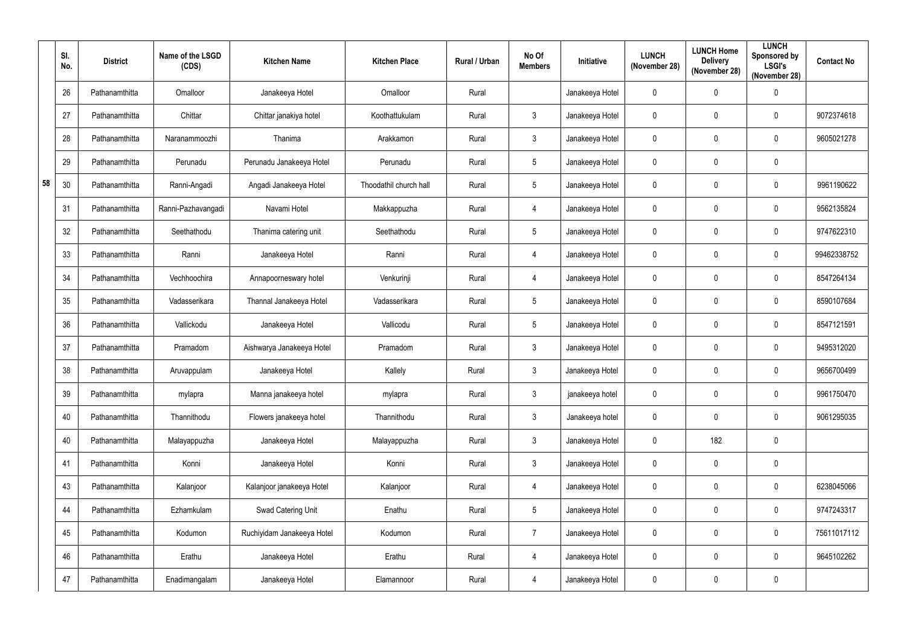|    | SI.<br>No. | <b>District</b> | Name of the LSGD<br>(CDS) | <b>Kitchen Name</b>        | <b>Kitchen Place</b>   | Rural / Urban | No Of<br><b>Members</b> | <b>Initiative</b> | <b>LUNCH</b><br>(November 28) | <b>LUNCH Home</b><br><b>Delivery</b><br>(November 28) | <b>LUNCH</b><br>Sponsored by<br><b>LSGI's</b><br>(November 28) | <b>Contact No</b> |
|----|------------|-----------------|---------------------------|----------------------------|------------------------|---------------|-------------------------|-------------------|-------------------------------|-------------------------------------------------------|----------------------------------------------------------------|-------------------|
|    | 26         | Pathanamthitta  | Omalloor                  | Janakeeya Hotel            | Omalloor               | Rural         |                         | Janakeeya Hotel   | $\mathbf 0$                   | $\mathbf 0$                                           | $\boldsymbol{0}$                                               |                   |
|    | 27         | Pathanamthitta  | Chittar                   | Chittar janakiya hotel     | Koothattukulam         | Rural         | $\mathbf{3}$            | Janakeeya Hotel   | $\mathbf 0$                   | $\mathbf 0$                                           | $\mathbf 0$                                                    | 9072374618        |
|    | 28         | Pathanamthitta  | Naranammoozhi             | Thanima                    | Arakkamon              | Rural         | $\mathfrak{Z}$          | Janakeeya Hotel   | $\pmb{0}$                     | $\mathbf 0$                                           | $\pmb{0}$                                                      | 9605021278        |
|    | 29         | Pathanamthitta  | Perunadu                  | Perunadu Janakeeya Hotel   | Perunadu               | Rural         | $5\phantom{.0}$         | Janakeeya Hotel   | $\mathbf 0$                   | $\mathbf{0}$                                          | $\mathbf 0$                                                    |                   |
| 58 | 30         | Pathanamthitta  | Ranni-Angadi              | Angadi Janakeeya Hotel     | Thoodathil church hall | Rural         | $5\phantom{.0}$         | Janakeeya Hotel   | $\pmb{0}$                     | $\mathbf{0}$                                          | $\mathbf 0$                                                    | 9961190622        |
|    | 31         | Pathanamthitta  | Ranni-Pazhavangadi        | Navami Hotel               | Makkappuzha            | Rural         | $\overline{4}$          | Janakeeya Hotel   | $\mathbf 0$                   | $\mathbf 0$                                           | $\mathbf 0$                                                    | 9562135824        |
|    | 32         | Pathanamthitta  | Seethathodu               | Thanima catering unit      | Seethathodu            | Rural         | $5\phantom{.0}$         | Janakeeya Hotel   | $\mathbf 0$                   | $\mathbf 0$                                           | $\mathbf 0$                                                    | 9747622310        |
|    | 33         | Pathanamthitta  | Ranni                     | Janakeeya Hotel            | Ranni                  | Rural         | $\overline{4}$          | Janakeeya Hotel   | $\mathbf 0$                   | $\mathbf 0$                                           | $\boldsymbol{0}$                                               | 99462338752       |
|    | 34         | Pathanamthitta  | Vechhoochira              | Annapoorneswary hotel      | Venkurinji             | Rural         | $\overline{4}$          | Janakeeya Hotel   | $\pmb{0}$                     | $\mathbf 0$                                           | $\mathbf 0$                                                    | 8547264134        |
|    | 35         | Pathanamthitta  | Vadasserikara             | Thannal Janakeeya Hotel    | Vadasserikara          | Rural         | $5\phantom{.0}$         | Janakeeya Hotel   | $\mathbf 0$                   | $\mathbf 0$                                           | $\boldsymbol{0}$                                               | 8590107684        |
|    | 36         | Pathanamthitta  | Vallickodu                | Janakeeya Hotel            | Vallicodu              | Rural         | $5\phantom{.0}$         | Janakeeya Hotel   | $\mathbf 0$                   | $\mathbf 0$                                           | $\mathbf 0$                                                    | 8547121591        |
|    | 37         | Pathanamthitta  | Pramadom                  | Aishwarya Janakeeya Hotel  | Pramadom               | Rural         | $\mathbf{3}$            | Janakeeya Hotel   | $\mathbf 0$                   | $\mathbf 0$                                           | $\boldsymbol{0}$                                               | 9495312020        |
|    | 38         | Pathanamthitta  | Aruvappulam               | Janakeeya Hotel            | Kallely                | Rural         | $\mathbf{3}$            | Janakeeya Hotel   | $\mathbf 0$                   | $\mathbf 0$                                           | $\mathbf 0$                                                    | 9656700499        |
|    | 39         | Pathanamthitta  | mylapra                   | Manna janakeeya hotel      | mylapra                | Rural         | $\mathfrak{Z}$          | janakeeya hotel   | $\pmb{0}$                     | $\mathbf 0$                                           | $\mathbf 0$                                                    | 9961750470        |
|    | 40         | Pathanamthitta  | Thannithodu               | Flowers janakeeya hotel    | Thannithodu            | Rural         | $\mathbf{3}$            | Janakeeya hotel   | $\pmb{0}$                     | $\mathbf 0$                                           | $\pmb{0}$                                                      | 9061295035        |
|    | 40         | Pathanamthitta  | Malayappuzha              | Janakeeya Hotel            | Malayappuzha           | Rural         | $\mathfrak{Z}$          | Janakeeya Hotel   | $\pmb{0}$                     | 182                                                   | $\mathbf 0$                                                    |                   |
|    | 41         | Pathanamthitta  | Konni                     | Janakeeya Hotel            | Konni                  | Rural         | $\mathbf{3}$            | Janakeeya Hotel   | $\pmb{0}$                     | $\mathbf 0$                                           | $\pmb{0}$                                                      |                   |
|    | 43         | Pathanamthitta  | Kalanjoor                 | Kalanjoor janakeeya Hotel  | Kalanjoor              | Rural         | $\overline{4}$          | Janakeeya Hotel   | $\pmb{0}$                     | $\mathbf 0$                                           | $\pmb{0}$                                                      | 6238045066        |
|    | 44         | Pathanamthitta  | Ezhamkulam                | Swad Catering Unit         | Enathu                 | Rural         | $5\phantom{.0}$         | Janakeeya Hotel   | $\pmb{0}$                     | $\mathbf 0$                                           | $\mathbf 0$                                                    | 9747243317        |
|    | 45         | Pathanamthitta  | Kodumon                   | Ruchiyidam Janakeeya Hotel | Kodumon                | Rural         | $\overline{7}$          | Janakeeya Hotel   | $\pmb{0}$                     | $\mathbf 0$                                           | $\pmb{0}$                                                      | 75611017112       |
|    | 46         | Pathanamthitta  | Erathu                    | Janakeeya Hotel            | Erathu                 | Rural         | 4                       | Janakeeya Hotel   | $\pmb{0}$                     | $\mathbf 0$                                           | $\mathbf 0$                                                    | 9645102262        |
|    | 47         | Pathanamthitta  | Enadimangalam             | Janakeeya Hotel            | Elamannoor             | Rural         | 4                       | Janakeeya Hotel   | $\pmb{0}$                     | $\mathbf 0$                                           | $\pmb{0}$                                                      |                   |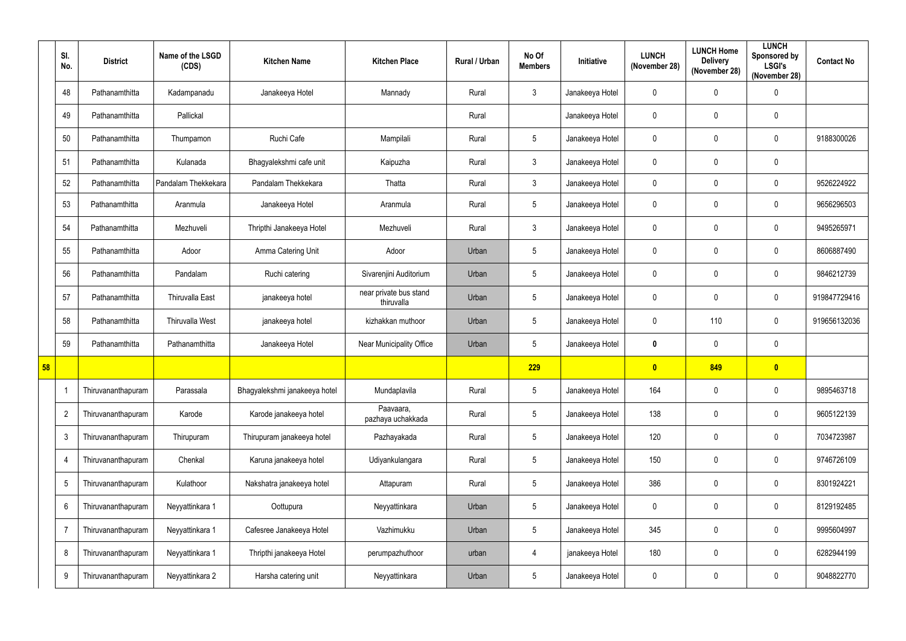|    | SI.<br>No.     | <b>District</b>    | Name of the LSGD<br>(CDS) | <b>Kitchen Name</b>           | <b>Kitchen Place</b>                 | Rural / Urban | No Of<br><b>Members</b> | Initiative      | <b>LUNCH</b><br>(November 28) | <b>LUNCH Home</b><br><b>Delivery</b><br>(November 28) | <b>LUNCH</b><br>Sponsored by<br><b>LSGI's</b><br>(November 28) | <b>Contact No</b> |
|----|----------------|--------------------|---------------------------|-------------------------------|--------------------------------------|---------------|-------------------------|-----------------|-------------------------------|-------------------------------------------------------|----------------------------------------------------------------|-------------------|
|    | 48             | Pathanamthitta     | Kadampanadu               | Janakeeya Hotel               | Mannady                              | Rural         | $\mathbf{3}$            | Janakeeya Hotel | $\mathbf 0$                   | $\mathbf 0$                                           | $\pmb{0}$                                                      |                   |
|    | 49             | Pathanamthitta     | Pallickal                 |                               |                                      | Rural         |                         | Janakeeya Hotel | $\pmb{0}$                     | $\mathbf 0$                                           | $\mathbf 0$                                                    |                   |
|    | 50             | Pathanamthitta     | Thumpamon                 | Ruchi Cafe                    | Mampilali                            | Rural         | $5\phantom{.0}$         | Janakeeya Hotel | $\pmb{0}$                     | $\mathbf 0$                                           | $\pmb{0}$                                                      | 9188300026        |
|    | 51             | Pathanamthitta     | Kulanada                  | Bhagyalekshmi cafe unit       | Kaipuzha                             | Rural         | $\mathbf{3}$            | Janakeeya Hotel | $\mathbf 0$                   | $\mathbf 0$                                           | $\mathbf 0$                                                    |                   |
|    | 52             | Pathanamthitta     | Pandalam Thekkekara       | Pandalam Thekkekara           | Thatta                               | Rural         | $\mathbf{3}$            | Janakeeya Hotel | $\pmb{0}$                     | $\mathbf 0$                                           | $\mathbf 0$                                                    | 9526224922        |
|    | 53             | Pathanamthitta     | Aranmula                  | Janakeeya Hotel               | Aranmula                             | Rural         | $5\overline{)}$         | Janakeeya Hotel | $\mathbf 0$                   | $\mathbf 0$                                           | $\mathbf 0$                                                    | 9656296503        |
|    | 54             | Pathanamthitta     | Mezhuveli                 | Thripthi Janakeeya Hotel      | Mezhuveli                            | Rural         | $\mathbf{3}$            | Janakeeya Hotel | $\pmb{0}$                     | $\mathbf 0$                                           | $\pmb{0}$                                                      | 9495265971        |
|    | 55             | Pathanamthitta     | Adoor                     | Amma Catering Unit            | Adoor                                | Urban         | $5\phantom{.0}$         | Janakeeya Hotel | $\mathbf 0$                   | $\mathbf 0$                                           | $\mathbf 0$                                                    | 8606887490        |
|    | 56             | Pathanamthitta     | Pandalam                  | Ruchi catering                | Sivarenjini Auditorium               | Urban         | $5\overline{)}$         | Janakeeya Hotel | $\pmb{0}$                     | $\mathbf 0$                                           | $\mathbf 0$                                                    | 9846212739        |
|    | 57             | Pathanamthitta     | <b>Thiruvalla East</b>    | janakeeya hotel               | near private bus stand<br>thiruvalla | Urban         | $5\overline{)}$         | Janakeeya Hotel | $\mathbf 0$                   | $\mathbf 0$                                           | $\mathbf 0$                                                    | 919847729416      |
|    | 58             | Pathanamthitta     | Thiruvalla West           | janakeeya hotel               | kizhakkan muthoor                    | Urban         | $5\overline{)}$         | Janakeeya Hotel | $\mathbf 0$                   | 110                                                   | $\boldsymbol{0}$                                               | 919656132036      |
|    | 59             | Pathanamthitta     | Pathanamthitta            | Janakeeya Hotel               | Near Municipality Office             | Urban         | $5\phantom{.0}$         | Janakeeya Hotel | $\pmb{0}$                     | $\mathbf 0$                                           | $\mathbf 0$                                                    |                   |
| 58 |                |                    |                           |                               |                                      |               | 229                     |                 | $\mathbf{0}$                  | 849                                                   | $\bullet$                                                      |                   |
|    |                | Thiruvananthapuram | Parassala                 | Bhagyalekshmi janakeeya hotel | Mundaplavila                         | Rural         | $\sqrt{5}$              | Janakeeya Hotel | 164                           | $\mathbf 0$                                           | $\pmb{0}$                                                      | 9895463718        |
|    | $\overline{2}$ | Thiruvananthapuram | Karode                    | Karode janakeeya hotel        | Paavaara,<br>pazhaya uchakkada       | Rural         | $5\phantom{.0}$         | Janakeeya Hotel | 138                           | $\mathbf 0$                                           | $\pmb{0}$                                                      | 9605122139        |
|    | $\mathbf{3}$   | Thiruvananthapuram | Thirupuram                | Thirupuram janakeeya hotel    | Pazhayakada                          | Rural         | $5\phantom{.0}$         | Janakeeya Hotel | 120                           | $\mathbf 0$                                           | $\pmb{0}$                                                      | 7034723987        |
|    | $\overline{4}$ | Thiruvananthapuram | Chenkal                   | Karuna janakeeya hotel        | Udiyankulangara                      | Rural         | $5\phantom{.0}$         | Janakeeya Hotel | 150                           | $\mathbf 0$                                           | $\pmb{0}$                                                      | 9746726109        |
|    | $\overline{5}$ | Thiruvananthapuram | Kulathoor                 | Nakshatra janakeeya hotel     | Attapuram                            | Rural         | $5\phantom{.0}$         | Janakeeya Hotel | 386                           | $\mathbf 0$                                           | $\pmb{0}$                                                      | 8301924221        |
|    | 6              | Thiruvananthapuram | Neyyattinkara 1           | Oottupura                     | Neyyattinkara                        | Urban         | $5\phantom{.0}$         | Janakeeya Hotel | $\pmb{0}$                     | $\mathbf 0$                                           | $\boldsymbol{0}$                                               | 8129192485        |
|    | -7             | Thiruvananthapuram | Neyyattinkara 1           | Cafesree Janakeeya Hotel      | Vazhimukku                           | Urban         | $5\phantom{.0}$         | Janakeeya Hotel | 345                           | $\mathbf 0$                                           | $\pmb{0}$                                                      | 9995604997        |
|    | 8              | Thiruvananthapuram | Neyyattinkara 1           | Thripthi janakeeya Hotel      | perumpazhuthoor                      | urban         | $\overline{4}$          | janakeeya Hotel | 180                           | $\pmb{0}$                                             | $\pmb{0}$                                                      | 6282944199        |
|    | 9              | Thiruvananthapuram | Neyyattinkara 2           | Harsha catering unit          | Neyyattinkara                        | Urban         | $5\phantom{.0}$         | Janakeeya Hotel | $\pmb{0}$                     | $\pmb{0}$                                             | $\pmb{0}$                                                      | 9048822770        |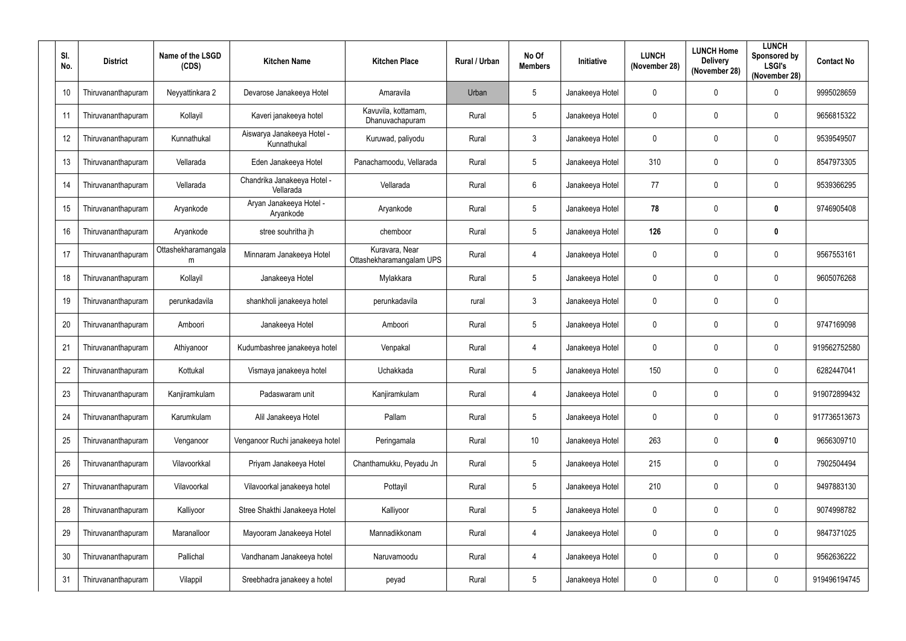| SI.<br>No. | <b>District</b>    | Name of the LSGD<br>(CDS) | <b>Kitchen Name</b>                       | <b>Kitchen Place</b>                       | Rural / Urban | No Of<br><b>Members</b> | <b>Initiative</b> | <b>LUNCH</b><br>(November 28) | <b>LUNCH Home</b><br><b>Delivery</b><br>(November 28) | <b>LUNCH</b><br>Sponsored by<br><b>LSGI's</b><br>(November 28) | <b>Contact No</b> |
|------------|--------------------|---------------------------|-------------------------------------------|--------------------------------------------|---------------|-------------------------|-------------------|-------------------------------|-------------------------------------------------------|----------------------------------------------------------------|-------------------|
| 10         | Thiruvananthapuram | Neyyattinkara 2           | Devarose Janakeeya Hotel                  | Amaravila                                  | Urban         | $\overline{5}$          | Janakeeya Hotel   | 0                             | $\mathbf 0$                                           | $\mathbf 0$                                                    | 9995028659        |
| 11         | Thiruvananthapuram | Kollayil                  | Kaveri janakeeya hotel                    | Kavuvila, kottamam,<br>Dhanuvachapuram     | Rural         | $\overline{5}$          | Janakeeya Hotel   | 0                             | $\mathbf 0$                                           | 0                                                              | 9656815322        |
| 12         | Thiruvananthapuram | Kunnathukal               | Aiswarya Janakeeya Hotel -<br>Kunnathukal | Kuruwad, paliyodu                          | Rural         | $\mathfrak{Z}$          | Janakeeya Hotel   | 0                             | 0                                                     | 0                                                              | 9539549507        |
| 13         | Thiruvananthapuram | Vellarada                 | Eden Janakeeya Hotel                      | Panachamoodu, Vellarada                    | Rural         | $\overline{5}$          | Janakeeya Hotel   | 310                           | 0                                                     | 0                                                              | 8547973305        |
| 14         | Thiruvananthapuram | Vellarada                 | Chandrika Janakeeya Hotel -<br>Vellarada  | Vellarada                                  | Rural         | $6\phantom{.}6$         | Janakeeya Hotel   | 77                            | $\mathbf 0$                                           | $\mathbf 0$                                                    | 9539366295        |
| 15         | Thiruvananthapuram | Arvankode                 | Aryan Janakeeya Hotel -<br>Aryankode      | Aryankode                                  | Rural         | $\overline{5}$          | Janakeeya Hotel   | 78                            | 0                                                     | 0                                                              | 9746905408        |
| 16         | Thiruvananthapuram | Aryankode                 | stree souhritha jh                        | chemboor                                   | Rural         | $\overline{5}$          | Janakeeya Hotel   | 126                           | 0                                                     | 0                                                              |                   |
| 17         | Thiruvananthapuram | Ottashekharamangala<br>m  | Minnaram Janakeeya Hotel                  | Kuravara, Near<br>Ottashekharamangalam UPS | Rural         | 4                       | Janakeeya Hotel   | 0                             | 0                                                     | 0                                                              | 9567553161        |
| 18         | Thiruvananthapuram | Kollayil                  | Janakeeya Hotel                           | Mylakkara                                  | Rural         | $5\phantom{.0}$         | Janakeeya Hotel   | 0                             | 0                                                     | 0                                                              | 9605076268        |
| 19         | Thiruvananthapuram | perunkadavila             | shankholi janakeeya hotel                 | perunkadavila                              | rural         | $\mathfrak{Z}$          | Janakeeya Hotel   | 0                             | $\mathbf 0$                                           | $\mathbf 0$                                                    |                   |
| 20         | Thiruvananthapuram | Amboori                   | Janakeeya Hotel                           | Amboori                                    | Rural         | $\overline{5}$          | Janakeeya Hotel   | $\mathbf 0$                   | 0                                                     | $\mathbf 0$                                                    | 9747169098        |
| 21         | Thiruvananthapuram | Athiyanoor                | Kudumbashree janakeeya hotel              | Venpakal                                   | Rural         | 4                       | Janakeeya Hotel   | 0                             | 0                                                     | $\mathbf 0$                                                    | 919562752580      |
| 22         | Thiruvananthapuram | Kottukal                  | Vismaya janakeeya hotel                   | Uchakkada                                  | Rural         | $5\phantom{.0}$         | Janakeeya Hotel   | 150                           | 0                                                     | $\mathbf 0$                                                    | 6282447041        |
| 23         | Thiruvananthapuram | Kanjiramkulam             | Padaswaram unit                           | Kanjiramkulam                              | Rural         | $\overline{4}$          | Janakeeya Hotel   | 0                             | $\mathbf 0$                                           | 0                                                              | 919072899432      |
| 24         | Thiruvananthapuram | Karumkulam                | Alil Janakeeya Hotel                      | Pallam                                     | Rural         | $\sqrt{5}$              | Janakeeya Hotel   | $\pmb{0}$                     | $\mathbf 0$                                           | $\pmb{0}$                                                      | 917736513673      |
| 25         | Thiruvananthapuram | Venganoor                 | Venganoor Ruchi janakeeya hotel           | Peringamala                                | Rural         | 10 <sup>°</sup>         | Janakeeya Hotel   | 263                           | $\mathbf 0$                                           | $\boldsymbol{0}$                                               | 9656309710        |
| 26         | Thiruvananthapuram | Vilavoorkkal              | Priyam Janakeeya Hotel                    | Chanthamukku, Peyadu Jn                    | Rural         | $\sqrt{5}$              | Janakeeya Hotel   | 215                           | $\mathbf 0$                                           | 0                                                              | 7902504494        |
| 27         | Thiruvananthapuram | Vilavoorkal               | Vilavoorkal janakeeya hotel               | Pottayil                                   | Rural         | $\sqrt{5}$              | Janakeeya Hotel   | 210                           | $\mathbf 0$                                           | 0                                                              | 9497883130        |
| 28         | Thiruvananthapuram | Kalliyoor                 | Stree Shakthi Janakeeya Hotel             | Kalliyoor                                  | Rural         | $\sqrt{5}$              | Janakeeya Hotel   | 0                             | 0                                                     | 0                                                              | 9074998782        |
| 29         | Thiruvananthapuram | Maranalloor               | Mayooram Janakeeya Hotel                  | Mannadikkonam                              | Rural         | $\overline{4}$          | Janakeeya Hotel   | 0                             | 0                                                     | 0                                                              | 9847371025        |
| 30         | Thiruvananthapuram | Pallichal                 | Vandhanam Janakeeya hotel                 | Naruvamoodu                                | Rural         | $\overline{4}$          | Janakeeya Hotel   | 0                             | 0                                                     | 0                                                              | 9562636222        |
| 31         | Thiruvananthapuram | Vilappil                  | Sreebhadra janakeey a hotel               | peyad                                      | Rural         | $\sqrt{5}$              | Janakeeya Hotel   | 0                             | 0                                                     | 0                                                              | 919496194745      |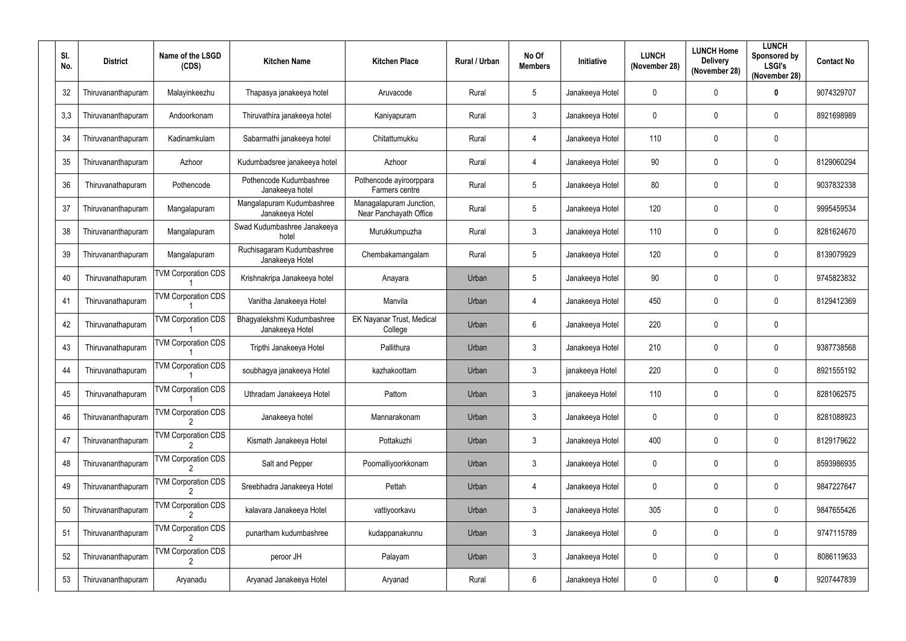| SI.<br>No. | <b>District</b>    | Name of the LSGD<br>(CDS)  | <b>Kitchen Name</b>                           | <b>Kitchen Place</b>                              | Rural / Urban | No Of<br><b>Members</b> | <b>Initiative</b> | <b>LUNCH</b><br>(November 28) | <b>LUNCH Home</b><br><b>Delivery</b><br>(November 28) | <b>LUNCH</b><br>Sponsored by<br><b>LSGI's</b><br>(November 28) | <b>Contact No</b> |
|------------|--------------------|----------------------------|-----------------------------------------------|---------------------------------------------------|---------------|-------------------------|-------------------|-------------------------------|-------------------------------------------------------|----------------------------------------------------------------|-------------------|
| 32         | Thiruvananthapuram | Malayinkeezhu              | Thapasya janakeeya hotel                      | Aruvacode                                         | Rural         | $5\phantom{.0}$         | Janakeeya Hotel   | $\mathbf 0$                   | 0                                                     | 0                                                              | 9074329707        |
| 3,3        | Thiruvananthapuram | Andoorkonam                | Thiruvathira janakeeya hotel                  | Kaniyapuram                                       | Rural         | $\mathbf{3}$            | Janakeeya Hotel   | 0                             | 0                                                     | $\mathbf 0$                                                    | 8921698989        |
| 34         | Thiruvananthapuram | Kadinamkulam               | Sabarmathi janakeeya hotel                    | Chitattumukku                                     | Rural         | $\overline{4}$          | Janakeeya Hotel   | 110                           | $\mathbf 0$                                           | 0                                                              |                   |
| 35         | Thiruvananthapuram | Azhoor                     | Kudumbadsree janakeeya hotel                  | Azhoor                                            | Rural         | $\overline{4}$          | Janakeeya Hotel   | 90                            | 0                                                     | 0                                                              | 8129060294        |
| 36         | Thiruvanathapuram  | Pothencode                 | Pothencode Kudumbashree<br>Janakeeya hotel    | Pothencode ayiroorppara<br>Farmers centre         | Rural         | $5\phantom{.0}$         | Janakeeya Hotel   | 80                            | 0                                                     | 0                                                              | 9037832338        |
| 37         | Thiruvananthapuram | Mangalapuram               | Mangalapuram Kudumbashree<br>Janakeeya Hotel  | Managalapuram Junction,<br>Near Panchayath Office | Rural         | 5                       | Janakeeya Hotel   | 120                           | 0                                                     | $\mathbf 0$                                                    | 9995459534        |
| 38         | Thiruvananthapuram | Mangalapuram               | Swad Kudumbashree Janakeeya<br>hotel          | Murukkumpuzha                                     | Rural         | $\mathfrak{Z}$          | Janakeeya Hotel   | 110                           | 0                                                     | 0                                                              | 8281624670        |
| 39         | Thiruvananthapuram | Mangalapuram               | Ruchisagaram Kudumbashree<br>Janakeeya Hotel  | Chembakamangalam                                  | Rural         | $5\phantom{.0}$         | Janakeeya Hotel   | 120                           | 0                                                     | $\mathbf 0$                                                    | 8139079929        |
| 40         | Thiruvanathapuram  | <b>TVM Corporation CDS</b> | Krishnakripa Janakeeya hotel                  | Anayara                                           | Urban         | $5\phantom{.0}$         | Janakeeya Hotel   | 90                            | 0                                                     | 0                                                              | 9745823832        |
| 41         | Thiruvanathapuram  | <b>TVM Corporation CDS</b> | Vanitha Janakeeya Hotel                       | Manvila                                           | Urban         | 4                       | Janakeeya Hotel   | 450                           | 0                                                     | $\mathbf 0$                                                    | 8129412369        |
| 42         | Thiruvanathapuram  | <b>TVM Corporation CDS</b> | Bhagyalekshmi Kudumbashree<br>Janakeeya Hotel | EK Nayanar Trust, Medical<br>College              | Urban         | $6\phantom{1}$          | Janakeeya Hotel   | 220                           | $\mathbf{0}$                                          | 0                                                              |                   |
| 43         | Thiruvanathapuram  | <b>TVM Corporation CDS</b> | Tripthi Janakeeya Hotel                       | Pallithura                                        | Urban         | $\mathbf{3}$            | Janakeeya Hotel   | 210                           | 0                                                     | $\mathbf 0$                                                    | 9387738568        |
| 44         | Thiruvanathapuram  | <b>TVM Corporation CDS</b> | soubhagya janakeeya Hotel                     | kazhakoottam                                      | Urban         | 3                       | janakeeya Hotel   | 220                           | $\mathbf{0}$                                          | 0                                                              | 8921555192        |
| 45         | Thiruvanathapuram  | <b>TVM Corporation CDS</b> | Uthradam Janakeeya Hotel                      | Pattom                                            | Urban         | $\mathfrak{Z}$          | janakeeya Hotel   | 110                           | $\mathbf 0$                                           | 0                                                              | 8281062575        |
| 46         | Thiruvananthapuram | <b>TVM Corporation CDS</b> | Janakeeya hotel                               | Mannarakonam                                      | Urban         | $\mathbf{3}$            | Janakeeya Hotel   | 0                             | $\mathbf 0$                                           | 0                                                              | 8281088923        |
| 47         | Thiruvananthapuram | <b>TVM Corporation CDS</b> | Kismath Janakeeya Hotel                       | Pottakuzhi                                        | Urban         | $\mathfrak{Z}$          | Janakeeya Hotel   | 400                           | $\mathbf 0$                                           | 0                                                              | 8129179622        |
| 48         | Thiruvananthapuram | <b>TVM Corporation CDS</b> | Salt and Pepper                               | Poomalliyoorkkonam                                | Urban         | $\mathfrak{Z}$          | Janakeeya Hotel   | 0                             | $\mathbf 0$                                           | 0                                                              | 8593986935        |
| 49         | Thiruvananthapuram | <b>TVM Corporation CDS</b> | Sreebhadra Janakeeya Hotel                    | Pettah                                            | Urban         | $\overline{4}$          | Janakeeya Hotel   | 0                             | $\mathbf 0$                                           | 0                                                              | 9847227647        |
| 50         | Thiruvananthapuram | <b>TVM Corporation CDS</b> | kalavara Janakeeya Hotel                      | vattiyoorkavu                                     | Urban         | $\mathfrak{Z}$          | Janakeeya Hotel   | 305                           | $\mathbf 0$                                           | 0                                                              | 9847655426        |
| 51         | Thiruvananthapuram | <b>TVM Corporation CDS</b> | punartham kudumbashree                        | kudappanakunnu                                    | Urban         | $\mathfrak{Z}$          | Janakeeya Hotel   | 0                             | 0                                                     | 0                                                              | 9747115789        |
| 52         | Thiruvananthapuram | <b>TVM Corporation CDS</b> | peroor JH                                     | Palayam                                           | Urban         | $\mathfrak{Z}$          | Janakeeya Hotel   | $\pmb{0}$                     | $\mathbf 0$                                           | 0                                                              | 8086119633        |
| 53         | Thiruvananthapuram | Aryanadu                   | Aryanad Janakeeya Hotel                       | Aryanad                                           | Rural         | $\boldsymbol{6}$        | Janakeeya Hotel   | $\pmb{0}$                     | 0                                                     | 0                                                              | 9207447839        |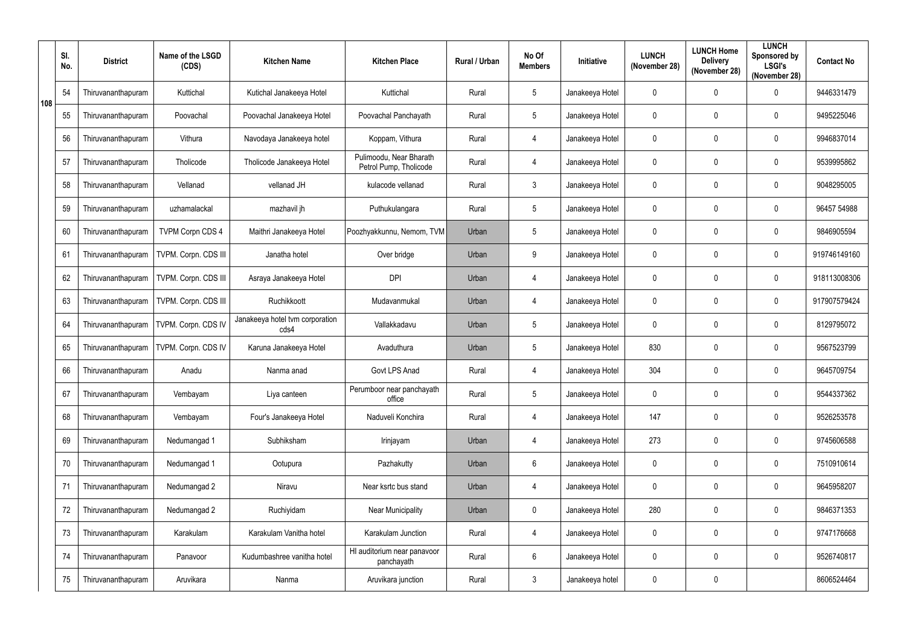|     | SI.<br>No. | <b>District</b>    | Name of the LSGD<br>(CDS) | <b>Kitchen Name</b>                     | <b>Kitchen Place</b>                              | Rural / Urban | No Of<br><b>Members</b> | <b>Initiative</b> | <b>LUNCH</b><br>(November 28) | <b>LUNCH Home</b><br><b>Delivery</b><br>(November 28) | <b>LUNCH</b><br>Sponsored by<br><b>LSGI's</b><br>(November 28) | <b>Contact No</b> |
|-----|------------|--------------------|---------------------------|-----------------------------------------|---------------------------------------------------|---------------|-------------------------|-------------------|-------------------------------|-------------------------------------------------------|----------------------------------------------------------------|-------------------|
| 108 | 54         | Thiruvananthapuram | Kuttichal                 | Kutichal Janakeeya Hotel                | Kuttichal                                         | Rural         | $5\phantom{.0}$         | Janakeeya Hotel   | $\mathbf 0$                   | $\mathbf 0$                                           | $\mathbf 0$                                                    | 9446331479        |
|     | 55         | Thiruvananthapuram | Poovachal                 | Poovachal Janakeeya Hotel               | Poovachal Panchayath                              | Rural         | $\sqrt{5}$              | Janakeeya Hotel   | $\mathbf 0$                   | $\mathbf{0}$                                          | $\mathbf 0$                                                    | 9495225046        |
|     | 56         | Thiruvananthapuram | Vithura                   | Navodaya Janakeeya hotel                | Koppam, Vithura                                   | Rural         | $\overline{4}$          | Janakeeya Hotel   | $\mathbf 0$                   | $\mathbf{0}$                                          | $\mathbf 0$                                                    | 9946837014        |
|     | 57         | Thiruvananthapuram | Tholicode                 | Tholicode Janakeeya Hotel               | Pulimoodu, Near Bharath<br>Petrol Pump, Tholicode | Rural         | $\overline{4}$          | Janakeeya Hotel   | $\mathbf 0$                   | $\mathbf{0}$                                          | $\mathbf 0$                                                    | 9539995862        |
|     | 58         | Thiruvananthapuram | Vellanad                  | vellanad JH                             | kulacode vellanad                                 | Rural         | $\mathbf{3}$            | Janakeeya Hotel   | $\mathbf 0$                   | $\mathbf{0}$                                          | $\pmb{0}$                                                      | 9048295005        |
|     | 59         | Thiruvananthapuram | uzhamalackal              | mazhavil jh                             | Puthukulangara                                    | Rural         | $5\phantom{.0}$         | Janakeeya Hotel   | $\mathbf 0$                   | $\mathbf{0}$                                          | $\mathbf 0$                                                    | 96457 54988       |
|     | 60         | Thiruvananthapuram | <b>TVPM Corpn CDS 4</b>   | Maithri Janakeeya Hotel                 | Poozhyakkunnu, Nemom, TVM                         | Urban         | $5\phantom{.0}$         | Janakeeya Hotel   | $\mathbf 0$                   | $\mathbf{0}$                                          | $\mathbf 0$                                                    | 9846905594        |
|     | 61         | Thiruvananthapuram | TVPM. Corpn. CDS III      | Janatha hotel                           | Over bridge                                       | Urban         | 9                       | Janakeeya Hotel   | $\pmb{0}$                     | $\mathbf{0}$                                          | $\pmb{0}$                                                      | 919746149160      |
|     | 62         | Thiruvananthapuram | TVPM. Corpn. CDS III      | Asraya Janakeeya Hotel                  | <b>DPI</b>                                        | Urban         | $\overline{4}$          | Janakeeya Hotel   | $\mathbf 0$                   | $\mathbf{0}$                                          | $\mathbf 0$                                                    | 918113008306      |
|     | 63         | Thiruvananthapuram | TVPM. Corpn. CDS III      | Ruchikkoott                             | Mudavanmukal                                      | Urban         | $\overline{4}$          | Janakeeya Hotel   | $\mathbf 0$                   | $\mathbf{0}$                                          | $\mathbf 0$                                                    | 917907579424      |
|     | 64         | Thiruvananthapuram | TVPM. Corpn. CDS IV       | Janakeeya hotel tvm corporation<br>cds4 | Vallakkadavu                                      | Urban         | $5\phantom{.0}$         | Janakeeya Hotel   | $\mathbf 0$                   | $\mathbf{0}$                                          | $\mathbf 0$                                                    | 8129795072        |
|     | 65         | Thiruvananthapuram | TVPM. Corpn. CDS IV       | Karuna Janakeeya Hotel                  | Avaduthura                                        | Urban         | $5\phantom{.0}$         | Janakeeya Hotel   | 830                           | $\mathbf 0$                                           | $\mathbf 0$                                                    | 9567523799        |
|     | 66         | Thiruvananthapuram | Anadu                     | Nanma anad                              | Govt LPS Anad                                     | Rural         | $\overline{4}$          | Janakeeya Hotel   | 304                           | $\mathbf 0$                                           | $\mathbf 0$                                                    | 9645709754        |
|     | 67         | Thiruvananthapuram | Vembayam                  | Liya canteen                            | Perumboor near panchayath<br>office               | Rural         | $5\phantom{.0}$         | Janakeeya Hotel   | $\pmb{0}$                     | $\mathbf 0$                                           | $\pmb{0}$                                                      | 9544337362        |
|     | 68         | Thiruvananthapuram | Vembayam                  | Four's Janakeeya Hotel                  | Naduveli Konchira                                 | Rural         | $\overline{4}$          | Janakeeya Hotel   | 147                           | $\mathbf 0$                                           | $\pmb{0}$                                                      | 9526253578        |
|     | 69         | Thiruvananthapuram | Nedumangad 1              | Subhiksham                              | Irinjayam                                         | Urban         | $\overline{4}$          | Janakeeya Hotel   | 273                           | $\mathbf{0}$                                          | $\pmb{0}$                                                      | 9745606588        |
|     | 70         | Thiruvananthapuram | Nedumangad 1              | Ootupura                                | Pazhakutty                                        | Urban         | $6\phantom{.}6$         | Janakeeya Hotel   | $\pmb{0}$                     | $\mathbf 0$                                           | $\pmb{0}$                                                      | 7510910614        |
|     | 71         | Thiruvananthapuram | Nedumangad 2              | Niravu                                  | Near ksrtc bus stand                              | Urban         | $\overline{4}$          | Janakeeya Hotel   | $\pmb{0}$                     | $\mathbf 0$                                           | $\pmb{0}$                                                      | 9645958207        |
|     | 72         | Thiruvananthapuram | Nedumangad 2              | Ruchiyidam                              | <b>Near Municipality</b>                          | Urban         | $\mathbf 0$             | Janakeeya Hotel   | 280                           | $\mathbf 0$                                           | $\pmb{0}$                                                      | 9846371353        |
|     | 73         | Thiruvananthapuram | Karakulam                 | Karakulam Vanitha hotel                 | Karakulam Junction                                | Rural         | $\overline{4}$          | Janakeeya Hotel   | $\pmb{0}$                     | $\mathbf 0$                                           | $\pmb{0}$                                                      | 9747176668        |
|     | 74         | Thiruvananthapuram | Panavoor                  | Kudumbashree vanitha hotel              | HI auditorium near panavoor<br>panchayath         | Rural         | $6\phantom{.}6$         | Janakeeya Hotel   | $\mathbf 0$                   | $\mathbf 0$                                           | $\pmb{0}$                                                      | 9526740817        |
|     | 75         | Thiruvananthapuram | Aruvikara                 | Nanma                                   | Aruvikara junction                                | Rural         | $\mathbf{3}$            | Janakeeya hotel   | $\boldsymbol{0}$              | $\pmb{0}$                                             |                                                                | 8606524464        |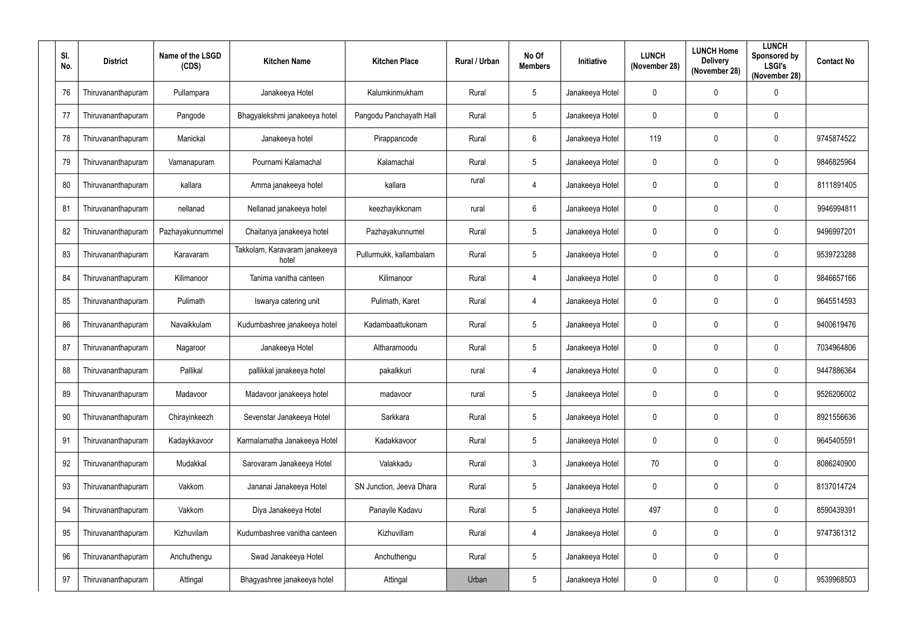| SI.<br>No. | <b>District</b>    | Name of the LSGD<br>(CDS) | <b>Kitchen Name</b>                    | <b>Kitchen Place</b>     | <b>Rural / Urban</b> | No Of<br><b>Members</b> | <b>Initiative</b> | <b>LUNCH</b><br>(November 28) | <b>LUNCH Home</b><br><b>Delivery</b><br>(November 28) | <b>LUNCH</b><br>Sponsored by<br><b>LSGI's</b><br>(November 28) | <b>Contact No</b> |
|------------|--------------------|---------------------------|----------------------------------------|--------------------------|----------------------|-------------------------|-------------------|-------------------------------|-------------------------------------------------------|----------------------------------------------------------------|-------------------|
| 76         | Thiruvananthapuram | Pullampara                | Janakeeya Hotel                        | Kalumkinmukham           | Rural                | $\sqrt{5}$              | Janakeeya Hotel   | $\mathbf 0$                   | 0                                                     | 0                                                              |                   |
| 77         | Thiruvananthapuram | Pangode                   | Bhagyalekshmi janakeeya hotel          | Pangodu Panchayath Hall  | Rural                | $5\phantom{.0}$         | Janakeeya Hotel   | 0                             | 0                                                     | 0                                                              |                   |
| 78         | Thiruvananthapuram | Manickal                  | Janakeeya hotel                        | Pirappancode             | Rural                | $6\phantom{.}6$         | Janakeeya Hotel   | 119                           | $\mathbf 0$                                           | 0                                                              | 9745874522        |
| 79         | Thiruvananthapuram | Vamanapuram               | Pournami Kalamachal                    | Kalamachal               | Rural                | $5\phantom{.0}$         | Janakeeya Hotel   | $\mathbf 0$                   | 0                                                     | 0                                                              | 9846825964        |
| 80         | Thiruvananthapuram | kallara                   | Amma janakeeya hotel                   | kallara                  | rural                | $\overline{4}$          | Janakeeya Hotel   | 0                             | 0                                                     | 0                                                              | 8111891405        |
| 81         | Thiruvananthapuram | nellanad                  | Nellanad janakeeya hotel               | keezhayikkonam           | rural                | $6\phantom{.}6$         | Janakeeya Hotel   | $\mathbf 0$                   | 0                                                     | $\mathbf 0$                                                    | 9946994811        |
| 82         | Thiruvananthapuram | Pazhayakunnummel          | Chaitanya janakeeya hotel              | Pazhayakunnumel          | Rural                | $\sqrt{5}$              | Janakeeya Hotel   | $\mathbf 0$                   | 0                                                     | $\mathbf 0$                                                    | 9496997201        |
| 83         | Thiruvananthapuram | Karavaram                 | Takkolam, Karavaram janakeeya<br>hotel | Pullurmukk, kallambalam  | Rural                | $5\phantom{.0}$         | Janakeeya Hotel   | 0                             | 0                                                     | $\mathbf 0$                                                    | 9539723288        |
| 84         | Thiruvananthapuram | Kilimanoor                | Tanima vanitha canteen                 | Kilimanoor               | Rural                | 4                       | Janakeeya Hotel   | 0                             | 0                                                     | 0                                                              | 9846657166        |
| 85         | Thiruvananthapuram | Pulimath                  | Iswarya catering unit                  | Pulimath, Karet          | Rural                | 4                       | Janakeeya Hotel   | $\mathbf 0$                   | 0                                                     | 0                                                              | 9645514593        |
| 86         | Thiruvananthapuram | Navaikkulam               | Kudumbashree janakeeya hotel           | Kadambaattukonam         | Rural                | 5                       | Janakeeya Hotel   | $\mathbf 0$                   | 0                                                     | $\mathbf 0$                                                    | 9400619476        |
| 87         | Thiruvananthapuram | Nagaroor                  | Janakeeya Hotel                        | Altharamoodu             | Rural                | $\sqrt{5}$              | Janakeeya Hotel   | $\mathbf 0$                   | 0                                                     | $\mathbf 0$                                                    | 7034964806        |
| 88         | Thiruvananthapuram | Pallikal                  | pallikkal janakeeya hotel              | pakalkkuri               | rural                | 4                       | Janakeeya Hotel   | $\mathbf 0$                   | $\mathbf{0}$                                          | $\mathbf 0$                                                    | 9447886364        |
| 89         | Thiruvananthapuram | Madavoor                  | Madavoor janakeeya hotel               | madavoor                 | rural                | $\sqrt{5}$              | Janakeeya Hotel   | 0                             | $\mathbf 0$                                           | 0                                                              | 9526206002        |
| 90         | Thiruvananthapuram | Chirayinkeezh             | Sevenstar Janakeeya Hotel              | Sarkkara                 | Rural                | $\sqrt{5}$              | Janakeeya Hotel   | $\pmb{0}$                     | $\mathbf 0$                                           | 0                                                              | 8921556636        |
| 91         | Thiruvananthapuram | Kadaykkavoor              | Karmalamatha Janakeeya Hotel           | Kadakkavoor              | Rural                | $\sqrt{5}$              | Janakeeya Hotel   | 0                             | $\mathbf 0$                                           | 0                                                              | 9645405591        |
| 92         | Thiruvananthapuram | Mudakkal                  | Sarovaram Janakeeya Hotel              | Valakkadu                | Rural                | $\mathfrak{Z}$          | Janakeeya Hotel   | $70\,$                        | $\mathbf 0$                                           | 0                                                              | 8086240900        |
| 93         | Thiruvananthapuram | Vakkom                    | Jananai Janakeeya Hotel                | SN Junction, Jeeva Dhara | Rural                | $\sqrt{5}$              | Janakeeya Hotel   | $\mathbf 0$                   | $\mathbf 0$                                           | 0                                                              | 8137014724        |
| 94         | Thiruvananthapuram | Vakkom                    | Diya Janakeeya Hotel                   | Panayile Kadavu          | Rural                | $\sqrt{5}$              | Janakeeya Hotel   | 497                           | $\mathbf 0$                                           | 0                                                              | 8590439391        |
| 95         | Thiruvananthapuram | Kizhuvilam                | Kudumbashree vanitha canteen           | Kizhuvillam              | Rural                | $\overline{4}$          | Janakeeya Hotel   | 0                             | 0                                                     | 0                                                              | 9747361312        |
| 96         | Thiruvananthapuram | Anchuthengu               | Swad Janakeeya Hotel                   | Anchuthengu              | Rural                | $\sqrt{5}$              | Janakeeya Hotel   | $\pmb{0}$                     | $\mathbf 0$                                           | $\pmb{0}$                                                      |                   |
| 97         | Thiruvananthapuram | Attingal                  | Bhagyashree janakeeya hotel            | Attingal                 | Urban                | $\sqrt{5}$              | Janakeeya Hotel   | 0                             | $\boldsymbol{0}$                                      | 0                                                              | 9539968503        |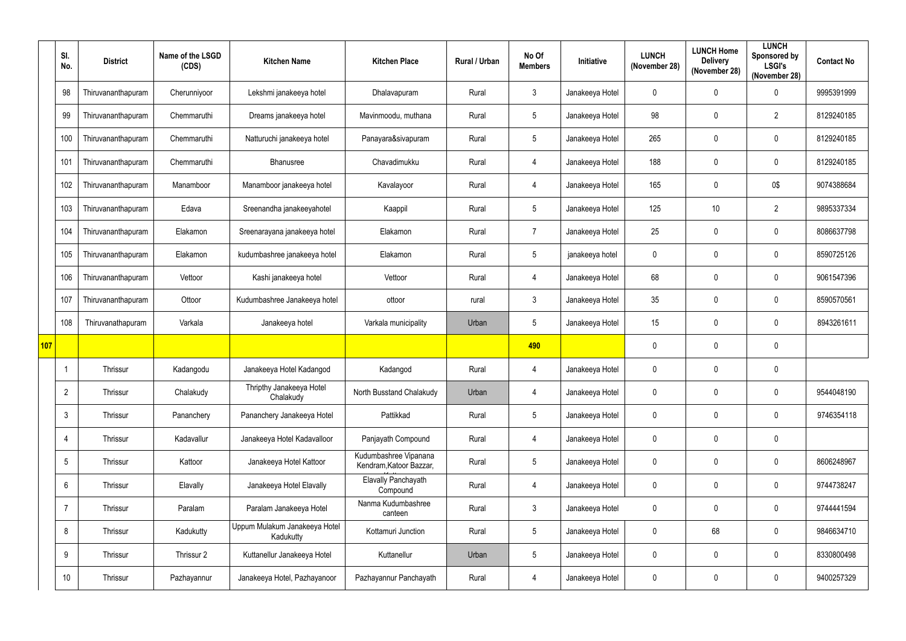|     | SI.<br>No.      | <b>District</b>    | Name of the LSGD<br>(CDS) | <b>Kitchen Name</b>                        | <b>Kitchen Place</b>                             | Rural / Urban | No Of<br><b>Members</b> | Initiative      | <b>LUNCH</b><br>(November 28) | <b>LUNCH Home</b><br><b>Delivery</b><br>(November 28) | <b>LUNCH</b><br>Sponsored by<br><b>LSGI's</b><br>(November 28) | <b>Contact No</b> |
|-----|-----------------|--------------------|---------------------------|--------------------------------------------|--------------------------------------------------|---------------|-------------------------|-----------------|-------------------------------|-------------------------------------------------------|----------------------------------------------------------------|-------------------|
|     | 98              | Thiruvananthapuram | Cherunniyoor              | Lekshmi janakeeya hotel                    | Dhalavapuram                                     | Rural         | $\mathbf{3}$            | Janakeeya Hotel | $\mathbf 0$                   | $\Omega$                                              | $\mathbf 0$                                                    | 9995391999        |
|     | 99              | Thiruvananthapuram | Chemmaruthi               | Dreams janakeeya hotel                     | Mavinmoodu, muthana                              | Rural         | 5                       | Janakeeya Hotel | 98                            | 0                                                     | $\overline{2}$                                                 | 8129240185        |
|     | 100             | Thiruvananthapuram | Chemmaruthi               | Natturuchi janakeeya hotel                 | Panayara&sivapuram                               | Rural         | $5\phantom{.0}$         | Janakeeya Hotel | 265                           | $\mathbf 0$                                           | $\mathbf 0$                                                    | 8129240185        |
|     | 10 <sup>1</sup> | Thiruvananthapuram | Chemmaruthi               | Bhanusree                                  | Chavadimukku                                     | Rural         | $\overline{4}$          | Janakeeya Hotel | 188                           | 0                                                     | $\mathbf 0$                                                    | 8129240185        |
|     | 102             | Thiruvananthapuram | Manamboor                 | Manamboor janakeeya hotel                  | Kavalayoor                                       | Rural         | $\overline{4}$          | Janakeeya Hotel | 165                           | 0                                                     | 0\$                                                            | 9074388684        |
|     | 103             | Thiruvananthapuram | Edava                     | Sreenandha janakeeyahotel                  | Kaappil                                          | Rural         | $5\phantom{.0}$         | Janakeeya Hotel | 125                           | 10 <sup>°</sup>                                       | $\overline{2}$                                                 | 9895337334        |
|     | 104             | Thiruvananthapuram | Elakamon                  | Sreenarayana janakeeya hotel               | Elakamon                                         | Rural         | -7                      | Janakeeya Hotel | 25                            | 0                                                     | $\mathbf 0$                                                    | 8086637798        |
|     | 105             | Thiruvananthapuram | Elakamon                  | kudumbashree janakeeya hotel               | Elakamon                                         | Rural         | $5\phantom{.0}$         | janakeeya hotel | $\mathbf 0$                   | $\mathbf 0$                                           | $\pmb{0}$                                                      | 8590725126        |
|     | 106             | Thiruvananthapuram | Vettoor                   | Kashi janakeeya hotel                      | Vettoor                                          | Rural         | $\overline{4}$          | Janakeeya Hotel | 68                            | $\mathbf 0$                                           | $\mathbf 0$                                                    | 9061547396        |
|     | 107             | Thiruvananthapuram | Ottoor                    | Kudumbashree Janakeeya hotel               | ottoor                                           | rural         | $\mathfrak{Z}$          | Janakeeya Hotel | 35                            | 0                                                     | $\pmb{0}$                                                      | 8590570561        |
|     | 108             | Thiruvanathapuram  | Varkala                   | Janakeeya hotel                            | Varkala municipality                             | Urban         | $5\overline{)}$         | Janakeeya Hotel | 15                            | 0                                                     | $\mathbf 0$                                                    | 8943261611        |
| 107 |                 |                    |                           |                                            |                                                  |               | 490                     |                 | $\mathbf 0$                   | $\mathbf 0$                                           | $\pmb{0}$                                                      |                   |
|     |                 | Thrissur           | Kadangodu                 | Janakeeya Hotel Kadangod                   | Kadangod                                         | Rural         | $\overline{4}$          | Janakeeya Hotel | $\mathbf 0$                   | $\mathbf 0$                                           | $\mathbf 0$                                                    |                   |
|     | $\overline{2}$  | Thrissur           | Chalakudy                 | Thripthy Janakeeya Hotel<br>Chalakudy      | North Busstand Chalakudy                         | Urban         | $\overline{4}$          | Janakeeya Hotel | $\mathbf 0$                   | $\mathbf 0$                                           | $\mathbf 0$                                                    | 9544048190        |
|     | $\mathbf{3}$    | Thrissur           | Pananchery                | Pananchery Janakeeya Hotel                 | Pattikkad                                        | Rural         | 5 <sup>5</sup>          | Janakeeya Hotel | $\mathbf 0$                   | $\mathbf 0$                                           | $\mathbf 0$                                                    | 9746354118        |
|     | $\overline{4}$  | Thrissur           | Kadavallur                | Janakeeya Hotel Kadavalloor                | Panjayath Compound                               | Rural         | $\overline{4}$          | Janakeeya Hotel | $\mathbf 0$                   | $\mathbf 0$                                           | $\pmb{0}$                                                      |                   |
|     | $5\phantom{.0}$ | Thrissur           | Kattoor                   | Janakeeya Hotel Kattoor                    | Kudumbashree Vipanana<br>Kendram, Katoor Bazzar, | Rural         | 5 <sup>5</sup>          | Janakeeya Hotel | $\mathbf 0$                   | $\pmb{0}$                                             | $\pmb{0}$                                                      | 8606248967        |
|     | 6               | Thrissur           | Elavally                  | Janakeeya Hotel Elavally                   | Elavally Panchayath<br>Compound                  | Rural         | $\overline{4}$          | Janakeeya Hotel | $\mathbf 0$                   | $\mathbf 0$                                           | $\pmb{0}$                                                      | 9744738247        |
|     | $\overline{7}$  | Thrissur           | Paralam                   | Paralam Janakeeya Hotel                    | Nanma Kudumbashree<br>canteen                    | Rural         | $\mathbf{3}$            | Janakeeya Hotel | $\mathbf 0$                   | $\pmb{0}$                                             | $\pmb{0}$                                                      | 9744441594        |
|     | 8               | Thrissur           | Kadukutty                 | Uppum Mulakum Janakeeya Hotel<br>Kadukutty | Kottamuri Junction                               | Rural         | $5\phantom{.0}$         | Janakeeya Hotel | $\mathbf 0$                   | 68                                                    | $\pmb{0}$                                                      | 9846634710        |
|     | 9               | Thrissur           | Thrissur 2                | Kuttanellur Janakeeya Hotel                | Kuttanellur                                      | Urban         | $5\phantom{.0}$         | Janakeeya Hotel | $\mathbf 0$                   | $\pmb{0}$                                             | $\pmb{0}$                                                      | 8330800498        |
|     | 10              | Thrissur           | Pazhayannur               | Janakeeya Hotel, Pazhayanoor               | Pazhayannur Panchayath                           | Rural         | $\overline{4}$          | Janakeeya Hotel | $\pmb{0}$                     | $\mathbf 0$                                           | $\pmb{0}$                                                      | 9400257329        |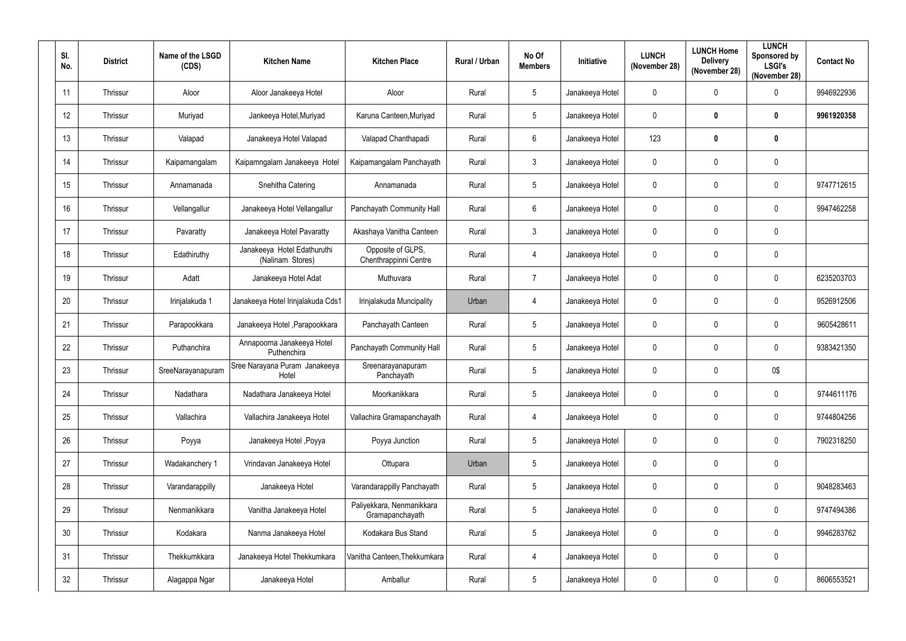| SI.<br>No.      | <b>District</b> | Name of the LSGD<br>(CDS) | <b>Kitchen Name</b>                             | <b>Kitchen Place</b>                         | Rural / Urban | No Of<br><b>Members</b> | Initiative      | <b>LUNCH</b><br>(November 28) | <b>LUNCH Home</b><br><b>Delivery</b><br>(November 28) | <b>LUNCH</b><br>Sponsored by<br><b>LSGI's</b><br>(November 28) | <b>Contact No</b> |
|-----------------|-----------------|---------------------------|-------------------------------------------------|----------------------------------------------|---------------|-------------------------|-----------------|-------------------------------|-------------------------------------------------------|----------------------------------------------------------------|-------------------|
| 11              | Thrissur        | Aloor                     | Aloor Janakeeya Hotel                           | Aloor                                        | Rural         | $5\phantom{.0}$         | Janakeeya Hotel | $\mathbf 0$                   | 0                                                     | $\mathbf 0$                                                    | 9946922936        |
| 12              | Thrissur        | Muriyad                   | Jankeeya Hotel, Muriyad                         | Karuna Canteen, Muriyad                      | Rural         | $\overline{5}$          | Janakeeya Hotel | $\mathbf 0$                   | $\bf{0}$                                              | $\mathbf 0$                                                    | 9961920358        |
| 13              | Thrissur        | Valapad                   | Janakeeya Hotel Valapad                         | Valapad Chanthapadi                          | Rural         | $6\,$                   | Janakeeya Hotel | 123                           | $\boldsymbol{0}$                                      | $\pmb{0}$                                                      |                   |
| 14              | Thrissur        | Kaipamangalam             | Kaipamngalam Janakeeya Hotel                    | Kaipamangalam Panchayath                     | Rural         | $\mathbf{3}$            | Janakeeya Hotel | $\mathbf 0$                   | $\mathbf 0$                                           | $\mathbf 0$                                                    |                   |
| 15              | Thrissur        | Annamanada                | Snehitha Catering                               | Annamanada                                   | Rural         | $5\phantom{.0}$         | Janakeeya Hotel | $\mathbf 0$                   | 0                                                     | $\mathbf 0$                                                    | 9747712615        |
| 16              | Thrissur        | Vellangallur              | Janakeeya Hotel Vellangallur                    | Panchayath Community Hall                    | Rural         | $6\phantom{.}6$         | Janakeeya Hotel | $\mathbf 0$                   | 0                                                     | $\mathbf 0$                                                    | 9947462258        |
| 17              | Thrissur        | Pavaratty                 | Janakeeya Hotel Pavaratty                       | Akashaya Vanitha Canteen                     | Rural         | $\mathfrak{Z}$          | Janakeeya Hotel | $\mathbf 0$                   | 0                                                     | $\boldsymbol{0}$                                               |                   |
| 18              | Thrissur        | Edathiruthy               | Janakeeya Hotel Edathuruthi<br>(Nalinam Stores) | Opposite of GLPS,<br>Chenthrappinni Centre   | Rural         | $\overline{4}$          | Janakeeya Hotel | $\mathbf 0$                   | 0                                                     | $\mathbf 0$                                                    |                   |
| 19              | Thrissur        | Adatt                     | Janakeeya Hotel Adat                            | Muthuvara                                    | Rural         | $\overline{7}$          | Janakeeya Hotel | $\mathbf 0$                   | 0                                                     | $\pmb{0}$                                                      | 6235203703        |
| 20              | Thrissur        | Irinjalakuda 1            | Janakeeya Hotel Irinjalakuda Cds1               | Irinjalakuda Muncipality                     | Urban         | $\overline{4}$          | Janakeeya Hotel | $\mathbf 0$                   | $\mathbf 0$                                           | $\boldsymbol{0}$                                               | 9526912506        |
| 21              | Thrissur        | Parapookkara              | Janakeeya Hotel , Parapookkara                  | Panchayath Canteen                           | Rural         | $5\phantom{.0}$         | Janakeeya Hotel | $\mathbf 0$                   | 0                                                     | $\mathbf 0$                                                    | 9605428611        |
| 22              | Thrissur        | Puthanchira               | Annapoorna Janakeeya Hotel<br>Puthenchira       | Panchayath Community Hall                    | Rural         | $5\phantom{.0}$         | Janakeeya Hotel | $\mathbf 0$                   | 0                                                     | $\mathbf 0$                                                    | 9383421350        |
| 23              | Thrissur        | SreeNarayanapuram         | Sree Narayana Puram Janakeeya<br>Hotel          | Sreenarayanapuram<br>Panchavath              | Rural         | $5\phantom{.0}$         | Janakeeya Hotel | $\mathbf 0$                   | $\mathbf 0$                                           | 0\$                                                            |                   |
| 24              | Thrissur        | Nadathara                 | Nadathara Janakeeya Hotel                       | Moorkanikkara                                | Rural         | $\overline{5}$          | Janakeeya Hotel | $\pmb{0}$                     | $\mathbf 0$                                           | $\mathbf 0$                                                    | 9744611176        |
| 25              | Thrissur        | Vallachira                | Vallachira Janakeeya Hotel                      | Vallachira Gramapanchayath                   | Rural         | $\overline{4}$          | Janakeeya Hotel | $\pmb{0}$                     | 0                                                     | $\pmb{0}$                                                      | 9744804256        |
| 26              | Thrissur        | Poyya                     | Janakeeya Hotel , Poyya                         | Poyya Junction                               | Rural         | $\overline{5}$          | Janakeeya Hotel | $\mathbf 0$                   | $\mathbf 0$                                           | $\mathbf 0$                                                    | 7902318250        |
| 27              | Thrissur        | Wadakanchery 1            | Vrindavan Janakeeya Hotel                       | Ottupara                                     | Urban         | $5\phantom{.0}$         | Janakeeya Hotel | $\mathbf 0$                   | $\mathbf 0$                                           | $\pmb{0}$                                                      |                   |
| 28              | Thrissur        | Varandarappilly           | Janakeeya Hotel                                 | Varandarappilly Panchayath                   | Rural         | $\overline{5}$          | Janakeeya Hotel | $\mathbf 0$                   | 0                                                     | $\mathbf 0$                                                    | 9048283463        |
| 29              | Thrissur        | Nenmanikkara              | Vanitha Janakeeya Hotel                         | Paliyekkara, Nenmanikkara<br>Gramapanchayath | Rural         | $\overline{5}$          | Janakeeya Hotel | $\mathbf 0$                   | $\mathbf 0$                                           | $\pmb{0}$                                                      | 9747494386        |
| 30 <sup>°</sup> | Thrissur        | Kodakara                  | Nanma Janakeeya Hotel                           | Kodakara Bus Stand                           | Rural         | $\sqrt{5}$              | Janakeeya Hotel | $\pmb{0}$                     | 0                                                     | $\pmb{0}$                                                      | 9946283762        |
| 31              | Thrissur        | Thekkumkkara              | Janakeeya Hotel Thekkumkara                     | Vanitha Canteen, Thekkumkara                 | Rural         | $\overline{4}$          | Janakeeya Hotel | $\pmb{0}$                     | $\mathbf 0$                                           | $\pmb{0}$                                                      |                   |
| 32              | Thrissur        | Alagappa Ngar             | Janakeeya Hotel                                 | Amballur                                     | Rural         | $\sqrt{5}$              | Janakeeya Hotel | $\pmb{0}$                     | 0                                                     | $\pmb{0}$                                                      | 8606553521        |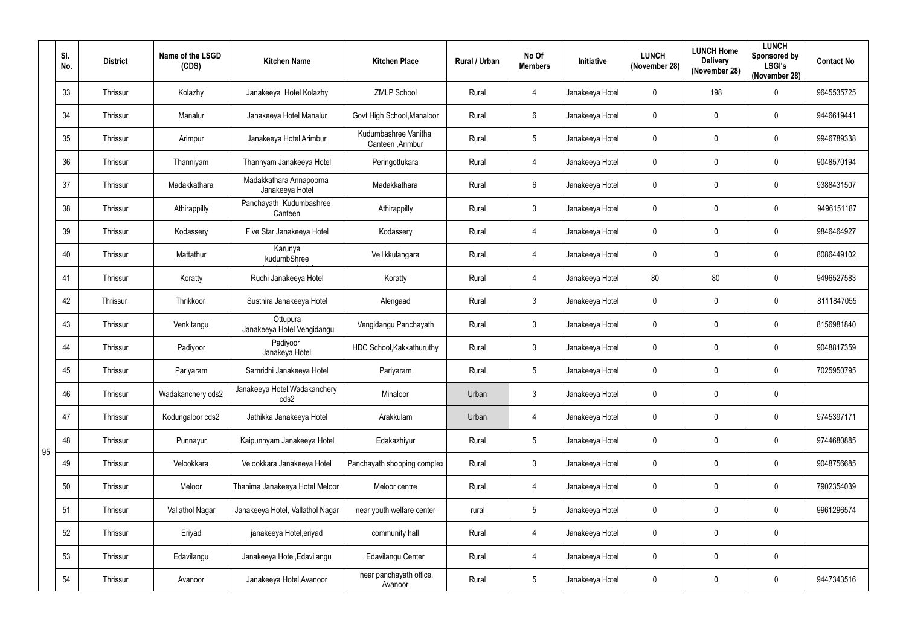|    | SI.<br>No. | <b>District</b> | Name of the LSGD<br>(CDS) | <b>Kitchen Place</b><br><b>Kitchen Name</b> |                                           | Rural / Urban | No Of<br><b>Members</b> | <b>Initiative</b> | <b>LUNCH</b><br>(November 28) | <b>LUNCH Home</b><br><b>Delivery</b><br>(November 28) | <b>LUNCH</b><br>Sponsored by<br><b>LSGI's</b><br>(November 28) | <b>Contact No</b> |
|----|------------|-----------------|---------------------------|---------------------------------------------|-------------------------------------------|---------------|-------------------------|-------------------|-------------------------------|-------------------------------------------------------|----------------------------------------------------------------|-------------------|
|    | 33         | Thrissur        | Kolazhy                   | Janakeeya Hotel Kolazhy                     | <b>ZMLP School</b>                        | Rural         | $\overline{4}$          | Janakeeya Hotel   | $\mathbf 0$                   | 198                                                   | $\mathbf 0$                                                    | 9645535725        |
|    | 34         | Thrissur        | Manalur                   | Janakeeya Hotel Manalur                     | Govt High School, Manaloor                | Rural         | 6                       | Janakeeya Hotel   | $\pmb{0}$                     | $\mathbf 0$                                           | $\mathbf 0$                                                    | 9446619441        |
|    | 35         | Thrissur        | Arimpur                   | Janakeeya Hotel Arimbur                     | Kudumbashree Vanitha<br>Canteen , Arimbur | Rural         | $5\phantom{.0}$         | Janakeeya Hotel   | $\mathbf 0$                   | $\mathbf{0}$                                          | $\mathbf 0$                                                    | 9946789338        |
|    | 36         | Thrissur        | Thanniyam                 | Thannyam Janakeeya Hotel                    | Peringottukara                            | Rural         | $\overline{4}$          | Janakeeya Hotel   | $\mathbf 0$                   | $\mathbf{0}$                                          | $\mathbf 0$                                                    | 9048570194        |
|    | 37         | Thrissur        | Madakkathara              | Madakkathara Annapoorna<br>Janakeeya Hotel  | Madakkathara                              | Rural         | 6                       | Janakeeya Hotel   | $\mathbf 0$                   | $\mathbf{0}$                                          | $\mathbf 0$                                                    | 9388431507        |
|    | 38         | Thrissur        | Athirappilly              | Panchayath Kudumbashree<br>Canteen          | Athirappilly                              | Rural         | $\mathbf{3}$            | Janakeeya Hotel   | $\mathbf 0$                   | $\mathbf 0$                                           | $\mathbf 0$                                                    | 9496151187        |
|    | 39         | Thrissur        | Kodassery                 | Five Star Janakeeya Hotel                   | Kodassery                                 | Rural         | $\overline{4}$          | Janakeeya Hotel   | $\mathbf 0$                   | $\mathbf 0$                                           | $\mathbf 0$                                                    | 9846464927        |
|    | 40         | Thrissur        | Mattathur                 | Karunya<br>kudumbShree                      | Vellikkulangara                           | Rural         | $\overline{4}$          | Janakeeya Hotel   | $\mathbf 0$                   | $\mathbf 0$                                           | $\mathbf 0$                                                    | 8086449102        |
|    | 41         | Thrissur        | Koratty                   | Ruchi Janakeeya Hotel                       | Koratty                                   | Rural         | $\overline{4}$          | Janakeeya Hotel   | 80                            | 80                                                    | $\mathbf 0$                                                    | 9496527583        |
|    | 42         | Thrissur        | Thrikkoor                 | Susthira Janakeeya Hotel                    | Alengaad                                  | Rural         | $\mathbf{3}$            | Janakeeya Hotel   | $\mathbf 0$                   | $\mathbf 0$                                           | $\mathbf 0$                                                    | 8111847055        |
|    | 43         | Thrissur        | Venkitangu                | Ottupura<br>Janakeeya Hotel Vengidangu      | Vengidangu Panchayath                     | Rural         | $\mathbf{3}$            | Janakeeya Hotel   | $\mathbf 0$                   | $\mathbf{0}$                                          | $\mathbf 0$                                                    | 8156981840        |
|    | 44         | Thrissur        | Padiyoor                  | Padiyoor<br>Janakeya Hotel                  | HDC School, Kakkathuruthy                 | Rural         | $\mathbf{3}$            | Janakeeya Hotel   | $\mathbf 0$                   | $\mathbf 0$                                           | $\mathbf 0$                                                    | 9048817359        |
|    | 45         | Thrissur        | Pariyaram                 | Samridhi Janakeeya Hotel                    | Pariyaram                                 | Rural         | $5\phantom{.0}$         | Janakeeya Hotel   | $\mathbf 0$                   | $\mathbf 0$                                           | $\mathbf 0$                                                    | 7025950795        |
|    | 46         | Thrissur        | Wadakanchery cds2         | Janakeeya Hotel, Wadakanchery<br>cds2       | Minaloor                                  | Urban         | $\mathbf{3}$            | Janakeeya Hotel   | $\pmb{0}$                     | $\mathbf 0$                                           | $\mathbf 0$                                                    |                   |
|    | 47         | Thrissur        | Kodungaloor cds2          | Jathikka Janakeeya Hotel                    | Arakkulam                                 | Urban         | $\overline{4}$          | Janakeeya Hotel   | $\pmb{0}$                     | $\mathbf 0$                                           | $\pmb{0}$                                                      | 9745397171        |
| 95 | 48         | Thrissur        | Punnayur                  | Kaipunnyam Janakeeya Hotel                  | Edakazhiyur                               | Rural         | $5\phantom{.0}$         | Janakeeya Hotel   | $\pmb{0}$                     | $\mathbf 0$                                           | $\pmb{0}$                                                      | 9744680885        |
|    | 49         | Thrissur        | Velookkara                | Velookkara Janakeeya Hotel                  | Panchayath shopping complex               | Rural         | $\mathfrak{Z}$          | Janakeeya Hotel   | $\pmb{0}$                     | $\mathbf 0$                                           | $\pmb{0}$                                                      | 9048756685        |
|    | 50         | Thrissur        | Meloor                    | Thanima Janakeeya Hotel Meloor              | Meloor centre                             | Rural         | $\overline{4}$          | Janakeeya Hotel   | $\pmb{0}$                     | $\mathbf 0$                                           | $\pmb{0}$                                                      | 7902354039        |
|    | 51         | Thrissur        | Vallathol Nagar           | Janakeeya Hotel, Vallathol Nagar            | near youth welfare center                 | rural         | $5\phantom{.0}$         | Janakeeya Hotel   | $\pmb{0}$                     | $\mathbf 0$                                           | $\mathbf 0$                                                    | 9961296574        |
|    | 52         | Thrissur        | Eriyad                    | janakeeya Hotel, eriyad                     | community hall                            | Rural         | $\overline{4}$          | Janakeeya Hotel   | $\pmb{0}$                     | $\mathbf 0$                                           | $\pmb{0}$                                                      |                   |
|    | 53         | Thrissur        | Edavilangu                | Janakeeya Hotel, Edavilangu                 | Edavilangu Center                         | Rural         | $\overline{4}$          | Janakeeya Hotel   | $\pmb{0}$                     | $\mathbf 0$                                           | $\pmb{0}$                                                      |                   |
|    | 54         | Thrissur        | Avanoor                   | Janakeeya Hotel, Avanoor                    | near panchayath office,<br>Avanoor        | Rural         | $5\,$                   | Janakeeya Hotel   | $\pmb{0}$                     | $\pmb{0}$                                             | $\pmb{0}$                                                      | 9447343516        |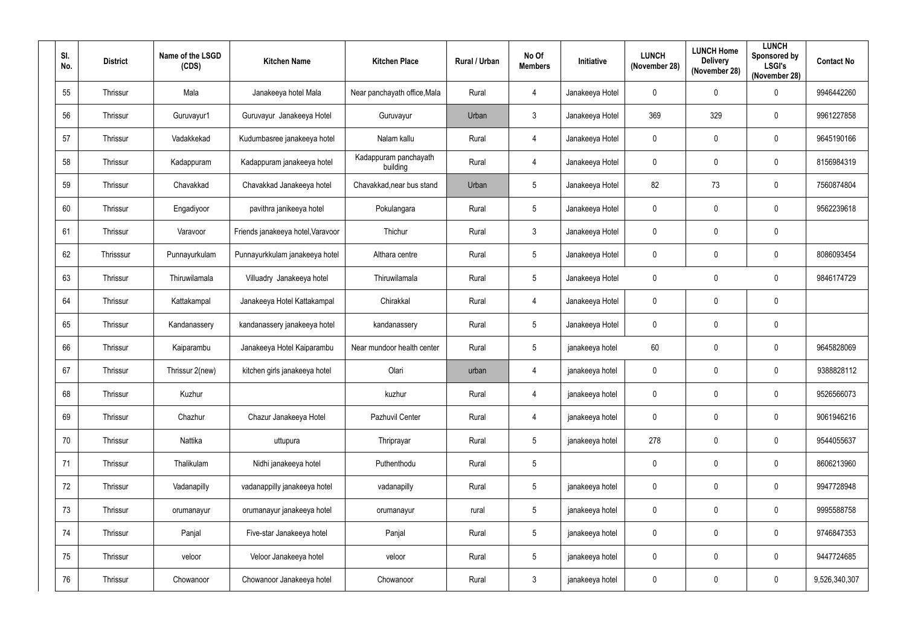| SI.<br>No. | <b>District</b> | Name of the LSGD<br>(CDS) | <b>Kitchen Name</b>               | <b>Kitchen Place</b>              | Rural / Urban | No Of<br><b>Members</b> | Initiative      | <b>LUNCH</b><br>(November 28) | <b>LUNCH Home</b><br><b>Delivery</b><br>(November 28) | <b>LUNCH</b><br>Sponsored by<br><b>LSGI's</b><br>(November 28) | <b>Contact No</b> |
|------------|-----------------|---------------------------|-----------------------------------|-----------------------------------|---------------|-------------------------|-----------------|-------------------------------|-------------------------------------------------------|----------------------------------------------------------------|-------------------|
| 55         | Thrissur        | Mala                      | Janakeeya hotel Mala              | Near panchayath office, Mala      | Rural         | 4                       | Janakeeya Hotel | $\mathbf 0$                   | 0                                                     | $\mathbf 0$                                                    | 9946442260        |
| 56         | Thrissur        | Guruvayur1                | Guruvayur Janakeeya Hotel         | Guruvayur                         | Urban         | $\mathbf{3}$            | Janakeeya Hotel | 369                           | 329                                                   | $\mathbf 0$                                                    | 9961227858        |
| 57         | Thrissur        | Vadakkekad                | Kudumbasree janakeeya hotel       | Nalam kallu                       | Rural         | $\overline{4}$          | Janakeeya Hotel | $\mathbf 0$                   | $\mathbf 0$                                           | $\pmb{0}$                                                      | 9645190166        |
| 58         | Thrissur        | Kadappuram                | Kadappuram janakeeya hotel        | Kadappuram panchayath<br>building | Rural         | $\overline{4}$          | Janakeeya Hotel | $\mathbf 0$                   | 0                                                     | $\mathbf 0$                                                    | 8156984319        |
| 59         | Thrissur        | Chavakkad                 | Chavakkad Janakeeya hotel         | Chavakkad, near bus stand         | Urban         | $5\phantom{.0}$         | Janakeeya Hotel | 82                            | 73                                                    | $\mathbf 0$                                                    | 7560874804        |
| 60         | Thrissur        | Engadiyoor                | pavithra janikeeya hotel          | Pokulangara                       | Rural         | $5\phantom{.0}$         | Janakeeya Hotel | $\mathbf 0$                   | 0                                                     | $\mathbf 0$                                                    | 9562239618        |
| 61         | Thrissur        | Varavoor                  | Friends janakeeya hotel, Varavoor | Thichur                           | Rural         | $\mathfrak{Z}$          | Janakeeya Hotel | $\mathbf 0$                   | 0                                                     | $\mathbf 0$                                                    |                   |
| 62         | Thrisssur       | Punnayurkulam             | Punnayurkkulam janakeeya hotel    | Althara centre                    | Rural         | $5\phantom{.0}$         | Janakeeya Hotel | $\pmb{0}$                     | 0                                                     | 0                                                              | 8086093454        |
| 63         | Thrissur        | Thiruwilamala             | Villuadry Janakeeya hotel         | Thiruwilamala                     | Rural         | $5\phantom{.0}$         | Janakeeya Hotel | $\mathbf 0$                   | $\mathbf 0$                                           | $\mathbf 0$                                                    | 9846174729        |
| 64         | Thrissur        | Kattakampal               | Janakeeya Hotel Kattakampal       | Chirakkal                         | Rural         | $\overline{4}$          | Janakeeya Hotel | $\mathbf 0$                   | $\mathbf 0$                                           | 0                                                              |                   |
| 65         | Thrissur        | Kandanassery              | kandanassery janakeeya hotel      | kandanassery                      | Rural         | $5\phantom{.0}$         | Janakeeya Hotel | $\mathbf 0$                   | 0                                                     | $\mathbf 0$                                                    |                   |
| 66         | Thrissur        | Kaiparambu                | Janakeeya Hotel Kaiparambu        | Near mundoor health center        | Rural         | $\overline{5}$          | janakeeya hotel | 60                            | $\mathbf 0$                                           | $\mathbf 0$                                                    | 9645828069        |
| 67         | Thrissur        | Thrissur 2(new)           | kitchen girls janakeeya hotel     | Olari                             | urban         | $\overline{4}$          | janakeeya hotel | $\mathbf 0$                   | 0                                                     | $\mathbf 0$                                                    | 9388828112        |
| 68         | Thrissur        | Kuzhur                    |                                   | kuzhur                            | Rural         | $\overline{4}$          | janakeeya hotel | $\pmb{0}$                     | $\mathbf 0$                                           | $\pmb{0}$                                                      | 9526566073        |
| 69         | Thrissur        | Chazhur                   | Chazur Janakeeya Hotel            | Pazhuvil Center                   | Rural         | $\overline{4}$          | janakeeya hotel | $\pmb{0}$                     | $\mathbf 0$                                           | $\pmb{0}$                                                      | 9061946216        |
| 70         | Thrissur        | Nattika                   | uttupura                          | Thriprayar                        | Rural         | $\overline{5}$          | janakeeya hotel | 278                           | $\mathbf 0$                                           | $\pmb{0}$                                                      | 9544055637        |
| 71         | Thrissur        | Thalikulam                | Nidhi janakeeya hotel             | Puthenthodu                       | Rural         | $\overline{5}$          |                 | $\pmb{0}$                     | $\mathbf 0$                                           | $\pmb{0}$                                                      | 8606213960        |
| 72         | Thrissur        | Vadanapilly               | vadanappilly janakeeya hotel      | vadanapilly                       | Rural         | $\overline{5}$          | janakeeya hotel | $\pmb{0}$                     | $\mathbf 0$                                           | $\pmb{0}$                                                      | 9947728948        |
| 73         | Thrissur        | orumanayur                | orumanayur janakeeya hotel        | orumanayur                        | rural         | $\sqrt{5}$              | janakeeya hotel | $\pmb{0}$                     | $\mathbf 0$                                           | 0                                                              | 9995588758        |
| 74         | Thrissur        | Panjal                    | Five-star Janakeeya hotel         | Panjal                            | Rural         | $\overline{5}$          | janakeeya hotel | $\pmb{0}$                     | $\mathbf 0$                                           | $\mathbf 0$                                                    | 9746847353        |
| 75         | Thrissur        | veloor                    | Veloor Janakeeya hotel            | veloor                            | Rural         | $\sqrt{5}$              | janakeeya hotel | $\pmb{0}$                     | 0                                                     | $\pmb{0}$                                                      | 9447724685        |
| 76         | Thrissur        | Chowanoor                 | Chowanoor Janakeeya hotel         | Chowanoor                         | Rural         | $\mathfrak{Z}$          | janakeeya hotel | $\pmb{0}$                     | 0                                                     | 0                                                              | 9,526,340,307     |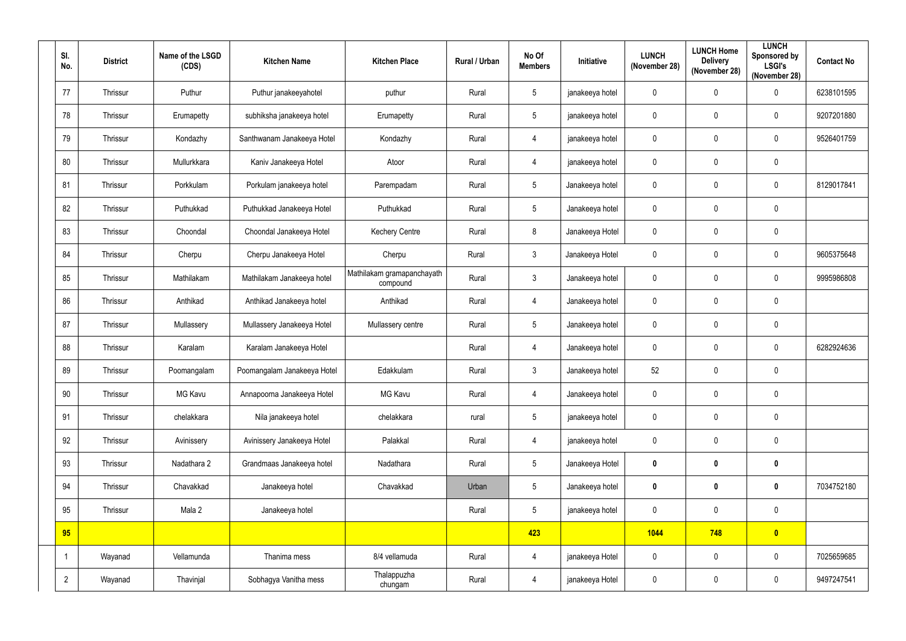| SI.<br>No.     | <b>District</b> | Name of the LSGD<br>(CDS) | <b>Kitchen Name</b>         | <b>Kitchen Place</b>                   | Rural / Urban | No Of<br><b>Members</b> | Initiative      | <b>LUNCH</b><br>(November 28) | <b>LUNCH Home</b><br><b>Delivery</b><br>(November 28) | <b>LUNCH</b><br>Sponsored by<br><b>LSGI's</b><br>(November 28) | <b>Contact No</b> |
|----------------|-----------------|---------------------------|-----------------------------|----------------------------------------|---------------|-------------------------|-----------------|-------------------------------|-------------------------------------------------------|----------------------------------------------------------------|-------------------|
| 77             | Thrissur        | Puthur                    | Puthur janakeeyahotel       | puthur                                 | Rural         | $5\phantom{.0}$         | janakeeya hotel | $\mathbf 0$                   | $\mathbf 0$                                           | $\mathbf 0$                                                    | 6238101595        |
| 78             | Thrissur        | Erumapetty                | subhiksha janakeeya hotel   | Erumapetty                             | Rural         | $\sqrt{5}$              | janakeeya hotel | $\pmb{0}$                     | $\mathbf 0$                                           | $\pmb{0}$                                                      | 9207201880        |
| 79             | Thrissur        | Kondazhy                  | Santhwanam Janakeeya Hotel  | Kondazhy                               | Rural         | $\overline{4}$          | janakeeya hotel | $\pmb{0}$                     | $\mathbf 0$                                           | $\pmb{0}$                                                      | 9526401759        |
| 80             | Thrissur        | Mullurkkara               | Kaniv Janakeeya Hotel       | Atoor                                  | Rural         | $\overline{4}$          | janakeeya hotel | $\mathbf 0$                   | $\mathbf 0$                                           | $\pmb{0}$                                                      |                   |
| 81             | Thrissur        | Porkkulam                 | Porkulam janakeeya hotel    | Parempadam                             | Rural         | $5\phantom{.0}$         | Janakeeya hotel | $\mathbf 0$                   | $\mathbf 0$                                           | $\pmb{0}$                                                      | 8129017841        |
| 82             | Thrissur        | Puthukkad                 | Puthukkad Janakeeya Hotel   | Puthukkad                              | Rural         | $5\phantom{.0}$         | Janakeeya hotel | $\mathbf 0$                   | $\mathbf{0}$                                          | $\mathbf 0$                                                    |                   |
| 83             | Thrissur        | Choondal                  | Choondal Janakeeya Hotel    | <b>Kechery Centre</b>                  | Rural         | 8                       | Janakeeya Hotel | $\mathbf 0$                   | $\mathbf 0$                                           | $\pmb{0}$                                                      |                   |
| 84             | Thrissur        | Cherpu                    | Cherpu Janakeeya Hotel      | Cherpu                                 | Rural         | $\mathbf{3}$            | Janakeeya Hotel | $\pmb{0}$                     | $\mathbf 0$                                           | $\pmb{0}$                                                      | 9605375648        |
| 85             | Thrissur        | Mathilakam                | Mathilakam Janakeeya hotel  | Mathilakam gramapanchayath<br>compound | Rural         | $\mathbf{3}$            | Janakeeya hotel | $\mathbf 0$                   | $\mathbf{0}$                                          | $\mathbf 0$                                                    | 9995986808        |
| 86             | Thrissur        | Anthikad                  | Anthikad Janakeeya hotel    | Anthikad                               | Rural         | $\overline{4}$          | Janakeeya hotel | $\mathbf 0$                   | $\mathbf 0$                                           | $\pmb{0}$                                                      |                   |
| 87             | Thrissur        | Mullassery                | Mullassery Janakeeya Hotel  | Mullassery centre                      | Rural         | $5\phantom{.0}$         | Janakeeya hotel | $\mathbf 0$                   | $\mathbf 0$                                           | $\pmb{0}$                                                      |                   |
| 88             | Thrissur        | Karalam                   | Karalam Janakeeya Hotel     |                                        | Rural         | $\overline{4}$          | Janakeeya hotel | $\pmb{0}$                     | $\mathbf 0$                                           | $\pmb{0}$                                                      | 6282924636        |
| 89             | Thrissur        | Poomangalam               | Poomangalam Janakeeya Hotel | Edakkulam                              | Rural         | $\mathbf{3}$            | Janakeeya hotel | 52                            | $\mathbf 0$                                           | $\pmb{0}$                                                      |                   |
| 90             | Thrissur        | <b>MG Kavu</b>            | Annapoorna Janakeeya Hotel  | MG Kavu                                | Rural         | $\overline{4}$          | Janakeeya hotel | $\mathbf 0$                   | $\mathbf 0$                                           | $\pmb{0}$                                                      |                   |
| 91             | Thrissur        | chelakkara                | Nila janakeeya hotel        | chelakkara                             | rural         | $5\phantom{.0}$         | janakeeya hotel | $\pmb{0}$                     | $\pmb{0}$                                             | $\pmb{0}$                                                      |                   |
| 92             | Thrissur        | Avinissery                | Avinissery Janakeeya Hotel  | Palakkal                               | Rural         | $\overline{4}$          | janakeeya hotel | $\pmb{0}$                     | $\mathbf 0$                                           | $\pmb{0}$                                                      |                   |
| 93             | Thrissur        | Nadathara 2               | Grandmaas Janakeeya hotel   | Nadathara                              | Rural         | $5\phantom{.0}$         | Janakeeya Hotel | $\pmb{0}$                     | $\mathbf 0$                                           | $\pmb{0}$                                                      |                   |
| 94             | Thrissur        | Chavakkad                 | Janakeeya hotel             | Chavakkad                              | Urban         | $5\phantom{.0}$         | Janakeeya hotel | $\pmb{0}$                     | $\mathbf 0$                                           | $\mathbf 0$                                                    | 7034752180        |
| 95             | Thrissur        | Mala 2                    | Janakeeya hotel             |                                        | Rural         | $5\phantom{.0}$         | janakeeya hotel | $\mathbf 0$                   | $\pmb{0}$                                             | $\mathbf 0$                                                    |                   |
| 95             |                 |                           |                             |                                        |               | 423                     |                 | 1044                          | 748                                                   | $\bullet$                                                      |                   |
| -1             | Wayanad         | Vellamunda                | Thanima mess                | 8/4 vellamuda                          | Rural         | $\overline{4}$          | janakeeya Hotel | $\pmb{0}$                     | $\pmb{0}$                                             | $\mathbf 0$                                                    | 7025659685        |
| $\overline{2}$ | Wayanad         | Thavinjal                 | Sobhagya Vanitha mess       | Thalappuzha<br>chungam                 | Rural         | $\overline{4}$          | janakeeya Hotel | $\pmb{0}$                     | $\pmb{0}$                                             | $\pmb{0}$                                                      | 9497247541        |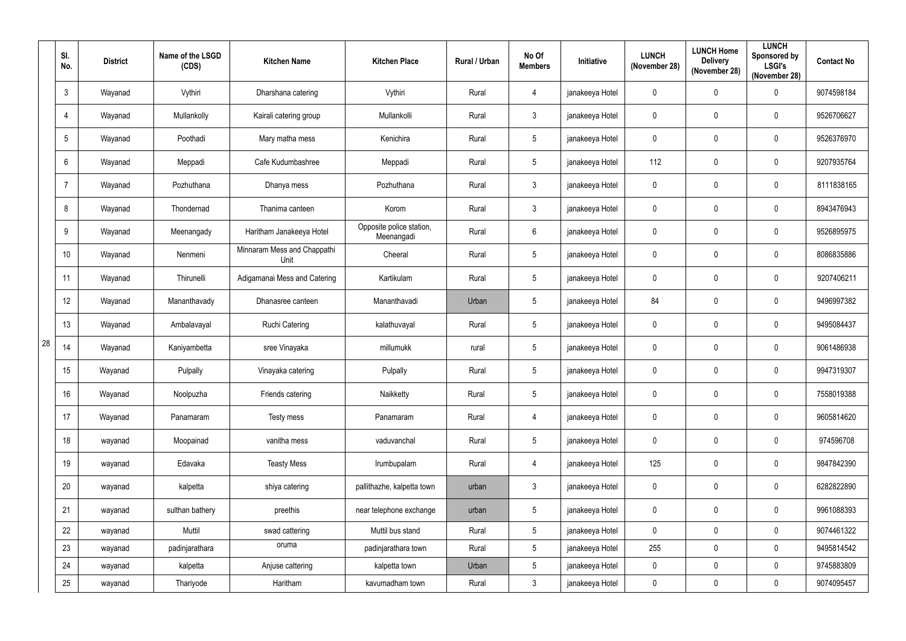|    | SI.<br>No.      | <b>District</b> | Name of the LSGD<br>(CDS) | <b>Kitchen Name</b>                 | <b>Kitchen Place</b>                   | Rural / Urban | No Of<br><b>Members</b> | Initiative      | <b>LUNCH</b><br>(November 28) | <b>LUNCH Home</b><br><b>Delivery</b><br>(November 28) | <b>LUNCH</b><br>Sponsored by<br><b>LSGI's</b><br>(November 28) | <b>Contact No</b>                                                                                                                                                                                                                                                                   |
|----|-----------------|-----------------|---------------------------|-------------------------------------|----------------------------------------|---------------|-------------------------|-----------------|-------------------------------|-------------------------------------------------------|----------------------------------------------------------------|-------------------------------------------------------------------------------------------------------------------------------------------------------------------------------------------------------------------------------------------------------------------------------------|
|    | $\mathbf{3}$    | Wayanad         | Vythiri                   | Dharshana catering                  | Vythiri                                | Rural         | 4                       | janakeeya Hotel | 0                             | $\mathbf 0$                                           | 0                                                              | 9074598184<br>9526706627<br>9526376970<br>9207935764<br>8111838165<br>8943476943<br>9526895975<br>8086835886<br>9207406211<br>9496997382<br>9495084437<br>9061486938<br>9947319307<br>7558019388<br>9605814620<br>974596708<br>9847842390<br>6282822890<br>9961088393<br>9074461322 |
|    | $\overline{4}$  | Wayanad         | Mullankolly               | Kairali catering group              | Mullankolli                            | Rural         | $\mathbf{3}$            | janakeeya Hotel | 0                             | $\mathbf 0$                                           | 0                                                              |                                                                                                                                                                                                                                                                                     |
|    | $5\phantom{.0}$ | Wayanad         | Poothadi                  | Mary matha mess                     | Kenichira                              | Rural         | $\overline{5}$          | janakeeya Hotel | 0                             | 0                                                     | 0                                                              |                                                                                                                                                                                                                                                                                     |
|    | $6\phantom{.}$  | Wayanad         | Meppadi                   | Cafe Kudumbashree                   | Meppadi                                | Rural         | $5\phantom{.0}$         | janakeeya Hotel | 112                           | 0                                                     | $\mathbf 0$                                                    |                                                                                                                                                                                                                                                                                     |
|    | $\overline{7}$  | Wayanad         | Pozhuthana                | Dhanya mess                         | Pozhuthana                             | Rural         | $\mathfrak{Z}$          | janakeeya Hotel | 0                             | $\mathbf 0$                                           | $\mathbf 0$                                                    |                                                                                                                                                                                                                                                                                     |
|    | 8               | Wayanad         | Thondernad                | Thanima canteen                     | Korom                                  | Rural         | $\mathbf{3}$            | janakeeya Hotel | $\mathbf 0$                   | 0                                                     | $\mathbf 0$                                                    |                                                                                                                                                                                                                                                                                     |
|    | 9               | Wayanad         | Meenangady                | Haritham Janakeeya Hotel            | Opposite police station,<br>Meenangadi | Rural         | $6\,$                   | janakeeya Hotel | 0                             | 0                                                     | 0                                                              |                                                                                                                                                                                                                                                                                     |
|    | 10              | Wayanad         | Nenmeni                   | Minnaram Mess and Chappathi<br>Unit | Cheeral                                | Rural         | $\overline{5}$          | janakeeya Hotel | 0                             | $\mathbf 0$                                           | 0                                                              |                                                                                                                                                                                                                                                                                     |
|    | 11              | Wayanad         | Thirunelli                | Adigamanai Mess and Catering        | Kartikulam                             | Rural         | $\overline{5}$          | janakeeya Hotel | 0                             | 0                                                     | $\mathbf 0$                                                    |                                                                                                                                                                                                                                                                                     |
|    | 12              | Wayanad         | Mananthavady              | Dhanasree canteen                   | Mananthavadi                           | Urban         | $\overline{5}$          | janakeeya Hotel | 84                            | $\mathbf 0$                                           | $\mathbf 0$                                                    |                                                                                                                                                                                                                                                                                     |
|    | 13              | Wayanad         | Ambalavayal               | Ruchi Catering                      | kalathuvayal                           | Rural         | $\overline{5}$          | janakeeya Hotel | $\mathbf 0$                   | 0                                                     | $\mathbf 0$                                                    |                                                                                                                                                                                                                                                                                     |
| 28 | 14              | Wayanad         | Kaniyambetta              | sree Vinayaka                       | millumukk                              | rural         | $5\phantom{.0}$         | janakeeya Hotel | 0                             | 0                                                     | $\mathbf 0$                                                    |                                                                                                                                                                                                                                                                                     |
|    | 15              | Wayanad         | Pulpally                  | Vinayaka catering                   | Pulpally                               | Rural         | $\overline{5}$          | janakeeya Hotel | 0                             | 0                                                     | 0                                                              |                                                                                                                                                                                                                                                                                     |
|    | 16              | Wayanad         | Noolpuzha                 | Friends catering                    | Naikketty                              | Rural         | $\overline{5}$          | janakeeya Hotel | $\mathbf 0$                   | $\mathbf 0$                                           | $\mathbf 0$                                                    |                                                                                                                                                                                                                                                                                     |
|    | 17              | Wayanad         | Panamaram                 | Testy mess                          | Panamaram                              | Rural         | $\overline{4}$          | janakeeya Hotel | $\pmb{0}$                     | 0                                                     | $\pmb{0}$                                                      |                                                                                                                                                                                                                                                                                     |
|    | 18              | wayanad         | Moopainad                 | vanitha mess                        | vaduvanchal                            | Rural         | $\overline{5}$          | janakeeya Hotel | 0                             | $\mathbf 0$                                           | 0                                                              |                                                                                                                                                                                                                                                                                     |
|    | 19              | wayanad         | Edavaka                   | <b>Teasty Mess</b>                  | Irumbupalam                            | Rural         | $\overline{4}$          | janakeeya Hotel | 125                           | 0                                                     | $\pmb{0}$                                                      |                                                                                                                                                                                                                                                                                     |
|    | 20              | wayanad         | kalpetta                  | shiya catering                      | pallithazhe, kalpetta town             | urban         | $\mathbf{3}$            | janakeeya Hotel | $\pmb{0}$                     | $\mathbf 0$                                           | 0                                                              |                                                                                                                                                                                                                                                                                     |
|    | 21              | wayanad         | sulthan bathery           | preethis                            | near telephone exchange                | urban         | $5\,$                   | janakeeya Hotel | 0                             | $\mathbf 0$                                           | $\mathbf 0$                                                    |                                                                                                                                                                                                                                                                                     |
|    | 22              | wayanad         | Muttil                    | swad cattering                      | Muttil bus stand                       | Rural         | $5\phantom{.0}$         | janakeeya Hotel | 0                             | $\mathbf 0$                                           | $\mathbf 0$                                                    |                                                                                                                                                                                                                                                                                     |
|    | 23              | wayanad         | padinjarathara            | oruma                               | padinjarathara town                    | Rural         | $5\phantom{.0}$         | janakeeya Hotel | 255                           | $\mathbf 0$                                           | $\mathbf 0$                                                    | 9495814542                                                                                                                                                                                                                                                                          |
|    | 24              | wayanad         | kalpetta                  | Anjuse cattering                    | kalpetta town                          | Urban         | $\overline{5}$          | janakeeya Hotel | 0                             | $\mathbf 0$                                           | 0                                                              | 9745883809                                                                                                                                                                                                                                                                          |
|    | 25              | wayanad         | Thariyode                 | Haritham                            | kavumadham town                        | Rural         | $\mathbf{3}$            | janakeeya Hotel | 0                             | $\boldsymbol{0}$                                      | 0                                                              | 9074095457                                                                                                                                                                                                                                                                          |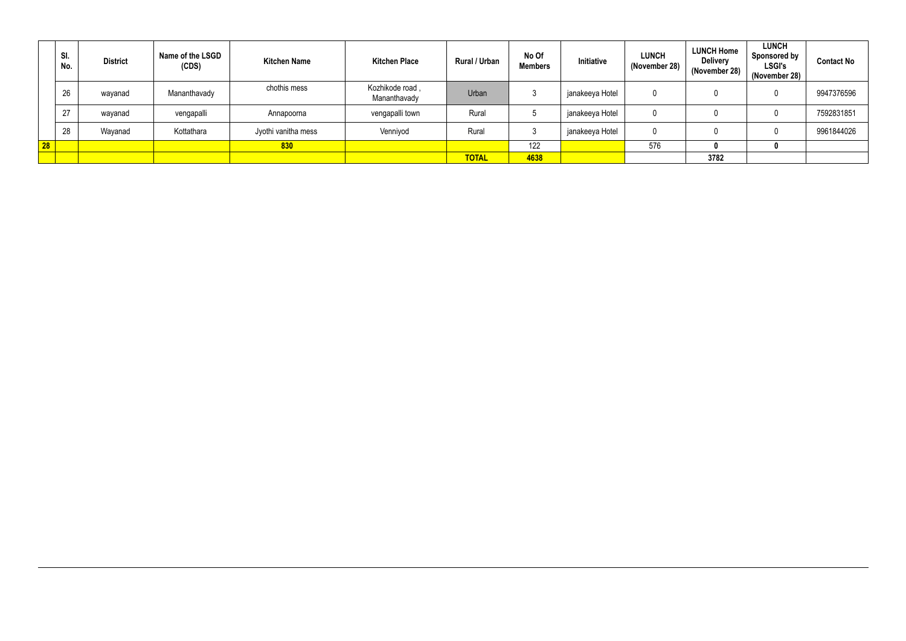|    | SI.<br>No. | <b>District</b> | Name of the LSGD<br>(CDS) | <b>Kitchen Name</b> | <b>Kitchen Place</b>            | <b>Rural / Urban</b> | No Of<br><b>Members</b> | Initiative      | <b>LUNCH</b><br>(November 28) | <b>LUNCH Home</b><br><b>Delivery</b><br>(November 28) | <b>LUNCH</b><br><b>Sponsored by</b><br><b>LSGI's</b><br>(November 28) | <b>Contact No</b> |
|----|------------|-----------------|---------------------------|---------------------|---------------------------------|----------------------|-------------------------|-----------------|-------------------------------|-------------------------------------------------------|-----------------------------------------------------------------------|-------------------|
|    | 26         | wayanad         | Mananthavady              | chothis mess        | Kozhikode road,<br>Mananthavady | Urban                | $\mathbf{r}$            | janakeeya Hotel | $\Omega$                      |                                                       |                                                                       | 9947376596        |
|    | 27         | wayanad         | vengapalli                | Annapoorna          | vengapalli town                 | Rural                |                         | janakeeya Hotel | $\Omega$                      |                                                       |                                                                       | 7592831851        |
|    | 28         | Wayanad         | Kottathara                | Jyothi vanitha mess | Venniyod                        | Rural                |                         | janakeeya Hotel | $\Omega$                      |                                                       |                                                                       | 9961844026        |
| 28 |            |                 |                           | 830                 |                                 |                      | 122                     |                 | 576                           |                                                       |                                                                       |                   |
|    |            |                 |                           |                     |                                 | <b>TOTAL</b>         | 4638                    |                 |                               | 3782                                                  |                                                                       |                   |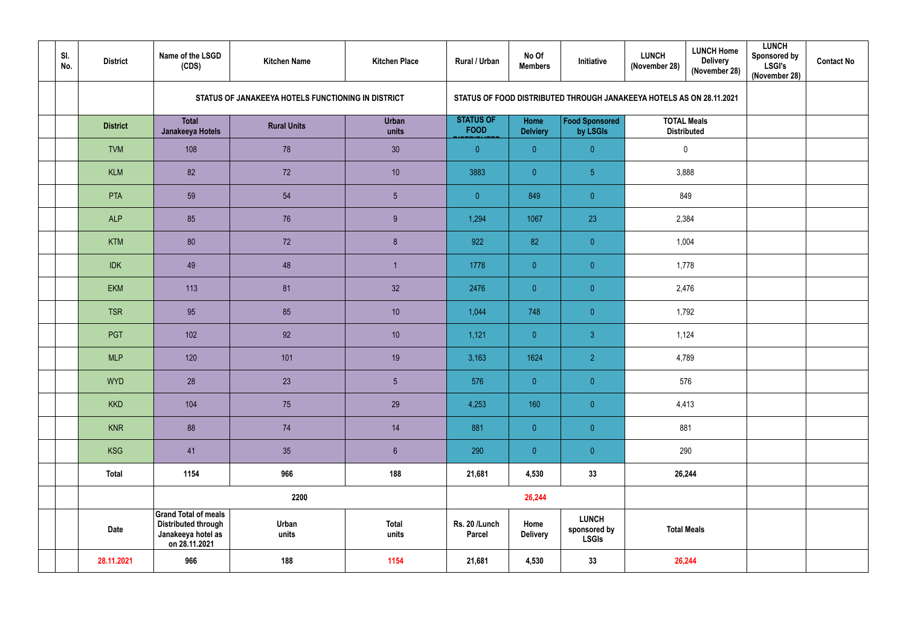| SI.<br>No. | <b>District</b> | Name of the LSGD<br>(CDS)                                                                        | <b>Kitchen Name</b>                                | <b>Kitchen Place</b>  | Rural / Urban                   | No Of<br><b>Members</b> | Initiative                                                           | <b>LUNCH</b><br>(November 28) | <b>LUNCH Home</b><br><b>Delivery</b><br>(November 28) | <b>LUNCH</b><br><b>Sponsored by</b><br><b>LSGI's</b><br>(November 28) | <b>Contact No</b> |
|------------|-----------------|--------------------------------------------------------------------------------------------------|----------------------------------------------------|-----------------------|---------------------------------|-------------------------|----------------------------------------------------------------------|-------------------------------|-------------------------------------------------------|-----------------------------------------------------------------------|-------------------|
|            |                 |                                                                                                  | STATUS OF JANAKEEYA HOTELS FUNCTIONING IN DISTRICT |                       |                                 |                         | STATUS OF FOOD DISTRIBUTED THROUGH JANAKEEYA HOTELS AS ON 28.11.2021 |                               |                                                       |                                                                       |                   |
|            | <b>District</b> | <b>Total</b><br>Janakeeya Hotels                                                                 | <b>Rural Units</b>                                 | <b>Urban</b><br>units | <b>STATUS OF</b><br><b>FOOD</b> | Home<br><b>Delviery</b> | <b>Food Sponsored</b><br>by LSGIs                                    |                               | <b>TOTAL Meals</b><br><b>Distributed</b>              |                                                                       |                   |
|            | <b>TVM</b>      | 108                                                                                              | 78                                                 | 30 <sup>°</sup>       | $\overline{0}$                  | $\overline{0}$          | $\overline{0}$                                                       |                               | $\mathbf 0$                                           |                                                                       |                   |
|            | <b>KLM</b>      | 82                                                                                               | 72                                                 | 10                    | 3883                            | $\overline{0}$          | $\overline{5}$                                                       |                               | 3,888                                                 |                                                                       |                   |
|            | <b>PTA</b>      | 59                                                                                               | 54                                                 | $5\phantom{.0}$       | $\overline{0}$                  | 849                     | $\overline{0}$                                                       |                               | 849                                                   |                                                                       |                   |
|            | <b>ALP</b>      | 85                                                                                               | 76                                                 | 9                     | 1,294                           | 1067                    | 23                                                                   | 2,384                         |                                                       |                                                                       |                   |
|            | <b>KTM</b>      | 80                                                                                               | 72                                                 | 8 <sup>°</sup>        | 922                             | 82                      | $\overline{0}$                                                       | 1,004                         |                                                       |                                                                       |                   |
|            | <b>IDK</b>      | 49                                                                                               | 48                                                 |                       | 1778                            | $\overline{0}$          | $\overline{0}$                                                       |                               | 1,778                                                 |                                                                       |                   |
|            | <b>EKM</b>      | 113                                                                                              | 81                                                 | 32                    | 2476                            | $\overline{0}$          | $\overline{0}$                                                       |                               | 2,476                                                 |                                                                       |                   |
|            | <b>TSR</b>      | 95                                                                                               | 85                                                 | 10                    | 1,044                           | 748                     | $\overline{0}$                                                       |                               | 1,792                                                 |                                                                       |                   |
|            | PGT             | 102                                                                                              | 92                                                 | 10                    | 1,121                           | $\overline{0}$          | 3 <sup>1</sup>                                                       |                               | 1,124                                                 |                                                                       |                   |
|            | <b>MLP</b>      | 120                                                                                              | 101                                                | 19                    | 3,163                           | 1624                    | $\overline{2}$                                                       |                               | 4,789                                                 |                                                                       |                   |
|            | <b>WYD</b>      | 28                                                                                               | 23                                                 | $5\phantom{.0}$       | 576                             | $\overline{0}$          | $\overline{\mathbf{0}}$                                              |                               | 576                                                   |                                                                       |                   |
|            | <b>KKD</b>      | 104                                                                                              | 75                                                 | 29                    | 4,253                           | 160                     | $\pmb{0}^-$                                                          |                               | 4,413                                                 |                                                                       |                   |
|            | <b>KNR</b>      | 88                                                                                               | 74                                                 | 14                    | 881                             | $\overline{0}$          | $\mathbf{0}^-$                                                       | 881                           |                                                       |                                                                       |                   |
|            | <b>KSG</b>      | 41                                                                                               | 35                                                 | $6\phantom{.}$        | 290                             | $\overline{0}$          | $\pmb{0}^-$                                                          |                               | 290                                                   |                                                                       |                   |
|            | <b>Total</b>    | 1154                                                                                             | 966                                                | 188                   | 21,681                          | 4,530                   | 33                                                                   |                               | 26,244                                                |                                                                       |                   |
|            |                 |                                                                                                  | 2200                                               |                       |                                 | 26,244                  |                                                                      |                               |                                                       |                                                                       |                   |
|            | <b>Date</b>     | <b>Grand Total of meals</b><br><b>Distributed through</b><br>Janakeeya hotel as<br>on 28.11.2021 | Urban<br>units                                     | <b>Total</b><br>units | Rs. 20 /Lunch<br><b>Parcel</b>  | Home<br><b>Delivery</b> | <b>LUNCH</b><br>sponsored by<br><b>LSGIs</b>                         | <b>Total Meals</b>            |                                                       |                                                                       |                   |
|            | 28.11.2021      | 966                                                                                              | 188                                                | 1154                  | 21,681                          | 4,530                   | 33                                                                   | 26,244                        |                                                       |                                                                       |                   |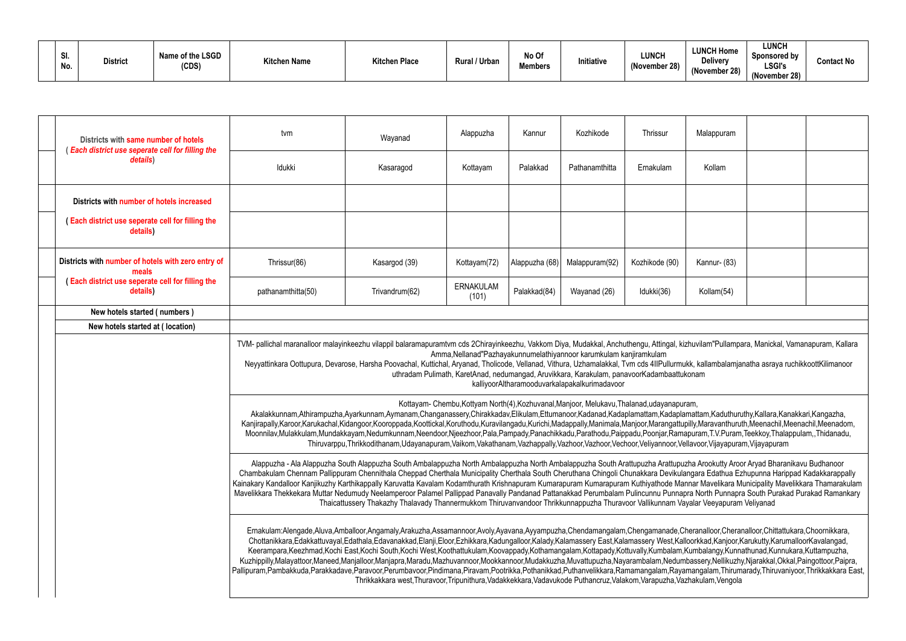| <b>CI</b><br>וט.<br>No. | <b>District</b> | Name of the LSGD<br>(CDS) | <b>Kitchen Name</b> | <b>Kitchen Place</b> | Rural / Urban | No Of<br><b>Members</b> | Initiative | <b>LUNCH</b><br>(November 28) |
|-------------------------|-----------------|---------------------------|---------------------|----------------------|---------------|-------------------------|------------|-------------------------------|
|-------------------------|-----------------|---------------------------|---------------------|----------------------|---------------|-------------------------|------------|-------------------------------|

| Malappuram                                                                                                                                                                                                                                                                                                        |  |  |  |  |  |  |  |  |  |  |  |  |
|-------------------------------------------------------------------------------------------------------------------------------------------------------------------------------------------------------------------------------------------------------------------------------------------------------------------|--|--|--|--|--|--|--|--|--|--|--|--|
| Kollam                                                                                                                                                                                                                                                                                                            |  |  |  |  |  |  |  |  |  |  |  |  |
|                                                                                                                                                                                                                                                                                                                   |  |  |  |  |  |  |  |  |  |  |  |  |
|                                                                                                                                                                                                                                                                                                                   |  |  |  |  |  |  |  |  |  |  |  |  |
| Kannur- (83)                                                                                                                                                                                                                                                                                                      |  |  |  |  |  |  |  |  |  |  |  |  |
| Kollam(54)                                                                                                                                                                                                                                                                                                        |  |  |  |  |  |  |  |  |  |  |  |  |
|                                                                                                                                                                                                                                                                                                                   |  |  |  |  |  |  |  |  |  |  |  |  |
|                                                                                                                                                                                                                                                                                                                   |  |  |  |  |  |  |  |  |  |  |  |  |
| zhuvilam"Pullampara, Manickal, Vamanapuram, Kallara                                                                                                                                                                                                                                                               |  |  |  |  |  |  |  |  |  |  |  |  |
| ikk, kallambalamjanatha asraya ruchikkoottKilimanoor<br>konam                                                                                                                                                                                                                                                     |  |  |  |  |  |  |  |  |  |  |  |  |
| 'nт,<br>mattam, Kaduthuruthy, Kallara, Kanakkari, Kangazha,<br>pilly,Maravanthuruth,Meenachil,Meenachil,Meenadom,<br>apuram, T.V.Puram, Teekkoy, Thalappulam,, Thidanadu,                                                                                                                                         |  |  |  |  |  |  |  |  |  |  |  |  |
| Ilavoor, Vijayapuram, Vijayapuram<br>zha Arookutty Aroor Aryad Bharanikavu Budhanoor<br>angara Edathua Ezhupunna Harippad Kadakkarappally<br>nnar Mavelikara Municipality Mavelikkara Thamarakulam<br>ora North Punnapra South Purakad Purakad Ramankary<br>yalar Veeyapuram Veliyanad                            |  |  |  |  |  |  |  |  |  |  |  |  |
| heranalloor,Cheranalloor,Chittattukara,Choornikkara,<br>loorkkad, Kanjoor, Karukutty, Karumalloor Kavalangad,<br>Kumbalangy, Kunnathunad, Kunnukara, Kuttampuzha,<br>bassery, Nellikuzhy, Njarakkal, Okkal, Paingottoor, Paipra,<br>mangalam, Thirumarady, Thiruvaniyoor, Thrikkakkara East,<br>zhakulam, Vengola |  |  |  |  |  |  |  |  |  |  |  |  |

| Districts with same number of hotels<br>Each district use seperate cell for filling the<br>details) | tvm                                                                                                                                                                                                                                                                                                                                                                                                                                                                                                                                                                                                                                                                                                                                                                                                                                                                                                                                                                                                                                                         | Wayanad                                                                                                                                                                                                                                                                                                                                                                                                                                                                                                         | Alappuzha                 | Kannur         | Kozhikode                                                                                                                                                                                                         | Thrissur       | Malappuram   |  |  |  |
|-----------------------------------------------------------------------------------------------------|-------------------------------------------------------------------------------------------------------------------------------------------------------------------------------------------------------------------------------------------------------------------------------------------------------------------------------------------------------------------------------------------------------------------------------------------------------------------------------------------------------------------------------------------------------------------------------------------------------------------------------------------------------------------------------------------------------------------------------------------------------------------------------------------------------------------------------------------------------------------------------------------------------------------------------------------------------------------------------------------------------------------------------------------------------------|-----------------------------------------------------------------------------------------------------------------------------------------------------------------------------------------------------------------------------------------------------------------------------------------------------------------------------------------------------------------------------------------------------------------------------------------------------------------------------------------------------------------|---------------------------|----------------|-------------------------------------------------------------------------------------------------------------------------------------------------------------------------------------------------------------------|----------------|--------------|--|--|--|
|                                                                                                     | Idukki                                                                                                                                                                                                                                                                                                                                                                                                                                                                                                                                                                                                                                                                                                                                                                                                                                                                                                                                                                                                                                                      | Kasaragod                                                                                                                                                                                                                                                                                                                                                                                                                                                                                                       | Kottayam                  | Palakkad       | Pathanamthitta                                                                                                                                                                                                    | Ernakulam      | Kollam       |  |  |  |
| Districts with number of hotels increased                                                           |                                                                                                                                                                                                                                                                                                                                                                                                                                                                                                                                                                                                                                                                                                                                                                                                                                                                                                                                                                                                                                                             |                                                                                                                                                                                                                                                                                                                                                                                                                                                                                                                 |                           |                |                                                                                                                                                                                                                   |                |              |  |  |  |
| (Each district use seperate cell for filling the<br>details)                                        |                                                                                                                                                                                                                                                                                                                                                                                                                                                                                                                                                                                                                                                                                                                                                                                                                                                                                                                                                                                                                                                             |                                                                                                                                                                                                                                                                                                                                                                                                                                                                                                                 |                           |                |                                                                                                                                                                                                                   |                |              |  |  |  |
| Districts with number of hotels with zero entry of<br>meals                                         | Thrissur(86)                                                                                                                                                                                                                                                                                                                                                                                                                                                                                                                                                                                                                                                                                                                                                                                                                                                                                                                                                                                                                                                | Kasargod (39)                                                                                                                                                                                                                                                                                                                                                                                                                                                                                                   | Kottayam(72)              | Alappuzha (68) | Malappuram(92)                                                                                                                                                                                                    | Kozhikode (90) | Kannur- (83) |  |  |  |
| <b>Each district use seperate cell for filling the</b><br>details)                                  | pathanamthitta(50)                                                                                                                                                                                                                                                                                                                                                                                                                                                                                                                                                                                                                                                                                                                                                                                                                                                                                                                                                                                                                                          | Trivandrum(62)                                                                                                                                                                                                                                                                                                                                                                                                                                                                                                  | <b>ERNAKULAM</b><br>(101) | Palakkad(84)   | Wayanad (26)                                                                                                                                                                                                      | Idukki(36)     | Kollam(54)   |  |  |  |
| New hotels started (numbers)                                                                        |                                                                                                                                                                                                                                                                                                                                                                                                                                                                                                                                                                                                                                                                                                                                                                                                                                                                                                                                                                                                                                                             |                                                                                                                                                                                                                                                                                                                                                                                                                                                                                                                 |                           |                |                                                                                                                                                                                                                   |                |              |  |  |  |
| New hotels started at (location)                                                                    |                                                                                                                                                                                                                                                                                                                                                                                                                                                                                                                                                                                                                                                                                                                                                                                                                                                                                                                                                                                                                                                             |                                                                                                                                                                                                                                                                                                                                                                                                                                                                                                                 |                           |                |                                                                                                                                                                                                                   |                |              |  |  |  |
|                                                                                                     | TVM- pallichal maranalloor malayinkeezhu vilappil balaramapuramtvm cds 2Chirayinkeezhu, Vakkom Diya, Mudakkal, Anchuthengu, Attingal, kizhuvilam"Pullampara, Manickal, Vamanapuram, Kallara                                                                                                                                                                                                                                                                                                                                                                                                                                                                                                                                                                                                                                                                                                                                                                                                                                                                 | Neyyattinkara Oottupura, Devarose, Harsha Poovachal, Kuttichal, Aryanad, Tholicode, Vellanad, Vithura, Uzhamalakkal, Tvm cds 4IIPullurmukk, kallambalamjanatha asraya ruchikkoottKilimanoor                                                                                                                                                                                                                                                                                                                     |                           |                | Amma, Nellanad "Pazhayakunnumelathiyannoor karumkulam kanjiramkulam<br>uthradam Pulimath, KaretAnad, nedumangad, Aruvikkara, Karakulam, panavoorKadambaattukonam<br>kalliyoorAltharamooduvarkalapakalkurimadavoor |                |              |  |  |  |
|                                                                                                     | Kanjirapally,Karoor,Karukachal,Kidangoor,Kooroppada,Koottickal,Koruthodu,Kuravilangadu,Kurichi,Madappally,Manimala,Manjoor,Marangattupilly,Maravanthuruth,Meenachil,Meenachil,Meenadom,                                                                                                                                                                                                                                                                                                                                                                                                                                                                                                                                                                                                                                                                                                                                                                                                                                                                     | Akalakkunnam,Athirampuzha,Ayarkunnam,Aymanam,Changanassery,Chirakkadav,Elikulam,Ettumanoor,Kadanad,Kadaplamattam,Kadaplamattam,Kaduthuruthy,Kallara,Kanakkari,Kangazha,<br>Moonnilav,Mulakkulam,Mundakkayam,Nedumkunnam,Neendoor,Njeezhoor,Pala,Pampady,Panachikkadu,Parathodu,Paippadu,Poonjar,Ramapuram,T.V.Puram,Teekkoy,Thalappulam,,Thidanadu,<br>Thiruvarppu, Thrikkodithanam, Udayanapuram, Vaikom, Vakathanam, Vazhappally, Vazhoor, Vazhoor, Vechoor, Veliyannoor, Vellavoor, Vijayapuram, Vijayapuram |                           |                | Kottayam- Chembu, Kottyam North(4), Kozhuvanal, Manjoor, Melukavu, Thalanad, udayanapuram,                                                                                                                        |                |              |  |  |  |
|                                                                                                     | Alappuzha - Ala Alappuzha South Alappuzha South Ambalappuzha North Ambalappuzha North Ambalappuzha South Arattupuzha Arattupuzha Arookutty Aroor Aryad Bharanikavu Budhanoor<br>Chambakulam Chennam Pallippuram Chennithala Cheppad Cherthala Municipality Cherthala South Cheruthana Chingoli Chunakkara Devikulangara Edathua Ezhupunna Harippad Kadakkarappally<br>Kainakary Kandalloor Kanjikuzhy Karthikappally Karuvatta Kavalam Kodamthurath Krishnapuram Kumarapuram Kutharapuram Kuthiyathode Mannar Mavelikara Municipality Mavelikkara Thamarakulam<br>Mavelikkara Thekkekara Muttar Nedumudy Neelamperoor Palamel Pallippad Panavally Pandanad Pattanakkad Perumbalam Pulincunnu Punnapra North Punnapra South Purakad Purakad Ramankary<br>Thaicattussery Thakazhy Thalavady Thannermukkom Thiruvanvandoor Thrikkunnappuzha Thuravoor Vallikunnam Vayalar Veeyapuram Veliyanad                                                                                                                                                                 |                                                                                                                                                                                                                                                                                                                                                                                                                                                                                                                 |                           |                |                                                                                                                                                                                                                   |                |              |  |  |  |
|                                                                                                     | Ernakulam:Alengade,Aluva,Amballoor,Angamaly,Arakuzha,Assamannoor,Avoly,Ayavana,Ayyampuzha,Chendamangalam,Chengamanade,Cheranalloor,Cheranalloor,Chittattukara,Choornikkara,<br>Chottanikkara,Edakkattuvayal,Edathala,Edavanakkad,Elanji,Eloor,Ezhikkara,Kadungalloor,Kalady,Kalamassery East,Kalamassery West,Kalloorkkad,Kanjoor,Karukutty,KarumalloorKavalangad,<br>Keerampara,Keezhmad,Kochi East,Kochi South,Kochi West,Koothattukulam,Koovappady,Kothamangalam,Kottapady,Kottuvally,Kumbalam,Kumbalangy,Kunnathunad,Kunnukara,Kuttampuzha,<br>Kuzhippilly,Malayattoor,Maneed,Manjalloor,Manjapra,Maradu,Mazhuvannoor,Mookkannoor,Mudakkuzha,Muvattupuzha,Nayarambalam,Nedumbassery,Nellikuzhy,Njarakkal,Okkal,Paingottoor,Paipra,<br>Pallipuram,Pambakkuda,Parakkadave,Paravoor,Perumbavoor,Pindimana,Piravam,Pootrikka,Pothanikkad,Puthanvelikkara,Ramamangalam,Rayamangalam,Thirumarady,Thiruvaniyoor,Thrikkakkara East,<br>Thrikkakkara west, Thuravoor, Tripunithura, Vadakkekkara, Vadavukode Puthancruz, Valakom, Varapuzha, Vazhakulam, Vengola |                                                                                                                                                                                                                                                                                                                                                                                                                                                                                                                 |                           |                |                                                                                                                                                                                                                   |                |              |  |  |  |